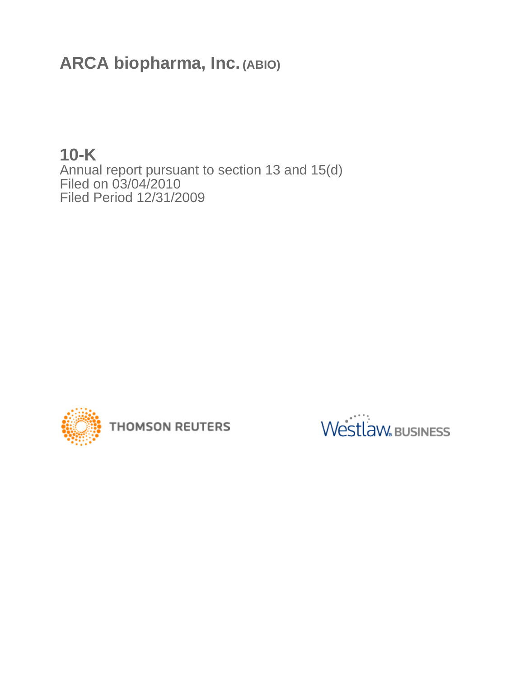**ARCA biopharma, Inc. (ABIO)**

**10-K** Annual report pursuant to section 13 and 15(d) Filed on 03/04/2010 Filed Period 12/31/2009



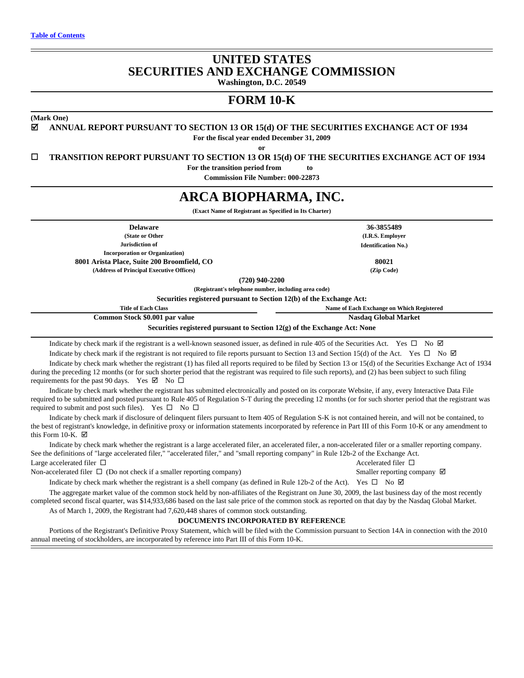# **UNITED STATES SECURITIES AND EXCHANGE COMMISSION Washington, D.C. 20549**

# **FORM 10-K**

**(Mark One)**

# $\boxtimes$  ANNUAL REPORT PURSUANT TO SECTION 13 OR 15(d) OF THE SECURITIES EXCHANGE ACT OF 1934

**For the fiscal year ended December 31, 2009 or**

□ **TRANSITION REPORT PURSUANT TO SECTION 13 OR 15(d) OF THE SECURITIES EXCHANGE ACT OF 1934** 

**For the transition period from to** 

**Commission File Number: 000-22873**

# **ARCA BIOPHARMA, INC.**

**(Exact Name of Registrant as Specified in Its Charter)**

**Delaware 36-3855489 (State or Other Jurisdiction of Incorporation or Organization) 8001 Arista Place, Suite 200 Broomfield, CO 80021 (Address of Principal Executive Offices) (Zip Code)**

**(I.R.S. Employer Identification No.)**

**(720) 940-2200**

**(Registrant's telephone number, including area code)**

**Securities registered pursuant to Section 12(b) of the Exchange Act:**

| <b>Title of Each Class</b>                                                  | Name of Each Exchange on Which Registered |  |  |  |  |  |
|-----------------------------------------------------------------------------|-------------------------------------------|--|--|--|--|--|
| Common Stock \$0.001 par value                                              | Nasdaq Global Market                      |  |  |  |  |  |
| Securities registered pursuant to Section $12(g)$ of the Exchange Act: None |                                           |  |  |  |  |  |

Indicate by check mark if the registrant is a well-known seasoned issuer, as defined in rule 405 of the Securities Act. Yes  $\Box$  No  $\Box$ Indicate by check mark if the registrant is not required to file reports pursuant to Section 13 and Section 15(d) of the Act. Yes  $\Box$  No  $\Box$ 

Indicate by check mark whether the registrant (1) has filed all reports required to be filed by Section 13 or 15(d) of the Securities Exchange Act of 1934

during the preceding 12 months (or for such shorter period that the registrant was required to file such reports), and (2) has been subject to such filing requirements for the past 90 days. Yes  $\boxtimes$  No  $\square$ 

Indicate by check mark whether the registrant has submitted electronically and posted on its corporate Website, if any, every Interactive Data File required to be submitted and posted pursuant to Rule 405 of Regulation S-T during the preceding 12 months (or for such shorter period that the registrant was required to submit and post such files). Yes  $\square$  No  $\square$ 

Indicate by check mark if disclosure of delinquent filers pursuant to Item 405 of Regulation S-K is not contained herein, and will not be contained, to the best of registrant's knowledge, in definitive proxy or information statements incorporated by reference in Part III of this Form 10-K or any amendment to this Form 10-K.  $\boxtimes$ 

Indicate by check mark whether the registrant is a large accelerated filer, an accelerated filer, a non-accelerated filer or a smaller reporting company. See the definitions of "large accelerated filer," "accelerated filer," and "small reporting company" in Rule 12b-2 of the Exchange Act. Large accelerated filer  $\Box$ 

Non-accelerated filer  $\Box$  (Do not check if a smaller reporting company) Smaller reporting company  $\Box$ 

Indicate by check mark whether the registrant is a shell company (as defined in Rule 12b-2 of the Act). Yes  $\Box$  No  $\Box$ 

The aggregate market value of the common stock held by non-affiliates of the Registrant on June 30, 2009, the last business day of the most recently completed second fiscal quarter, was \$14,933,686 based on the last sale price of the common stock as reported on that day by the Nasdaq Global Market.

As of March 1, 2009, the Registrant had 7,620,448 shares of common stock outstanding.

### **DOCUMENTS INCORPORATED BY REFERENCE**

Portions of the Registrant's Definitive Proxy Statement, which will be filed with the Commission pursuant to Section 14A in connection with the 2010 annual meeting of stockholders, are incorporated by reference into Part III of this Form 10-K.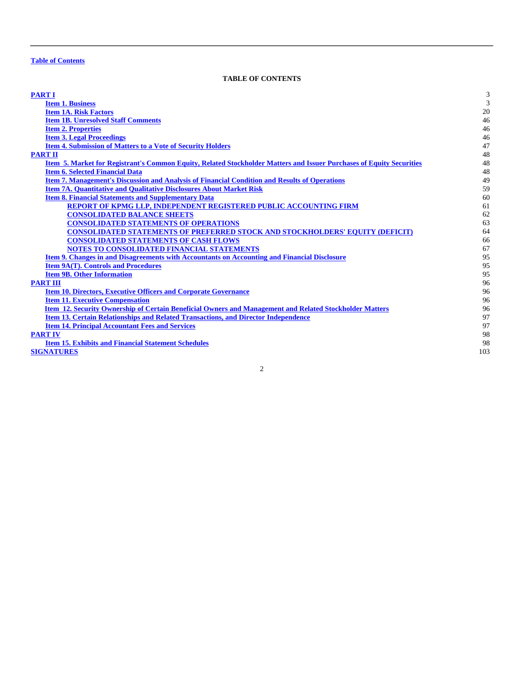# **TABLE OF CONTENTS**

<span id="page-2-0"></span>

| <b>PART I</b>                                                                                                        | 3   |
|----------------------------------------------------------------------------------------------------------------------|-----|
| <b>Item 1. Business</b>                                                                                              | 3   |
| <b>Item 1A. Risk Factors</b>                                                                                         | 20  |
| <b>Item 1B. Unresolved Staff Comments</b>                                                                            | 46  |
| <b>Item 2. Properties</b>                                                                                            | 46  |
| <b>Item 3. Legal Proceedings</b>                                                                                     | 46  |
| <b>Item 4. Submission of Matters to a Vote of Security Holders</b>                                                   | 47  |
| <b>PART II</b>                                                                                                       | 48  |
| Item 5. Market for Registrant's Common Equity, Related Stockholder Matters and Issuer Purchases of Equity Securities | 48  |
| <b>Item 6. Selected Financial Data</b>                                                                               | 48  |
| <b>Item 7. Management's Discussion and Analysis of Financial Condition and Results of Operations</b>                 | 49  |
| <b>Item 7A. Quantitative and Qualitative Disclosures About Market Risk</b>                                           | 59  |
| <b>Item 8. Financial Statements and Supplementary Data</b>                                                           | 60  |
| <b>REPORT OF KPMG LLP, INDEPENDENT REGISTERED PUBLIC ACCOUNTING FIRM</b>                                             | 61  |
| <b>CONSOLIDATED BALANCE SHEETS</b>                                                                                   | 62  |
| <b>CONSOLIDATED STATEMENTS OF OPERATIONS</b>                                                                         | 63  |
| <b>CONSOLIDATED STATEMENTS OF PREFERRED STOCK AND STOCKHOLDERS' EQUITY (DEFICIT)</b>                                 | 64  |
| <b>CONSOLIDATED STATEMENTS OF CASH FLOWS</b>                                                                         | 66  |
| <b>NOTES TO CONSOLIDATED FINANCIAL STATEMENTS</b>                                                                    | 67  |
| Item 9. Changes in and Disagreements with Accountants on Accounting and Financial Disclosure                         | 95  |
| <b>Item 9A(T). Controls and Procedures</b>                                                                           | 95  |
| <b>Item 9B. Other Information</b>                                                                                    | 95  |
| <b>PART III</b>                                                                                                      | 96  |
| <b>Item 10. Directors, Executive Officers and Corporate Governance</b>                                               | 96  |
| <b>Item 11. Executive Compensation</b>                                                                               | 96  |
| <b>Item 12. Security Ownership of Certain Beneficial Owners and Management and Related Stockholder Matters</b>       | 96  |
| Item 13. Certain Relationships and Related Transactions, and Director Independence                                   | 97  |
| <b>Item 14. Principal Accountant Fees and Services</b>                                                               | 97  |
| <b>PART IV</b>                                                                                                       | 98  |
| <b>Item 15. Exhibits and Financial Statement Schedules</b>                                                           | 98  |
| <b>SIGNATURES</b>                                                                                                    | 103 |
|                                                                                                                      |     |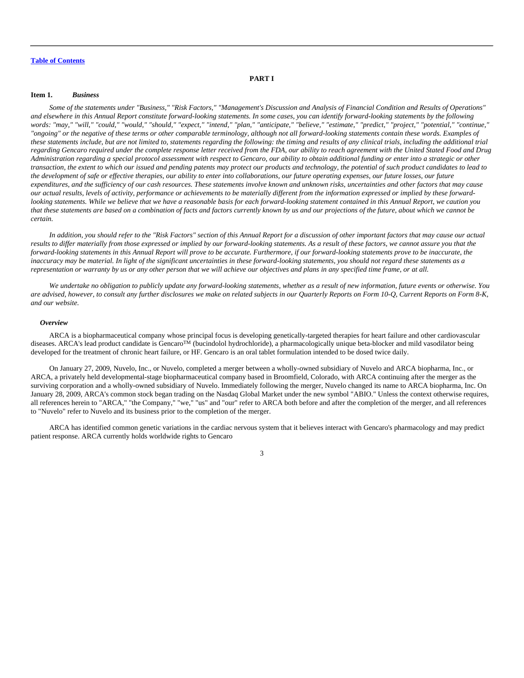# **PART I**

# <span id="page-3-0"></span>**Item 1.** *Business*

*Some of the statements under "Business," "Risk Factors," "Management's Discussion and Analysis of Financial Condition and Results of Operations" and elsewhere in this Annual Report constitute forward-looking statements. In some cases, you can identify forward-looking statements by the following words: "may," "will," "could," "would," "should," "expect," "intend," "plan," "anticipate," "believe," "estimate," "predict," "project," "potential," "continue," "ongoing" or the negative of these terms or other comparable terminology, although not all forward-looking statements contain these words. Examples of these statements include, but are not limited to, statements regarding the following: the timing and results of any clinical trials, including the additional trial regarding Gencaro required under the complete response letter received from the FDA, our ability to reach agreement with the United Stated Food and Drug Administration regarding a special protocol assessment with respect to Gencaro, our ability to obtain additional funding or enter into a strategic or other transaction, the extent to which our issued and pending patents may protect our products and technology, the potential of such product candidates to lead to the development of safe or effective therapies, our ability to enter into collaborations, our future operating expenses, our future losses, our future expenditures, and the sufficiency of our cash resources. These statements involve known and unknown risks, uncertainties and other factors that may cause our actual results, levels of activity, performance or achievements to be materially different from the information expressed or implied by these forwardlooking statements. While we believe that we have a reasonable basis for each forward-looking statement contained in this Annual Report, we caution you that these statements are based on a combination of facts and factors currently known by us and our projections of the future, about which we cannot be certain.*

*In addition, you should refer to the "Risk Factors" section of this Annual Report for a discussion of other important factors that may cause our actual results to differ materially from those expressed or implied by our forward-looking statements. As a result of these factors, we cannot assure you that the forward-looking statements in this Annual Report will prove to be accurate. Furthermore, if our forward-looking statements prove to be inaccurate, the inaccuracy may be material. In light of the significant uncertainties in these forward-looking statements, you should not regard these statements as a representation or warranty by us or any other person that we will achieve our objectives and plans in any specified time frame, or at all.*

*We undertake no obligation to publicly update any forward-looking statements, whether as a result of new information, future events or otherwise. You are advised, however, to consult any further disclosures we make on related subjects in our Quarterly Reports on Form 10-Q, Current Reports on Form 8-K, and our website.*

### *Overview*

ARCA is a biopharmaceutical company whose principal focus is developing genetically-targeted therapies for heart failure and other cardiovascular diseases. ARCA's lead product candidate is Gencaro<sup>TM</sup> (bucindolol hydrochloride), a pharmacologically unique beta-blocker and mild vasodilator being developed for the treatment of chronic heart failure, or HF. Gencaro is an oral tablet formulation intended to be dosed twice daily.

On January 27, 2009, Nuvelo, Inc., or Nuvelo, completed a merger between a wholly-owned subsidiary of Nuvelo and ARCA biopharma, Inc., or ARCA, a privately held developmental-stage biopharmaceutical company based in Broomfield, Colorado, with ARCA continuing after the merger as the surviving corporation and a wholly-owned subsidiary of Nuvelo. Immediately following the merger, Nuvelo changed its name to ARCA biopharma, Inc. On January 28, 2009, ARCA's common stock began trading on the Nasdaq Global Market under the new symbol "ABIO." Unless the context otherwise requires, all references herein to "ARCA," "the Company," "we," "us" and "our" refer to ARCA both before and after the completion of the merger, and all references to "Nuvelo" refer to Nuvelo and its business prior to the completion of the merger.

ARCA has identified common genetic variations in the cardiac nervous system that it believes interact with Gencaro's pharmacology and may predict patient response. ARCA currently holds worldwide rights to Gencaro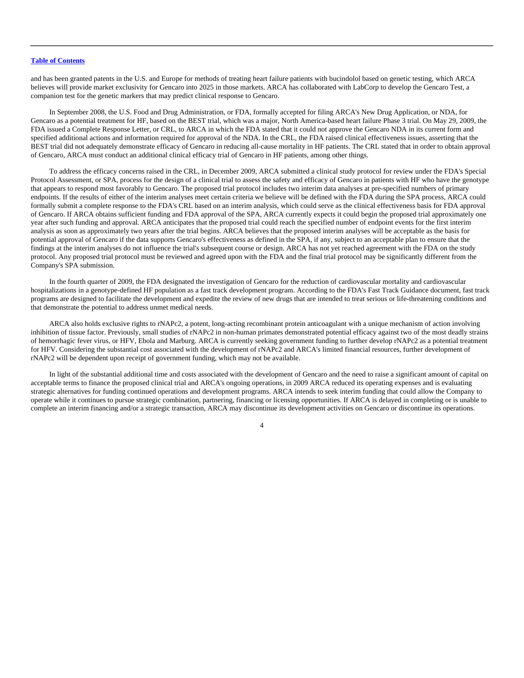and has been granted patents in the U.S. and Europe for methods of treating heart failure patients with bucindolol based on genetic testing, which ARCA believes will provide market exclusivity for Gencaro into 2025 in those markets. ARCA has collaborated with LabCorp to develop the Gencaro Test, a companion test for the genetic markers that may predict clinical response to Gencaro.

In September 2008, the U.S. Food and Drug Administration, or FDA, formally accepted for filing ARCA's New Drug Application, or NDA, for Gencaro as a potential treatment for HF, based on the BEST trial, which was a major, North America-based heart failure Phase 3 trial. On May 29, 2009, the FDA issued a Complete Response Letter, or CRL, to ARCA in which the FDA stated that it could not approve the Gencaro NDA in its current form and specified additional actions and information required for approval of the NDA. In the CRL, the FDA raised clinical effectiveness issues, asserting that the BEST trial did not adequately demonstrate efficacy of Gencaro in reducing all-cause mortality in HF patients. The CRL stated that in order to obtain approval of Gencaro, ARCA must conduct an additional clinical efficacy trial of Gencaro in HF patients, among other things.

To address the efficacy concerns raised in the CRL, in December 2009, ARCA submitted a clinical study protocol for review under the FDA's Special Protocol Assessment, or SPA, process for the design of a clinical trial to assess the safety and efficacy of Gencaro in patients with HF who have the genotype that appears to respond most favorably to Gencaro. The proposed trial protocol includes two interim data analyses at pre-specified numbers of primary endpoints. If the results of either of the interim analyses meet certain criteria we believe will be defined with the FDA during the SPA process, ARCA could formally submit a complete response to the FDA's CRL based on an interim analysis, which could serve as the clinical effectiveness basis for FDA approval of Gencaro. If ARCA obtains sufficient funding and FDA approval of the SPA, ARCA currently expects it could begin the proposed trial approximately one year after such funding and approval. ARCA anticipates that the proposed trial could reach the specified number of endpoint events for the first interim analysis as soon as approximately two years after the trial begins. ARCA believes that the proposed interim analyses will be acceptable as the basis for potential approval of Gencaro if the data supports Gencaro's effectiveness as defined in the SPA, if any, subject to an acceptable plan to ensure that the findings at the interim analyses do not influence the trial's subsequent course or design. ARCA has not yet reached agreement with the FDA on the study protocol. Any proposed trial protocol must be reviewed and agreed upon with the FDA and the final trial protocol may be significantly different from the Company's SPA submission.

In the fourth quarter of 2009, the FDA designated the investigation of Gencaro for the reduction of cardiovascular mortality and cardiovascular hospitalizations in a genotype-defined HF population as a fast track development program. According to the FDA's Fast Track Guidance document, fast track programs are designed to facilitate the development and expedite the review of new drugs that are intended to treat serious or life-threatening conditions and that demonstrate the potential to address unmet medical needs.

ARCA also holds exclusive rights to rNAPc2, a potent, long-acting recombinant protein anticoagulant with a unique mechanism of action involving inhibition of tissue factor. Previously, small studies of rNAPc2 in non-human primates demonstrated potential efficacy against two of the most deadly strains of hemorrhagic fever virus, or HFV, Ebola and Marburg. ARCA is currently seeking government funding to further develop rNAPc2 as a potential treatment for HFV. Considering the substantial cost associated with the development of rNAPc2 and ARCA's limited financial resources, further development of rNAPc2 will be dependent upon receipt of government funding, which may not be available.

In light of the substantial additional time and costs associated with the development of Gencaro and the need to raise a significant amount of capital on acceptable terms to finance the proposed clinical trial and ARCA's ongoing operations, in 2009 ARCA reduced its operating expenses and is evaluating strategic alternatives for funding continued operations and development programs. ARCA intends to seek interim funding that could allow the Company to operate while it continues to pursue strategic combination, partnering, financing or licensing opportunities. If ARCA is delayed in completing or is unable to complete an interim financing and/or a strategic transaction, ARCA may discontinue its development activities on Gencaro or discontinue its operations.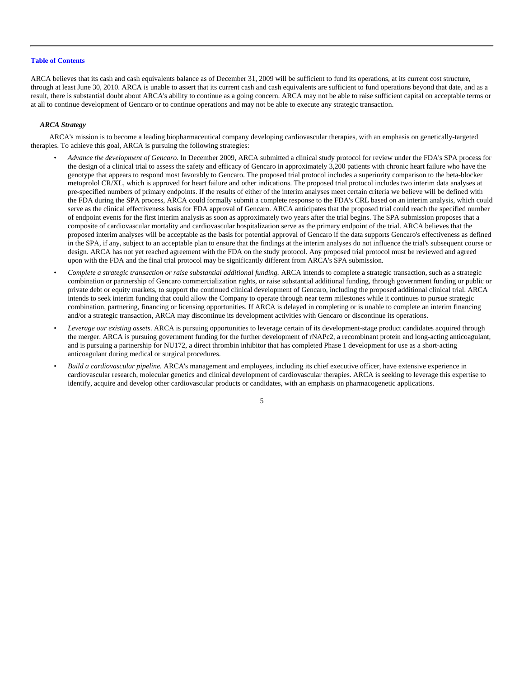ARCA believes that its cash and cash equivalents balance as of December 31, 2009 will be sufficient to fund its operations, at its current cost structure, through at least June 30, 2010. ARCA is unable to assert that its current cash and cash equivalents are sufficient to fund operations beyond that date, and as a result, there is substantial doubt about ARCA's ability to continue as a going concern. ARCA may not be able to raise sufficient capital on acceptable terms or at all to continue development of Gencaro or to continue operations and may not be able to execute any strategic transaction.

# *ARCA Strategy*

ARCA's mission is to become a leading biopharmaceutical company developing cardiovascular therapies, with an emphasis on genetically-targeted therapies. To achieve this goal, ARCA is pursuing the following strategies:

- *Advance the development of Gencaro.* In December 2009, ARCA submitted a clinical study protocol for review under the FDA's SPA process for the design of a clinical trial to assess the safety and efficacy of Gencaro in approximately 3,200 patients with chronic heart failure who have the genotype that appears to respond most favorably to Gencaro. The proposed trial protocol includes a superiority comparison to the beta-blocker metoprolol CR/XL, which is approved for heart failure and other indications. The proposed trial protocol includes two interim data analyses at pre-specified numbers of primary endpoints. If the results of either of the interim analyses meet certain criteria we believe will be defined with the FDA during the SPA process, ARCA could formally submit a complete response to the FDA's CRL based on an interim analysis, which could serve as the clinical effectiveness basis for FDA approval of Gencaro. ARCA anticipates that the proposed trial could reach the specified number of endpoint events for the first interim analysis as soon as approximately two years after the trial begins. The SPA submission proposes that a composite of cardiovascular mortality and cardiovascular hospitalization serve as the primary endpoint of the trial. ARCA believes that the proposed interim analyses will be acceptable as the basis for potential approval of Gencaro if the data supports Gencaro's effectiveness as defined in the SPA, if any, subject to an acceptable plan to ensure that the findings at the interim analyses do not influence the trial's subsequent course or design. ARCA has not yet reached agreement with the FDA on the study protocol. Any proposed trial protocol must be reviewed and agreed upon with the FDA and the final trial protocol may be significantly different from ARCA's SPA submission.
- *Complete a strategic transaction or raise substantial additional funding.* ARCA intends to complete a strategic transaction, such as a strategic combination or partnership of Gencaro commercialization rights, or raise substantial additional funding, through government funding or public or private debt or equity markets, to support the continued clinical development of Gencaro, including the proposed additional clinical trial. ARCA intends to seek interim funding that could allow the Company to operate through near term milestones while it continues to pursue strategic combination, partnering, financing or licensing opportunities. If ARCA is delayed in completing or is unable to complete an interim financing and/or a strategic transaction, ARCA may discontinue its development activities with Gencaro or discontinue its operations.
- *Leverage our existing assets*. ARCA is pursuing opportunities to leverage certain of its development-stage product candidates acquired through the merger. ARCA is pursuing government funding for the further development of rNAPc2, a recombinant protein and long-acting anticoagulant, and is pursuing a partnership for NU172, a direct thrombin inhibitor that has completed Phase 1 development for use as a short-acting anticoagulant during medical or surgical procedures.
- *Build a cardiovascular pipeline.* ARCA's management and employees, including its chief executive officer, have extensive experience in cardiovascular research, molecular genetics and clinical development of cardiovascular therapies. ARCA is seeking to leverage this expertise to identify, acquire and develop other cardiovascular products or candidates, with an emphasis on pharmacogenetic applications.

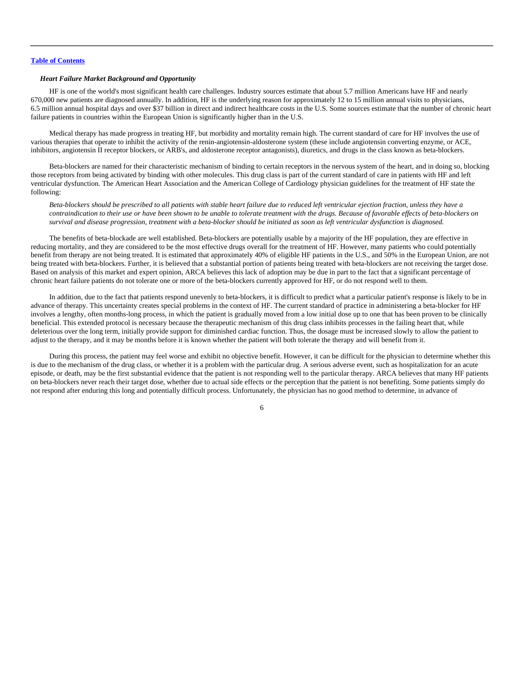# *Heart Failure Market Background and Opportunity*

HF is one of the world's most significant health care challenges. Industry sources estimate that about 5.7 million Americans have HF and nearly 670,000 new patients are diagnosed annually. In addition, HF is the underlying reason for approximately 12 to 15 million annual visits to physicians, 6.5 million annual hospital days and over \$37 billion in direct and indirect healthcare costs in the U.S. Some sources estimate that the number of chronic heart failure patients in countries within the European Union is significantly higher than in the U.S.

Medical therapy has made progress in treating HF, but morbidity and mortality remain high. The current standard of care for HF involves the use of various therapies that operate to inhibit the activity of the renin-angiotensin-aldosterone system (these include angiotensin converting enzyme, or ACE, inhibitors, angiotensin II receptor blockers, or ARB's, and aldosterone receptor antagonists), diuretics, and drugs in the class known as beta-blockers.

Beta-blockers are named for their characteristic mechanism of binding to certain receptors in the nervous system of the heart, and in doing so, blocking those receptors from being activated by binding with other molecules. This drug class is part of the current standard of care in patients with HF and left ventricular dysfunction. The American Heart Association and the American College of Cardiology physician guidelines for the treatment of HF state the following:

*Beta-blockers should be prescribed to all patients with stable heart failure due to reduced left ventricular ejection fraction, unless they have a contraindication to their use or have been shown to be unable to tolerate treatment with the drugs. Because of favorable effects of beta-blockers on survival and disease progression, treatment with a beta-blocker should be initiated as soon as left ventricular dysfunction is diagnosed.*

The benefits of beta-blockade are well established. Beta-blockers are potentially usable by a majority of the HF population, they are effective in reducing mortality, and they are considered to be the most effective drugs overall for the treatment of HF. However, many patients who could potentially benefit from therapy are not being treated. It is estimated that approximately 40% of eligible HF patients in the U.S., and 50% in the European Union, are not being treated with beta-blockers. Further, it is believed that a substantial portion of patients being treated with beta-blockers are not receiving the target dose. Based on analysis of this market and expert opinion, ARCA believes this lack of adoption may be due in part to the fact that a significant percentage of chronic heart failure patients do not tolerate one or more of the beta-blockers currently approved for HF, or do not respond well to them.

In addition, due to the fact that patients respond unevenly to beta-blockers, it is difficult to predict what a particular patient's response is likely to be in advance of therapy. This uncertainty creates special problems in the context of HF. The current standard of practice in administering a beta-blocker for HF involves a lengthy, often months-long process, in which the patient is gradually moved from a low initial dose up to one that has been proven to be clinically beneficial. This extended protocol is necessary because the therapeutic mechanism of this drug class inhibits processes in the failing heart that, while deleterious over the long term, initially provide support for diminished cardiac function. Thus, the dosage must be increased slowly to allow the patient to adjust to the therapy, and it may be months before it is known whether the patient will both tolerate the therapy and will benefit from it.

During this process, the patient may feel worse and exhibit no objective benefit. However, it can be difficult for the physician to determine whether this is due to the mechanism of the drug class, or whether it is a problem with the particular drug. A serious adverse event, such as hospitalization for an acute episode, or death, may be the first substantial evidence that the patient is not responding well to the particular therapy. ARCA believes that many HF patients on beta-blockers never reach their target dose, whether due to actual side effects or the perception that the patient is not benefiting. Some patients simply do not respond after enduring this long and potentially difficult process. Unfortunately, the physician has no good method to determine, in advance of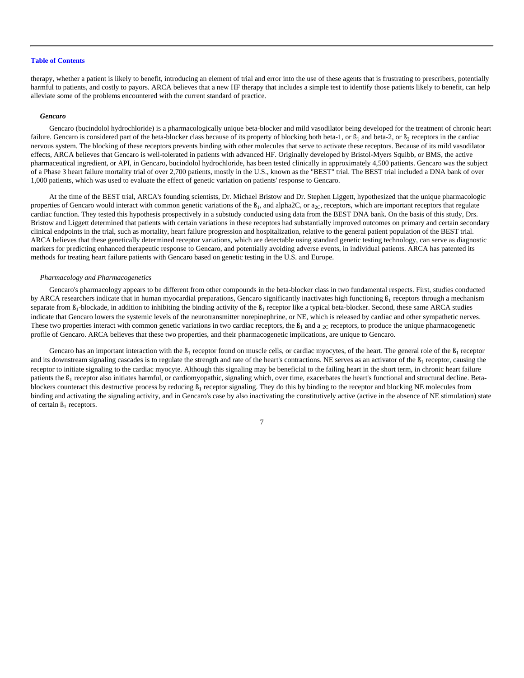therapy, whether a patient is likely to benefit, introducing an element of trial and error into the use of these agents that is frustrating to prescribers, potentially harmful to patients, and costly to payors. ARCA believes that a new HF therapy that includes a simple test to identify those patients likely to benefit, can help alleviate some of the problems encountered with the current standard of practice.

# *Gencaro*

Gencaro (bucindolol hydrochloride) is a pharmacologically unique beta-blocker and mild vasodilator being developed for the treatment of chronic heart failure. Gencaro is considered part of the beta-blocker class because of its property of blocking both beta-1, or  $\beta_1$  and beta-2, or  $\beta_2$  receptors in the cardiac nervous system. The blocking of these receptors prevents binding with other molecules that serve to activate these receptors. Because of its mild vasodilator effects, ARCA believes that Gencaro is well-tolerated in patients with advanced HF. Originally developed by Bristol-Myers Squibb, or BMS, the active pharmaceutical ingredient, or API, in Gencaro, bucindolol hydrochloride, has been tested clinically in approximately 4,500 patients. Gencaro was the subject of a Phase 3 heart failure mortality trial of over 2,700 patients, mostly in the U.S., known as the "BEST" trial. The BEST trial included a DNA bank of over 1,000 patients, which was used to evaluate the effect of genetic variation on patients' response to Gencaro.

At the time of the BEST trial, ARCA's founding scientists, Dr. Michael Bristow and Dr. Stephen Liggett, hypothesized that the unique pharmacologic properties of Gencaro would interact with common genetic variations of the  $\beta_1$ , and alpha2C, or  $a_{2C}$ , receptors, which are important receptors that regulate cardiac function. They tested this hypothesis prospectively in a substudy conducted using data from the BEST DNA bank. On the basis of this study, Drs. Bristow and Liggett determined that patients with certain variations in these receptors had substantially improved outcomes on primary and certain secondary clinical endpoints in the trial, such as mortality, heart failure progression and hospitalization, relative to the general patient population of the BEST trial. ARCA believes that these genetically determined receptor variations, which are detectable using standard genetic testing technology, can serve as diagnostic markers for predicting enhanced therapeutic response to Gencaro, and potentially avoiding adverse events, in individual patients. ARCA has patented its methods for treating heart failure patients with Gencaro based on genetic testing in the U.S. and Europe.

### *Pharmacology and Pharmacogenetics*

Gencaro's pharmacology appears to be different from other compounds in the beta-blocker class in two fundamental respects. First, studies conducted by ARCA researchers indicate that in human myocardial preparations, Gencaro significantly inactivates high functioning  $\beta_1$  receptors through a mechanism separate from  $B_1$ -blockade, in addition to inhibiting the binding activity of the  $B_1$  receptor like a typical beta-blocker. Second, these same ARCA studies indicate that Gencaro lowers the systemic levels of the neurotransmitter norepinephrine, or NE, which is released by cardiac and other sympathetic nerves. These two properties interact with common genetic variations in two cardiac receptors, the  $B_1$  and a <sub>2C</sub> receptors, to produce the unique pharmacogenetic profile of Gencaro. ARCA believes that these two properties, and their pharmacogenetic implications, are unique to Gencaro.

Gencaro has an important interaction with the  $\beta_1$  receptor found on muscle cells, or cardiac myocytes, of the heart. The general role of the  $\beta_1$  receptor and its downstream signaling cascades is to regulate the strength and rate of the heart's contractions. NE serves as an activator of the  $\beta_1$  receptor, causing the receptor to initiate signaling to the cardiac myocyte. Although this signaling may be beneficial to the failing heart in the short term, in chronic heart failure patients the  $B_1$  receptor also initiates harmful, or cardiomyopathic, signaling which, over time, exacerbates the heart's functional and structural decline. Betablockers counteract this destructive process by reducing  $\beta_1$  receptor signaling. They do this by binding to the receptor and blocking NE molecules from binding and activating the signaling activity, and in Gencaro's case by also inactivating the constitutively active (active in the absence of NE stimulation) state of certain  $\beta_1$  receptors.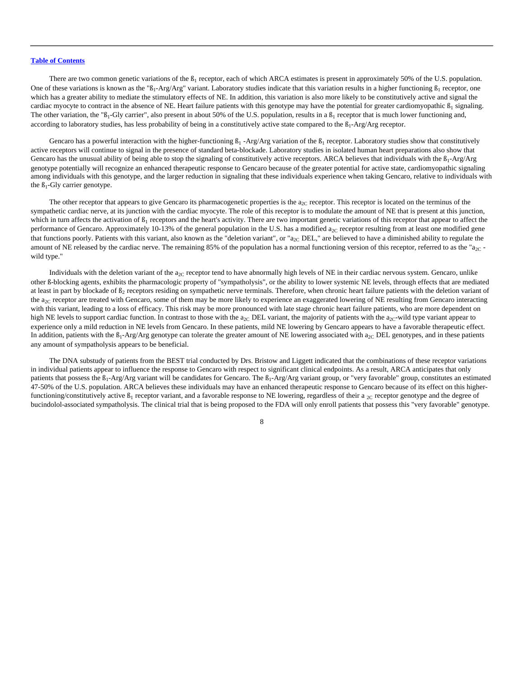There are two common genetic variations of the  $B_1$  receptor, each of which ARCA estimates is present in approximately 50% of the U.S. population. One of these variations is known as the " $B_1$ -Arg/Arg" variant. Laboratory studies indicate that this variation results in a higher functioning  $B_1$  receptor, one which has a greater ability to mediate the stimulatory effects of NE. In addition, this variation is also more likely to be constitutively active and signal the cardiac myocyte to contract in the absence of NE. Heart failure patients with this genotype may have the potential for greater cardiomyopathic  $\beta_1$  signaling. The other variation, the " $B_1$ -Gly carrier", also present in about 50% of the U.S. population, results in a  $B_1$  receptor that is much lower functioning and, according to laboratory studies, has less probability of being in a constitutively active state compared to the  $\beta_1$ -Arg/Arg receptor.

Gencaro has a powerful interaction with the higher-functioning  $B_1$ -Arg/Arg variation of the  $B_1$  receptor. Laboratory studies show that constitutively active receptors will continue to signal in the presence of standard beta-blockade. Laboratory studies in isolated human heart preparations also show that Gencaro has the unusual ability of being able to stop the signaling of constitutively active receptors. ARCA believes that individuals with the  $\beta_1$ -Arg/Arg genotype potentially will recognize an enhanced therapeutic response to Gencaro because of the greater potential for active state, cardiomyopathic signaling among individuals with this genotype, and the larger reduction in signaling that these individuals experience when taking Gencaro, relative to individuals with the  $\beta_1$ -Gly carrier genotype.

The other receptor that appears to give Gencaro its pharmacogenetic properties is the  $a_{2C}$  receptor. This receptor is located on the terminus of the sympathetic cardiac nerve, at its junction with the cardiac myocyte. The role of this receptor is to modulate the amount of NE that is present at this junction, which in turn affects the activation of  $\beta_1$  receptors and the heart's activity. There are two important genetic variations of this receptor that appear to affect the performance of Gencaro. Approximately 10-13% of the general population in the U.S. has a modified  $a_{2C}$  receptor resulting from at least one modified gene that functions poorly. Patients with this variant, also known as the "deletion variant", or "a<sub>2C</sub> DEL," are believed to have a diminished ability to regulate the amount of NE released by the cardiac nerve. The remaining 85% of the population has a normal functioning version of this receptor, referred to as the " $a_{2C}$  wild type."

Individuals with the deletion variant of the  $a_{2C}$  receptor tend to have abnormally high levels of NE in their cardiac nervous system. Gencaro, unlike other ß-blocking agents, exhibits the pharmacologic property of "sympatholysis", or the ability to lower systemic NE levels, through effects that are mediated at least in part by blockade of  $\beta_2$  receptors residing on sympathetic nerve terminals. Therefore, when chronic heart failure patients with the deletion variant of the a<sub>2C</sub> receptor are treated with Gencaro, some of them may be more likely to experience an exaggerated lowering of NE resulting from Gencaro interacting with this variant, leading to a loss of efficacy. This risk may be more pronounced with late stage chronic heart failure patients, who are more dependent on high NE levels to support cardiac function. In contrast to those with the a<sub>2C</sub> DEL variant, the majority of patients with the a<sub>2C</sub>-wild type variant appear to experience only a mild reduction in NE levels from Gencaro. In these patients, mild NE lowering by Gencaro appears to have a favorable therapeutic effect. In addition, patients with the  $B_1$ -Arg/Arg genotype can tolerate the greater amount of NE lowering associated with  $a_{2C}$  DEL genotypes, and in these patients any amount of sympatholysis appears to be beneficial.

The DNA substudy of patients from the BEST trial conducted by Drs. Bristow and Liggett indicated that the combinations of these receptor variations in individual patients appear to influence the response to Gencaro with respect to significant clinical endpoints. As a result, ARCA anticipates that only patients that possess the  $B_1$ -Arg/Arg variant will be candidates for Gencaro. The  $B_1$ -Arg/Arg variant group, or "very favorable" group, constitutes an estimated 47-50% of the U.S. population. ARCA believes these individuals may have an enhanced therapeutic response to Gencaro because of its effect on this higherfunctioning/constitutively active  $\beta_1$  receptor variant, and a favorable response to NE lowering, regardless of their a <sub>2C</sub> receptor genotype and the degree of bucindolol-associated sympatholysis. The clinical trial that is being proposed to the FDA will only enroll patients that possess this "very favorable" genotype.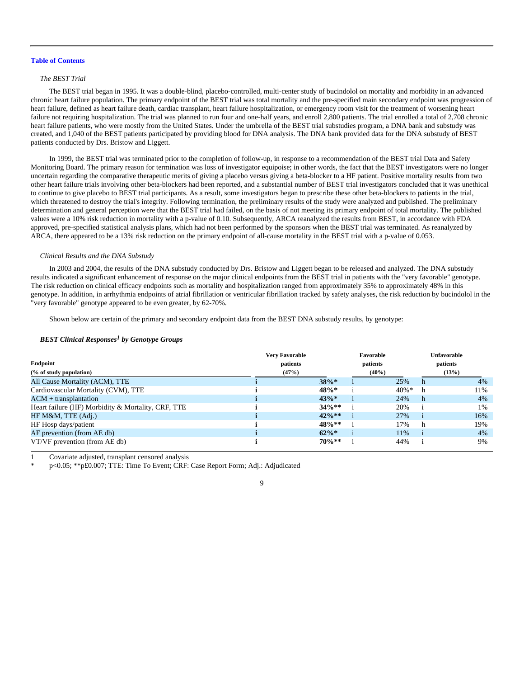# *The BEST Trial*

The BEST trial began in 1995. It was a double-blind, placebo-controlled, multi-center study of bucindolol on mortality and morbidity in an advanced chronic heart failure population. The primary endpoint of the BEST trial was total mortality and the pre-specified main secondary endpoint was progression of heart failure, defined as heart failure death, cardiac transplant, heart failure hospitalization, or emergency room visit for the treatment of worsening heart failure not requiring hospitalization. The trial was planned to run four and one-half years, and enroll 2,800 patients. The trial enrolled a total of 2,708 chronic heart failure patients, who were mostly from the United States. Under the umbrella of the BEST trial substudies program, a DNA bank and substudy was created, and 1,040 of the BEST patients participated by providing blood for DNA analysis. The DNA bank provided data for the DNA substudy of BEST patients conducted by Drs. Bristow and Liggett.

In 1999, the BEST trial was terminated prior to the completion of follow-up, in response to a recommendation of the BEST trial Data and Safety Monitoring Board. The primary reason for termination was loss of investigator equipoise; in other words, the fact that the BEST investigators were no longer uncertain regarding the comparative therapeutic merits of giving a placebo versus giving a beta-blocker to a HF patient. Positive mortality results from two other heart failure trials involving other beta-blockers had been reported, and a substantial number of BEST trial investigators concluded that it was unethical to continue to give placebo to BEST trial participants. As a result, some investigators began to prescribe these other beta-blockers to patients in the trial, which threatened to destroy the trial's integrity. Following termination, the preliminary results of the study were analyzed and published. The preliminary determination and general perception were that the BEST trial had failed, on the basis of not meeting its primary endpoint of total mortality. The published values were a 10% risk reduction in mortality with a p-value of 0.10. Subsequently, ARCA reanalyzed the results from BEST, in accordance with FDA approved, pre-specified statistical analysis plans, which had not been performed by the sponsors when the BEST trial was terminated. As reanalyzed by ARCA, there appeared to be a 13% risk reduction on the primary endpoint of all-cause mortality in the BEST trial with a p-value of 0.053.

### *Clinical Results and the DNA Substudy*

In 2003 and 2004, the results of the DNA substudy conducted by Drs. Bristow and Liggett began to be released and analyzed. The DNA substudy results indicated a significant enhancement of response on the major clinical endpoints from the BEST trial in patients with the "very favorable" genotype. The risk reduction on clinical efficacy endpoints such as mortality and hospitalization ranged from approximately 35% to approximately 48% in this genotype. In addition, in arrhythmia endpoints of atrial fibrillation or ventricular fibrillation tracked by safety analyses, the risk reduction by bucindolol in the "very favorable" genotype appeared to be even greater, by 62-70%.

Shown below are certain of the primary and secondary endpoint data from the BEST DNA substudy results, by genotype:

# *BEST Clinical Responses<sup>1</sup> by Genotype Groups*

|                                                    | <b>Very Favorable</b> |          | Favorable |          | <b>Unfavorable</b> |     |
|----------------------------------------------------|-----------------------|----------|-----------|----------|--------------------|-----|
| Endpoint                                           | patients              |          | patients  |          | patients           |     |
| (% of study population)                            | (47%)                 |          | (40%)     |          | (13%)              |     |
| All Cause Mortality (ACM), TTE                     |                       | $38\%*$  |           | 25%      | h                  | 4%  |
| Cardiovascular Mortality (CVM), TTE                |                       | $48\%*$  |           | $40\% *$ | h                  | 11% |
| $ACM + transplantation$                            |                       | 43%      |           | 24%      | h                  | 4%  |
| Heart failure (HF) Morbidity & Mortality, CRF, TTE |                       | $34\%**$ |           | 20%      |                    | 1%  |
| HF M&M, TTE (Adj.)                                 |                       | $42\%**$ |           | 27%      |                    | 16% |
| HF Hosp days/patient                               |                       | $48\%**$ |           | 17%      | h                  | 19% |
| AF prevention (from AE db)                         |                       | $62\%*$  |           | 11%      |                    | 4%  |
| VT/VF prevention (from AE db)                      |                       | $70\%**$ |           | 44%      |                    | 9%  |

1 Covariate adjusted, transplant censored analysis

p<0.05; \*\*p£0.007; TTE: Time To Event; CRF: Case Report Form; Adj.: Adjudicated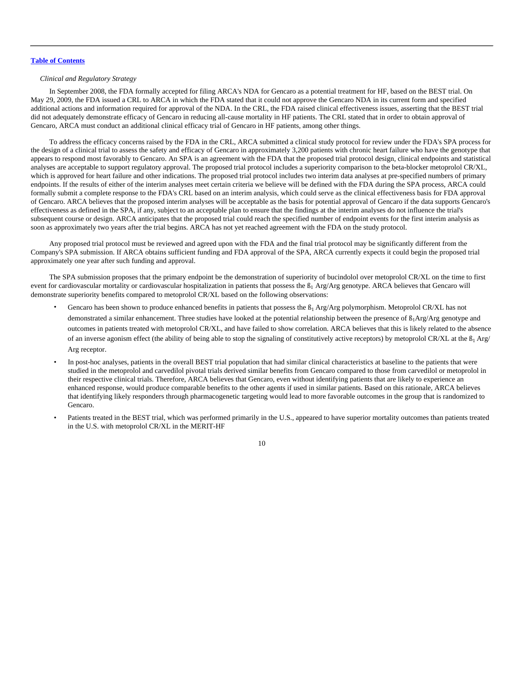# *Clinical and Regulatory Strategy*

In September 2008, the FDA formally accepted for filing ARCA's NDA for Gencaro as a potential treatment for HF, based on the BEST trial. On May 29, 2009, the FDA issued a CRL to ARCA in which the FDA stated that it could not approve the Gencaro NDA in its current form and specified additional actions and information required for approval of the NDA. In the CRL, the FDA raised clinical effectiveness issues, asserting that the BEST trial did not adequately demonstrate efficacy of Gencaro in reducing all-cause mortality in HF patients. The CRL stated that in order to obtain approval of Gencaro, ARCA must conduct an additional clinical efficacy trial of Gencaro in HF patients, among other things.

To address the efficacy concerns raised by the FDA in the CRL, ARCA submitted a clinical study protocol for review under the FDA's SPA process for the design of a clinical trial to assess the safety and efficacy of Gencaro in approximately 3,200 patients with chronic heart failure who have the genotype that appears to respond most favorably to Gencaro. An SPA is an agreement with the FDA that the proposed trial protocol design, clinical endpoints and statistical analyses are acceptable to support regulatory approval. The proposed trial protocol includes a superiority comparison to the beta-blocker metoprolol CR/XL, which is approved for heart failure and other indications. The proposed trial protocol includes two interim data analyses at pre-specified numbers of primary endpoints. If the results of either of the interim analyses meet certain criteria we believe will be defined with the FDA during the SPA process, ARCA could formally submit a complete response to the FDA's CRL based on an interim analysis, which could serve as the clinical effectiveness basis for FDA approval of Gencaro. ARCA believes that the proposed interim analyses will be acceptable as the basis for potential approval of Gencaro if the data supports Gencaro's effectiveness as defined in the SPA, if any, subject to an acceptable plan to ensure that the findings at the interim analyses do not influence the trial's subsequent course or design. ARCA anticipates that the proposed trial could reach the specified number of endpoint events for the first interim analysis as soon as approximately two years after the trial begins. ARCA has not yet reached agreement with the FDA on the study protocol.

Any proposed trial protocol must be reviewed and agreed upon with the FDA and the final trial protocol may be significantly different from the Company's SPA submission. If ARCA obtains sufficient funding and FDA approval of the SPA, ARCA currently expects it could begin the proposed trial approximately one year after such funding and approval.

The SPA submission proposes that the primary endpoint be the demonstration of superiority of bucindolol over metoprolol CR/XL on the time to first event for cardiovascular mortality or cardiovascular hospitalization in patients that possess the  $B_1$  Arg/Arg genotype. ARCA believes that Gencaro will demonstrate superiority benefits compared to metoprolol CR/XL based on the following observations:

- Gencaro has been shown to produce enhanced benefits in patients that possess the  $B_1$  Arg/Arg polymorphism. Metoprolol CR/XL has not demonstrated a similar enhancement. Three studies have looked at the potential relationship between the presence of  $\beta_1$ Arg/Arg genotype and outcomes in patients treated with metoprolol CR/XL, and have failed to show correlation. ARCA believes that this is likely related to the absence of an inverse agonism effect (the ability of being able to stop the signaling of constitutively active receptors) by metoprolol CR/XL at the  $\beta_1$  Arg/ Arg receptor.
- In post-hoc analyses, patients in the overall BEST trial population that had similar clinical characteristics at baseline to the patients that were studied in the metoprolol and carvedilol pivotal trials derived similar benefits from Gencaro compared to those from carvedilol or metoprolol in their respective clinical trials. Therefore, ARCA believes that Gencaro, even without identifying patients that are likely to experience an enhanced response, would produce comparable benefits to the other agents if used in similar patients. Based on this rationale, ARCA believes that identifying likely responders through pharmacogenetic targeting would lead to more favorable outcomes in the group that is randomized to Gencaro.
- Patients treated in the BEST trial, which was performed primarily in the U.S., appeared to have superior mortality outcomes than patients treated in the U.S. with metoprolol CR/XL in the MERIT-HF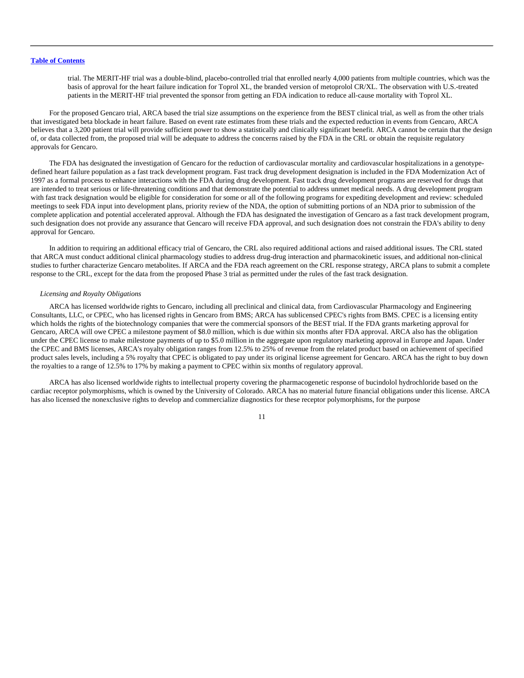trial. The MERIT-HF trial was a double-blind, placebo-controlled trial that enrolled nearly 4,000 patients from multiple countries, which was the basis of approval for the heart failure indication for Toprol XL, the branded version of metoprolol CR/XL. The observation with U.S.-treated patients in the MERIT-HF trial prevented the sponsor from getting an FDA indication to reduce all-cause mortality with Toprol XL.

For the proposed Gencaro trial, ARCA based the trial size assumptions on the experience from the BEST clinical trial, as well as from the other trials that investigated beta blockade in heart failure. Based on event rate estimates from these trials and the expected reduction in events from Gencaro, ARCA believes that a 3,200 patient trial will provide sufficient power to show a statistically and clinically significant benefit. ARCA cannot be certain that the design of, or data collected from, the proposed trial will be adequate to address the concerns raised by the FDA in the CRL or obtain the requisite regulatory approvals for Gencaro.

The FDA has designated the investigation of Gencaro for the reduction of cardiovascular mortality and cardiovascular hospitalizations in a genotypedefined heart failure population as a fast track development program. Fast track drug development designation is included in the FDA Modernization Act of 1997 as a formal process to enhance interactions with the FDA during drug development. Fast track drug development programs are reserved for drugs that are intended to treat serious or life-threatening conditions and that demonstrate the potential to address unmet medical needs. A drug development program with fast track designation would be eligible for consideration for some or all of the following programs for expediting development and review: scheduled meetings to seek FDA input into development plans, priority review of the NDA, the option of submitting portions of an NDA prior to submission of the complete application and potential accelerated approval. Although the FDA has designated the investigation of Gencaro as a fast track development program, such designation does not provide any assurance that Gencaro will receive FDA approval, and such designation does not constrain the FDA's ability to deny approval for Gencaro.

In addition to requiring an additional efficacy trial of Gencaro, the CRL also required additional actions and raised additional issues. The CRL stated that ARCA must conduct additional clinical pharmacology studies to address drug-drug interaction and pharmacokinetic issues, and additional non-clinical studies to further characterize Gencaro metabolites. If ARCA and the FDA reach agreement on the CRL response strategy, ARCA plans to submit a complete response to the CRL, except for the data from the proposed Phase 3 trial as permitted under the rules of the fast track designation.

### *Licensing and Royalty Obligations*

ARCA has licensed worldwide rights to Gencaro, including all preclinical and clinical data, from Cardiovascular Pharmacology and Engineering Consultants, LLC, or CPEC, who has licensed rights in Gencaro from BMS; ARCA has sublicensed CPEC's rights from BMS. CPEC is a licensing entity which holds the rights of the biotechnology companies that were the commercial sponsors of the BEST trial. If the FDA grants marketing approval for Gencaro, ARCA will owe CPEC a milestone payment of \$8.0 million, which is due within six months after FDA approval. ARCA also has the obligation under the CPEC license to make milestone payments of up to \$5.0 million in the aggregate upon regulatory marketing approval in Europe and Japan. Under the CPEC and BMS licenses, ARCA's royalty obligation ranges from 12.5% to 25% of revenue from the related product based on achievement of specified product sales levels, including a 5% royalty that CPEC is obligated to pay under its original license agreement for Gencaro. ARCA has the right to buy down the royalties to a range of 12.5% to 17% by making a payment to CPEC within six months of regulatory approval.

ARCA has also licensed worldwide rights to intellectual property covering the pharmacogenetic response of bucindolol hydrochloride based on the cardiac receptor polymorphisms, which is owned by the University of Colorado. ARCA has no material future financial obligations under this license. ARCA has also licensed the nonexclusive rights to develop and commercialize diagnostics for these receptor polymorphisms, for the purpose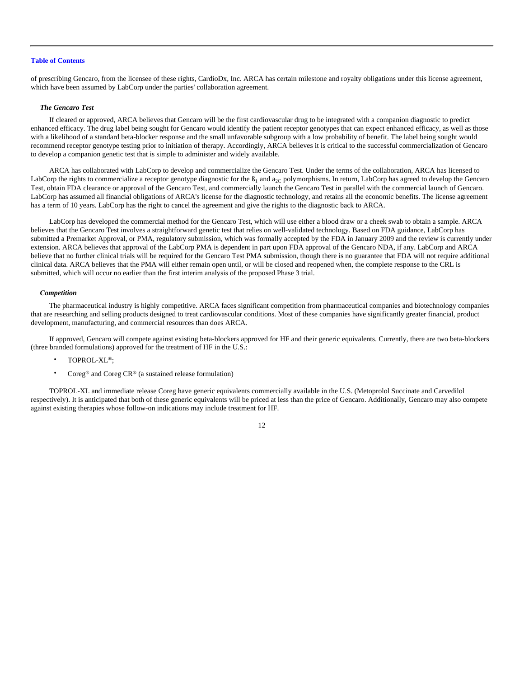of prescribing Gencaro, from the licensee of these rights, CardioDx, Inc. ARCA has certain milestone and royalty obligations under this license agreement, which have been assumed by LabCorp under the parties' collaboration agreement.

### *The Gencaro Test*

If cleared or approved, ARCA believes that Gencaro will be the first cardiovascular drug to be integrated with a companion diagnostic to predict enhanced efficacy. The drug label being sought for Gencaro would identify the patient receptor genotypes that can expect enhanced efficacy, as well as those with a likelihood of a standard beta-blocker response and the small unfavorable subgroup with a low probability of benefit. The label being sought would recommend receptor genotype testing prior to initiation of therapy. Accordingly, ARCA believes it is critical to the successful commercialization of Gencaro to develop a companion genetic test that is simple to administer and widely available.

ARCA has collaborated with LabCorp to develop and commercialize the Gencaro Test. Under the terms of the collaboration, ARCA has licensed to LabCorp the rights to commercialize a receptor genotype diagnostic for the  $B_1$  and  $a_{2C}$  polymorphisms. In return, LabCorp has agreed to develop the Gencaro Test, obtain FDA clearance or approval of the Gencaro Test, and commercially launch the Gencaro Test in parallel with the commercial launch of Gencaro. LabCorp has assumed all financial obligations of ARCA's license for the diagnostic technology, and retains all the economic benefits. The license agreement has a term of 10 years. LabCorp has the right to cancel the agreement and give the rights to the diagnostic back to ARCA.

LabCorp has developed the commercial method for the Gencaro Test, which will use either a blood draw or a cheek swab to obtain a sample. ARCA believes that the Gencaro Test involves a straightforward genetic test that relies on well-validated technology. Based on FDA guidance, LabCorp has submitted a Premarket Approval, or PMA, regulatory submission, which was formally accepted by the FDA in January 2009 and the review is currently under extension. ARCA believes that approval of the LabCorp PMA is dependent in part upon FDA approval of the Gencaro NDA, if any. LabCorp and ARCA believe that no further clinical trials will be required for the Gencaro Test PMA submission, though there is no guarantee that FDA will not require additional clinical data. ARCA believes that the PMA will either remain open until, or will be closed and reopened when, the complete response to the CRL is submitted, which will occur no earlier than the first interim analysis of the proposed Phase 3 trial.

#### *Competition*

The pharmaceutical industry is highly competitive. ARCA faces significant competition from pharmaceutical companies and biotechnology companies that are researching and selling products designed to treat cardiovascular conditions. Most of these companies have significantly greater financial, product development, manufacturing, and commercial resources than does ARCA.

If approved, Gencaro will compete against existing beta-blockers approved for HF and their generic equivalents. Currently, there are two beta-blockers (three branded formulations) approved for the treatment of HF in the U.S.:

- TOPROL-XL®;
- $Coreg^@$  and Coreg  $CR^@$  (a sustained release formulation)

TOPROL-XL and immediate release Coreg have generic equivalents commercially available in the U.S. (Metoprolol Succinate and Carvedilol respectively). It is anticipated that both of these generic equivalents will be priced at less than the price of Gencaro. Additionally, Gencaro may also compete against existing therapies whose follow-on indications may include treatment for HF.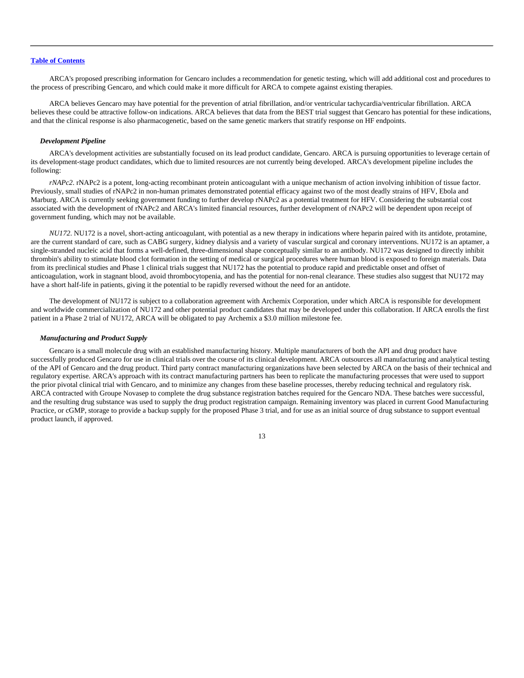ARCA's proposed prescribing information for Gencaro includes a recommendation for genetic testing, which will add additional cost and procedures to the process of prescribing Gencaro, and which could make it more difficult for ARCA to compete against existing therapies.

ARCA believes Gencaro may have potential for the prevention of atrial fibrillation, and/or ventricular tachycardia/ventricular fibrillation. ARCA believes these could be attractive follow-on indications. ARCA believes that data from the BEST trial suggest that Gencaro has potential for these indications, and that the clinical response is also pharmacogenetic, based on the same genetic markers that stratify response on HF endpoints.

# *Development Pipeline*

ARCA's development activities are substantially focused on its lead product candidate, Gencaro. ARCA is pursuing opportunities to leverage certain of its development-stage product candidates, which due to limited resources are not currently being developed. ARCA's development pipeline includes the following:

*rNAPc2*. rNAPc2 is a potent, long-acting recombinant protein anticoagulant with a unique mechanism of action involving inhibition of tissue factor. Previously, small studies of rNAPc2 in non-human primates demonstrated potential efficacy against two of the most deadly strains of HFV, Ebola and Marburg. ARCA is currently seeking government funding to further develop rNAPc2 as a potential treatment for HFV. Considering the substantial cost associated with the development of rNAPc2 and ARCA's limited financial resources, further development of rNAPc2 will be dependent upon receipt of government funding, which may not be available.

*NU172*. NU172 is a novel, short-acting anticoagulant, with potential as a new therapy in indications where heparin paired with its antidote, protamine, are the current standard of care, such as CABG surgery, kidney dialysis and a variety of vascular surgical and coronary interventions. NU172 is an aptamer, a single-stranded nucleic acid that forms a well-defined, three-dimensional shape conceptually similar to an antibody. NU172 was designed to directly inhibit thrombin's ability to stimulate blood clot formation in the setting of medical or surgical procedures where human blood is exposed to foreign materials. Data from its preclinical studies and Phase 1 clinical trials suggest that NU172 has the potential to produce rapid and predictable onset and offset of anticoagulation, work in stagnant blood, avoid thrombocytopenia, and has the potential for non-renal clearance. These studies also suggest that NU172 may have a short half-life in patients, giving it the potential to be rapidly reversed without the need for an antidote.

The development of NU172 is subject to a collaboration agreement with Archemix Corporation, under which ARCA is responsible for development and worldwide commercialization of NU172 and other potential product candidates that may be developed under this collaboration. If ARCA enrolls the first patient in a Phase 2 trial of NU172, ARCA will be obligated to pay Archemix a \$3.0 million milestone fee.

### *Manufacturing and Product Supply*

Gencaro is a small molecule drug with an established manufacturing history. Multiple manufacturers of both the API and drug product have successfully produced Gencaro for use in clinical trials over the course of its clinical development. ARCA outsources all manufacturing and analytical testing of the API of Gencaro and the drug product. Third party contract manufacturing organizations have been selected by ARCA on the basis of their technical and regulatory expertise. ARCA's approach with its contract manufacturing partners has been to replicate the manufacturing processes that were used to support the prior pivotal clinical trial with Gencaro, and to minimize any changes from these baseline processes, thereby reducing technical and regulatory risk. ARCA contracted with Groupe Novasep to complete the drug substance registration batches required for the Gencaro NDA. These batches were successful, and the resulting drug substance was used to supply the drug product registration campaign. Remaining inventory was placed in current Good Manufacturing Practice, or cGMP, storage to provide a backup supply for the proposed Phase 3 trial, and for use as an initial source of drug substance to support eventual product launch, if approved.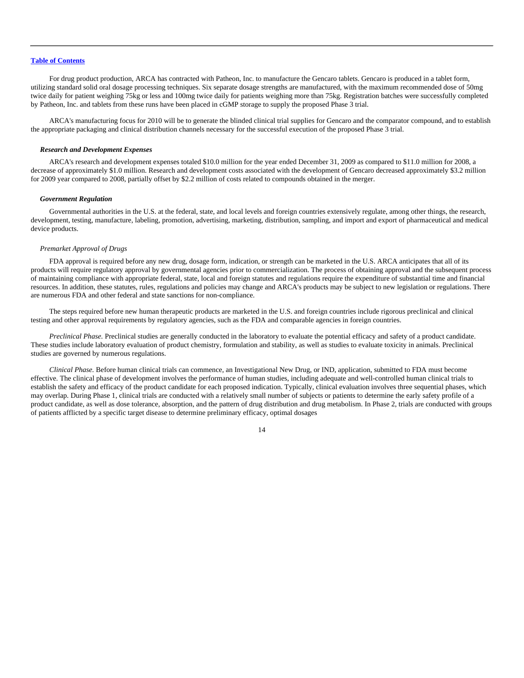For drug product production, ARCA has contracted with Patheon, Inc. to manufacture the Gencaro tablets. Gencaro is produced in a tablet form, utilizing standard solid oral dosage processing techniques. Six separate dosage strengths are manufactured, with the maximum recommended dose of 50mg twice daily for patient weighing 75kg or less and 100mg twice daily for patients weighing more than 75kg. Registration batches were successfully completed by Patheon, Inc. and tablets from these runs have been placed in cGMP storage to supply the proposed Phase 3 trial.

ARCA's manufacturing focus for 2010 will be to generate the blinded clinical trial supplies for Gencaro and the comparator compound, and to establish the appropriate packaging and clinical distribution channels necessary for the successful execution of the proposed Phase 3 trial.

### *Research and Development Expenses*

ARCA's research and development expenses totaled \$10.0 million for the year ended December 31, 2009 as compared to \$11.0 million for 2008, a decrease of approximately \$1.0 million. Research and development costs associated with the development of Gencaro decreased approximately \$3.2 million for 2009 year compared to 2008, partially offset by \$2.2 million of costs related to compounds obtained in the merger.

### *Government Regulation*

Governmental authorities in the U.S. at the federal, state, and local levels and foreign countries extensively regulate, among other things, the research, development, testing, manufacture, labeling, promotion, advertising, marketing, distribution, sampling, and import and export of pharmaceutical and medical device products.

# *Premarket Approval of Drugs*

FDA approval is required before any new drug, dosage form, indication, or strength can be marketed in the U.S. ARCA anticipates that all of its products will require regulatory approval by governmental agencies prior to commercialization. The process of obtaining approval and the subsequent process of maintaining compliance with appropriate federal, state, local and foreign statutes and regulations require the expenditure of substantial time and financial resources. In addition, these statutes, rules, regulations and policies may change and ARCA's products may be subject to new legislation or regulations. There are numerous FDA and other federal and state sanctions for non-compliance.

The steps required before new human therapeutic products are marketed in the U.S. and foreign countries include rigorous preclinical and clinical testing and other approval requirements by regulatory agencies, such as the FDA and comparable agencies in foreign countries.

*Preclinical Phase.* Preclinical studies are generally conducted in the laboratory to evaluate the potential efficacy and safety of a product candidate. These studies include laboratory evaluation of product chemistry, formulation and stability, as well as studies to evaluate toxicity in animals. Preclinical studies are governed by numerous regulations.

*Clinical Phase.* Before human clinical trials can commence, an Investigational New Drug, or IND, application, submitted to FDA must become effective. The clinical phase of development involves the performance of human studies, including adequate and well-controlled human clinical trials to establish the safety and efficacy of the product candidate for each proposed indication. Typically, clinical evaluation involves three sequential phases, which may overlap. During Phase 1, clinical trials are conducted with a relatively small number of subjects or patients to determine the early safety profile of a product candidate, as well as dose tolerance, absorption, and the pattern of drug distribution and drug metabolism. In Phase 2, trials are conducted with groups of patients afflicted by a specific target disease to determine preliminary efficacy, optimal dosages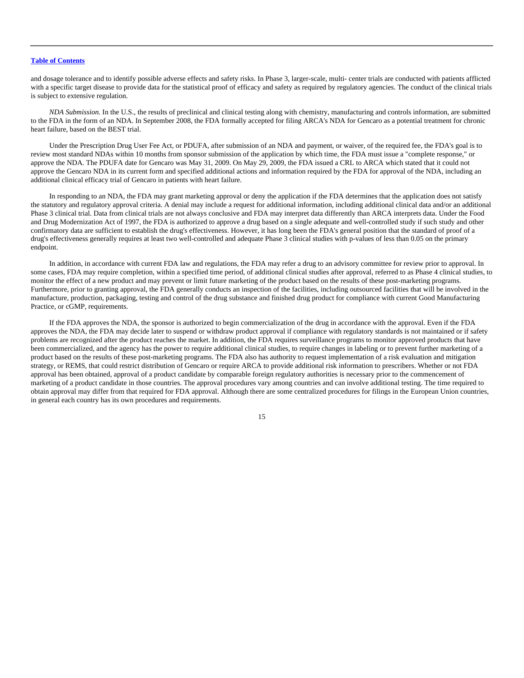and dosage tolerance and to identify possible adverse effects and safety risks. In Phase 3, larger-scale, multi- center trials are conducted with patients afflicted with a specific target disease to provide data for the statistical proof of efficacy and safety as required by regulatory agencies. The conduct of the clinical trials is subject to extensive regulation.

*NDA Submission.* In the U.S., the results of preclinical and clinical testing along with chemistry, manufacturing and controls information, are submitted to the FDA in the form of an NDA. In September 2008, the FDA formally accepted for filing ARCA's NDA for Gencaro as a potential treatment for chronic heart failure, based on the BEST trial.

Under the Prescription Drug User Fee Act, or PDUFA, after submission of an NDA and payment, or waiver, of the required fee, the FDA's goal is to review most standard NDAs within 10 months from sponsor submission of the application by which time, the FDA must issue a "complete response," or approve the NDA. The PDUFA date for Gencaro was May 31, 2009. On May 29, 2009, the FDA issued a CRL to ARCA which stated that it could not approve the Gencaro NDA in its current form and specified additional actions and information required by the FDA for approval of the NDA, including an additional clinical efficacy trial of Gencaro in patients with heart failure.

In responding to an NDA, the FDA may grant marketing approval or deny the application if the FDA determines that the application does not satisfy the statutory and regulatory approval criteria. A denial may include a request for additional information, including additional clinical data and/or an additional Phase 3 clinical trial. Data from clinical trials are not always conclusive and FDA may interpret data differently than ARCA interprets data. Under the Food and Drug Modernization Act of 1997, the FDA is authorized to approve a drug based on a single adequate and well-controlled study if such study and other confirmatory data are sufficient to establish the drug's effectiveness. However, it has long been the FDA's general position that the standard of proof of a drug's effectiveness generally requires at least two well-controlled and adequate Phase 3 clinical studies with p-values of less than 0.05 on the primary endpoint.

In addition, in accordance with current FDA law and regulations, the FDA may refer a drug to an advisory committee for review prior to approval. In some cases, FDA may require completion, within a specified time period, of additional clinical studies after approval, referred to as Phase 4 clinical studies, to monitor the effect of a new product and may prevent or limit future marketing of the product based on the results of these post-marketing programs. Furthermore, prior to granting approval, the FDA generally conducts an inspection of the facilities, including outsourced facilities that will be involved in the manufacture, production, packaging, testing and control of the drug substance and finished drug product for compliance with current Good Manufacturing Practice, or cGMP, requirements.

If the FDA approves the NDA, the sponsor is authorized to begin commercialization of the drug in accordance with the approval. Even if the FDA approves the NDA, the FDA may decide later to suspend or withdraw product approval if compliance with regulatory standards is not maintained or if safety problems are recognized after the product reaches the market. In addition, the FDA requires surveillance programs to monitor approved products that have been commercialized, and the agency has the power to require additional clinical studies, to require changes in labeling or to prevent further marketing of a product based on the results of these post-marketing programs. The FDA also has authority to request implementation of a risk evaluation and mitigation strategy, or REMS, that could restrict distribution of Gencaro or require ARCA to provide additional risk information to prescribers. Whether or not FDA approval has been obtained, approval of a product candidate by comparable foreign regulatory authorities is necessary prior to the commencement of marketing of a product candidate in those countries. The approval procedures vary among countries and can involve additional testing. The time required to obtain approval may differ from that required for FDA approval. Although there are some centralized procedures for filings in the European Union countries, in general each country has its own procedures and requirements.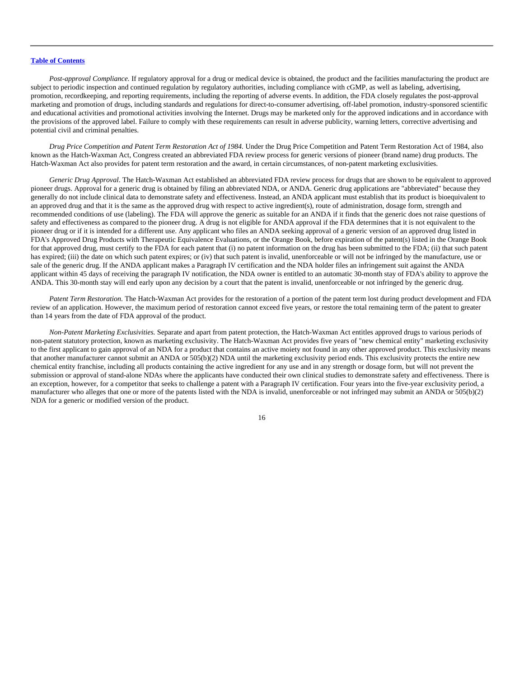*Post-approval Compliance.* If regulatory approval for a drug or medical device is obtained, the product and the facilities manufacturing the product are subject to periodic inspection and continued regulation by regulatory authorities, including compliance with cGMP, as well as labeling, advertising, promotion, recordkeeping, and reporting requirements, including the reporting of adverse events. In addition, the FDA closely regulates the post-approval marketing and promotion of drugs, including standards and regulations for direct-to-consumer advertising, off-label promotion, industry-sponsored scientific and educational activities and promotional activities involving the Internet. Drugs may be marketed only for the approved indications and in accordance with the provisions of the approved label. Failure to comply with these requirements can result in adverse publicity, warning letters, corrective advertising and potential civil and criminal penalties.

*Drug Price Competition and Patent Term Restoration Act of 1984.* Under the Drug Price Competition and Patent Term Restoration Act of 1984, also known as the Hatch-Waxman Act, Congress created an abbreviated FDA review process for generic versions of pioneer (brand name) drug products. The Hatch-Waxman Act also provides for patent term restoration and the award, in certain circumstances, of non-patent marketing exclusivities.

*Generic Drug Approval*. The Hatch-Waxman Act established an abbreviated FDA review process for drugs that are shown to be equivalent to approved pioneer drugs. Approval for a generic drug is obtained by filing an abbreviated NDA, or ANDA. Generic drug applications are "abbreviated" because they generally do not include clinical data to demonstrate safety and effectiveness. Instead, an ANDA applicant must establish that its product is bioequivalent to an approved drug and that it is the same as the approved drug with respect to active ingredient(s), route of administration, dosage form, strength and recommended conditions of use (labeling). The FDA will approve the generic as suitable for an ANDA if it finds that the generic does not raise questions of safety and effectiveness as compared to the pioneer drug. A drug is not eligible for ANDA approval if the FDA determines that it is not equivalent to the pioneer drug or if it is intended for a different use. Any applicant who files an ANDA seeking approval of a generic version of an approved drug listed in FDA's Approved Drug Products with Therapeutic Equivalence Evaluations, or the Orange Book, before expiration of the patent(s) listed in the Orange Book for that approved drug, must certify to the FDA for each patent that (i) no patent information on the drug has been submitted to the FDA; (ii) that such patent has expired; (iii) the date on which such patent expires; or (iv) that such patent is invalid, unenforceable or will not be infringed by the manufacture, use or sale of the generic drug. If the ANDA applicant makes a Paragraph IV certification and the NDA holder files an infringement suit against the ANDA applicant within 45 days of receiving the paragraph IV notification, the NDA owner is entitled to an automatic 30-month stay of FDA's ability to approve the ANDA. This 30-month stay will end early upon any decision by a court that the patent is invalid, unenforceable or not infringed by the generic drug.

*Patent Term Restoration.* The Hatch-Waxman Act provides for the restoration of a portion of the patent term lost during product development and FDA review of an application. However, the maximum period of restoration cannot exceed five years, or restore the total remaining term of the patent to greater than 14 years from the date of FDA approval of the product.

*Non-Patent Marketing Exclusivities.* Separate and apart from patent protection, the Hatch-Waxman Act entitles approved drugs to various periods of non-patent statutory protection, known as marketing exclusivity. The Hatch-Waxman Act provides five years of "new chemical entity" marketing exclusivity to the first applicant to gain approval of an NDA for a product that contains an active moiety not found in any other approved product. This exclusivity means that another manufacturer cannot submit an ANDA or 505(b)(2) NDA until the marketing exclusivity period ends. This exclusivity protects the entire new chemical entity franchise, including all products containing the active ingredient for any use and in any strength or dosage form, but will not prevent the submission or approval of stand-alone NDAs where the applicants have conducted their own clinical studies to demonstrate safety and effectiveness. There is an exception, however, for a competitor that seeks to challenge a patent with a Paragraph IV certification. Four years into the five-year exclusivity period, a manufacturer who alleges that one or more of the patents listed with the NDA is invalid, unenforceable or not infringed may submit an ANDA or 505(b)(2) NDA for a generic or modified version of the product.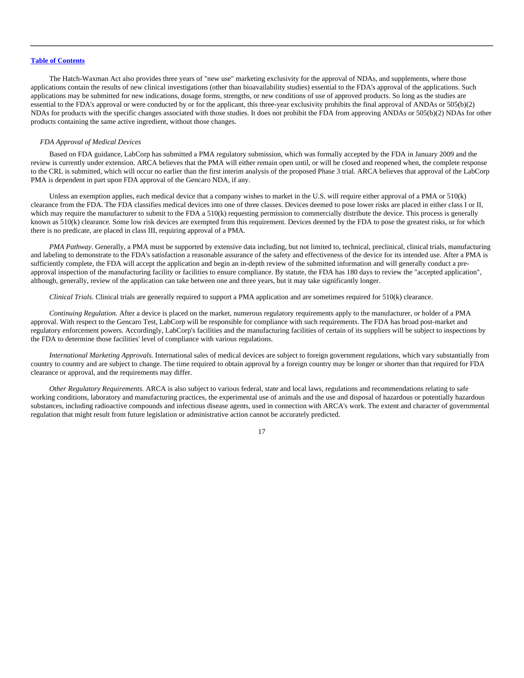The Hatch-Waxman Act also provides three years of "new use" marketing exclusivity for the approval of NDAs, and supplements, where those applications contain the results of new clinical investigations (other than bioavailability studies) essential to the FDA's approval of the applications. Such applications may be submitted for new indications, dosage forms, strengths, or new conditions of use of approved products. So long as the studies are essential to the FDA's approval or were conducted by or for the applicant, this three-year exclusivity prohibits the final approval of ANDAs or 505(b)(2) NDAs for products with the specific changes associated with those studies. It does not prohibit the FDA from approving ANDAs or 505(b)(2) NDAs for other products containing the same active ingredient, without those changes.

### *FDA Approval of Medical Devices*

Based on FDA guidance, LabCorp has submitted a PMA regulatory submission, which was formally accepted by the FDA in January 2009 and the review is currently under extension. ARCA believes that the PMA will either remain open until, or will be closed and reopened when, the complete response to the CRL is submitted, which will occur no earlier than the first interim analysis of the proposed Phase 3 trial. ARCA believes that approval of the LabCorp PMA is dependent in part upon FDA approval of the Gencaro NDA, if any.

Unless an exemption applies, each medical device that a company wishes to market in the U.S. will require either approval of a PMA or 510(k) clearance from the FDA. The FDA classifies medical devices into one of three classes. Devices deemed to pose lower risks are placed in either class I or II, which may require the manufacturer to submit to the FDA a 510(k) requesting permission to commercially distribute the device. This process is generally known as 510(k) clearance. Some low risk devices are exempted from this requirement. Devices deemed by the FDA to pose the greatest risks, or for which there is no predicate, are placed in class III, requiring approval of a PMA.

*PMA Pathway*. Generally, a PMA must be supported by extensive data including, but not limited to, technical, preclinical, clinical trials, manufacturing and labeling to demonstrate to the FDA's satisfaction a reasonable assurance of the safety and effectiveness of the device for its intended use. After a PMA is sufficiently complete, the FDA will accept the application and begin an in-depth review of the submitted information and will generally conduct a preapproval inspection of the manufacturing facility or facilities to ensure compliance. By statute, the FDA has 180 days to review the "accepted application", although, generally, review of the application can take between one and three years, but it may take significantly longer.

*Clinical Trials.* Clinical trials are generally required to support a PMA application and are sometimes required for 510(k) clearance.

*Continuing Regulation.* After a device is placed on the market, numerous regulatory requirements apply to the manufacturer, or holder of a PMA approval. With respect to the Gencaro Test, LabCorp will be responsible for compliance with such requirements. The FDA has broad post-market and regulatory enforcement powers. Accordingly, LabCorp's facilities and the manufacturing facilities of certain of its suppliers will be subject to inspections by the FDA to determine those facilities' level of compliance with various regulations.

*International Marketing Approvals.* International sales of medical devices are subject to foreign government regulations, which vary substantially from country to country and are subject to change. The time required to obtain approval by a foreign country may be longer or shorter than that required for FDA clearance or approval, and the requirements may differ.

*Other Regulatory Requirements.* ARCA is also subject to various federal, state and local laws, regulations and recommendations relating to safe working conditions, laboratory and manufacturing practices, the experimental use of animals and the use and disposal of hazardous or potentially hazardous substances, including radioactive compounds and infectious disease agents, used in connection with ARCA's work. The extent and character of governmental regulation that might result from future legislation or administrative action cannot be accurately predicted.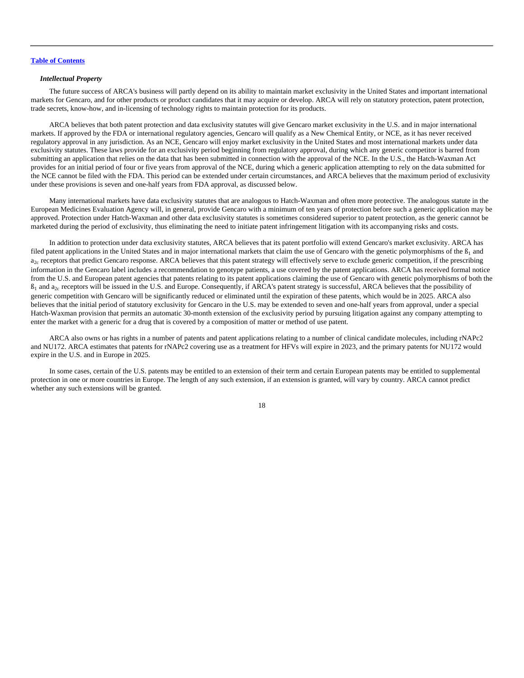# *Intellectual Property*

The future success of ARCA's business will partly depend on its ability to maintain market exclusivity in the United States and important international markets for Gencaro, and for other products or product candidates that it may acquire or develop. ARCA will rely on statutory protection, patent protection, trade secrets, know-how, and in-licensing of technology rights to maintain protection for its products.

ARCA believes that both patent protection and data exclusivity statutes will give Gencaro market exclusivity in the U.S. and in major international markets. If approved by the FDA or international regulatory agencies, Gencaro will qualify as a New Chemical Entity, or NCE, as it has never received regulatory approval in any jurisdiction. As an NCE, Gencaro will enjoy market exclusivity in the United States and most international markets under data exclusivity statutes. These laws provide for an exclusivity period beginning from regulatory approval, during which any generic competitor is barred from submitting an application that relies on the data that has been submitted in connection with the approval of the NCE. In the U.S., the Hatch-Waxman Act provides for an initial period of four or five years from approval of the NCE, during which a generic application attempting to rely on the data submitted for the NCE cannot be filed with the FDA. This period can be extended under certain circumstances, and ARCA believes that the maximum period of exclusivity under these provisions is seven and one-half years from FDA approval, as discussed below.

Many international markets have data exclusivity statutes that are analogous to Hatch-Waxman and often more protective. The analogous statute in the European Medicines Evaluation Agency will, in general, provide Gencaro with a minimum of ten years of protection before such a generic application may be approved. Protection under Hatch-Waxman and other data exclusivity statutes is sometimes considered superior to patent protection, as the generic cannot be marketed during the period of exclusivity, thus eliminating the need to initiate patent infringement litigation with its accompanying risks and costs.

In addition to protection under data exclusivity statutes, ARCA believes that its patent portfolio will extend Gencaro's market exclusivity. ARCA has filed patent applications in the United States and in major international markets that claim the use of Gencaro with the genetic polymorphisms of the  $\beta_1$  and  $a_{2c}$  receptors that predict Gencaro response. ARCA believes that this patent strategy will effectively serve to exclude generic competition, if the prescribing information in the Gencaro label includes a recommendation to genotype patients, a use covered by the patent applications. ARCA has received formal notice from the U.S. and European patent agencies that patents relating to its patent applications claiming the use of Gencaro with genetic polymorphisms of both the  $B_1$  and  $a_{2c}$  receptors will be issued in the U.S. and Europe. Consequently, if ARCA's patent strategy is successful, ARCA believes that the possibility of generic competition with Gencaro will be significantly reduced or eliminated until the expiration of these patents, which would be in 2025. ARCA also believes that the initial period of statutory exclusivity for Gencaro in the U.S. may be extended to seven and one-half years from approval, under a special Hatch-Waxman provision that permits an automatic 30-month extension of the exclusivity period by pursuing litigation against any company attempting to enter the market with a generic for a drug that is covered by a composition of matter or method of use patent.

ARCA also owns or has rights in a number of patents and patent applications relating to a number of clinical candidate molecules, including rNAPc2 and NU172. ARCA estimates that patents for rNAPc2 covering use as a treatment for HFVs will expire in 2023, and the primary patents for NU172 would expire in the U.S. and in Europe in 2025.

In some cases, certain of the U.S. patents may be entitled to an extension of their term and certain European patents may be entitled to supplemental protection in one or more countries in Europe. The length of any such extension, if an extension is granted, will vary by country. ARCA cannot predict whether any such extensions will be granted.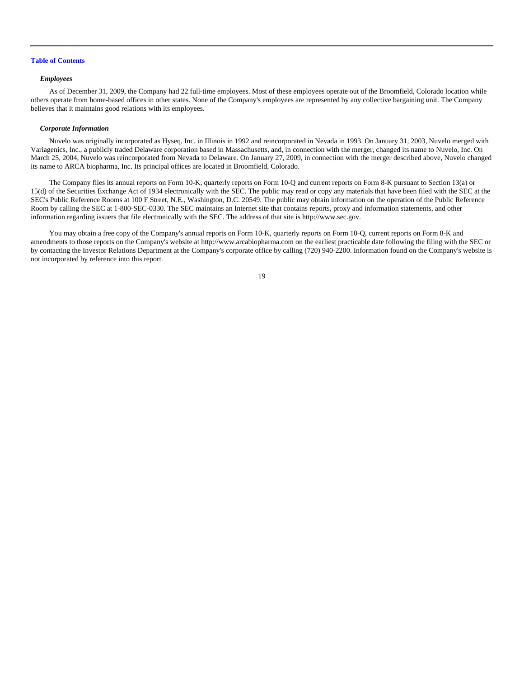# *Employees*

As of December 31, 2009, the Company had 22 full-time employees. Most of these employees operate out of the Broomfield, Colorado location while others operate from home-based offices in other states. None of the Company's employees are represented by any collective bargaining unit. The Company believes that it maintains good relations with its employees.

### *Corporate Information*

Nuvelo was originally incorporated as Hyseq, Inc. in Illinois in 1992 and reincorporated in Nevada in 1993. On January 31, 2003, Nuvelo merged with Variagenics, Inc., a publicly traded Delaware corporation based in Massachusetts, and, in connection with the merger, changed its name to Nuvelo, Inc. On March 25, 2004, Nuvelo was reincorporated from Nevada to Delaware. On January 27, 2009, in connection with the merger described above, Nuvelo changed its name to ARCA biopharma, Inc. Its principal offices are located in Broomfield, Colorado.

The Company files its annual reports on Form 10-K, quarterly reports on Form 10-Q and current reports on Form 8-K pursuant to Section 13(a) or 15(d) of the Securities Exchange Act of 1934 electronically with the SEC. The public may read or copy any materials that have been filed with the SEC at the SEC's Public Reference Rooms at 100 F Street, N.E., Washington, D.C. 20549. The public may obtain information on the operation of the Public Reference Room by calling the SEC at 1-800-SEC-0330. The SEC maintains an Internet site that contains reports, proxy and information statements, and other information regarding issuers that file electronically with the SEC. The address of that site is http://www.sec.gov.

You may obtain a free copy of the Company's annual reports on Form 10-K, quarterly reports on Form 10-Q, current reports on Form 8-K and amendments to those reports on the Company's website at http://www.arcabiopharma.com on the earliest practicable date following the filing with the SEC or by contacting the Investor Relations Department at the Company's corporate office by calling (720) 940-2200. Information found on the Company's website is not incorporated by reference into this report.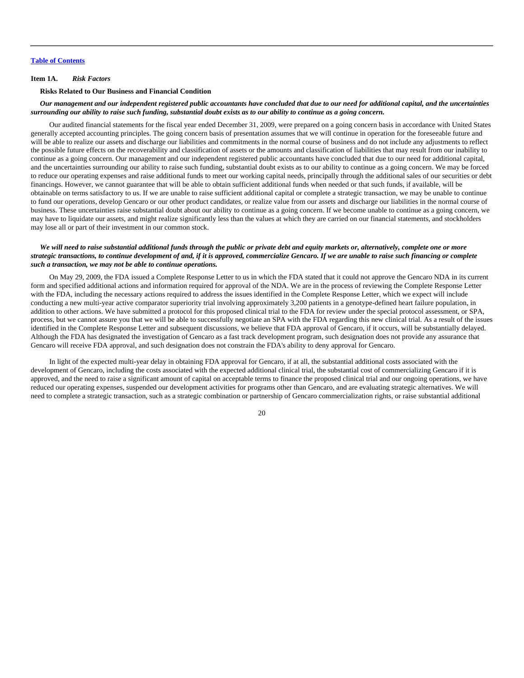### <span id="page-20-0"></span>**Item 1A.** *Risk Factors*

### **Risks Related to Our Business and Financial Condition**

# *Our management and our independent registered public accountants have concluded that due to our need for additional capital, and the uncertainties surrounding our ability to raise such funding, substantial doubt exists as to our ability to continue as a going concern.*

Our audited financial statements for the fiscal year ended December 31, 2009, were prepared on a going concern basis in accordance with United States generally accepted accounting principles. The going concern basis of presentation assumes that we will continue in operation for the foreseeable future and will be able to realize our assets and discharge our liabilities and commitments in the normal course of business and do not include any adjustments to reflect the possible future effects on the recoverability and classification of assets or the amounts and classification of liabilities that may result from our inability to continue as a going concern. Our management and our independent registered public accountants have concluded that due to our need for additional capital, and the uncertainties surrounding our ability to raise such funding, substantial doubt exists as to our ability to continue as a going concern. We may be forced to reduce our operating expenses and raise additional funds to meet our working capital needs, principally through the additional sales of our securities or debt financings. However, we cannot guarantee that will be able to obtain sufficient additional funds when needed or that such funds, if available, will be obtainable on terms satisfactory to us. If we are unable to raise sufficient additional capital or complete a strategic transaction, we may be unable to continue to fund our operations, develop Gencaro or our other product candidates, or realize value from our assets and discharge our liabilities in the normal course of business. These uncertainties raise substantial doubt about our ability to continue as a going concern. If we become unable to continue as a going concern, we may have to liquidate our assets, and might realize significantly less than the values at which they are carried on our financial statements, and stockholders may lose all or part of their investment in our common stock.

# *We will need to raise substantial additional funds through the public or private debt and equity markets or, alternatively, complete one or more strategic transactions, to continue development of and, if it is approved, commercialize Gencaro. If we are unable to raise such financing or complete such a transaction, we may not be able to continue operations.*

On May 29, 2009, the FDA issued a Complete Response Letter to us in which the FDA stated that it could not approve the Gencaro NDA in its current form and specified additional actions and information required for approval of the NDA. We are in the process of reviewing the Complete Response Letter with the FDA, including the necessary actions required to address the issues identified in the Complete Response Letter, which we expect will include conducting a new multi-year active comparator superiority trial involving approximately 3,200 patients in a genotype-defined heart failure population, in addition to other actions. We have submitted a protocol for this proposed clinical trial to the FDA for review under the special protocol assessment, or SPA, process, but we cannot assure you that we will be able to successfully negotiate an SPA with the FDA regarding this new clinical trial. As a result of the issues identified in the Complete Response Letter and subsequent discussions, we believe that FDA approval of Gencaro, if it occurs, will be substantially delayed. Although the FDA has designated the investigation of Gencaro as a fast track development program, such designation does not provide any assurance that Gencaro will receive FDA approval, and such designation does not constrain the FDA's ability to deny approval for Gencaro.

In light of the expected multi-year delay in obtaining FDA approval for Gencaro, if at all, the substantial additional costs associated with the development of Gencaro, including the costs associated with the expected additional clinical trial, the substantial cost of commercializing Gencaro if it is approved, and the need to raise a significant amount of capital on acceptable terms to finance the proposed clinical trial and our ongoing operations, we have reduced our operating expenses, suspended our development activities for programs other than Gencaro, and are evaluating strategic alternatives. We will need to complete a strategic transaction, such as a strategic combination or partnership of Gencaro commercialization rights, or raise substantial additional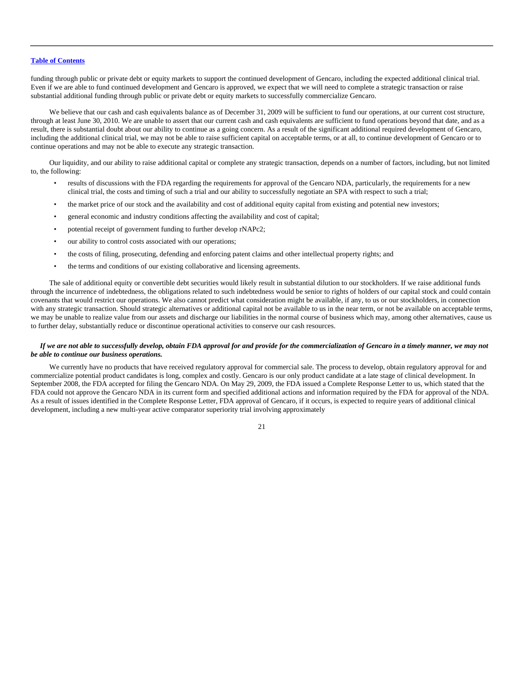funding through public or private debt or equity markets to support the continued development of Gencaro, including the expected additional clinical trial. Even if we are able to fund continued development and Gencaro is approved, we expect that we will need to complete a strategic transaction or raise substantial additional funding through public or private debt or equity markets to successfully commercialize Gencaro.

We believe that our cash and cash equivalents balance as of December 31, 2009 will be sufficient to fund our operations, at our current cost structure, through at least June 30, 2010. We are unable to assert that our current cash and cash equivalents are sufficient to fund operations beyond that date, and as a result, there is substantial doubt about our ability to continue as a going concern. As a result of the significant additional required development of Gencaro, including the additional clinical trial, we may not be able to raise sufficient capital on acceptable terms, or at all, to continue development of Gencaro or to continue operations and may not be able to execute any strategic transaction.

Our liquidity, and our ability to raise additional capital or complete any strategic transaction, depends on a number of factors, including, but not limited to, the following:

- results of discussions with the FDA regarding the requirements for approval of the Gencaro NDA, particularly, the requirements for a new clinical trial, the costs and timing of such a trial and our ability to successfully negotiate an SPA with respect to such a trial;
- the market price of our stock and the availability and cost of additional equity capital from existing and potential new investors;
- general economic and industry conditions affecting the availability and cost of capital;
- potential receipt of government funding to further develop rNAPc2;
- our ability to control costs associated with our operations;
- the costs of filing, prosecuting, defending and enforcing patent claims and other intellectual property rights; and
- the terms and conditions of our existing collaborative and licensing agreements.

The sale of additional equity or convertible debt securities would likely result in substantial dilution to our stockholders. If we raise additional funds through the incurrence of indebtedness, the obligations related to such indebtedness would be senior to rights of holders of our capital stock and could contain covenants that would restrict our operations. We also cannot predict what consideration might be available, if any, to us or our stockholders, in connection with any strategic transaction. Should strategic alternatives or additional capital not be available to us in the near term, or not be available on acceptable terms, we may be unable to realize value from our assets and discharge our liabilities in the normal course of business which may, among other alternatives, cause us to further delay, substantially reduce or discontinue operational activities to conserve our cash resources.

### *If we are not able to successfully develop, obtain FDA approval for and provide for the commercialization of Gencaro in a timely manner, we may not be able to continue our business operations.*

We currently have no products that have received regulatory approval for commercial sale. The process to develop, obtain regulatory approval for and commercialize potential product candidates is long, complex and costly. Gencaro is our only product candidate at a late stage of clinical development. In September 2008, the FDA accepted for filing the Gencaro NDA. On May 29, 2009, the FDA issued a Complete Response Letter to us, which stated that the FDA could not approve the Gencaro NDA in its current form and specified additional actions and information required by the FDA for approval of the NDA. As a result of issues identified in the Complete Response Letter, FDA approval of Gencaro, if it occurs, is expected to require years of additional clinical development, including a new multi-year active comparator superiority trial involving approximately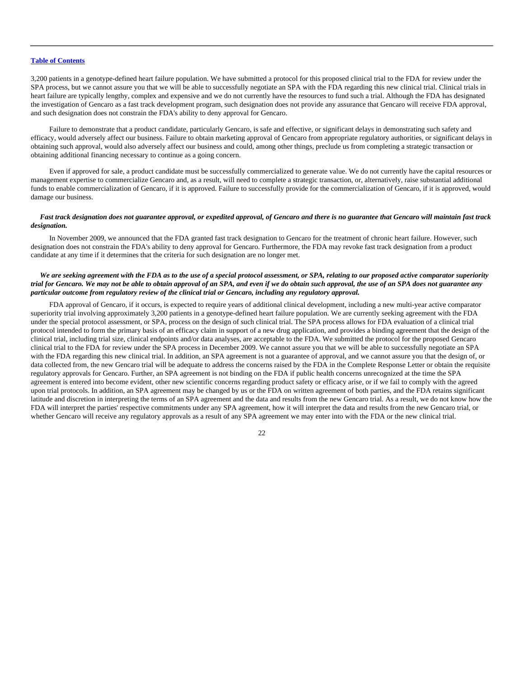3,200 patients in a genotype-defined heart failure population. We have submitted a protocol for this proposed clinical trial to the FDA for review under the SPA process, but we cannot assure you that we will be able to successfully negotiate an SPA with the FDA regarding this new clinical trial. Clinical trials in heart failure are typically lengthy, complex and expensive and we do not currently have the resources to fund such a trial. Although the FDA has designated the investigation of Gencaro as a fast track development program, such designation does not provide any assurance that Gencaro will receive FDA approval, and such designation does not constrain the FDA's ability to deny approval for Gencaro.

Failure to demonstrate that a product candidate, particularly Gencaro, is safe and effective, or significant delays in demonstrating such safety and efficacy, would adversely affect our business. Failure to obtain marketing approval of Gencaro from appropriate regulatory authorities, or significant delays in obtaining such approval, would also adversely affect our business and could, among other things, preclude us from completing a strategic transaction or obtaining additional financing necessary to continue as a going concern.

Even if approved for sale, a product candidate must be successfully commercialized to generate value. We do not currently have the capital resources or management expertise to commercialize Gencaro and, as a result, will need to complete a strategic transaction, or, alternatively, raise substantial additional funds to enable commercialization of Gencaro, if it is approved. Failure to successfully provide for the commercialization of Gencaro, if it is approved, would damage our business.

# *Fast track designation does not guarantee approval, or expedited approval, of Gencaro and there is no guarantee that Gencaro will maintain fast track designation.*

In November 2009, we announced that the FDA granted fast track designation to Gencaro for the treatment of chronic heart failure. However, such designation does not constrain the FDA's ability to deny approval for Gencaro. Furthermore, the FDA may revoke fast track designation from a product candidate at any time if it determines that the criteria for such designation are no longer met.

# *We are seeking agreement with the FDA as to the use of a special protocol assessment, or SPA, relating to our proposed active comparator superiority trial for Gencaro. We may not be able to obtain approval of an SPA, and even if we do obtain such approval, the use of an SPA does not guarantee any particular outcome from regulatory review of the clinical trial or Gencaro, including any regulatory approval.*

FDA approval of Gencaro, if it occurs, is expected to require years of additional clinical development, including a new multi-year active comparator superiority trial involving approximately 3,200 patients in a genotype-defined heart failure population. We are currently seeking agreement with the FDA under the special protocol assessment, or SPA, process on the design of such clinical trial. The SPA process allows for FDA evaluation of a clinical trial protocol intended to form the primary basis of an efficacy claim in support of a new drug application, and provides a binding agreement that the design of the clinical trial, including trial size, clinical endpoints and/or data analyses, are acceptable to the FDA. We submitted the protocol for the proposed Gencaro clinical trial to the FDA for review under the SPA process in December 2009. We cannot assure you that we will be able to successfully negotiate an SPA with the FDA regarding this new clinical trial. In addition, an SPA agreement is not a guarantee of approval, and we cannot assure you that the design of, or data collected from, the new Gencaro trial will be adequate to address the concerns raised by the FDA in the Complete Response Letter or obtain the requisite regulatory approvals for Gencaro. Further, an SPA agreement is not binding on the FDA if public health concerns unrecognized at the time the SPA agreement is entered into become evident, other new scientific concerns regarding product safety or efficacy arise, or if we fail to comply with the agreed upon trial protocols. In addition, an SPA agreement may be changed by us or the FDA on written agreement of both parties, and the FDA retains significant latitude and discretion in interpreting the terms of an SPA agreement and the data and results from the new Gencaro trial. As a result, we do not know how the FDA will interpret the parties' respective commitments under any SPA agreement, how it will interpret the data and results from the new Gencaro trial, or whether Gencaro will receive any regulatory approvals as a result of any SPA agreement we may enter into with the FDA or the new clinical trial.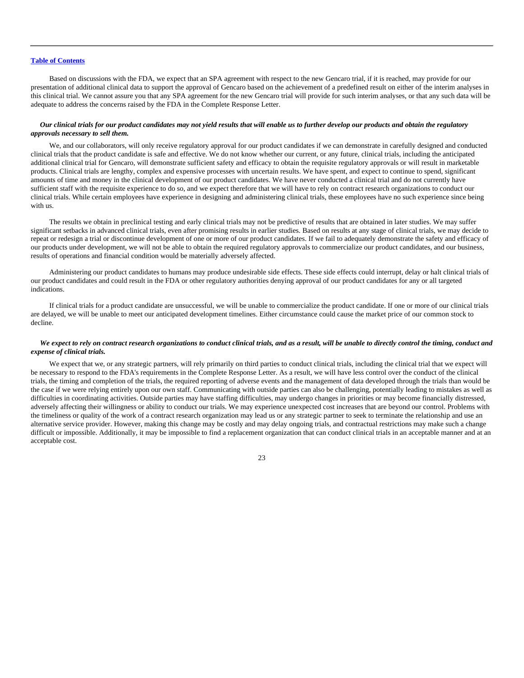Based on discussions with the FDA, we expect that an SPA agreement with respect to the new Gencaro trial, if it is reached, may provide for our presentation of additional clinical data to support the approval of Gencaro based on the achievement of a predefined result on either of the interim analyses in this clinical trial. We cannot assure you that any SPA agreement for the new Gencaro trial will provide for such interim analyses, or that any such data will be adequate to address the concerns raised by the FDA in the Complete Response Letter.

# *Our clinical trials for our product candidates may not yield results that will enable us to further develop our products and obtain the regulatory approvals necessary to sell them.*

We, and our collaborators, will only receive regulatory approval for our product candidates if we can demonstrate in carefully designed and conducted clinical trials that the product candidate is safe and effective. We do not know whether our current, or any future, clinical trials, including the anticipated additional clinical trial for Gencaro, will demonstrate sufficient safety and efficacy to obtain the requisite regulatory approvals or will result in marketable products. Clinical trials are lengthy, complex and expensive processes with uncertain results. We have spent, and expect to continue to spend, significant amounts of time and money in the clinical development of our product candidates. We have never conducted a clinical trial and do not currently have sufficient staff with the requisite experience to do so, and we expect therefore that we will have to rely on contract research organizations to conduct our clinical trials. While certain employees have experience in designing and administering clinical trials, these employees have no such experience since being with us.

The results we obtain in preclinical testing and early clinical trials may not be predictive of results that are obtained in later studies. We may suffer significant setbacks in advanced clinical trials, even after promising results in earlier studies. Based on results at any stage of clinical trials, we may decide to repeat or redesign a trial or discontinue development of one or more of our product candidates. If we fail to adequately demonstrate the safety and efficacy of our products under development, we will not be able to obtain the required regulatory approvals to commercialize our product candidates, and our business, results of operations and financial condition would be materially adversely affected.

Administering our product candidates to humans may produce undesirable side effects. These side effects could interrupt, delay or halt clinical trials of our product candidates and could result in the FDA or other regulatory authorities denying approval of our product candidates for any or all targeted indications.

If clinical trials for a product candidate are unsuccessful, we will be unable to commercialize the product candidate. If one or more of our clinical trials are delayed, we will be unable to meet our anticipated development timelines. Either circumstance could cause the market price of our common stock to decline.

### *We expect to rely on contract research organizations to conduct clinical trials, and as a result, will be unable to directly control the timing, conduct and expense of clinical trials.*

We expect that we, or any strategic partners, will rely primarily on third parties to conduct clinical trials, including the clinical trial that we expect will be necessary to respond to the FDA's requirements in the Complete Response Letter. As a result, we will have less control over the conduct of the clinical trials, the timing and completion of the trials, the required reporting of adverse events and the management of data developed through the trials than would be the case if we were relying entirely upon our own staff. Communicating with outside parties can also be challenging, potentially leading to mistakes as well as difficulties in coordinating activities. Outside parties may have staffing difficulties, may undergo changes in priorities or may become financially distressed, adversely affecting their willingness or ability to conduct our trials. We may experience unexpected cost increases that are beyond our control. Problems with the timeliness or quality of the work of a contract research organization may lead us or any strategic partner to seek to terminate the relationship and use an alternative service provider. However, making this change may be costly and may delay ongoing trials, and contractual restrictions may make such a change difficult or impossible. Additionally, it may be impossible to find a replacement organization that can conduct clinical trials in an acceptable manner and at an acceptable cost.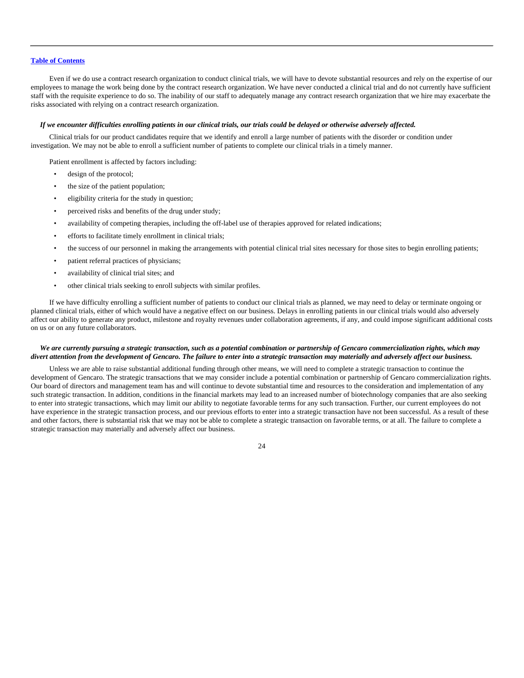Even if we do use a contract research organization to conduct clinical trials, we will have to devote substantial resources and rely on the expertise of our employees to manage the work being done by the contract research organization. We have never conducted a clinical trial and do not currently have sufficient staff with the requisite experience to do so. The inability of our staff to adequately manage any contract research organization that we hire may exacerbate the risks associated with relying on a contract research organization.

### *If we encounter difficulties enrolling patients in our clinical trials, our trials could be delayed or otherwise adversely affected.*

Clinical trials for our product candidates require that we identify and enroll a large number of patients with the disorder or condition under investigation. We may not be able to enroll a sufficient number of patients to complete our clinical trials in a timely manner.

Patient enrollment is affected by factors including:

- design of the protocol;
- the size of the patient population;
- eligibility criteria for the study in question;
- perceived risks and benefits of the drug under study;
- availability of competing therapies, including the off-label use of therapies approved for related indications;
- efforts to facilitate timely enrollment in clinical trials;
- the success of our personnel in making the arrangements with potential clinical trial sites necessary for those sites to begin enrolling patients;
- patient referral practices of physicians;
- availability of clinical trial sites; and
- other clinical trials seeking to enroll subjects with similar profiles.

If we have difficulty enrolling a sufficient number of patients to conduct our clinical trials as planned, we may need to delay or terminate ongoing or planned clinical trials, either of which would have a negative effect on our business. Delays in enrolling patients in our clinical trials would also adversely affect our ability to generate any product, milestone and royalty revenues under collaboration agreements, if any, and could impose significant additional costs on us or on any future collaborators.

# *We are currently pursuing a strategic transaction, such as a potential combination or partnership of Gencaro commercialization rights, which may divert attention from the development of Gencaro. The failure to enter into a strategic transaction may materially and adversely affect our business.*

Unless we are able to raise substantial additional funding through other means, we will need to complete a strategic transaction to continue the development of Gencaro. The strategic transactions that we may consider include a potential combination or partnership of Gencaro commercialization rights. Our board of directors and management team has and will continue to devote substantial time and resources to the consideration and implementation of any such strategic transaction. In addition, conditions in the financial markets may lead to an increased number of biotechnology companies that are also seeking to enter into strategic transactions, which may limit our ability to negotiate favorable terms for any such transaction. Further, our current employees do not have experience in the strategic transaction process, and our previous efforts to enter into a strategic transaction have not been successful. As a result of these and other factors, there is substantial risk that we may not be able to complete a strategic transaction on favorable terms, or at all. The failure to complete a strategic transaction may materially and adversely affect our business.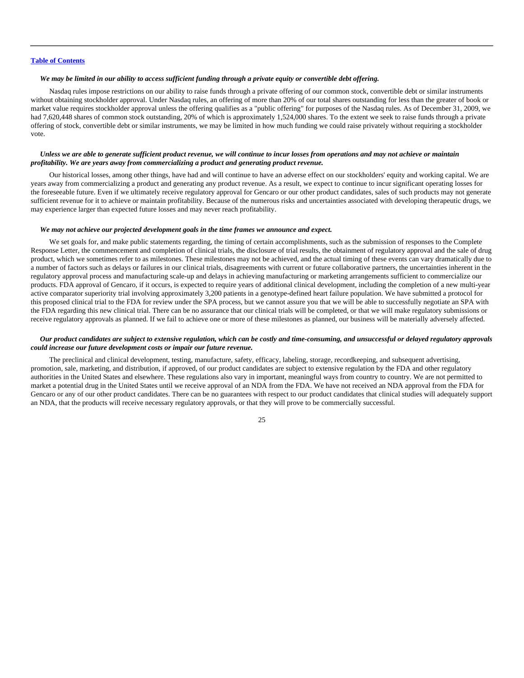# *We may be limited in our ability to access sufficient funding through a private equity or convertible debt offering.*

Nasdaq rules impose restrictions on our ability to raise funds through a private offering of our common stock, convertible debt or similar instruments without obtaining stockholder approval. Under Nasdaq rules, an offering of more than 20% of our total shares outstanding for less than the greater of book or market value requires stockholder approval unless the offering qualifies as a "public offering" for purposes of the Nasdaq rules. As of December 31, 2009, we had 7,620,448 shares of common stock outstanding, 20% of which is approximately 1,524,000 shares. To the extent we seek to raise funds through a private offering of stock, convertible debt or similar instruments, we may be limited in how much funding we could raise privately without requiring a stockholder vote.

# *Unless we are able to generate sufficient product revenue, we will continue to incur losses from operations and may not achieve or maintain profitability. We are years away from commercializing a product and generating product revenue.*

Our historical losses, among other things, have had and will continue to have an adverse effect on our stockholders' equity and working capital. We are years away from commercializing a product and generating any product revenue. As a result, we expect to continue to incur significant operating losses for the foreseeable future. Even if we ultimately receive regulatory approval for Gencaro or our other product candidates, sales of such products may not generate sufficient revenue for it to achieve or maintain profitability. Because of the numerous risks and uncertainties associated with developing therapeutic drugs, we may experience larger than expected future losses and may never reach profitability.

### *We may not achieve our projected development goals in the time frames we announce and expect.*

We set goals for, and make public statements regarding, the timing of certain accomplishments, such as the submission of responses to the Complete Response Letter, the commencement and completion of clinical trials, the disclosure of trial results, the obtainment of regulatory approval and the sale of drug product, which we sometimes refer to as milestones. These milestones may not be achieved, and the actual timing of these events can vary dramatically due to a number of factors such as delays or failures in our clinical trials, disagreements with current or future collaborative partners, the uncertainties inherent in the regulatory approval process and manufacturing scale-up and delays in achieving manufacturing or marketing arrangements sufficient to commercialize our products. FDA approval of Gencaro, if it occurs, is expected to require years of additional clinical development, including the completion of a new multi-year active comparator superiority trial involving approximately 3,200 patients in a genotype-defined heart failure population. We have submitted a protocol for this proposed clinical trial to the FDA for review under the SPA process, but we cannot assure you that we will be able to successfully negotiate an SPA with the FDA regarding this new clinical trial. There can be no assurance that our clinical trials will be completed, or that we will make regulatory submissions or receive regulatory approvals as planned. If we fail to achieve one or more of these milestones as planned, our business will be materially adversely affected.

# *Our product candidates are subject to extensive regulation, which can be costly and time-consuming, and unsuccessful or delayed regulatory approvals could increase our future development costs or impair our future revenue.*

The preclinical and clinical development, testing, manufacture, safety, efficacy, labeling, storage, recordkeeping, and subsequent advertising, promotion, sale, marketing, and distribution, if approved, of our product candidates are subject to extensive regulation by the FDA and other regulatory authorities in the United States and elsewhere. These regulations also vary in important, meaningful ways from country to country. We are not permitted to market a potential drug in the United States until we receive approval of an NDA from the FDA. We have not received an NDA approval from the FDA for Gencaro or any of our other product candidates. There can be no guarantees with respect to our product candidates that clinical studies will adequately support an NDA, that the products will receive necessary regulatory approvals, or that they will prove to be commercially successful.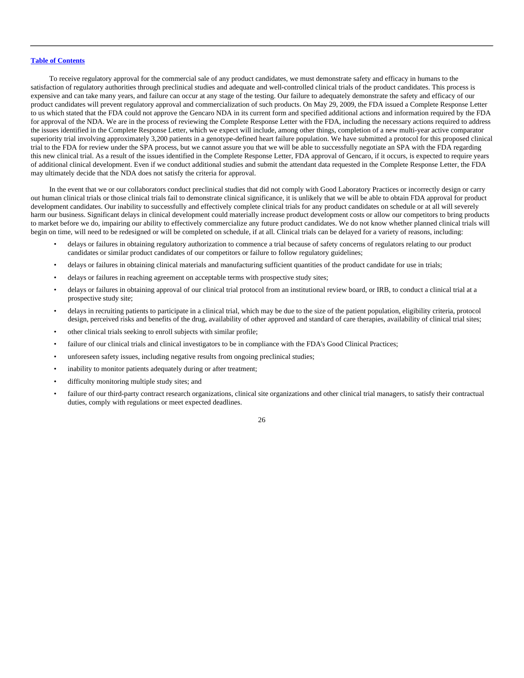To receive regulatory approval for the commercial sale of any product candidates, we must demonstrate safety and efficacy in humans to the satisfaction of regulatory authorities through preclinical studies and adequate and well-controlled clinical trials of the product candidates. This process is expensive and can take many years, and failure can occur at any stage of the testing. Our failure to adequately demonstrate the safety and efficacy of our product candidates will prevent regulatory approval and commercialization of such products. On May 29, 2009, the FDA issued a Complete Response Letter to us which stated that the FDA could not approve the Gencaro NDA in its current form and specified additional actions and information required by the FDA for approval of the NDA. We are in the process of reviewing the Complete Response Letter with the FDA, including the necessary actions required to address the issues identified in the Complete Response Letter, which we expect will include, among other things, completion of a new multi-year active comparator superiority trial involving approximately 3,200 patients in a genotype-defined heart failure population. We have submitted a protocol for this proposed clinical trial to the FDA for review under the SPA process, but we cannot assure you that we will be able to successfully negotiate an SPA with the FDA regarding this new clinical trial. As a result of the issues identified in the Complete Response Letter, FDA approval of Gencaro, if it occurs, is expected to require years of additional clinical development. Even if we conduct additional studies and submit the attendant data requested in the Complete Response Letter, the FDA may ultimately decide that the NDA does not satisfy the criteria for approval.

In the event that we or our collaborators conduct preclinical studies that did not comply with Good Laboratory Practices or incorrectly design or carry out human clinical trials or those clinical trials fail to demonstrate clinical significance, it is unlikely that we will be able to obtain FDA approval for product development candidates. Our inability to successfully and effectively complete clinical trials for any product candidates on schedule or at all will severely harm our business. Significant delays in clinical development could materially increase product development costs or allow our competitors to bring products to market before we do, impairing our ability to effectively commercialize any future product candidates. We do not know whether planned clinical trials will begin on time, will need to be redesigned or will be completed on schedule, if at all. Clinical trials can be delayed for a variety of reasons, including:

- delays or failures in obtaining regulatory authorization to commence a trial because of safety concerns of regulators relating to our product candidates or similar product candidates of our competitors or failure to follow regulatory guidelines;
- delays or failures in obtaining clinical materials and manufacturing sufficient quantities of the product candidate for use in trials;
- delays or failures in reaching agreement on acceptable terms with prospective study sites;
- delays or failures in obtaining approval of our clinical trial protocol from an institutional review board, or IRB, to conduct a clinical trial at a prospective study site;
- delays in recruiting patients to participate in a clinical trial, which may be due to the size of the patient population, eligibility criteria, protocol design, perceived risks and benefits of the drug, availability of other approved and standard of care therapies, availability of clinical trial sites;
- other clinical trials seeking to enroll subjects with similar profile;
- failure of our clinical trials and clinical investigators to be in compliance with the FDA's Good Clinical Practices;
- unforeseen safety issues, including negative results from ongoing preclinical studies;
- inability to monitor patients adequately during or after treatment;
- difficulty monitoring multiple study sites; and
- failure of our third-party contract research organizations, clinical site organizations and other clinical trial managers, to satisfy their contractual duties, comply with regulations or meet expected deadlines.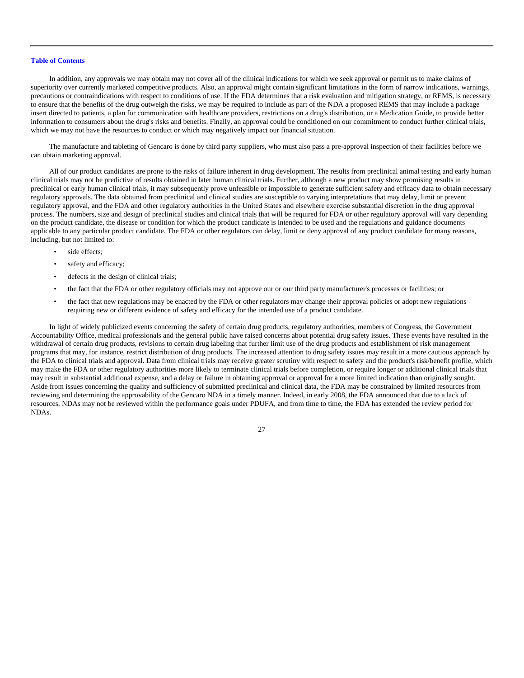In addition, any approvals we may obtain may not cover all of the clinical indications for which we seek approval or permit us to make claims of superiority over currently marketed competitive products. Also, an approval might contain significant limitations in the form of narrow indications, warnings, precautions or contraindications with respect to conditions of use. If the FDA determines that a risk evaluation and mitigation strategy, or REMS, is necessary to ensure that the benefits of the drug outweigh the risks, we may be required to include as part of the NDA a proposed REMS that may include a package insert directed to patients, a plan for communication with healthcare providers, restrictions on a drug's distribution, or a Medication Guide, to provide better information to consumers about the drug's risks and benefits. Finally, an approval could be conditioned on our commitment to conduct further clinical trials, which we may not have the resources to conduct or which may negatively impact our financial situation.

The manufacture and tableting of Gencaro is done by third party suppliers, who must also pass a pre-approval inspection of their facilities before we can obtain marketing approval.

All of our product candidates are prone to the risks of failure inherent in drug development. The results from preclinical animal testing and early human clinical trials may not be predictive of results obtained in later human clinical trials. Further, although a new product may show promising results in preclinical or early human clinical trials, it may subsequently prove unfeasible or impossible to generate sufficient safety and efficacy data to obtain necessary regulatory approvals. The data obtained from preclinical and clinical studies are susceptible to varying interpretations that may delay, limit or prevent regulatory approval, and the FDA and other regulatory authorities in the United States and elsewhere exercise substantial discretion in the drug approval process. The numbers, size and design of preclinical studies and clinical trials that will be required for FDA or other regulatory approval will vary depending on the product candidate, the disease or condition for which the product candidate is intended to be used and the regulations and guidance documents applicable to any particular product candidate. The FDA or other regulators can delay, limit or deny approval of any product candidate for many reasons, including, but not limited to:

- side effects:
- safety and efficacy;
- defects in the design of clinical trials;
- the fact that the FDA or other regulatory officials may not approve our or our third party manufacturer's processes or facilities; or
- the fact that new regulations may be enacted by the FDA or other regulators may change their approval policies or adopt new regulations requiring new or different evidence of safety and efficacy for the intended use of a product candidate.

In light of widely publicized events concerning the safety of certain drug products, regulatory authorities, members of Congress, the Government Accountability Office, medical professionals and the general public have raised concerns about potential drug safety issues. These events have resulted in the withdrawal of certain drug products, revisions to certain drug labeling that further limit use of the drug products and establishment of risk management programs that may, for instance, restrict distribution of drug products. The increased attention to drug safety issues may result in a more cautious approach by the FDA to clinical trials and approval. Data from clinical trials may receive greater scrutiny with respect to safety and the product's risk/benefit profile, which may make the FDA or other regulatory authorities more likely to terminate clinical trials before completion, or require longer or additional clinical trials that may result in substantial additional expense, and a delay or failure in obtaining approval or approval for a more limited indication than originally sought. Aside from issues concerning the quality and sufficiency of submitted preclinical and clinical data, the FDA may be constrained by limited resources from reviewing and determining the approvability of the Gencaro NDA in a timely manner. Indeed, in early 2008, the FDA announced that due to a lack of resources, NDAs may not be reviewed within the performance goals under PDUFA, and from time to time, the FDA has extended the review period for NDAs.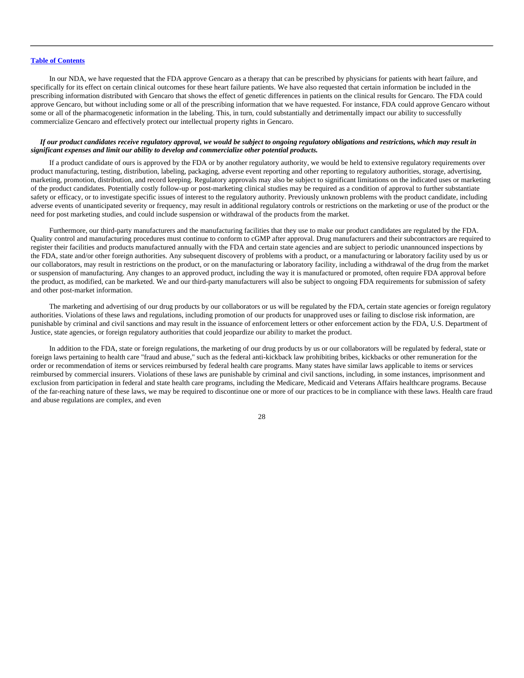In our NDA, we have requested that the FDA approve Gencaro as a therapy that can be prescribed by physicians for patients with heart failure, and specifically for its effect on certain clinical outcomes for these heart failure patients. We have also requested that certain information be included in the prescribing information distributed with Gencaro that shows the effect of genetic differences in patients on the clinical results for Gencaro. The FDA could approve Gencaro, but without including some or all of the prescribing information that we have requested. For instance, FDA could approve Gencaro without some or all of the pharmacogenetic information in the labeling. This, in turn, could substantially and detrimentally impact our ability to successfully commercialize Gencaro and effectively protect our intellectual property rights in Gencaro.

### *If our product candidates receive regulatory approval, we would be subject to ongoing regulatory obligations and restrictions, which may result in significant expenses and limit our ability to develop and commercialize other potential products.*

If a product candidate of ours is approved by the FDA or by another regulatory authority, we would be held to extensive regulatory requirements over product manufacturing, testing, distribution, labeling, packaging, adverse event reporting and other reporting to regulatory authorities, storage, advertising, marketing, promotion, distribution, and record keeping. Regulatory approvals may also be subject to significant limitations on the indicated uses or marketing of the product candidates. Potentially costly follow-up or post-marketing clinical studies may be required as a condition of approval to further substantiate safety or efficacy, or to investigate specific issues of interest to the regulatory authority. Previously unknown problems with the product candidate, including adverse events of unanticipated severity or frequency, may result in additional regulatory controls or restrictions on the marketing or use of the product or the need for post marketing studies, and could include suspension or withdrawal of the products from the market.

Furthermore, our third-party manufacturers and the manufacturing facilities that they use to make our product candidates are regulated by the FDA. Quality control and manufacturing procedures must continue to conform to cGMP after approval. Drug manufacturers and their subcontractors are required to register their facilities and products manufactured annually with the FDA and certain state agencies and are subject to periodic unannounced inspections by the FDA, state and/or other foreign authorities. Any subsequent discovery of problems with a product, or a manufacturing or laboratory facility used by us or our collaborators, may result in restrictions on the product, or on the manufacturing or laboratory facility, including a withdrawal of the drug from the market or suspension of manufacturing. Any changes to an approved product, including the way it is manufactured or promoted, often require FDA approval before the product, as modified, can be marketed. We and our third-party manufacturers will also be subject to ongoing FDA requirements for submission of safety and other post-market information.

The marketing and advertising of our drug products by our collaborators or us will be regulated by the FDA, certain state agencies or foreign regulatory authorities. Violations of these laws and regulations, including promotion of our products for unapproved uses or failing to disclose risk information, are punishable by criminal and civil sanctions and may result in the issuance of enforcement letters or other enforcement action by the FDA, U.S. Department of Justice, state agencies, or foreign regulatory authorities that could jeopardize our ability to market the product.

In addition to the FDA, state or foreign regulations, the marketing of our drug products by us or our collaborators will be regulated by federal, state or foreign laws pertaining to health care "fraud and abuse," such as the federal anti-kickback law prohibiting bribes, kickbacks or other remuneration for the order or recommendation of items or services reimbursed by federal health care programs. Many states have similar laws applicable to items or services reimbursed by commercial insurers. Violations of these laws are punishable by criminal and civil sanctions, including, in some instances, imprisonment and exclusion from participation in federal and state health care programs, including the Medicare, Medicaid and Veterans Affairs healthcare programs. Because of the far-reaching nature of these laws, we may be required to discontinue one or more of our practices to be in compliance with these laws. Health care fraud and abuse regulations are complex, and even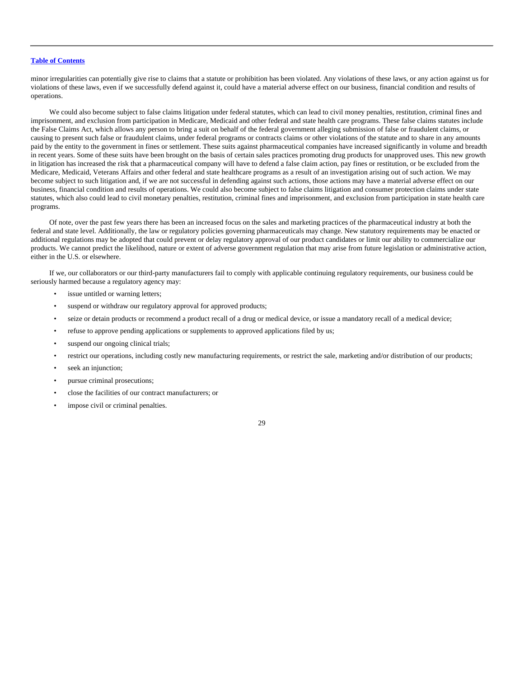minor irregularities can potentially give rise to claims that a statute or prohibition has been violated. Any violations of these laws, or any action against us for violations of these laws, even if we successfully defend against it, could have a material adverse effect on our business, financial condition and results of operations.

We could also become subject to false claims litigation under federal statutes, which can lead to civil money penalties, restitution, criminal fines and imprisonment, and exclusion from participation in Medicare, Medicaid and other federal and state health care programs. These false claims statutes include the False Claims Act, which allows any person to bring a suit on behalf of the federal government alleging submission of false or fraudulent claims, or causing to present such false or fraudulent claims, under federal programs or contracts claims or other violations of the statute and to share in any amounts paid by the entity to the government in fines or settlement. These suits against pharmaceutical companies have increased significantly in volume and breadth in recent years. Some of these suits have been brought on the basis of certain sales practices promoting drug products for unapproved uses. This new growth in litigation has increased the risk that a pharmaceutical company will have to defend a false claim action, pay fines or restitution, or be excluded from the Medicare, Medicaid, Veterans Affairs and other federal and state healthcare programs as a result of an investigation arising out of such action. We may become subject to such litigation and, if we are not successful in defending against such actions, those actions may have a material adverse effect on our business, financial condition and results of operations. We could also become subject to false claims litigation and consumer protection claims under state statutes, which also could lead to civil monetary penalties, restitution, criminal fines and imprisonment, and exclusion from participation in state health care programs.

Of note, over the past few years there has been an increased focus on the sales and marketing practices of the pharmaceutical industry at both the federal and state level. Additionally, the law or regulatory policies governing pharmaceuticals may change. New statutory requirements may be enacted or additional regulations may be adopted that could prevent or delay regulatory approval of our product candidates or limit our ability to commercialize our products. We cannot predict the likelihood, nature or extent of adverse government regulation that may arise from future legislation or administrative action, either in the U.S. or elsewhere.

If we, our collaborators or our third-party manufacturers fail to comply with applicable continuing regulatory requirements, our business could be seriously harmed because a regulatory agency may:

- issue untitled or warning letters;
- suspend or withdraw our regulatory approval for approved products;
- seize or detain products or recommend a product recall of a drug or medical device, or issue a mandatory recall of a medical device;
- refuse to approve pending applications or supplements to approved applications filed by us;
- suspend our ongoing clinical trials;
- restrict our operations, including costly new manufacturing requirements, or restrict the sale, marketing and/or distribution of our products;
- seek an injunction;
- pursue criminal prosecutions;
- close the facilities of our contract manufacturers; or
- impose civil or criminal penalties.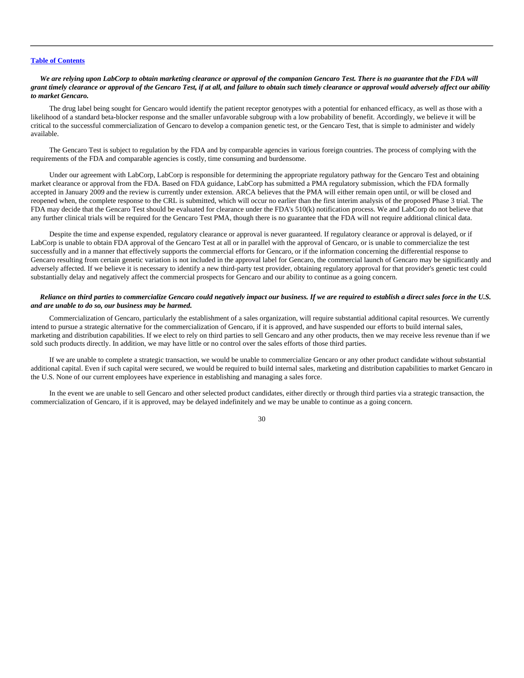# We are relying upon LabCorp to obtain marketing clearance or approval of the companion Gencaro Test. There is no guarantee that the FDA will *grant timely clearance or approval of the Gencaro Test, if at all, and failure to obtain such timely clearance or approval would adversely affect our ability to market Gencaro.*

The drug label being sought for Gencaro would identify the patient receptor genotypes with a potential for enhanced efficacy, as well as those with a likelihood of a standard beta-blocker response and the smaller unfavorable subgroup with a low probability of benefit. Accordingly, we believe it will be critical to the successful commercialization of Gencaro to develop a companion genetic test, or the Gencaro Test, that is simple to administer and widely available.

The Gencaro Test is subject to regulation by the FDA and by comparable agencies in various foreign countries. The process of complying with the requirements of the FDA and comparable agencies is costly, time consuming and burdensome.

Under our agreement with LabCorp, LabCorp is responsible for determining the appropriate regulatory pathway for the Gencaro Test and obtaining market clearance or approval from the FDA. Based on FDA guidance, LabCorp has submitted a PMA regulatory submission, which the FDA formally accepted in January 2009 and the review is currently under extension. ARCA believes that the PMA will either remain open until, or will be closed and reopened when, the complete response to the CRL is submitted, which will occur no earlier than the first interim analysis of the proposed Phase 3 trial. The FDA may decide that the Gencaro Test should be evaluated for clearance under the FDA's 510(k) notification process. We and LabCorp do not believe that any further clinical trials will be required for the Gencaro Test PMA, though there is no guarantee that the FDA will not require additional clinical data.

Despite the time and expense expended, regulatory clearance or approval is never guaranteed. If regulatory clearance or approval is delayed, or if LabCorp is unable to obtain FDA approval of the Gencaro Test at all or in parallel with the approval of Gencaro, or is unable to commercialize the test successfully and in a manner that effectively supports the commercial efforts for Gencaro, or if the information concerning the differential response to Gencaro resulting from certain genetic variation is not included in the approval label for Gencaro, the commercial launch of Gencaro may be significantly and adversely affected. If we believe it is necessary to identify a new third-party test provider, obtaining regulatory approval for that provider's genetic test could substantially delay and negatively affect the commercial prospects for Gencaro and our ability to continue as a going concern.

### *Reliance on third parties to commercialize Gencaro could negatively impact our business. If we are required to establish a direct sales force in the U.S. and are unable to do so, our business may be harmed.*

Commercialization of Gencaro, particularly the establishment of a sales organization, will require substantial additional capital resources. We currently intend to pursue a strategic alternative for the commercialization of Gencaro, if it is approved, and have suspended our efforts to build internal sales, marketing and distribution capabilities. If we elect to rely on third parties to sell Gencaro and any other products, then we may receive less revenue than if we sold such products directly. In addition, we may have little or no control over the sales efforts of those third parties.

If we are unable to complete a strategic transaction, we would be unable to commercialize Gencaro or any other product candidate without substantial additional capital. Even if such capital were secured, we would be required to build internal sales, marketing and distribution capabilities to market Gencaro in the U.S. None of our current employees have experience in establishing and managing a sales force.

In the event we are unable to sell Gencaro and other selected product candidates, either directly or through third parties via a strategic transaction, the commercialization of Gencaro, if it is approved, may be delayed indefinitely and we may be unable to continue as a going concern.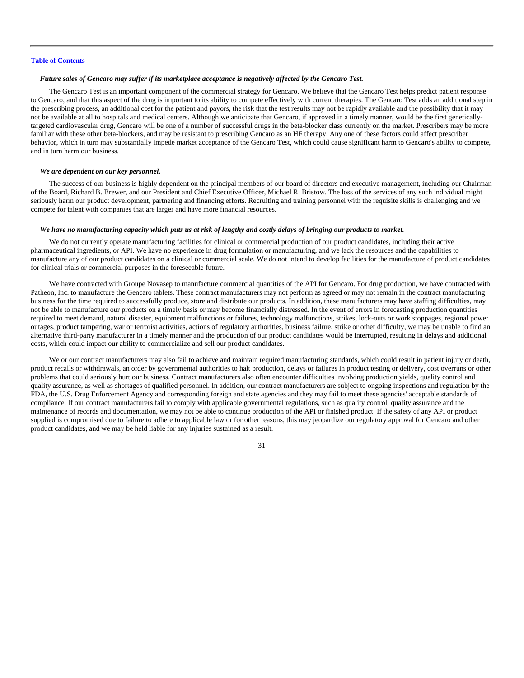# *Future sales of Gencaro may suffer if its marketplace acceptance is negatively affected by the Gencaro Test.*

The Gencaro Test is an important component of the commercial strategy for Gencaro. We believe that the Gencaro Test helps predict patient response to Gencaro, and that this aspect of the drug is important to its ability to compete effectively with current therapies. The Gencaro Test adds an additional step in the prescribing process, an additional cost for the patient and payors, the risk that the test results may not be rapidly available and the possibility that it may not be available at all to hospitals and medical centers. Although we anticipate that Gencaro, if approved in a timely manner, would be the first geneticallytargeted cardiovascular drug, Gencaro will be one of a number of successful drugs in the beta-blocker class currently on the market. Prescribers may be more familiar with these other beta-blockers, and may be resistant to prescribing Gencaro as an HF therapy. Any one of these factors could affect prescriber behavior, which in turn may substantially impede market acceptance of the Gencaro Test, which could cause significant harm to Gencaro's ability to compete, and in turn harm our business.

### *We are dependent on our key personnel.*

The success of our business is highly dependent on the principal members of our board of directors and executive management, including our Chairman of the Board, Richard B. Brewer, and our President and Chief Executive Officer, Michael R. Bristow. The loss of the services of any such individual might seriously harm our product development, partnering and financing efforts. Recruiting and training personnel with the requisite skills is challenging and we compete for talent with companies that are larger and have more financial resources.

### *We have no manufacturing capacity which puts us at risk of lengthy and costly delays of bringing our products to market.*

We do not currently operate manufacturing facilities for clinical or commercial production of our product candidates, including their active pharmaceutical ingredients, or API. We have no experience in drug formulation or manufacturing, and we lack the resources and the capabilities to manufacture any of our product candidates on a clinical or commercial scale. We do not intend to develop facilities for the manufacture of product candidates for clinical trials or commercial purposes in the foreseeable future.

We have contracted with Groupe Novasep to manufacture commercial quantities of the API for Gencaro. For drug production, we have contracted with Patheon, Inc. to manufacture the Gencaro tablets. These contract manufacturers may not perform as agreed or may not remain in the contract manufacturing business for the time required to successfully produce, store and distribute our products. In addition, these manufacturers may have staffing difficulties, may not be able to manufacture our products on a timely basis or may become financially distressed. In the event of errors in forecasting production quantities required to meet demand, natural disaster, equipment malfunctions or failures, technology malfunctions, strikes, lock-outs or work stoppages, regional power outages, product tampering, war or terrorist activities, actions of regulatory authorities, business failure, strike or other difficulty, we may be unable to find an alternative third-party manufacturer in a timely manner and the production of our product candidates would be interrupted, resulting in delays and additional costs, which could impact our ability to commercialize and sell our product candidates.

We or our contract manufacturers may also fail to achieve and maintain required manufacturing standards, which could result in patient injury or death, product recalls or withdrawals, an order by governmental authorities to halt production, delays or failures in product testing or delivery, cost overruns or other problems that could seriously hurt our business. Contract manufacturers also often encounter difficulties involving production yields, quality control and quality assurance, as well as shortages of qualified personnel. In addition, our contract manufacturers are subject to ongoing inspections and regulation by the FDA, the U.S. Drug Enforcement Agency and corresponding foreign and state agencies and they may fail to meet these agencies' acceptable standards of compliance. If our contract manufacturers fail to comply with applicable governmental regulations, such as quality control, quality assurance and the maintenance of records and documentation, we may not be able to continue production of the API or finished product. If the safety of any API or product supplied is compromised due to failure to adhere to applicable law or for other reasons, this may jeopardize our regulatory approval for Gencaro and other product candidates, and we may be held liable for any injuries sustained as a result.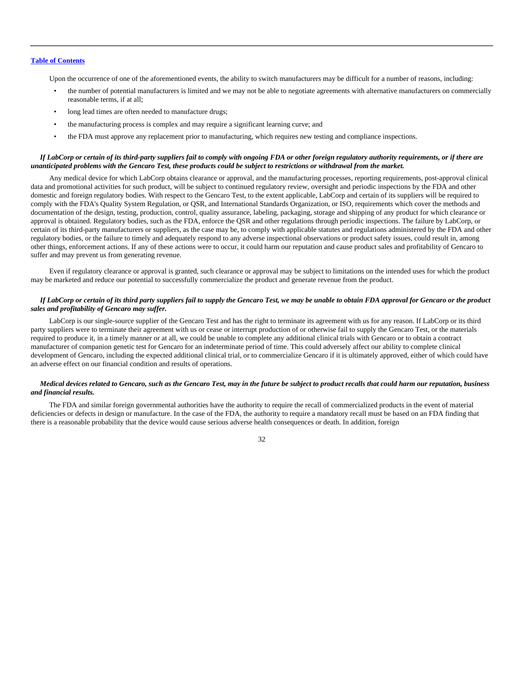Upon the occurrence of one of the aforementioned events, the ability to switch manufacturers may be difficult for a number of reasons, including:

- the number of potential manufacturers is limited and we may not be able to negotiate agreements with alternative manufacturers on commercially reasonable terms, if at all;
- long lead times are often needed to manufacture drugs;
- the manufacturing process is complex and may require a significant learning curve; and
- the FDA must approve any replacement prior to manufacturing, which requires new testing and compliance inspections.

### *If LabCorp or certain of its third-party suppliers fail to comply with ongoing FDA or other foreign regulatory authority requirements, or if there are unanticipated problems with the Gencaro Test, these products could be subject to restrictions or withdrawal from the market.*

Any medical device for which LabCorp obtains clearance or approval, and the manufacturing processes, reporting requirements, post-approval clinical data and promotional activities for such product, will be subject to continued regulatory review, oversight and periodic inspections by the FDA and other domestic and foreign regulatory bodies. With respect to the Gencaro Test, to the extent applicable, LabCorp and certain of its suppliers will be required to comply with the FDA's Quality System Regulation, or QSR, and International Standards Organization, or ISO, requirements which cover the methods and documentation of the design, testing, production, control, quality assurance, labeling, packaging, storage and shipping of any product for which clearance or approval is obtained. Regulatory bodies, such as the FDA, enforce the QSR and other regulations through periodic inspections. The failure by LabCorp, or certain of its third-party manufacturers or suppliers, as the case may be, to comply with applicable statutes and regulations administered by the FDA and other regulatory bodies, or the failure to timely and adequately respond to any adverse inspectional observations or product safety issues, could result in, among other things, enforcement actions. If any of these actions were to occur, it could harm our reputation and cause product sales and profitability of Gencaro to suffer and may prevent us from generating revenue.

Even if regulatory clearance or approval is granted, such clearance or approval may be subject to limitations on the intended uses for which the product may be marketed and reduce our potential to successfully commercialize the product and generate revenue from the product.

# *If LabCorp or certain of its third party suppliers fail to supply the Gencaro Test, we may be unable to obtain FDA approval for Gencaro or the product sales and profitability of Gencaro may suffer.*

LabCorp is our single-source supplier of the Gencaro Test and has the right to terminate its agreement with us for any reason. If LabCorp or its third party suppliers were to terminate their agreement with us or cease or interrupt production of or otherwise fail to supply the Gencaro Test, or the materials required to produce it, in a timely manner or at all, we could be unable to complete any additional clinical trials with Gencaro or to obtain a contract manufacturer of companion genetic test for Gencaro for an indeterminate period of time. This could adversely affect our ability to complete clinical development of Gencaro, including the expected additional clinical trial, or to commercialize Gencaro if it is ultimately approved, either of which could have an adverse effect on our financial condition and results of operations.

# *Medical devices related to Gencaro, such as the Gencaro Test, may in the future be subject to product recalls that could harm our reputation, business and financial results.*

The FDA and similar foreign governmental authorities have the authority to require the recall of commercialized products in the event of material deficiencies or defects in design or manufacture. In the case of the FDA, the authority to require a mandatory recall must be based on an FDA finding that there is a reasonable probability that the device would cause serious adverse health consequences or death. In addition, foreign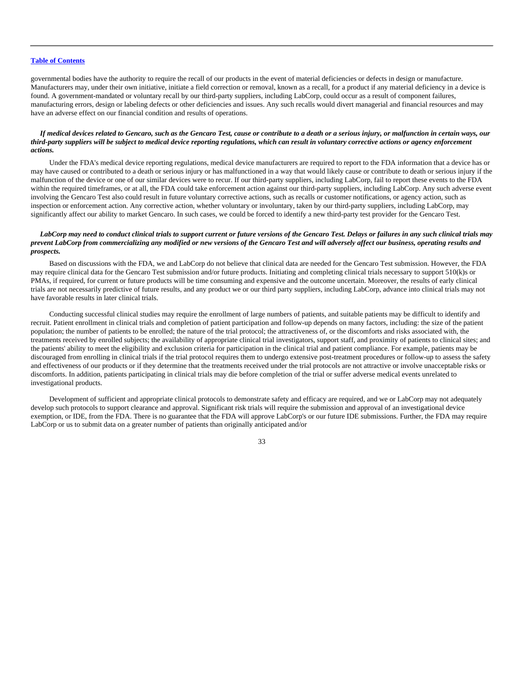governmental bodies have the authority to require the recall of our products in the event of material deficiencies or defects in design or manufacture. Manufacturers may, under their own initiative, initiate a field correction or removal, known as a recall, for a product if any material deficiency in a device is found. A government-mandated or voluntary recall by our third-party suppliers, including LabCorp, could occur as a result of component failures, manufacturing errors, design or labeling defects or other deficiencies and issues. Any such recalls would divert managerial and financial resources and may have an adverse effect on our financial condition and results of operations.

### *If medical devices related to Gencaro, such as the Gencaro Test, cause or contribute to a death or a serious injury, or malfunction in certain ways, our third-party suppliers will be subject to medical device reporting regulations, which can result in voluntary corrective actions or agency enforcement actions.*

Under the FDA's medical device reporting regulations, medical device manufacturers are required to report to the FDA information that a device has or may have caused or contributed to a death or serious injury or has malfunctioned in a way that would likely cause or contribute to death or serious injury if the malfunction of the device or one of our similar devices were to recur. If our third-party suppliers, including LabCorp, fail to report these events to the FDA within the required timeframes, or at all, the FDA could take enforcement action against our third-party suppliers, including LabCorp. Any such adverse event involving the Gencaro Test also could result in future voluntary corrective actions, such as recalls or customer notifications, or agency action, such as inspection or enforcement action. Any corrective action, whether voluntary or involuntary, taken by our third-party suppliers, including LabCorp, may significantly affect our ability to market Gencaro. In such cases, we could be forced to identify a new third-party test provider for the Gencaro Test.

# *LabCorp may need to conduct clinical trials to support current or future versions of the Gencaro Test. Delays or failures in any such clinical trials may prevent LabCorp from commercializing any modified or new versions of the Gencaro Test and will adversely affect our business, operating results and prospects.*

Based on discussions with the FDA, we and LabCorp do not believe that clinical data are needed for the Gencaro Test submission. However, the FDA may require clinical data for the Gencaro Test submission and/or future products. Initiating and completing clinical trials necessary to support 510(k)s or PMAs, if required, for current or future products will be time consuming and expensive and the outcome uncertain. Moreover, the results of early clinical trials are not necessarily predictive of future results, and any product we or our third party suppliers, including LabCorp, advance into clinical trials may not have favorable results in later clinical trials.

Conducting successful clinical studies may require the enrollment of large numbers of patients, and suitable patients may be difficult to identify and recruit. Patient enrollment in clinical trials and completion of patient participation and follow-up depends on many factors, including: the size of the patient population; the number of patients to be enrolled; the nature of the trial protocol; the attractiveness of, or the discomforts and risks associated with, the treatments received by enrolled subjects; the availability of appropriate clinical trial investigators, support staff, and proximity of patients to clinical sites; and the patients' ability to meet the eligibility and exclusion criteria for participation in the clinical trial and patient compliance. For example, patients may be discouraged from enrolling in clinical trials if the trial protocol requires them to undergo extensive post-treatment procedures or follow-up to assess the safety and effectiveness of our products or if they determine that the treatments received under the trial protocols are not attractive or involve unacceptable risks or discomforts. In addition, patients participating in clinical trials may die before completion of the trial or suffer adverse medical events unrelated to investigational products.

Development of sufficient and appropriate clinical protocols to demonstrate safety and efficacy are required, and we or LabCorp may not adequately develop such protocols to support clearance and approval. Significant risk trials will require the submission and approval of an investigational device exemption, or IDE, from the FDA. There is no guarantee that the FDA will approve LabCorp's or our future IDE submissions. Further, the FDA may require LabCorp or us to submit data on a greater number of patients than originally anticipated and/or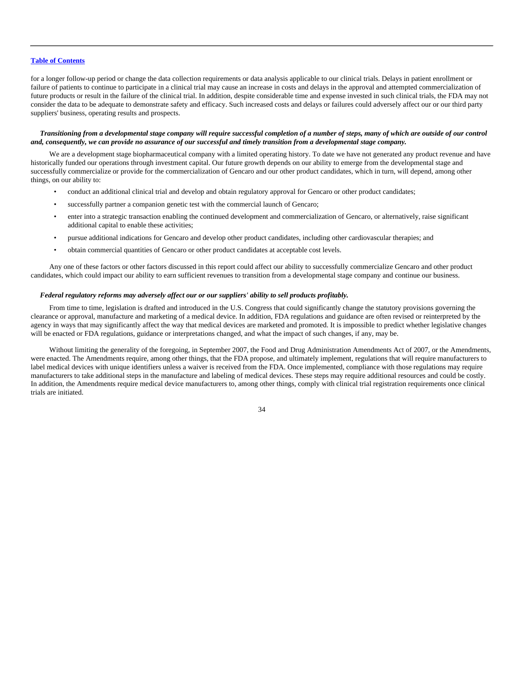for a longer follow-up period or change the data collection requirements or data analysis applicable to our clinical trials. Delays in patient enrollment or failure of patients to continue to participate in a clinical trial may cause an increase in costs and delays in the approval and attempted commercialization of future products or result in the failure of the clinical trial. In addition, despite considerable time and expense invested in such clinical trials, the FDA may not consider the data to be adequate to demonstrate safety and efficacy. Such increased costs and delays or failures could adversely affect our or our third party suppliers' business, operating results and prospects.

# *Transitioning from a developmental stage company will require successful completion of a number of steps, many of which are outside of our control and, consequently, we can provide no assurance of our successful and timely transition from a developmental stage company.*

We are a development stage biopharmaceutical company with a limited operating history. To date we have not generated any product revenue and have historically funded our operations through investment capital. Our future growth depends on our ability to emerge from the developmental stage and successfully commercialize or provide for the commercialization of Gencaro and our other product candidates, which in turn, will depend, among other things, on our ability to:

- conduct an additional clinical trial and develop and obtain regulatory approval for Gencaro or other product candidates;
- successfully partner a companion genetic test with the commercial launch of Gencaro;
- enter into a strategic transaction enabling the continued development and commercialization of Gencaro, or alternatively, raise significant additional capital to enable these activities;
- pursue additional indications for Gencaro and develop other product candidates, including other cardiovascular therapies; and
- obtain commercial quantities of Gencaro or other product candidates at acceptable cost levels.

Any one of these factors or other factors discussed in this report could affect our ability to successfully commercialize Gencaro and other product candidates, which could impact our ability to earn sufficient revenues to transition from a developmental stage company and continue our business.

### *Federal regulatory reforms may adversely affect our or our suppliers' ability to sell products profitably.*

From time to time, legislation is drafted and introduced in the U.S. Congress that could significantly change the statutory provisions governing the clearance or approval, manufacture and marketing of a medical device. In addition, FDA regulations and guidance are often revised or reinterpreted by the agency in ways that may significantly affect the way that medical devices are marketed and promoted. It is impossible to predict whether legislative changes will be enacted or FDA regulations, guidance or interpretations changed, and what the impact of such changes, if any, may be.

Without limiting the generality of the foregoing, in September 2007, the Food and Drug Administration Amendments Act of 2007, or the Amendments, were enacted. The Amendments require, among other things, that the FDA propose, and ultimately implement, regulations that will require manufacturers to label medical devices with unique identifiers unless a waiver is received from the FDA. Once implemented, compliance with those regulations may require manufacturers to take additional steps in the manufacture and labeling of medical devices. These steps may require additional resources and could be costly. In addition, the Amendments require medical device manufacturers to, among other things, comply with clinical trial registration requirements once clinical trials are initiated.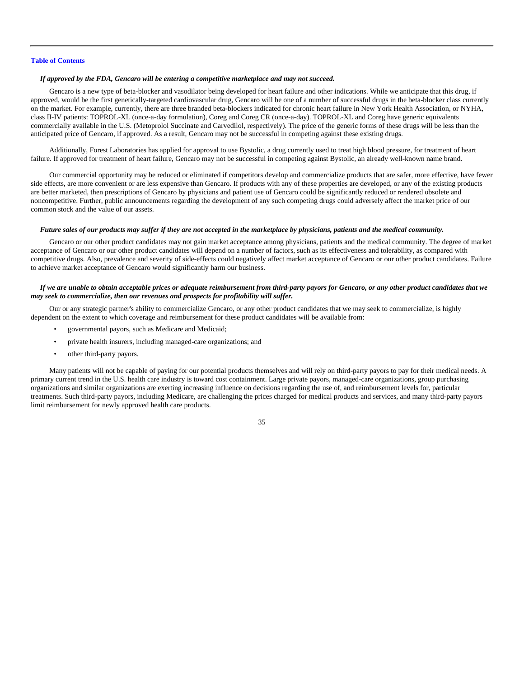# *If approved by the FDA, Gencaro will be entering a competitive marketplace and may not succeed.*

Gencaro is a new type of beta-blocker and vasodilator being developed for heart failure and other indications. While we anticipate that this drug, if approved, would be the first genetically-targeted cardiovascular drug, Gencaro will be one of a number of successful drugs in the beta-blocker class currently on the market. For example, currently, there are three branded beta-blockers indicated for chronic heart failure in New York Health Association, or NYHA, class II-IV patients: TOPROL-XL (once-a-day formulation), Coreg and Coreg CR (once-a-day). TOPROL-XL and Coreg have generic equivalents commercially available in the U.S. (Metoprolol Succinate and Carvedilol, respectively). The price of the generic forms of these drugs will be less than the anticipated price of Gencaro, if approved. As a result, Gencaro may not be successful in competing against these existing drugs.

Additionally, Forest Laboratories has applied for approval to use Bystolic, a drug currently used to treat high blood pressure, for treatment of heart failure. If approved for treatment of heart failure, Gencaro may not be successful in competing against Bystolic, an already well-known name brand.

Our commercial opportunity may be reduced or eliminated if competitors develop and commercialize products that are safer, more effective, have fewer side effects, are more convenient or are less expensive than Gencaro. If products with any of these properties are developed, or any of the existing products are better marketed, then prescriptions of Gencaro by physicians and patient use of Gencaro could be significantly reduced or rendered obsolete and noncompetitive. Further, public announcements regarding the development of any such competing drugs could adversely affect the market price of our common stock and the value of our assets.

# *Future sales of our products may suffer if they are not accepted in the marketplace by physicians, patients and the medical community.*

Gencaro or our other product candidates may not gain market acceptance among physicians, patients and the medical community. The degree of market acceptance of Gencaro or our other product candidates will depend on a number of factors, such as its effectiveness and tolerability, as compared with competitive drugs. Also, prevalence and severity of side-effects could negatively affect market acceptance of Gencaro or our other product candidates. Failure to achieve market acceptance of Gencaro would significantly harm our business.

# *If we are unable to obtain acceptable prices or adequate reimbursement from third-party payors for Gencaro, or any other product candidates that we may seek to commercialize, then our revenues and prospects for profitability will suffer.*

Our or any strategic partner's ability to commercialize Gencaro, or any other product candidates that we may seek to commercialize, is highly dependent on the extent to which coverage and reimbursement for these product candidates will be available from:

- governmental payors, such as Medicare and Medicaid;
- private health insurers, including managed-care organizations; and
- other third-party payors.

Many patients will not be capable of paying for our potential products themselves and will rely on third-party payors to pay for their medical needs. A primary current trend in the U.S. health care industry is toward cost containment. Large private payors, managed-care organizations, group purchasing organizations and similar organizations are exerting increasing influence on decisions regarding the use of, and reimbursement levels for, particular treatments. Such third-party payors, including Medicare, are challenging the prices charged for medical products and services, and many third-party payors limit reimbursement for newly approved health care products.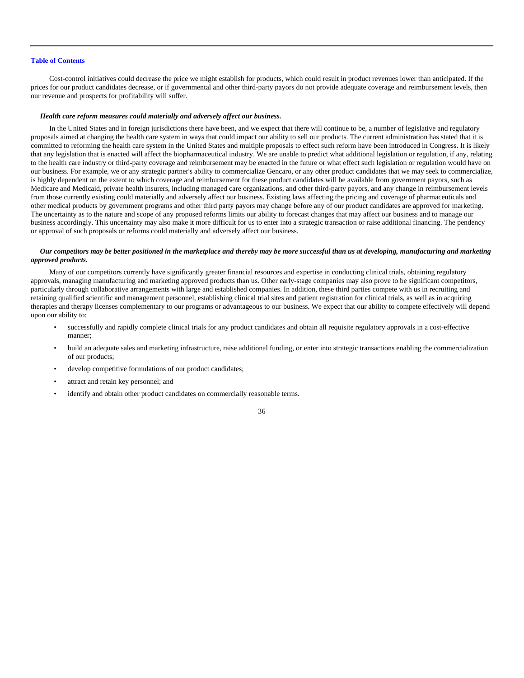Cost-control initiatives could decrease the price we might establish for products, which could result in product revenues lower than anticipated. If the prices for our product candidates decrease, or if governmental and other third-party payors do not provide adequate coverage and reimbursement levels, then our revenue and prospects for profitability will suffer.

# *Health care reform measures could materially and adversely affect our business.*

In the United States and in foreign jurisdictions there have been, and we expect that there will continue to be, a number of legislative and regulatory proposals aimed at changing the health care system in ways that could impact our ability to sell our products. The current administration has stated that it is committed to reforming the health care system in the United States and multiple proposals to effect such reform have been introduced in Congress. It is likely that any legislation that is enacted will affect the biopharmaceutical industry. We are unable to predict what additional legislation or regulation, if any, relating to the health care industry or third-party coverage and reimbursement may be enacted in the future or what effect such legislation or regulation would have on our business. For example, we or any strategic partner's ability to commercialize Gencaro, or any other product candidates that we may seek to commercialize, is highly dependent on the extent to which coverage and reimbursement for these product candidates will be available from government payors, such as Medicare and Medicaid, private health insurers, including managed care organizations, and other third-party payors, and any change in reimbursement levels from those currently existing could materially and adversely affect our business. Existing laws affecting the pricing and coverage of pharmaceuticals and other medical products by government programs and other third party payors may change before any of our product candidates are approved for marketing. The uncertainty as to the nature and scope of any proposed reforms limits our ability to forecast changes that may affect our business and to manage our business accordingly. This uncertainty may also make it more difficult for us to enter into a strategic transaction or raise additional financing. The pendency or approval of such proposals or reforms could materially and adversely affect our business.

## *Our competitors may be better positioned in the marketplace and thereby may be more successful than us at developing, manufacturing and marketing approved products.*

Many of our competitors currently have significantly greater financial resources and expertise in conducting clinical trials, obtaining regulatory approvals, managing manufacturing and marketing approved products than us. Other early-stage companies may also prove to be significant competitors, particularly through collaborative arrangements with large and established companies. In addition, these third parties compete with us in recruiting and retaining qualified scientific and management personnel, establishing clinical trial sites and patient registration for clinical trials, as well as in acquiring therapies and therapy licenses complementary to our programs or advantageous to our business. We expect that our ability to compete effectively will depend upon our ability to:

- successfully and rapidly complete clinical trials for any product candidates and obtain all requisite regulatory approvals in a cost-effective manner;
- build an adequate sales and marketing infrastructure, raise additional funding, or enter into strategic transactions enabling the commercialization of our products;
- develop competitive formulations of our product candidates;
- attract and retain key personnel; and
- identify and obtain other product candidates on commercially reasonable terms.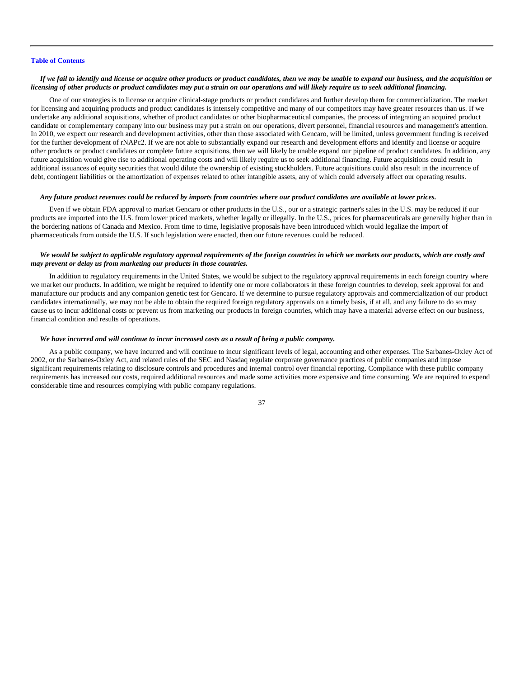# *If we fail to identify and license or acquire other products or product candidates, then we may be unable to expand our business, and the acquisition or licensing of other products or product candidates may put a strain on our operations and will likely require us to seek additional financing.*

One of our strategies is to license or acquire clinical-stage products or product candidates and further develop them for commercialization. The market for licensing and acquiring products and product candidates is intensely competitive and many of our competitors may have greater resources than us. If we undertake any additional acquisitions, whether of product candidates or other biopharmaceutical companies, the process of integrating an acquired product candidate or complementary company into our business may put a strain on our operations, divert personnel, financial resources and management's attention. In 2010, we expect our research and development activities, other than those associated with Gencaro, will be limited, unless government funding is received for the further development of rNAPc2. If we are not able to substantially expand our research and development efforts and identify and license or acquire other products or product candidates or complete future acquisitions, then we will likely be unable expand our pipeline of product candidates. In addition, any future acquisition would give rise to additional operating costs and will likely require us to seek additional financing. Future acquisitions could result in additional issuances of equity securities that would dilute the ownership of existing stockholders. Future acquisitions could also result in the incurrence of debt, contingent liabilities or the amortization of expenses related to other intangible assets, any of which could adversely affect our operating results.

# *Any future product revenues could be reduced by imports from countries where our product candidates are available at lower prices.*

Even if we obtain FDA approval to market Gencaro or other products in the U.S., our or a strategic partner's sales in the U.S. may be reduced if our products are imported into the U.S. from lower priced markets, whether legally or illegally. In the U.S., prices for pharmaceuticals are generally higher than in the bordering nations of Canada and Mexico. From time to time, legislative proposals have been introduced which would legalize the import of pharmaceuticals from outside the U.S. If such legislation were enacted, then our future revenues could be reduced.

# *We would be subject to applicable regulatory approval requirements of the foreign countries in which we markets our products, which are costly and may prevent or delay us from marketing our products in those countries.*

In addition to regulatory requirements in the United States, we would be subject to the regulatory approval requirements in each foreign country where we market our products. In addition, we might be required to identify one or more collaborators in these foreign countries to develop, seek approval for and manufacture our products and any companion genetic test for Gencaro. If we determine to pursue regulatory approvals and commercialization of our product candidates internationally, we may not be able to obtain the required foreign regulatory approvals on a timely basis, if at all, and any failure to do so may cause us to incur additional costs or prevent us from marketing our products in foreign countries, which may have a material adverse effect on our business, financial condition and results of operations.

#### *We have incurred and will continue to incur increased costs as a result of being a public company.*

As a public company, we have incurred and will continue to incur significant levels of legal, accounting and other expenses. The Sarbanes-Oxley Act of 2002, or the Sarbanes-Oxley Act, and related rules of the SEC and Nasdaq regulate corporate governance practices of public companies and impose significant requirements relating to disclosure controls and procedures and internal control over financial reporting. Compliance with these public company requirements has increased our costs, required additional resources and made some activities more expensive and time consuming. We are required to expend considerable time and resources complying with public company regulations.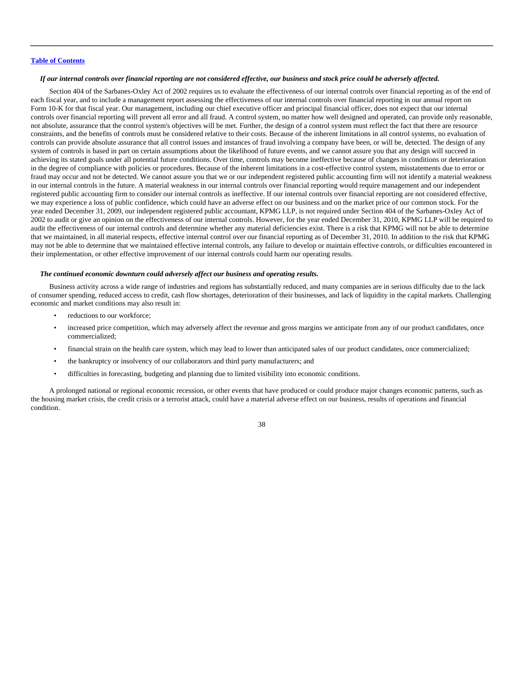# *If our internal controls over financial reporting are not considered effective, our business and stock price could be adversely affected.*

Section 404 of the Sarbanes-Oxley Act of 2002 requires us to evaluate the effectiveness of our internal controls over financial reporting as of the end of each fiscal year, and to include a management report assessing the effectiveness of our internal controls over financial reporting in our annual report on Form 10-K for that fiscal year. Our management, including our chief executive officer and principal financial officer, does not expect that our internal controls over financial reporting will prevent all error and all fraud. A control system, no matter how well designed and operated, can provide only reasonable, not absolute, assurance that the control system's objectives will be met. Further, the design of a control system must reflect the fact that there are resource constraints, and the benefits of controls must be considered relative to their costs. Because of the inherent limitations in all control systems, no evaluation of controls can provide absolute assurance that all control issues and instances of fraud involving a company have been, or will be, detected. The design of any system of controls is based in part on certain assumptions about the likelihood of future events, and we cannot assure you that any design will succeed in achieving its stated goals under all potential future conditions. Over time, controls may become ineffective because of changes in conditions or deterioration in the degree of compliance with policies or procedures. Because of the inherent limitations in a cost-effective control system, misstatements due to error or fraud may occur and not be detected. We cannot assure you that we or our independent registered public accounting firm will not identify a material weakness in our internal controls in the future. A material weakness in our internal controls over financial reporting would require management and our independent registered public accounting firm to consider our internal controls as ineffective. If our internal controls over financial reporting are not considered effective, we may experience a loss of public confidence, which could have an adverse effect on our business and on the market price of our common stock. For the year ended December 31, 2009, our independent registered public accountant, KPMG LLP, is not required under Section 404 of the Sarbanes-Oxley Act of 2002 to audit or give an opinion on the effectiveness of our internal controls. However, for the year ended December 31, 2010, KPMG LLP will be required to audit the effectiveness of our internal controls and determine whether any material deficiencies exist. There is a risk that KPMG will not be able to determine that we maintained, in all material respects, effective internal control over our financial reporting as of December 31, 2010. In addition to the risk that KPMG may not be able to determine that we maintained effective internal controls, any failure to develop or maintain effective controls, or difficulties encountered in their implementation, or other effective improvement of our internal controls could harm our operating results.

#### *The continued economic downturn could adversely affect our business and operating results.*

Business activity across a wide range of industries and regions has substantially reduced, and many companies are in serious difficulty due to the lack of consumer spending, reduced access to credit, cash flow shortages, deterioration of their businesses, and lack of liquidity in the capital markets. Challenging economic and market conditions may also result in:

- reductions to our workforce;
- increased price competition, which may adversely affect the revenue and gross margins we anticipate from any of our product candidates, once commercialized;
- financial strain on the health care system, which may lead to lower than anticipated sales of our product candidates, once commercialized;
- the bankruptcy or insolvency of our collaborators and third party manufacturers; and
- difficulties in forecasting, budgeting and planning due to limited visibility into economic conditions.

A prolonged national or regional economic recession, or other events that have produced or could produce major changes economic patterns, such as the housing market crisis, the credit crisis or a terrorist attack, could have a material adverse effect on our business, results of operations and financial condition.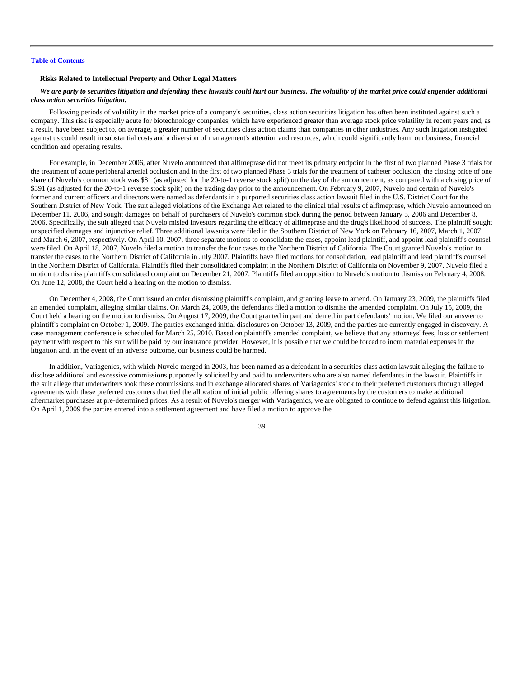# **Risks Related to Intellectual Property and Other Legal Matters**

## *We are party to securities litigation and defending these lawsuits could hurt our business. The volatility of the market price could engender additional class action securities litigation.*

Following periods of volatility in the market price of a company's securities, class action securities litigation has often been instituted against such a company. This risk is especially acute for biotechnology companies, which have experienced greater than average stock price volatility in recent years and, as a result, have been subject to, on average, a greater number of securities class action claims than companies in other industries. Any such litigation instigated against us could result in substantial costs and a diversion of management's attention and resources, which could significantly harm our business, financial condition and operating results.

For example, in December 2006, after Nuvelo announced that alfimeprase did not meet its primary endpoint in the first of two planned Phase 3 trials for the treatment of acute peripheral arterial occlusion and in the first of two planned Phase 3 trials for the treatment of catheter occlusion, the closing price of one share of Nuvelo's common stock was \$81 (as adjusted for the 20-to-1 reverse stock split) on the day of the announcement, as compared with a closing price of \$391 (as adjusted for the 20-to-1 reverse stock split) on the trading day prior to the announcement. On February 9, 2007, Nuvelo and certain of Nuvelo's former and current officers and directors were named as defendants in a purported securities class action lawsuit filed in the U.S. District Court for the Southern District of New York. The suit alleged violations of the Exchange Act related to the clinical trial results of alfimeprase, which Nuvelo announced on December 11, 2006, and sought damages on behalf of purchasers of Nuvelo's common stock during the period between January 5, 2006 and December 8, 2006. Specifically, the suit alleged that Nuvelo misled investors regarding the efficacy of alfimeprase and the drug's likelihood of success. The plaintiff sought unspecified damages and injunctive relief. Three additional lawsuits were filed in the Southern District of New York on February 16, 2007, March 1, 2007 and March 6, 2007, respectively. On April 10, 2007, three separate motions to consolidate the cases, appoint lead plaintiff, and appoint lead plaintiff's counsel were filed. On April 18, 2007, Nuvelo filed a motion to transfer the four cases to the Northern District of California. The Court granted Nuvelo's motion to transfer the cases to the Northern District of California in July 2007. Plaintiffs have filed motions for consolidation, lead plaintiff and lead plaintiff's counsel in the Northern District of California. Plaintiffs filed their consolidated complaint in the Northern District of California on November 9, 2007. Nuvelo filed a motion to dismiss plaintiffs consolidated complaint on December 21, 2007. Plaintiffs filed an opposition to Nuvelo's motion to dismiss on February 4, 2008. On June 12, 2008, the Court held a hearing on the motion to dismiss.

On December 4, 2008, the Court issued an order dismissing plaintiff's complaint, and granting leave to amend. On January 23, 2009, the plaintiffs filed an amended complaint, alleging similar claims. On March 24, 2009, the defendants filed a motion to dismiss the amended complaint. On July 15, 2009, the Court held a hearing on the motion to dismiss. On August 17, 2009, the Court granted in part and denied in part defendants' motion. We filed our answer to plaintiff's complaint on October 1, 2009. The parties exchanged initial disclosures on October 13, 2009, and the parties are currently engaged in discovery. A case management conference is scheduled for March 25, 2010. Based on plaintiff's amended complaint, we believe that any attorneys' fees, loss or settlement payment with respect to this suit will be paid by our insurance provider. However, it is possible that we could be forced to incur material expenses in the litigation and, in the event of an adverse outcome, our business could be harmed.

In addition, Variagenics, with which Nuvelo merged in 2003, has been named as a defendant in a securities class action lawsuit alleging the failure to disclose additional and excessive commissions purportedly solicited by and paid to underwriters who are also named defendants in the lawsuit. Plaintiffs in the suit allege that underwriters took these commissions and in exchange allocated shares of Variagenics' stock to their preferred customers through alleged agreements with these preferred customers that tied the allocation of initial public offering shares to agreements by the customers to make additional aftermarket purchases at pre-determined prices. As a result of Nuvelo's merger with Variagenics, we are obligated to continue to defend against this litigation. On April 1, 2009 the parties entered into a settlement agreement and have filed a motion to approve the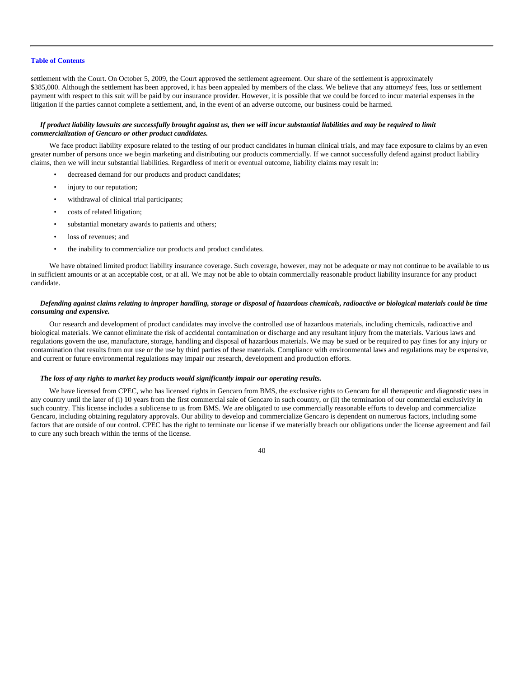settlement with the Court. On October 5, 2009, the Court approved the settlement agreement. Our share of the settlement is approximately \$385,000. Although the settlement has been approved, it has been appealed by members of the class. We believe that any attorneys' fees, loss or settlement payment with respect to this suit will be paid by our insurance provider. However, it is possible that we could be forced to incur material expenses in the litigation if the parties cannot complete a settlement, and, in the event of an adverse outcome, our business could be harmed.

# *If product liability lawsuits are successfully brought against us, then we will incur substantial liabilities and may be required to limit commercialization of Gencaro or other product candidates.*

We face product liability exposure related to the testing of our product candidates in human clinical trials, and may face exposure to claims by an even greater number of persons once we begin marketing and distributing our products commercially. If we cannot successfully defend against product liability claims, then we will incur substantial liabilities. Regardless of merit or eventual outcome, liability claims may result in:

- decreased demand for our products and product candidates;
- injury to our reputation;
- withdrawal of clinical trial participants;
- costs of related litigation;
- substantial monetary awards to patients and others;
- loss of revenues; and
- the inability to commercialize our products and product candidates.

We have obtained limited product liability insurance coverage. Such coverage, however, may not be adequate or may not continue to be available to us in sufficient amounts or at an acceptable cost, or at all. We may not be able to obtain commercially reasonable product liability insurance for any product candidate.

## *Defending against claims relating to improper handling, storage or disposal of hazardous chemicals, radioactive or biological materials could be time consuming and expensive.*

Our research and development of product candidates may involve the controlled use of hazardous materials, including chemicals, radioactive and biological materials. We cannot eliminate the risk of accidental contamination or discharge and any resultant injury from the materials. Various laws and regulations govern the use, manufacture, storage, handling and disposal of hazardous materials. We may be sued or be required to pay fines for any injury or contamination that results from our use or the use by third parties of these materials. Compliance with environmental laws and regulations may be expensive, and current or future environmental regulations may impair our research, development and production efforts.

## *The loss of any rights to market key products would significantly impair our operating results.*

We have licensed from CPEC, who has licensed rights in Gencaro from BMS, the exclusive rights to Gencaro for all therapeutic and diagnostic uses in any country until the later of (i) 10 years from the first commercial sale of Gencaro in such country, or (ii) the termination of our commercial exclusivity in such country. This license includes a sublicense to us from BMS. We are obligated to use commercially reasonable efforts to develop and commercialize Gencaro, including obtaining regulatory approvals. Our ability to develop and commercialize Gencaro is dependent on numerous factors, including some factors that are outside of our control. CPEC has the right to terminate our license if we materially breach our obligations under the license agreement and fail to cure any such breach within the terms of the license.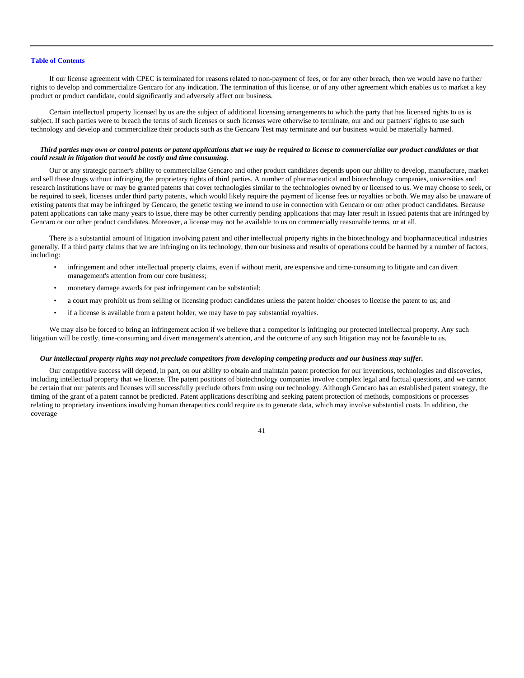If our license agreement with CPEC is terminated for reasons related to non-payment of fees, or for any other breach, then we would have no further rights to develop and commercialize Gencaro for any indication. The termination of this license, or of any other agreement which enables us to market a key product or product candidate, could significantly and adversely affect our business.

Certain intellectual property licensed by us are the subject of additional licensing arrangements to which the party that has licensed rights to us is subject. If such parties were to breach the terms of such licenses or such licenses were otherwise to terminate, our and our partners' rights to use such technology and develop and commercialize their products such as the Gencaro Test may terminate and our business would be materially harmed.

# *Third parties may own or control patents or patent applications that we may be required to license to commercialize our product candidates or that could result in litigation that would be costly and time consuming.*

Our or any strategic partner's ability to commercialize Gencaro and other product candidates depends upon our ability to develop, manufacture, market and sell these drugs without infringing the proprietary rights of third parties. A number of pharmaceutical and biotechnology companies, universities and research institutions have or may be granted patents that cover technologies similar to the technologies owned by or licensed to us. We may choose to seek, or be required to seek, licenses under third party patents, which would likely require the payment of license fees or royalties or both. We may also be unaware of existing patents that may be infringed by Gencaro, the genetic testing we intend to use in connection with Gencaro or our other product candidates. Because patent applications can take many years to issue, there may be other currently pending applications that may later result in issued patents that are infringed by Gencaro or our other product candidates. Moreover, a license may not be available to us on commercially reasonable terms, or at all.

There is a substantial amount of litigation involving patent and other intellectual property rights in the biotechnology and biopharmaceutical industries generally. If a third party claims that we are infringing on its technology, then our business and results of operations could be harmed by a number of factors, including:

- infringement and other intellectual property claims, even if without merit, are expensive and time-consuming to litigate and can divert management's attention from our core business;
- monetary damage awards for past infringement can be substantial;
- a court may prohibit us from selling or licensing product candidates unless the patent holder chooses to license the patent to us; and
- if a license is available from a patent holder, we may have to pay substantial royalties.

We may also be forced to bring an infringement action if we believe that a competitor is infringing our protected intellectual property. Any such litigation will be costly, time-consuming and divert management's attention, and the outcome of any such litigation may not be favorable to us.

# *Our intellectual property rights may not preclude competitors from developing competing products and our business may suffer.*

Our competitive success will depend, in part, on our ability to obtain and maintain patent protection for our inventions, technologies and discoveries, including intellectual property that we license. The patent positions of biotechnology companies involve complex legal and factual questions, and we cannot be certain that our patents and licenses will successfully preclude others from using our technology. Although Gencaro has an established patent strategy, the timing of the grant of a patent cannot be predicted. Patent applications describing and seeking patent protection of methods, compositions or processes relating to proprietary inventions involving human therapeutics could require us to generate data, which may involve substantial costs. In addition, the coverage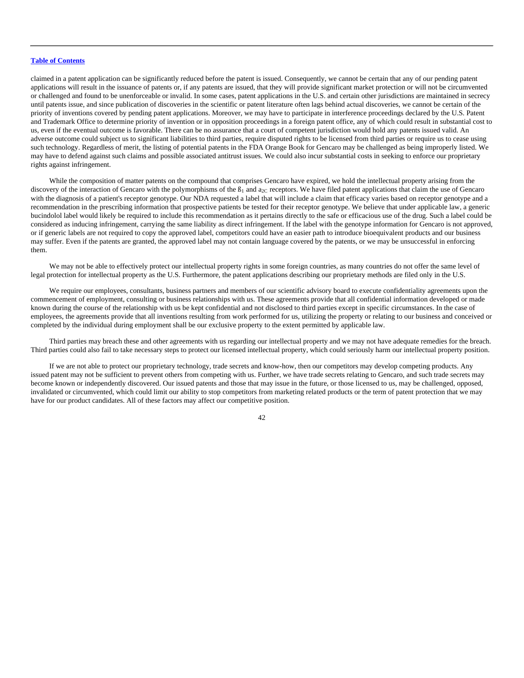claimed in a patent application can be significantly reduced before the patent is issued. Consequently, we cannot be certain that any of our pending patent applications will result in the issuance of patents or, if any patents are issued, that they will provide significant market protection or will not be circumvented or challenged and found to be unenforceable or invalid. In some cases, patent applications in the U.S. and certain other jurisdictions are maintained in secrecy until patents issue, and since publication of discoveries in the scientific or patent literature often lags behind actual discoveries, we cannot be certain of the priority of inventions covered by pending patent applications. Moreover, we may have to participate in interference proceedings declared by the U.S. Patent and Trademark Office to determine priority of invention or in opposition proceedings in a foreign patent office, any of which could result in substantial cost to us, even if the eventual outcome is favorable. There can be no assurance that a court of competent jurisdiction would hold any patents issued valid. An adverse outcome could subject us to significant liabilities to third parties, require disputed rights to be licensed from third parties or require us to cease using such technology. Regardless of merit, the listing of potential patents in the FDA Orange Book for Gencaro may be challenged as being improperly listed. We may have to defend against such claims and possible associated antitrust issues. We could also incur substantial costs in seeking to enforce our proprietary rights against infringement.

While the composition of matter patents on the compound that comprises Gencaro have expired, we hold the intellectual property arising from the discovery of the interaction of Gencaro with the polymorphisms of the  $\beta_1$  and  $a_{2C}$  receptors. We have filed patent applications that claim the use of Gencaro with the diagnosis of a patient's receptor genotype. Our NDA requested a label that will include a claim that efficacy varies based on receptor genotype and a recommendation in the prescribing information that prospective patients be tested for their receptor genotype. We believe that under applicable law, a generic bucindolol label would likely be required to include this recommendation as it pertains directly to the safe or efficacious use of the drug. Such a label could be considered as inducing infringement, carrying the same liability as direct infringement. If the label with the genotype information for Gencaro is not approved, or if generic labels are not required to copy the approved label, competitors could have an easier path to introduce bioequivalent products and our business may suffer. Even if the patents are granted, the approved label may not contain language covered by the patents, or we may be unsuccessful in enforcing them.

We may not be able to effectively protect our intellectual property rights in some foreign countries, as many countries do not offer the same level of legal protection for intellectual property as the U.S. Furthermore, the patent applications describing our proprietary methods are filed only in the U.S.

We require our employees, consultants, business partners and members of our scientific advisory board to execute confidentiality agreements upon the commencement of employment, consulting or business relationships with us. These agreements provide that all confidential information developed or made known during the course of the relationship with us be kept confidential and not disclosed to third parties except in specific circumstances. In the case of employees, the agreements provide that all inventions resulting from work performed for us, utilizing the property or relating to our business and conceived or completed by the individual during employment shall be our exclusive property to the extent permitted by applicable law.

Third parties may breach these and other agreements with us regarding our intellectual property and we may not have adequate remedies for the breach. Third parties could also fail to take necessary steps to protect our licensed intellectual property, which could seriously harm our intellectual property position.

If we are not able to protect our proprietary technology, trade secrets and know-how, then our competitors may develop competing products. Any issued patent may not be sufficient to prevent others from competing with us. Further, we have trade secrets relating to Gencaro, and such trade secrets may become known or independently discovered. Our issued patents and those that may issue in the future, or those licensed to us, may be challenged, opposed, invalidated or circumvented, which could limit our ability to stop competitors from marketing related products or the term of patent protection that we may have for our product candidates. All of these factors may affect our competitive position.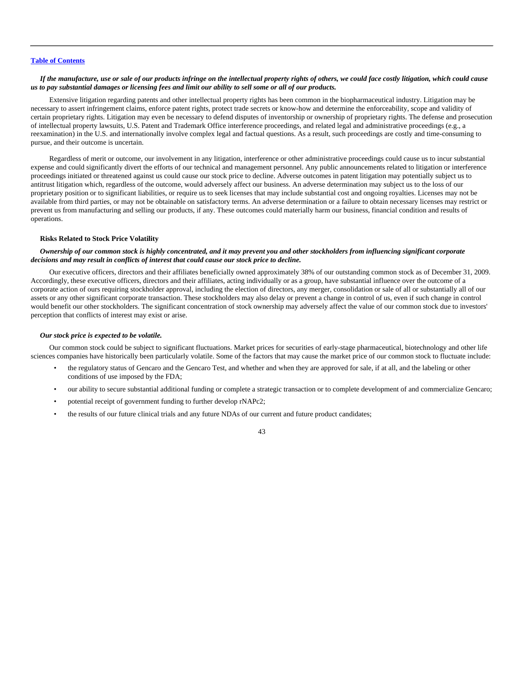# *If the manufacture, use or sale of our products infringe on the intellectual property rights of others, we could face costly litigation, which could cause us to pay substantial damages or licensing fees and limit our ability to sell some or all of our products.*

Extensive litigation regarding patents and other intellectual property rights has been common in the biopharmaceutical industry. Litigation may be necessary to assert infringement claims, enforce patent rights, protect trade secrets or know-how and determine the enforceability, scope and validity of certain proprietary rights. Litigation may even be necessary to defend disputes of inventorship or ownership of proprietary rights. The defense and prosecution of intellectual property lawsuits, U.S. Patent and Trademark Office interference proceedings, and related legal and administrative proceedings (e.g., a reexamination) in the U.S. and internationally involve complex legal and factual questions. As a result, such proceedings are costly and time-consuming to pursue, and their outcome is uncertain.

Regardless of merit or outcome, our involvement in any litigation, interference or other administrative proceedings could cause us to incur substantial expense and could significantly divert the efforts of our technical and management personnel. Any public announcements related to litigation or interference proceedings initiated or threatened against us could cause our stock price to decline. Adverse outcomes in patent litigation may potentially subject us to antitrust litigation which, regardless of the outcome, would adversely affect our business. An adverse determination may subject us to the loss of our proprietary position or to significant liabilities, or require us to seek licenses that may include substantial cost and ongoing royalties. Licenses may not be available from third parties, or may not be obtainable on satisfactory terms. An adverse determination or a failure to obtain necessary licenses may restrict or prevent us from manufacturing and selling our products, if any. These outcomes could materially harm our business, financial condition and results of operations.

#### **Risks Related to Stock Price Volatility**

# *Ownership of our common stock is highly concentrated, and it may prevent you and other stockholders from influencing significant corporate decisions and may result in conflicts of interest that could cause our stock price to decline.*

Our executive officers, directors and their affiliates beneficially owned approximately 38% of our outstanding common stock as of December 31, 2009. Accordingly, these executive officers, directors and their affiliates, acting individually or as a group, have substantial influence over the outcome of a corporate action of ours requiring stockholder approval, including the election of directors, any merger, consolidation or sale of all or substantially all of our assets or any other significant corporate transaction. These stockholders may also delay or prevent a change in control of us, even if such change in control would benefit our other stockholders. The significant concentration of stock ownership may adversely affect the value of our common stock due to investors' perception that conflicts of interest may exist or arise.

#### *Our stock price is expected to be volatile.*

Our common stock could be subject to significant fluctuations. Market prices for securities of early-stage pharmaceutical, biotechnology and other life sciences companies have historically been particularly volatile. Some of the factors that may cause the market price of our common stock to fluctuate include:

- the regulatory status of Gencaro and the Gencaro Test, and whether and when they are approved for sale, if at all, and the labeling or other conditions of use imposed by the FDA;
- our ability to secure substantial additional funding or complete a strategic transaction or to complete development of and commercialize Gencaro;
- potential receipt of government funding to further develop rNAPc2;
- the results of our future clinical trials and any future NDAs of our current and future product candidates;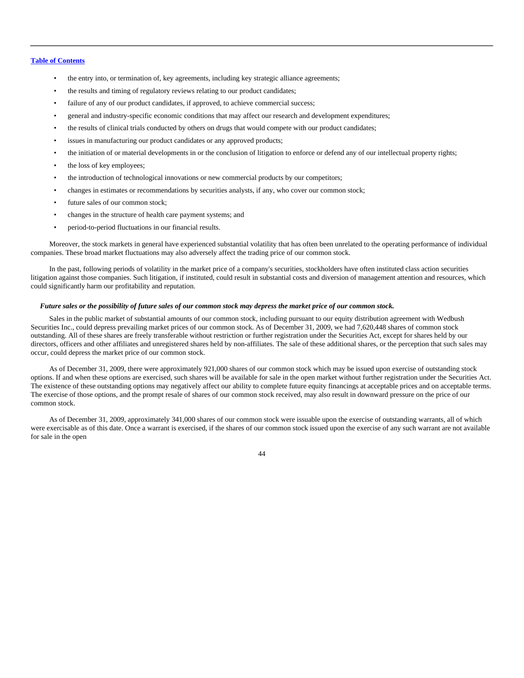- the entry into, or termination of, key agreements, including key strategic alliance agreements;
- the results and timing of regulatory reviews relating to our product candidates;
- failure of any of our product candidates, if approved, to achieve commercial success;
- general and industry-specific economic conditions that may affect our research and development expenditures;
- the results of clinical trials conducted by others on drugs that would compete with our product candidates;
- issues in manufacturing our product candidates or any approved products;
- the initiation of or material developments in or the conclusion of litigation to enforce or defend any of our intellectual property rights;
- the loss of key employees;
- the introduction of technological innovations or new commercial products by our competitors;
- changes in estimates or recommendations by securities analysts, if any, who cover our common stock;
- future sales of our common stock;
- changes in the structure of health care payment systems; and
- period-to-period fluctuations in our financial results.

Moreover, the stock markets in general have experienced substantial volatility that has often been unrelated to the operating performance of individual companies. These broad market fluctuations may also adversely affect the trading price of our common stock.

In the past, following periods of volatility in the market price of a company's securities, stockholders have often instituted class action securities litigation against those companies. Such litigation, if instituted, could result in substantial costs and diversion of management attention and resources, which could significantly harm our profitability and reputation.

## *Future sales or the possibility of future sales of our common stock may depress the market price of our common stock.*

Sales in the public market of substantial amounts of our common stock, including pursuant to our equity distribution agreement with Wedbush Securities Inc., could depress prevailing market prices of our common stock. As of December 31, 2009, we had 7,620,448 shares of common stock outstanding. All of these shares are freely transferable without restriction or further registration under the Securities Act, except for shares held by our directors, officers and other affiliates and unregistered shares held by non-affiliates. The sale of these additional shares, or the perception that such sales may occur, could depress the market price of our common stock.

As of December 31, 2009, there were approximately 921,000 shares of our common stock which may be issued upon exercise of outstanding stock options. If and when these options are exercised, such shares will be available for sale in the open market without further registration under the Securities Act. The existence of these outstanding options may negatively affect our ability to complete future equity financings at acceptable prices and on acceptable terms. The exercise of those options, and the prompt resale of shares of our common stock received, may also result in downward pressure on the price of our common stock.

As of December 31, 2009, approximately 341,000 shares of our common stock were issuable upon the exercise of outstanding warrants, all of which were exercisable as of this date. Once a warrant is exercised, if the shares of our common stock issued upon the exercise of any such warrant are not available for sale in the open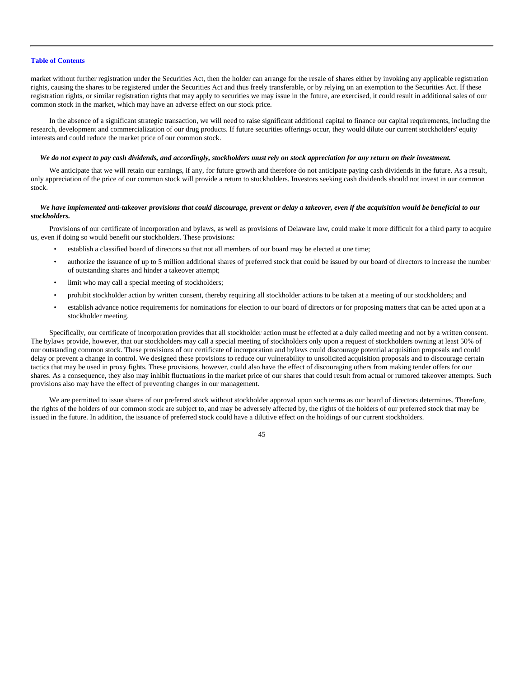market without further registration under the Securities Act, then the holder can arrange for the resale of shares either by invoking any applicable registration rights, causing the shares to be registered under the Securities Act and thus freely transferable, or by relying on an exemption to the Securities Act. If these registration rights, or similar registration rights that may apply to securities we may issue in the future, are exercised, it could result in additional sales of our common stock in the market, which may have an adverse effect on our stock price.

In the absence of a significant strategic transaction, we will need to raise significant additional capital to finance our capital requirements, including the research, development and commercialization of our drug products. If future securities offerings occur, they would dilute our current stockholders' equity interests and could reduce the market price of our common stock.

#### *We do not expect to pay cash dividends, and accordingly, stockholders must rely on stock appreciation for any return on their investment.*

We anticipate that we will retain our earnings, if any, for future growth and therefore do not anticipate paying cash dividends in the future. As a result, only appreciation of the price of our common stock will provide a return to stockholders. Investors seeking cash dividends should not invest in our common stock.

# *We have implemented anti-takeover provisions that could discourage, prevent or delay a takeover, even if the acquisition would be beneficial to our stockholders.*

Provisions of our certificate of incorporation and bylaws, as well as provisions of Delaware law, could make it more difficult for a third party to acquire us, even if doing so would benefit our stockholders. These provisions:

- establish a classified board of directors so that not all members of our board may be elected at one time;
- authorize the issuance of up to 5 million additional shares of preferred stock that could be issued by our board of directors to increase the number of outstanding shares and hinder a takeover attempt;
- limit who may call a special meeting of stockholders;
- prohibit stockholder action by written consent, thereby requiring all stockholder actions to be taken at a meeting of our stockholders; and
- establish advance notice requirements for nominations for election to our board of directors or for proposing matters that can be acted upon at a stockholder meeting.

Specifically, our certificate of incorporation provides that all stockholder action must be effected at a duly called meeting and not by a written consent. The bylaws provide, however, that our stockholders may call a special meeting of stockholders only upon a request of stockholders owning at least 50% of our outstanding common stock. These provisions of our certificate of incorporation and bylaws could discourage potential acquisition proposals and could delay or prevent a change in control. We designed these provisions to reduce our vulnerability to unsolicited acquisition proposals and to discourage certain tactics that may be used in proxy fights. These provisions, however, could also have the effect of discouraging others from making tender offers for our shares. As a consequence, they also may inhibit fluctuations in the market price of our shares that could result from actual or rumored takeover attempts. Such provisions also may have the effect of preventing changes in our management.

We are permitted to issue shares of our preferred stock without stockholder approval upon such terms as our board of directors determines. Therefore, the rights of the holders of our common stock are subject to, and may be adversely affected by, the rights of the holders of our preferred stock that may be issued in the future. In addition, the issuance of preferred stock could have a dilutive effect on the holdings of our current stockholders.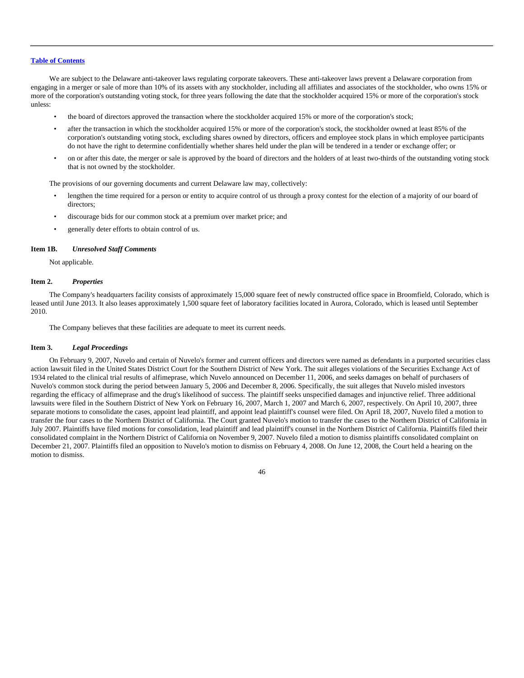We are subject to the Delaware anti-takeover laws regulating corporate takeovers. These anti-takeover laws prevent a Delaware corporation from engaging in a merger or sale of more than 10% of its assets with any stockholder, including all affiliates and associates of the stockholder, who owns 15% or more of the corporation's outstanding voting stock, for three years following the date that the stockholder acquired 15% or more of the corporation's stock unless:

- the board of directors approved the transaction where the stockholder acquired 15% or more of the corporation's stock;
- after the transaction in which the stockholder acquired 15% or more of the corporation's stock, the stockholder owned at least 85% of the corporation's outstanding voting stock, excluding shares owned by directors, officers and employee stock plans in which employee participants do not have the right to determine confidentially whether shares held under the plan will be tendered in a tender or exchange offer; or
- on or after this date, the merger or sale is approved by the board of directors and the holders of at least two-thirds of the outstanding voting stock that is not owned by the stockholder.

The provisions of our governing documents and current Delaware law may, collectively:

- lengthen the time required for a person or entity to acquire control of us through a proxy contest for the election of a majority of our board of directors;
- discourage bids for our common stock at a premium over market price; and
- generally deter efforts to obtain control of us.

# **Item 1B.** *Unresolved Staff Comments*

Not applicable.

# **Item 2.** *Properties*

The Company's headquarters facility consists of approximately 15,000 square feet of newly constructed office space in Broomfield, Colorado, which is leased until June 2013. It also leases approximately 1,500 square feet of laboratory facilities located in Aurora, Colorado, which is leased until September 2010.

The Company believes that these facilities are adequate to meet its current needs.

#### **Item 3.** *Legal Proceedings*

On February 9, 2007, Nuvelo and certain of Nuvelo's former and current officers and directors were named as defendants in a purported securities class action lawsuit filed in the United States District Court for the Southern District of New York. The suit alleges violations of the Securities Exchange Act of 1934 related to the clinical trial results of alfimeprase, which Nuvelo announced on December 11, 2006, and seeks damages on behalf of purchasers of Nuvelo's common stock during the period between January 5, 2006 and December 8, 2006. Specifically, the suit alleges that Nuvelo misled investors regarding the efficacy of alfimeprase and the drug's likelihood of success. The plaintiff seeks unspecified damages and injunctive relief. Three additional lawsuits were filed in the Southern District of New York on February 16, 2007, March 1, 2007 and March 6, 2007, respectively. On April 10, 2007, three separate motions to consolidate the cases, appoint lead plaintiff, and appoint lead plaintiff's counsel were filed. On April 18, 2007, Nuvelo filed a motion to transfer the four cases to the Northern District of California. The Court granted Nuvelo's motion to transfer the cases to the Northern District of California in July 2007. Plaintiffs have filed motions for consolidation, lead plaintiff and lead plaintiff's counsel in the Northern District of California. Plaintiffs filed their consolidated complaint in the Northern District of California on November 9, 2007. Nuvelo filed a motion to dismiss plaintiffs consolidated complaint on December 21, 2007. Plaintiffs filed an opposition to Nuvelo's motion to dismiss on February 4, 2008. On June 12, 2008, the Court held a hearing on the motion to dismiss.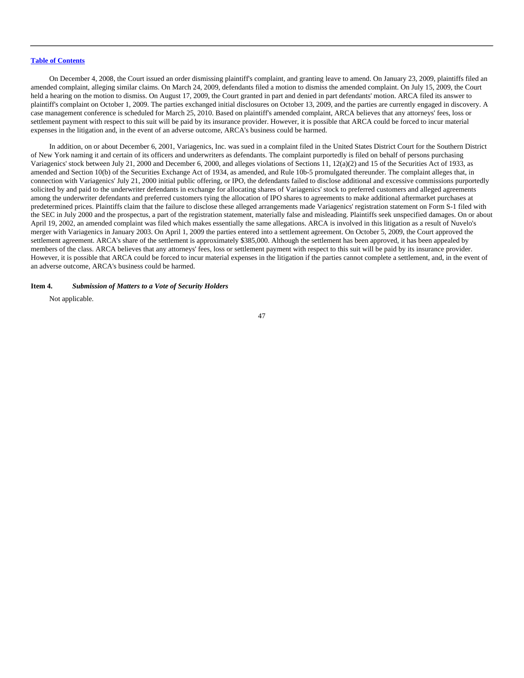On December 4, 2008, the Court issued an order dismissing plaintiff's complaint, and granting leave to amend. On January 23, 2009, plaintiffs filed an amended complaint, alleging similar claims. On March 24, 2009, defendants filed a motion to dismiss the amended complaint. On July 15, 2009, the Court held a hearing on the motion to dismiss. On August 17, 2009, the Court granted in part and denied in part defendants' motion. ARCA filed its answer to plaintiff's complaint on October 1, 2009. The parties exchanged initial disclosures on October 13, 2009, and the parties are currently engaged in discovery. A case management conference is scheduled for March 25, 2010. Based on plaintiff's amended complaint, ARCA believes that any attorneys' fees, loss or settlement payment with respect to this suit will be paid by its insurance provider. However, it is possible that ARCA could be forced to incur material expenses in the litigation and, in the event of an adverse outcome, ARCA's business could be harmed.

In addition, on or about December 6, 2001, Variagenics, Inc. was sued in a complaint filed in the United States District Court for the Southern District of New York naming it and certain of its officers and underwriters as defendants. The complaint purportedly is filed on behalf of persons purchasing Variagenics' stock between July 21, 2000 and December 6, 2000, and alleges violations of Sections 11, 12(a)(2) and 15 of the Securities Act of 1933, as amended and Section 10(b) of the Securities Exchange Act of 1934, as amended, and Rule 10b-5 promulgated thereunder. The complaint alleges that, in connection with Variagenics' July 21, 2000 initial public offering, or IPO, the defendants failed to disclose additional and excessive commissions purportedly solicited by and paid to the underwriter defendants in exchange for allocating shares of Variagenics' stock to preferred customers and alleged agreements among the underwriter defendants and preferred customers tying the allocation of IPO shares to agreements to make additional aftermarket purchases at predetermined prices. Plaintiffs claim that the failure to disclose these alleged arrangements made Variagenics' registration statement on Form S-1 filed with the SEC in July 2000 and the prospectus, a part of the registration statement, materially false and misleading. Plaintiffs seek unspecified damages. On or about April 19, 2002, an amended complaint was filed which makes essentially the same allegations. ARCA is involved in this litigation as a result of Nuvelo's merger with Variagenics in January 2003. On April 1, 2009 the parties entered into a settlement agreement. On October 5, 2009, the Court approved the settlement agreement. ARCA's share of the settlement is approximately \$385,000. Although the settlement has been approved, it has been appealed by members of the class. ARCA believes that any attorneys' fees, loss or settlement payment with respect to this suit will be paid by its insurance provider. However, it is possible that ARCA could be forced to incur material expenses in the litigation if the parties cannot complete a settlement, and, in the event of an adverse outcome, ARCA's business could be harmed.

**Item 4.** *Submission of Matters to a Vote of Security Holders*

Not applicable.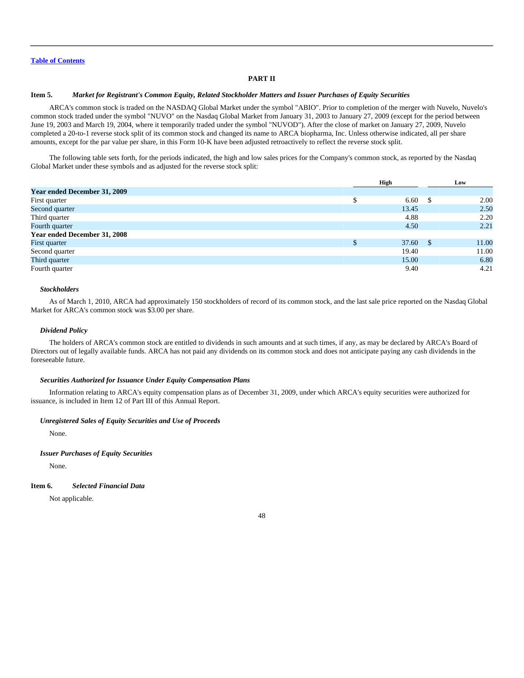# **PART II**

## **Item 5.** *Market for Registrant's Common Equity, Related Stockholder Matters and Issuer Purchases of Equity Securities*

ARCA's common stock is traded on the NASDAQ Global Market under the symbol "ABIO". Prior to completion of the merger with Nuvelo, Nuvelo's common stock traded under the symbol "NUVO" on the Nasdaq Global Market from January 31, 2003 to January 27, 2009 (except for the period between June 19, 2003 and March 19, 2004, where it temporarily traded under the symbol "NUVOD"). After the close of market on January 27, 2009, Nuvelo completed a 20-to-1 reverse stock split of its common stock and changed its name to ARCA biopharma, Inc. Unless otherwise indicated, all per share amounts, except for the par value per share, in this Form 10-K have been adjusted retroactively to reflect the reverse stock split.

The following table sets forth, for the periods indicated, the high and low sales prices for the Company's common stock, as reported by the Nasdaq Global Market under these symbols and as adjusted for the reverse stock split:

|                                     | High        |    | Low   |
|-------------------------------------|-------------|----|-------|
| <b>Year ended December 31, 2009</b> |             |    |       |
| First quarter                       | \$<br>6.60  | S  | 2.00  |
| Second quarter                      | 13.45       |    | 2.50  |
| Third quarter                       | 4.88        |    | 2.20  |
| Fourth quarter                      | 4.50        |    | 2.21  |
| Year ended December 31, 2008        |             |    |       |
| First quarter                       | \$<br>37.60 | -S | 11.00 |
| Second quarter                      | 19.40       |    | 11.00 |
| Third quarter                       | 15.00       |    | 6.80  |
| Fourth quarter                      | 9.40        |    | 4.21  |

## *Stockholders*

As of March 1, 2010, ARCA had approximately 150 stockholders of record of its common stock, and the last sale price reported on the Nasdaq Global Market for ARCA's common stock was \$3.00 per share.

# *Dividend Policy*

The holders of ARCA's common stock are entitled to dividends in such amounts and at such times, if any, as may be declared by ARCA's Board of Directors out of legally available funds. ARCA has not paid any dividends on its common stock and does not anticipate paying any cash dividends in the foreseeable future.

#### *Securities Authorized for Issuance Under Equity Compensation Plans*

Information relating to ARCA's equity compensation plans as of December 31, 2009, under which ARCA's equity securities were authorized for issuance, is included in Item 12 of Part III of this Annual Report.

#### *Unregistered Sales of Equity Securities and Use of Proceeds*

None.

*Issuer Purchases of Equity Securities*

None.

## **Item 6.** *Selected Financial Data*

Not applicable.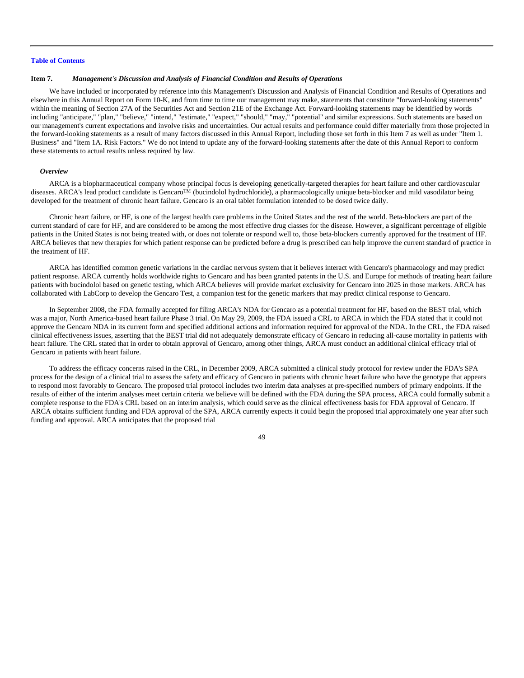### **Item 7.** *Management's Discussion and Analysis of Financial Condition and Results of Operations*

We have included or incorporated by reference into this Management's Discussion and Analysis of Financial Condition and Results of Operations and elsewhere in this Annual Report on Form 10-K, and from time to time our management may make, statements that constitute "forward-looking statements" within the meaning of Section 27A of the Securities Act and Section 21E of the Exchange Act. Forward-looking statements may be identified by words including "anticipate," "plan," "believe," "intend," "estimate," "expect," "should," "may," "potential" and similar expressions. Such statements are based on our management's current expectations and involve risks and uncertainties. Our actual results and performance could differ materially from those projected in the forward-looking statements as a result of many factors discussed in this Annual Report, including those set forth in this Item 7 as well as under "Item 1. Business" and "Item 1A. Risk Factors." We do not intend to update any of the forward-looking statements after the date of this Annual Report to conform these statements to actual results unless required by law.

#### *Overview*

ARCA is a biopharmaceutical company whose principal focus is developing genetically-targeted therapies for heart failure and other cardiovascular diseases. ARCA's lead product candidate is Gencaro<sup>TM</sup> (bucindolol hydrochloride), a pharmacologically unique beta-blocker and mild vasodilator being developed for the treatment of chronic heart failure. Gencaro is an oral tablet formulation intended to be dosed twice daily.

Chronic heart failure, or HF, is one of the largest health care problems in the United States and the rest of the world. Beta-blockers are part of the current standard of care for HF, and are considered to be among the most effective drug classes for the disease. However, a significant percentage of eligible patients in the United States is not being treated with, or does not tolerate or respond well to, those beta-blockers currently approved for the treatment of HF. ARCA believes that new therapies for which patient response can be predicted before a drug is prescribed can help improve the current standard of practice in the treatment of HF.

ARCA has identified common genetic variations in the cardiac nervous system that it believes interact with Gencaro's pharmacology and may predict patient response. ARCA currently holds worldwide rights to Gencaro and has been granted patents in the U.S. and Europe for methods of treating heart failure patients with bucindolol based on genetic testing, which ARCA believes will provide market exclusivity for Gencaro into 2025 in those markets. ARCA has collaborated with LabCorp to develop the Gencaro Test, a companion test for the genetic markers that may predict clinical response to Gencaro.

In September 2008, the FDA formally accepted for filing ARCA's NDA for Gencaro as a potential treatment for HF, based on the BEST trial, which was a major, North America-based heart failure Phase 3 trial. On May 29, 2009, the FDA issued a CRL to ARCA in which the FDA stated that it could not approve the Gencaro NDA in its current form and specified additional actions and information required for approval of the NDA. In the CRL, the FDA raised clinical effectiveness issues, asserting that the BEST trial did not adequately demonstrate efficacy of Gencaro in reducing all-cause mortality in patients with heart failure. The CRL stated that in order to obtain approval of Gencaro, among other things, ARCA must conduct an additional clinical efficacy trial of Gencaro in patients with heart failure.

To address the efficacy concerns raised in the CRL, in December 2009, ARCA submitted a clinical study protocol for review under the FDA's SPA process for the design of a clinical trial to assess the safety and efficacy of Gencaro in patients with chronic heart failure who have the genotype that appears to respond most favorably to Gencaro. The proposed trial protocol includes two interim data analyses at pre-specified numbers of primary endpoints. If the results of either of the interim analyses meet certain criteria we believe will be defined with the FDA during the SPA process, ARCA could formally submit a complete response to the FDA's CRL based on an interim analysis, which could serve as the clinical effectiveness basis for FDA approval of Gencaro. If ARCA obtains sufficient funding and FDA approval of the SPA, ARCA currently expects it could begin the proposed trial approximately one year after such funding and approval. ARCA anticipates that the proposed trial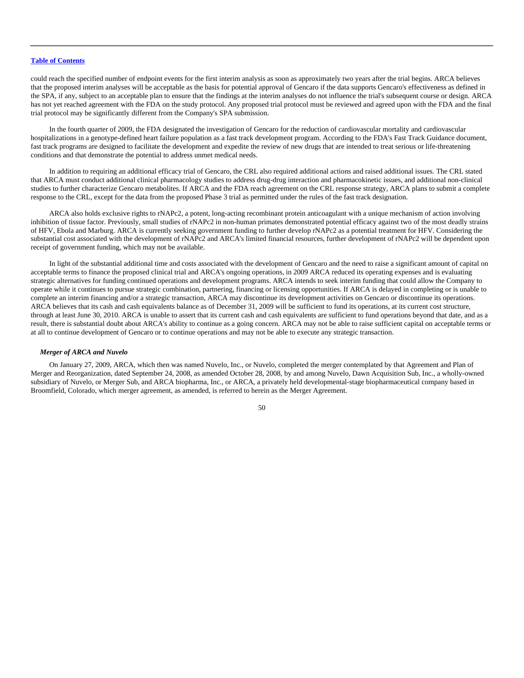could reach the specified number of endpoint events for the first interim analysis as soon as approximately two years after the trial begins. ARCA believes that the proposed interim analyses will be acceptable as the basis for potential approval of Gencaro if the data supports Gencaro's effectiveness as defined in the SPA, if any, subject to an acceptable plan to ensure that the findings at the interim analyses do not influence the trial's subsequent course or design. ARCA has not yet reached agreement with the FDA on the study protocol. Any proposed trial protocol must be reviewed and agreed upon with the FDA and the final trial protocol may be significantly different from the Company's SPA submission.

In the fourth quarter of 2009, the FDA designated the investigation of Gencaro for the reduction of cardiovascular mortality and cardiovascular hospitalizations in a genotype-defined heart failure population as a fast track development program. According to the FDA's Fast Track Guidance document, fast track programs are designed to facilitate the development and expedite the review of new drugs that are intended to treat serious or life-threatening conditions and that demonstrate the potential to address unmet medical needs.

In addition to requiring an additional efficacy trial of Gencaro, the CRL also required additional actions and raised additional issues. The CRL stated that ARCA must conduct additional clinical pharmacology studies to address drug-drug interaction and pharmacokinetic issues, and additional non-clinical studies to further characterize Gencaro metabolites. If ARCA and the FDA reach agreement on the CRL response strategy, ARCA plans to submit a complete response to the CRL, except for the data from the proposed Phase 3 trial as permitted under the rules of the fast track designation.

ARCA also holds exclusive rights to rNAPc2, a potent, long-acting recombinant protein anticoagulant with a unique mechanism of action involving inhibition of tissue factor. Previously, small studies of rNAPc2 in non-human primates demonstrated potential efficacy against two of the most deadly strains of HFV, Ebola and Marburg. ARCA is currently seeking government funding to further develop rNAPc2 as a potential treatment for HFV. Considering the substantial cost associated with the development of rNAPc2 and ARCA's limited financial resources, further development of rNAPc2 will be dependent upon receipt of government funding, which may not be available.

In light of the substantial additional time and costs associated with the development of Gencaro and the need to raise a significant amount of capital on acceptable terms to finance the proposed clinical trial and ARCA's ongoing operations, in 2009 ARCA reduced its operating expenses and is evaluating strategic alternatives for funding continued operations and development programs. ARCA intends to seek interim funding that could allow the Company to operate while it continues to pursue strategic combination, partnering, financing or licensing opportunities. If ARCA is delayed in completing or is unable to complete an interim financing and/or a strategic transaction, ARCA may discontinue its development activities on Gencaro or discontinue its operations. ARCA believes that its cash and cash equivalents balance as of December 31, 2009 will be sufficient to fund its operations, at its current cost structure, through at least June 30, 2010. ARCA is unable to assert that its current cash and cash equivalents are sufficient to fund operations beyond that date, and as a result, there is substantial doubt about ARCA's ability to continue as a going concern. ARCA may not be able to raise sufficient capital on acceptable terms or at all to continue development of Gencaro or to continue operations and may not be able to execute any strategic transaction.

# *Merger of ARCA and Nuvelo*

On January 27, 2009, ARCA, which then was named Nuvelo, Inc., or Nuvelo, completed the merger contemplated by that Agreement and Plan of Merger and Reorganization, dated September 24, 2008, as amended October 28, 2008, by and among Nuvelo, Dawn Acquisition Sub, Inc., a wholly-owned subsidiary of Nuvelo, or Merger Sub, and ARCA biopharma, Inc., or ARCA, a privately held developmental-stage biopharmaceutical company based in Broomfield, Colorado, which merger agreement, as amended, is referred to herein as the Merger Agreement.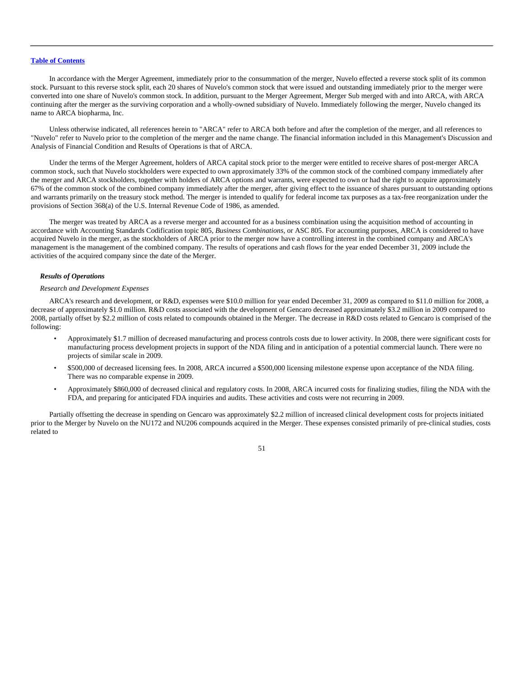In accordance with the Merger Agreement, immediately prior to the consummation of the merger, Nuvelo effected a reverse stock split of its common stock. Pursuant to this reverse stock split, each 20 shares of Nuvelo's common stock that were issued and outstanding immediately prior to the merger were converted into one share of Nuvelo's common stock. In addition, pursuant to the Merger Agreement, Merger Sub merged with and into ARCA, with ARCA continuing after the merger as the surviving corporation and a wholly-owned subsidiary of Nuvelo. Immediately following the merger, Nuvelo changed its name to ARCA biopharma, Inc.

Unless otherwise indicated, all references herein to "ARCA" refer to ARCA both before and after the completion of the merger, and all references to "Nuvelo" refer to Nuvelo prior to the completion of the merger and the name change. The financial information included in this Management's Discussion and Analysis of Financial Condition and Results of Operations is that of ARCA.

Under the terms of the Merger Agreement, holders of ARCA capital stock prior to the merger were entitled to receive shares of post-merger ARCA common stock, such that Nuvelo stockholders were expected to own approximately 33% of the common stock of the combined company immediately after the merger and ARCA stockholders, together with holders of ARCA options and warrants, were expected to own or had the right to acquire approximately 67% of the common stock of the combined company immediately after the merger, after giving effect to the issuance of shares pursuant to outstanding options and warrants primarily on the treasury stock method. The merger is intended to qualify for federal income tax purposes as a tax-free reorganization under the provisions of Section 368(a) of the U.S. Internal Revenue Code of 1986, as amended.

The merger was treated by ARCA as a reverse merger and accounted for as a business combination using the acquisition method of accounting in accordance with Accounting Standards Codification topic 805, *Business Combinations*, or ASC 805. For accounting purposes, ARCA is considered to have acquired Nuvelo in the merger, as the stockholders of ARCA prior to the merger now have a controlling interest in the combined company and ARCA's management is the management of the combined company. The results of operations and cash flows for the year ended December 31, 2009 include the activities of the acquired company since the date of the Merger.

## *Results of Operations*

## *Research and Development Expenses*

ARCA's research and development, or R&D, expenses were \$10.0 million for year ended December 31, 2009 as compared to \$11.0 million for 2008, a decrease of approximately \$1.0 million. R&D costs associated with the development of Gencaro decreased approximately \$3.2 million in 2009 compared to 2008, partially offset by \$2.2 million of costs related to compounds obtained in the Merger. The decrease in R&D costs related to Gencaro is comprised of the following:

- Approximately \$1.7 million of decreased manufacturing and process controls costs due to lower activity. In 2008, there were significant costs for manufacturing process development projects in support of the NDA filing and in anticipation of a potential commercial launch. There were no projects of similar scale in 2009.
- \$500,000 of decreased licensing fees. In 2008, ARCA incurred a \$500,000 licensing milestone expense upon acceptance of the NDA filing. There was no comparable expense in 2009.
- Approximately \$860,000 of decreased clinical and regulatory costs. In 2008, ARCA incurred costs for finalizing studies, filing the NDA with the FDA, and preparing for anticipated FDA inquiries and audits. These activities and costs were not recurring in 2009.

Partially offsetting the decrease in spending on Gencaro was approximately \$2.2 million of increased clinical development costs for projects initiated prior to the Merger by Nuvelo on the NU172 and NU206 compounds acquired in the Merger. These expenses consisted primarily of pre-clinical studies, costs related to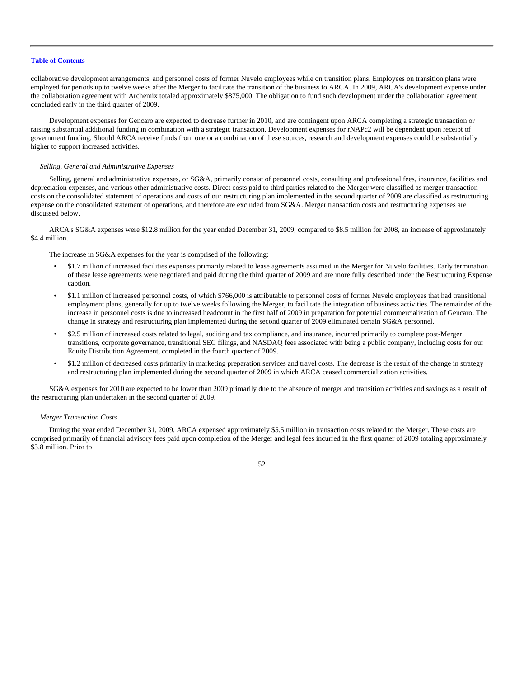collaborative development arrangements, and personnel costs of former Nuvelo employees while on transition plans. Employees on transition plans were employed for periods up to twelve weeks after the Merger to facilitate the transition of the business to ARCA. In 2009, ARCA's development expense under the collaboration agreement with Archemix totaled approximately \$875,000. The obligation to fund such development under the collaboration agreement concluded early in the third quarter of 2009.

Development expenses for Gencaro are expected to decrease further in 2010, and are contingent upon ARCA completing a strategic transaction or raising substantial additional funding in combination with a strategic transaction. Development expenses for rNAPc2 will be dependent upon receipt of government funding. Should ARCA receive funds from one or a combination of these sources, research and development expenses could be substantially higher to support increased activities.

#### *Selling, General and Administrative Expenses*

Selling, general and administrative expenses, or SG&A, primarily consist of personnel costs, consulting and professional fees, insurance, facilities and depreciation expenses, and various other administrative costs. Direct costs paid to third parties related to the Merger were classified as merger transaction costs on the consolidated statement of operations and costs of our restructuring plan implemented in the second quarter of 2009 are classified as restructuring expense on the consolidated statement of operations, and therefore are excluded from SG&A. Merger transaction costs and restructuring expenses are discussed below.

ARCA's SG&A expenses were \$12.8 million for the year ended December 31, 2009, compared to \$8.5 million for 2008, an increase of approximately \$4.4 million.

The increase in SG&A expenses for the year is comprised of the following:

- \$1.7 million of increased facilities expenses primarily related to lease agreements assumed in the Merger for Nuvelo facilities. Early termination of these lease agreements were negotiated and paid during the third quarter of 2009 and are more fully described under the Restructuring Expense caption.
- \$1.1 million of increased personnel costs, of which \$766,000 is attributable to personnel costs of former Nuvelo employees that had transitional employment plans, generally for up to twelve weeks following the Merger, to facilitate the integration of business activities. The remainder of the increase in personnel costs is due to increased headcount in the first half of 2009 in preparation for potential commercialization of Gencaro. The change in strategy and restructuring plan implemented during the second quarter of 2009 eliminated certain SG&A personnel.
- \$2.5 million of increased costs related to legal, auditing and tax compliance, and insurance, incurred primarily to complete post-Merger transitions, corporate governance, transitional SEC filings, and NASDAQ fees associated with being a public company, including costs for our Equity Distribution Agreement, completed in the fourth quarter of 2009.
- \$1.2 million of decreased costs primarily in marketing preparation services and travel costs. The decrease is the result of the change in strategy and restructuring plan implemented during the second quarter of 2009 in which ARCA ceased commercialization activities.

SG&A expenses for 2010 are expected to be lower than 2009 primarily due to the absence of merger and transition activities and savings as a result of the restructuring plan undertaken in the second quarter of 2009.

#### *Merger Transaction Costs*

During the year ended December 31, 2009, ARCA expensed approximately \$5.5 million in transaction costs related to the Merger. These costs are comprised primarily of financial advisory fees paid upon completion of the Merger and legal fees incurred in the first quarter of 2009 totaling approximately \$3.8 million. Prior to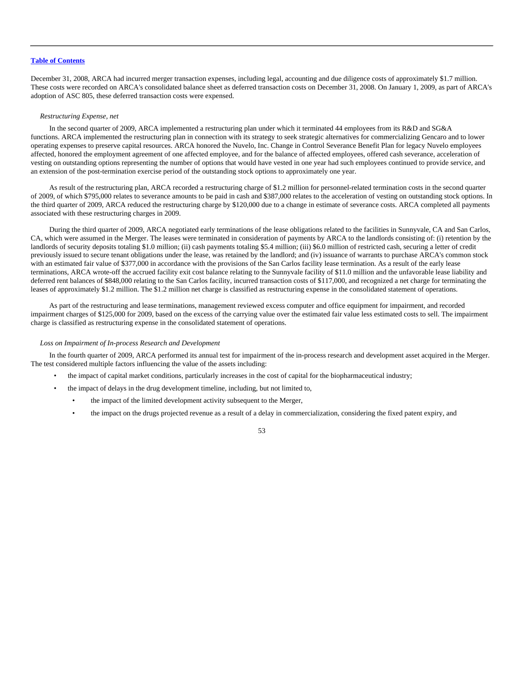December 31, 2008, ARCA had incurred merger transaction expenses, including legal, accounting and due diligence costs of approximately \$1.7 million. These costs were recorded on ARCA's consolidated balance sheet as deferred transaction costs on December 31, 2008. On January 1, 2009, as part of ARCA's adoption of ASC 805, these deferred transaction costs were expensed.

#### *Restructuring Expense, net*

In the second quarter of 2009, ARCA implemented a restructuring plan under which it terminated 44 employees from its R&D and SG&A functions. ARCA implemented the restructuring plan in connection with its strategy to seek strategic alternatives for commercializing Gencaro and to lower operating expenses to preserve capital resources. ARCA honored the Nuvelo, Inc. Change in Control Severance Benefit Plan for legacy Nuvelo employees affected, honored the employment agreement of one affected employee, and for the balance of affected employees, offered cash severance, acceleration of vesting on outstanding options representing the number of options that would have vested in one year had such employees continued to provide service, and an extension of the post-termination exercise period of the outstanding stock options to approximately one year.

As result of the restructuring plan, ARCA recorded a restructuring charge of \$1.2 million for personnel-related termination costs in the second quarter of 2009, of which \$795,000 relates to severance amounts to be paid in cash and \$387,000 relates to the acceleration of vesting on outstanding stock options. In the third quarter of 2009, ARCA reduced the restructuring charge by \$120,000 due to a change in estimate of severance costs. ARCA completed all payments associated with these restructuring charges in 2009.

During the third quarter of 2009, ARCA negotiated early terminations of the lease obligations related to the facilities in Sunnyvale, CA and San Carlos, CA, which were assumed in the Merger. The leases were terminated in consideration of payments by ARCA to the landlords consisting of: (i) retention by the landlords of security deposits totaling \$1.0 million; (ii) cash payments totaling \$5.4 million; (iii) \$6.0 million of restricted cash, securing a letter of credit previously issued to secure tenant obligations under the lease, was retained by the landlord; and (iv) issuance of warrants to purchase ARCA's common stock with an estimated fair value of \$377,000 in accordance with the provisions of the San Carlos facility lease termination. As a result of the early lease terminations, ARCA wrote-off the accrued facility exit cost balance relating to the Sunnyvale facility of \$11.0 million and the unfavorable lease liability and deferred rent balances of \$848,000 relating to the San Carlos facility, incurred transaction costs of \$117,000, and recognized a net charge for terminating the leases of approximately \$1.2 million. The \$1.2 million net charge is classified as restructuring expense in the consolidated statement of operations.

As part of the restructuring and lease terminations, management reviewed excess computer and office equipment for impairment, and recorded impairment charges of \$125,000 for 2009, based on the excess of the carrying value over the estimated fair value less estimated costs to sell. The impairment charge is classified as restructuring expense in the consolidated statement of operations.

#### *Loss on Impairment of In-process Research and Development*

In the fourth quarter of 2009, ARCA performed its annual test for impairment of the in-process research and development asset acquired in the Merger. The test considered multiple factors influencing the value of the assets including:

- the impact of capital market conditions, particularly increases in the cost of capital for the biopharmaceutical industry;
- the impact of delays in the drug development timeline, including, but not limited to,
	- the impact of the limited development activity subsequent to the Merger,
	- the impact on the drugs projected revenue as a result of a delay in commercialization, considering the fixed patent expiry, and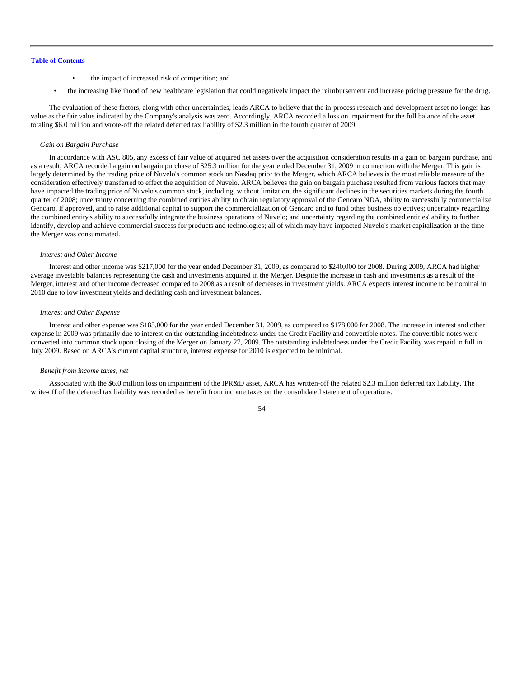- the impact of increased risk of competition; and
- the increasing likelihood of new healthcare legislation that could negatively impact the reimbursement and increase pricing pressure for the drug.

The evaluation of these factors, along with other uncertainties, leads ARCA to believe that the in-process research and development asset no longer has value as the fair value indicated by the Company's analysis was zero. Accordingly, ARCA recorded a loss on impairment for the full balance of the asset totaling \$6.0 million and wrote-off the related deferred tax liability of \$2.3 million in the fourth quarter of 2009.

#### *Gain on Bargain Purchase*

In accordance with ASC 805, any excess of fair value of acquired net assets over the acquisition consideration results in a gain on bargain purchase, and as a result, ARCA recorded a gain on bargain purchase of \$25.3 million for the year ended December 31, 2009 in connection with the Merger. This gain is largely determined by the trading price of Nuvelo's common stock on Nasdaq prior to the Merger, which ARCA believes is the most reliable measure of the consideration effectively transferred to effect the acquisition of Nuvelo. ARCA believes the gain on bargain purchase resulted from various factors that may have impacted the trading price of Nuvelo's common stock, including, without limitation, the significant declines in the securities markets during the fourth quarter of 2008; uncertainty concerning the combined entities ability to obtain regulatory approval of the Gencaro NDA, ability to successfully commercialize Gencaro, if approved, and to raise additional capital to support the commercialization of Gencaro and to fund other business objectives; uncertainty regarding the combined entity's ability to successfully integrate the business operations of Nuvelo; and uncertainty regarding the combined entities' ability to further identify, develop and achieve commercial success for products and technologies; all of which may have impacted Nuvelo's market capitalization at the time the Merger was consummated.

#### *Interest and Other Income*

Interest and other income was \$217,000 for the year ended December 31, 2009, as compared to \$240,000 for 2008. During 2009, ARCA had higher average investable balances representing the cash and investments acquired in the Merger. Despite the increase in cash and investments as a result of the Merger, interest and other income decreased compared to 2008 as a result of decreases in investment yields. ARCA expects interest income to be nominal in 2010 due to low investment yields and declining cash and investment balances.

#### *Interest and Other Expense*

Interest and other expense was \$185,000 for the year ended December 31, 2009, as compared to \$178,000 for 2008. The increase in interest and other expense in 2009 was primarily due to interest on the outstanding indebtedness under the Credit Facility and convertible notes. The convertible notes were converted into common stock upon closing of the Merger on January 27, 2009. The outstanding indebtedness under the Credit Facility was repaid in full in July 2009. Based on ARCA's current capital structure, interest expense for 2010 is expected to be minimal.

#### *Benefit from income taxes, net*

Associated with the \$6.0 million loss on impairment of the IPR&D asset, ARCA has written-off the related \$2.3 million deferred tax liability. The write-off of the deferred tax liability was recorded as benefit from income taxes on the consolidated statement of operations.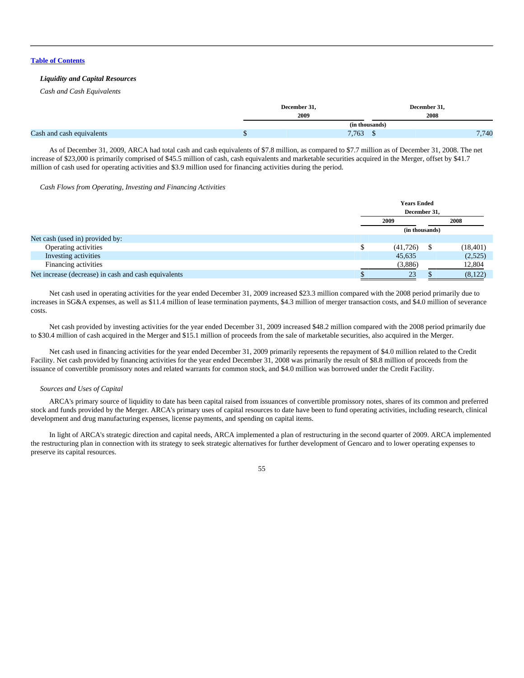# *Liquidity and Capital Resources*

*Cash and Cash Equivalents*

|                           | December 31.   | December 31. |       |  |
|---------------------------|----------------|--------------|-------|--|
|                           | 2009           | 2008         |       |  |
|                           | (in thousands) |              |       |  |
| Cash and cash equivalents | 7,763          | ۰D           | 7,740 |  |

As of December 31, 2009, ARCA had total cash and cash equivalents of \$7.8 million, as compared to \$7.7 million as of December 31, 2008. The net increase of \$23,000 is primarily comprised of \$45.5 million of cash, cash equivalents and marketable securities acquired in the Merger, offset by \$41.7 million of cash used for operating activities and \$3.9 million used for financing activities during the period.

*Cash Flows from Operating, Investing and Financing Activities*

|                                                      |   | <b>Years Ended</b> |  |           |  |  |
|------------------------------------------------------|---|--------------------|--|-----------|--|--|
|                                                      |   | December 31,       |  |           |  |  |
|                                                      |   | 2008<br>2009       |  |           |  |  |
|                                                      |   | (in thousands)     |  |           |  |  |
| Net cash (used in) provided by:                      |   |                    |  |           |  |  |
| Operating activities                                 | S | (41, 726)          |  | (18, 401) |  |  |
| Investing activities                                 |   | 45,635             |  | (2,525)   |  |  |
| Financing activities                                 |   | (3,886)            |  | 12,804    |  |  |
| Net increase (decrease) in cash and cash equivalents |   | 23                 |  | (8,122)   |  |  |

Net cash used in operating activities for the year ended December 31, 2009 increased \$23.3 million compared with the 2008 period primarily due to increases in SG&A expenses, as well as \$11.4 million of lease termination payments, \$4.3 million of merger transaction costs, and \$4.0 million of severance costs.

Net cash provided by investing activities for the year ended December 31, 2009 increased \$48.2 million compared with the 2008 period primarily due to \$30.4 million of cash acquired in the Merger and \$15.1 million of proceeds from the sale of marketable securities, also acquired in the Merger.

Net cash used in financing activities for the year ended December 31, 2009 primarily represents the repayment of \$4.0 million related to the Credit Facility. Net cash provided by financing activities for the year ended December 31, 2008 was primarily the result of \$8.8 million of proceeds from the issuance of convertible promissory notes and related warrants for common stock, and \$4.0 million was borrowed under the Credit Facility.

## *Sources and Uses of Capital*

ARCA's primary source of liquidity to date has been capital raised from issuances of convertible promissory notes, shares of its common and preferred stock and funds provided by the Merger. ARCA's primary uses of capital resources to date have been to fund operating activities, including research, clinical development and drug manufacturing expenses, license payments, and spending on capital items.

In light of ARCA's strategic direction and capital needs, ARCA implemented a plan of restructuring in the second quarter of 2009. ARCA implemented the restructuring plan in connection with its strategy to seek strategic alternatives for further development of Gencaro and to lower operating expenses to preserve its capital resources.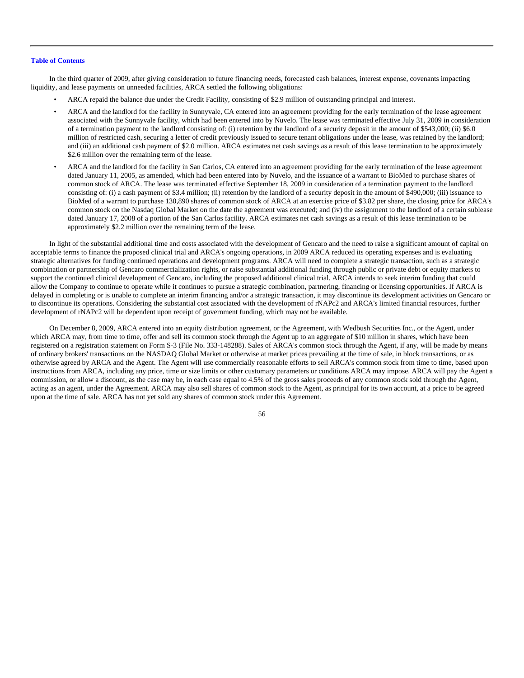In the third quarter of 2009, after giving consideration to future financing needs, forecasted cash balances, interest expense, covenants impacting liquidity, and lease payments on unneeded facilities, ARCA settled the following obligations:

- ARCA repaid the balance due under the Credit Facility, consisting of \$2.9 million of outstanding principal and interest.
- ARCA and the landlord for the facility in Sunnyvale, CA entered into an agreement providing for the early termination of the lease agreement associated with the Sunnyvale facility, which had been entered into by Nuvelo. The lease was terminated effective July 31, 2009 in consideration of a termination payment to the landlord consisting of: (i) retention by the landlord of a security deposit in the amount of \$543,000; (ii) \$6.0 million of restricted cash, securing a letter of credit previously issued to secure tenant obligations under the lease, was retained by the landlord; and (iii) an additional cash payment of \$2.0 million. ARCA estimates net cash savings as a result of this lease termination to be approximately \$2.6 million over the remaining term of the lease.
- ARCA and the landlord for the facility in San Carlos, CA entered into an agreement providing for the early termination of the lease agreement dated January 11, 2005, as amended, which had been entered into by Nuvelo, and the issuance of a warrant to BioMed to purchase shares of common stock of ARCA. The lease was terminated effective September 18, 2009 in consideration of a termination payment to the landlord consisting of: (i) a cash payment of \$3.4 million; (ii) retention by the landlord of a security deposit in the amount of \$490,000; (iii) issuance to BioMed of a warrant to purchase 130,890 shares of common stock of ARCA at an exercise price of \$3.82 per share, the closing price for ARCA's common stock on the Nasdaq Global Market on the date the agreement was executed; and (iv) the assignment to the landlord of a certain sublease dated January 17, 2008 of a portion of the San Carlos facility. ARCA estimates net cash savings as a result of this lease termination to be approximately \$2.2 million over the remaining term of the lease.

In light of the substantial additional time and costs associated with the development of Gencaro and the need to raise a significant amount of capital on acceptable terms to finance the proposed clinical trial and ARCA's ongoing operations, in 2009 ARCA reduced its operating expenses and is evaluating strategic alternatives for funding continued operations and development programs. ARCA will need to complete a strategic transaction, such as a strategic combination or partnership of Gencaro commercialization rights, or raise substantial additional funding through public or private debt or equity markets to support the continued clinical development of Gencaro, including the proposed additional clinical trial. ARCA intends to seek interim funding that could allow the Company to continue to operate while it continues to pursue a strategic combination, partnering, financing or licensing opportunities. If ARCA is delayed in completing or is unable to complete an interim financing and/or a strategic transaction, it may discontinue its development activities on Gencaro or to discontinue its operations. Considering the substantial cost associated with the development of rNAPc2 and ARCA's limited financial resources, further development of rNAPc2 will be dependent upon receipt of government funding, which may not be available.

On December 8, 2009, ARCA entered into an equity distribution agreement, or the Agreement, with Wedbush Securities Inc., or the Agent, under which ARCA may, from time to time, offer and sell its common stock through the Agent up to an aggregate of \$10 million in shares, which have been registered on a registration statement on Form S-3 (File No. 333-148288). Sales of ARCA's common stock through the Agent, if any, will be made by means of ordinary brokers' transactions on the NASDAQ Global Market or otherwise at market prices prevailing at the time of sale, in block transactions, or as otherwise agreed by ARCA and the Agent. The Agent will use commercially reasonable efforts to sell ARCA's common stock from time to time, based upon instructions from ARCA, including any price, time or size limits or other customary parameters or conditions ARCA may impose. ARCA will pay the Agent a commission, or allow a discount, as the case may be, in each case equal to 4.5% of the gross sales proceeds of any common stock sold through the Agent, acting as an agent, under the Agreement. ARCA may also sell shares of common stock to the Agent, as principal for its own account, at a price to be agreed upon at the time of sale. ARCA has not yet sold any shares of common stock under this Agreement.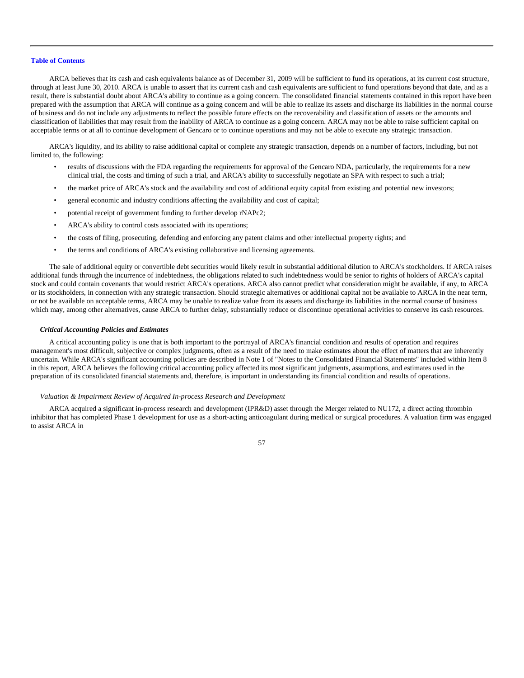ARCA believes that its cash and cash equivalents balance as of December 31, 2009 will be sufficient to fund its operations, at its current cost structure, through at least June 30, 2010. ARCA is unable to assert that its current cash and cash equivalents are sufficient to fund operations beyond that date, and as a result, there is substantial doubt about ARCA's ability to continue as a going concern. The consolidated financial statements contained in this report have been prepared with the assumption that ARCA will continue as a going concern and will be able to realize its assets and discharge its liabilities in the normal course of business and do not include any adjustments to reflect the possible future effects on the recoverability and classification of assets or the amounts and classification of liabilities that may result from the inability of ARCA to continue as a going concern. ARCA may not be able to raise sufficient capital on acceptable terms or at all to continue development of Gencaro or to continue operations and may not be able to execute any strategic transaction.

ARCA's liquidity, and its ability to raise additional capital or complete any strategic transaction, depends on a number of factors, including, but not limited to, the following:

- results of discussions with the FDA regarding the requirements for approval of the Gencaro NDA, particularly, the requirements for a new clinical trial, the costs and timing of such a trial, and ARCA's ability to successfully negotiate an SPA with respect to such a trial;
- the market price of ARCA's stock and the availability and cost of additional equity capital from existing and potential new investors;
- general economic and industry conditions affecting the availability and cost of capital;
- potential receipt of government funding to further develop rNAPc2;
- ARCA's ability to control costs associated with its operations;
- the costs of filing, prosecuting, defending and enforcing any patent claims and other intellectual property rights; and
- the terms and conditions of ARCA's existing collaborative and licensing agreements.

The sale of additional equity or convertible debt securities would likely result in substantial additional dilution to ARCA's stockholders. If ARCA raises additional funds through the incurrence of indebtedness, the obligations related to such indebtedness would be senior to rights of holders of ARCA's capital stock and could contain covenants that would restrict ARCA's operations. ARCA also cannot predict what consideration might be available, if any, to ARCA or its stockholders, in connection with any strategic transaction. Should strategic alternatives or additional capital not be available to ARCA in the near term, or not be available on acceptable terms, ARCA may be unable to realize value from its assets and discharge its liabilities in the normal course of business which may, among other alternatives, cause ARCA to further delay, substantially reduce or discontinue operational activities to conserve its cash resources.

#### *Critical Accounting Policies and Estimates*

A critical accounting policy is one that is both important to the portrayal of ARCA's financial condition and results of operation and requires management's most difficult, subjective or complex judgments, often as a result of the need to make estimates about the effect of matters that are inherently uncertain. While ARCA's significant accounting policies are described in Note 1 of "Notes to the Consolidated Financial Statements" included within Item 8 in this report, ARCA believes the following critical accounting policy affected its most significant judgments, assumptions, and estimates used in the preparation of its consolidated financial statements and, therefore, is important in understanding its financial condition and results of operations.

## *Valuation & Impairment Review of Acquired In-process Research and Development*

ARCA acquired a significant in-process research and development (IPR&D) asset through the Merger related to NU172, a direct acting thrombin inhibitor that has completed Phase 1 development for use as a short-acting anticoagulant during medical or surgical procedures. A valuation firm was engaged to assist ARCA in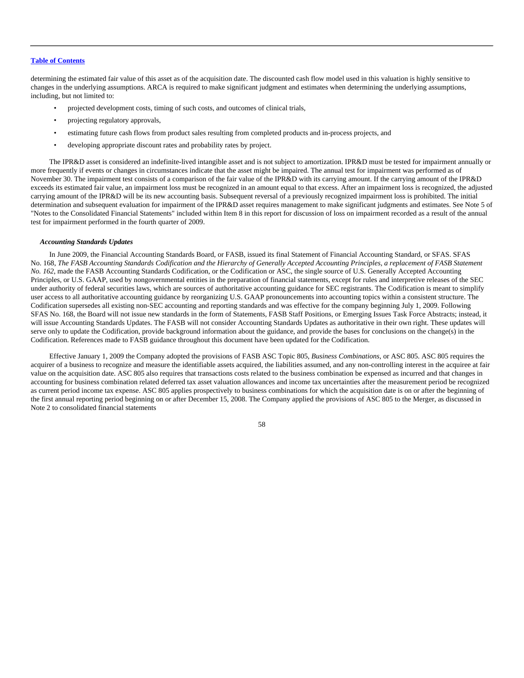determining the estimated fair value of this asset as of the acquisition date. The discounted cash flow model used in this valuation is highly sensitive to changes in the underlying assumptions. ARCA is required to make significant judgment and estimates when determining the underlying assumptions, including, but not limited to:

- projected development costs, timing of such costs, and outcomes of clinical trials,
- projecting regulatory approvals,
- estimating future cash flows from product sales resulting from completed products and in-process projects, and
- developing appropriate discount rates and probability rates by project.

The IPR&D asset is considered an indefinite-lived intangible asset and is not subject to amortization. IPR&D must be tested for impairment annually or more frequently if events or changes in circumstances indicate that the asset might be impaired. The annual test for impairment was performed as of November 30. The impairment test consists of a comparison of the fair value of the IPR&D with its carrying amount. If the carrying amount of the IPR&D exceeds its estimated fair value, an impairment loss must be recognized in an amount equal to that excess. After an impairment loss is recognized, the adjusted carrying amount of the IPR&D will be its new accounting basis. Subsequent reversal of a previously recognized impairment loss is prohibited. The initial determination and subsequent evaluation for impairment of the IPR&D asset requires management to make significant judgments and estimates. See Note 5 of "Notes to the Consolidated Financial Statements" included within Item 8 in this report for discussion of loss on impairment recorded as a result of the annual test for impairment performed in the fourth quarter of 2009.

#### *Accounting Standards Updates*

In June 2009, the Financial Accounting Standards Board, or FASB, issued its final Statement of Financial Accounting Standard, or SFAS. SFAS No. 168, *The FASB Accounting Standards Codification and the Hierarchy of Generally Accepted Accounting Principles, a replacement of FASB Statement No. 162*, made the FASB Accounting Standards Codification, or the Codification or ASC, the single source of U.S. Generally Accepted Accounting Principles, or U.S. GAAP, used by nongovernmental entities in the preparation of financial statements, except for rules and interpretive releases of the SEC under authority of federal securities laws, which are sources of authoritative accounting guidance for SEC registrants. The Codification is meant to simplify user access to all authoritative accounting guidance by reorganizing U.S. GAAP pronouncements into accounting topics within a consistent structure. The Codification supersedes all existing non-SEC accounting and reporting standards and was effective for the company beginning July 1, 2009. Following SFAS No. 168, the Board will not issue new standards in the form of Statements, FASB Staff Positions, or Emerging Issues Task Force Abstracts; instead, it will issue Accounting Standards Updates. The FASB will not consider Accounting Standards Updates as authoritative in their own right. These updates will serve only to update the Codification, provide background information about the guidance, and provide the bases for conclusions on the change(s) in the Codification. References made to FASB guidance throughout this document have been updated for the Codification.

Effective January 1, 2009 the Company adopted the provisions of FASB ASC Topic 805, *Business Combinations*, or ASC 805. ASC 805 requires the acquirer of a business to recognize and measure the identifiable assets acquired, the liabilities assumed, and any non-controlling interest in the acquiree at fair value on the acquisition date. ASC 805 also requires that transactions costs related to the business combination be expensed as incurred and that changes in accounting for business combination related deferred tax asset valuation allowances and income tax uncertainties after the measurement period be recognized as current period income tax expense. ASC 805 applies prospectively to business combinations for which the acquisition date is on or after the beginning of the first annual reporting period beginning on or after December 15, 2008. The Company applied the provisions of ASC 805 to the Merger, as discussed in Note 2 to consolidated financial statements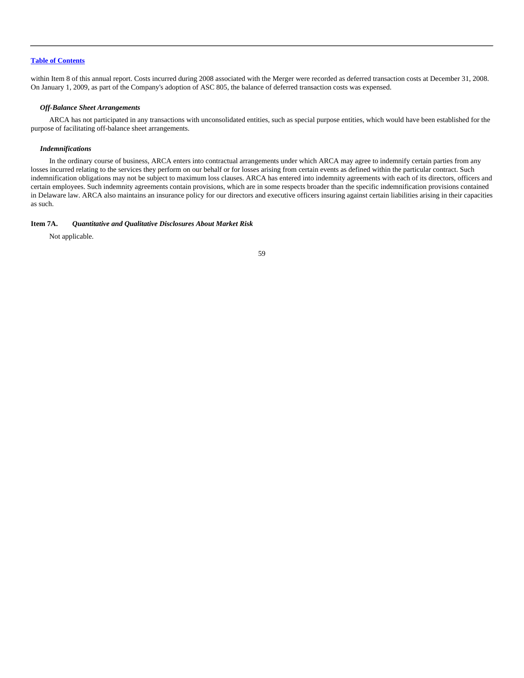within Item 8 of this annual report. Costs incurred during 2008 associated with the Merger were recorded as deferred transaction costs at December 31, 2008. On January 1, 2009, as part of the Company's adoption of ASC 805, the balance of deferred transaction costs was expensed.

#### *Off-Balance Sheet Arrangements*

ARCA has not participated in any transactions with unconsolidated entities, such as special purpose entities, which would have been established for the purpose of facilitating off-balance sheet arrangements.

## *Indemnifications*

In the ordinary course of business, ARCA enters into contractual arrangements under which ARCA may agree to indemnify certain parties from any losses incurred relating to the services they perform on our behalf or for losses arising from certain events as defined within the particular contract. Such indemnification obligations may not be subject to maximum loss clauses. ARCA has entered into indemnity agreements with each of its directors, officers and certain employees. Such indemnity agreements contain provisions, which are in some respects broader than the specific indemnification provisions contained in Delaware law. ARCA also maintains an insurance policy for our directors and executive officers insuring against certain liabilities arising in their capacities as such.

# **Item 7A.** *Quantitative and Qualitative Disclosures About Market Risk*

Not applicable.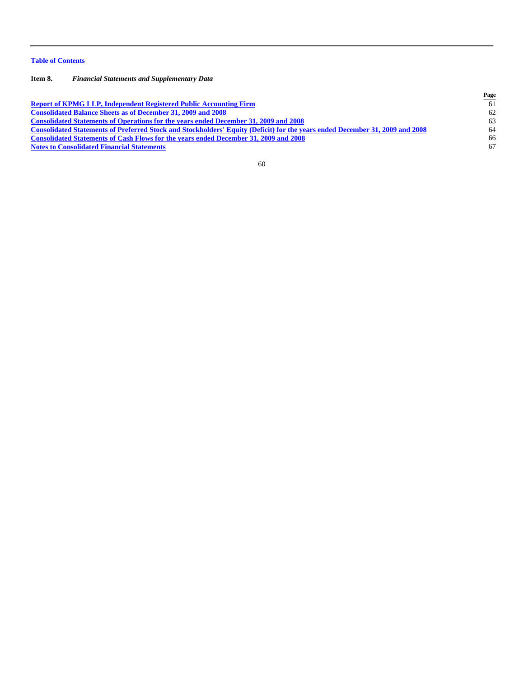# **Item 8.** *Financial Statements and Supplementary Data*

|                                                                                                                              | Page |
|------------------------------------------------------------------------------------------------------------------------------|------|
| <b>Report of KPMG LLP, Independent Registered Public Accounting Firm</b>                                                     | -61  |
| <b>Consolidated Balance Sheets as of December 31, 2009 and 2008</b>                                                          | 62   |
| <b>Consolidated Statements of Operations for the years ended December 31, 2009 and 2008</b>                                  | 63   |
| Consolidated Statements of Preferred Stock and Stockholders' Equity (Deficit) for the years ended December 31, 2009 and 2008 | 64   |
| <b>Consolidated Statements of Cash Flows for the years ended December 31, 2009 and 2008</b>                                  | 66   |
| <b>Notes to Consolidated Financial Statements</b>                                                                            | 67   |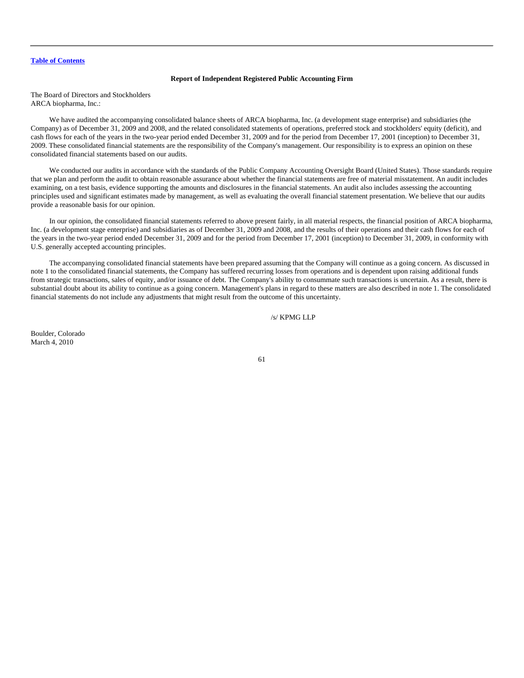# **Report of Independent Registered Public Accounting Firm**

<span id="page-61-0"></span>The Board of Directors and Stockholders ARCA biopharma, Inc.:

We have audited the accompanying consolidated balance sheets of ARCA biopharma, Inc. (a development stage enterprise) and subsidiaries (the Company) as of December 31, 2009 and 2008, and the related consolidated statements of operations, preferred stock and stockholders' equity (deficit), and cash flows for each of the years in the two-year period ended December 31, 2009 and for the period from December 17, 2001 (inception) to December 31, 2009. These consolidated financial statements are the responsibility of the Company's management. Our responsibility is to express an opinion on these consolidated financial statements based on our audits.

We conducted our audits in accordance with the standards of the Public Company Accounting Oversight Board (United States). Those standards require that we plan and perform the audit to obtain reasonable assurance about whether the financial statements are free of material misstatement. An audit includes examining, on a test basis, evidence supporting the amounts and disclosures in the financial statements. An audit also includes assessing the accounting principles used and significant estimates made by management, as well as evaluating the overall financial statement presentation. We believe that our audits provide a reasonable basis for our opinion.

In our opinion, the consolidated financial statements referred to above present fairly, in all material respects, the financial position of ARCA biopharma, Inc. (a development stage enterprise) and subsidiaries as of December 31, 2009 and 2008, and the results of their operations and their cash flows for each of the years in the two-year period ended December 31, 2009 and for the period from December 17, 2001 (inception) to December 31, 2009, in conformity with U.S. generally accepted accounting principles.

The accompanying consolidated financial statements have been prepared assuming that the Company will continue as a going concern. As discussed in note 1 to the consolidated financial statements, the Company has suffered recurring losses from operations and is dependent upon raising additional funds from strategic transactions, sales of equity, and/or issuance of debt. The Company's ability to consummate such transactions is uncertain. As a result, there is substantial doubt about its ability to continue as a going concern. Management's plans in regard to these matters are also described in note 1. The consolidated financial statements do not include any adjustments that might result from the outcome of this uncertainty.

# /s/ KPMG LLP

Boulder, Colorado March 4, 2010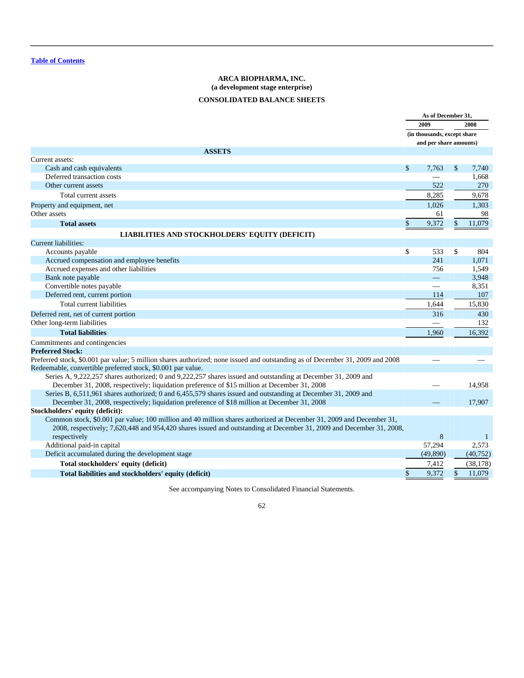# **ARCA BIOPHARMA, INC. (a development stage enterprise) CONSOLIDATED BALANCE SHEETS**

<span id="page-62-0"></span>

|                                                                                                                               |                                                       | As of December 31,       |    |           |
|-------------------------------------------------------------------------------------------------------------------------------|-------------------------------------------------------|--------------------------|----|-----------|
|                                                                                                                               |                                                       | 2009                     |    | 2008      |
|                                                                                                                               | (in thousands, except share<br>and per share amounts) |                          |    |           |
|                                                                                                                               |                                                       |                          |    |           |
| <b>ASSETS</b>                                                                                                                 |                                                       |                          |    |           |
| Current assets:                                                                                                               |                                                       |                          |    |           |
| Cash and cash equivalents                                                                                                     | $\mathbb{S}$                                          | 7.763                    | \$ | 7,740     |
| Deferred transaction costs                                                                                                    |                                                       |                          |    | 1,668     |
| Other current assets                                                                                                          |                                                       | 522                      |    | 270       |
| Total current assets                                                                                                          |                                                       | 8,285                    |    | 9,678     |
| Property and equipment, net                                                                                                   |                                                       | 1,026                    |    | 1,303     |
| Other assets                                                                                                                  |                                                       | 61                       |    | 98        |
| <b>Total assets</b>                                                                                                           | \$                                                    | 9,372                    | \$ | 11,079    |
| LIABILITIES AND STOCKHOLDERS' EQUITY (DEFICIT)                                                                                |                                                       |                          |    |           |
| <b>Current liabilities:</b>                                                                                                   |                                                       |                          |    |           |
| Accounts payable                                                                                                              | \$                                                    | 533                      | \$ | 804       |
| Accrued compensation and employee benefits                                                                                    |                                                       | 241                      |    | 1,071     |
| Accrued expenses and other liabilities                                                                                        |                                                       | 756                      |    | 1,549     |
| Bank note payable                                                                                                             |                                                       |                          |    | 3,948     |
| Convertible notes payable                                                                                                     |                                                       | $\overline{\phantom{a}}$ |    | 8,351     |
| Deferred rent, current portion                                                                                                |                                                       | 114                      |    | 107       |
| Total current liabilities                                                                                                     |                                                       | 1,644                    |    | 15,830    |
| Deferred rent, net of current portion                                                                                         |                                                       | 316                      |    | 430       |
| Other long-term liabilities                                                                                                   |                                                       |                          |    | 132       |
| <b>Total liabilities</b>                                                                                                      |                                                       | 1.960                    |    | 16,392    |
| Commitments and contingencies                                                                                                 |                                                       |                          |    |           |
| <b>Preferred Stock:</b>                                                                                                       |                                                       |                          |    |           |
| Preferred stock, \$0.001 par value; 5 million shares authorized; none issued and outstanding as of December 31, 2009 and 2008 |                                                       |                          |    |           |
| Redeemable, convertible preferred stock, \$0.001 par value.                                                                   |                                                       |                          |    |           |
| Series A, 9,222,257 shares authorized; 0 and 9,222,257 shares issued and outstanding at December 31, 2009 and                 |                                                       |                          |    |           |
| December 31, 2008, respectively; liquidation preference of \$15 million at December 31, 2008                                  |                                                       |                          |    | 14,958    |
| Series B, 6,511,961 shares authorized; 0 and 6,455,579 shares issued and outstanding at December 31, 2009 and                 |                                                       |                          |    |           |
| December 31, 2008, respectively; liquidation preference of \$18 million at December 31, 2008                                  |                                                       |                          |    | 17,907    |
| Stockholders' equity (deficit):                                                                                               |                                                       |                          |    |           |
| Common stock, \$0.001 par value; 100 million and 40 million shares authorized at December 31, 2009 and December 31,           |                                                       |                          |    |           |
| 2008, respectively; 7,620,448 and 954,420 shares issued and outstanding at December 31, 2009 and December 31, 2008,           |                                                       |                          |    |           |
| respectively                                                                                                                  |                                                       | 8                        |    | -1        |
| Additional paid-in capital                                                                                                    |                                                       | 57,294                   |    | 2.573     |
| Deficit accumulated during the development stage                                                                              |                                                       | (49, 890)                |    | (40, 752) |
| Total stockholders' equity (deficit)                                                                                          |                                                       | 7,412                    |    | (38, 178) |
| Total liabilities and stockholders' equity (deficit)                                                                          | \$                                                    | 9,372                    | \$ | 11,079    |

See accompanying Notes to Consolidated Financial Statements.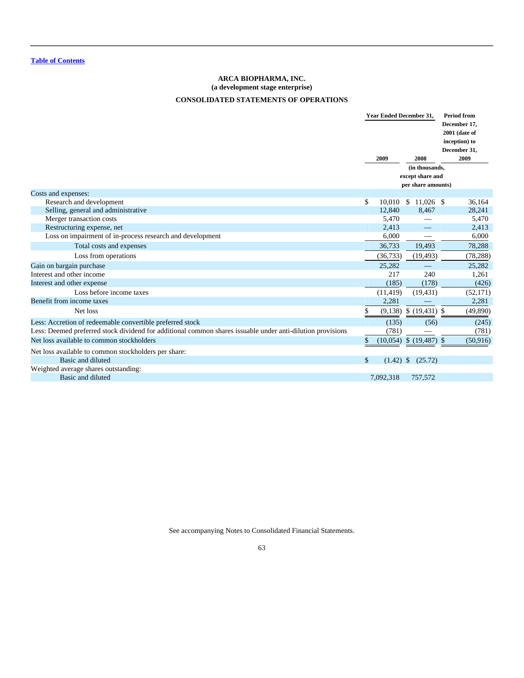# **ARCA BIOPHARMA, INC. (a development stage enterprise) CONSOLIDATED STATEMENTS OF OPERATIONS**

<span id="page-63-0"></span>

|                                                                                                            |                           | <b>Year Ended December 31.</b> | <b>Period from</b>                |               |
|------------------------------------------------------------------------------------------------------------|---------------------------|--------------------------------|-----------------------------------|---------------|
|                                                                                                            |                           |                                |                                   | December 17,  |
|                                                                                                            |                           |                                |                                   | 2001 (date of |
|                                                                                                            |                           |                                |                                   | inception) to |
|                                                                                                            |                           |                                |                                   | December 31,  |
|                                                                                                            |                           | 2009                           | 2008                              | 2009          |
|                                                                                                            |                           |                                | (in thousands,                    |               |
|                                                                                                            |                           |                                | except share and                  |               |
|                                                                                                            |                           |                                | per share amounts)                |               |
| Costs and expenses:                                                                                        |                           |                                |                                   |               |
| Research and development                                                                                   | \$                        | 10.010                         | $\mathbf{\hat{S}}$<br>$11,026$ \$ | 36,164        |
| Selling, general and administrative                                                                        |                           | 12,840                         | 8,467                             | 28,241        |
| Merger transaction costs                                                                                   |                           | 5,470                          |                                   | 5,470         |
| Restructuring expense, net                                                                                 |                           | 2,413                          |                                   | 2,413         |
| Loss on impairment of in-process research and development                                                  |                           | 6.000                          | --                                | 6,000         |
| Total costs and expenses                                                                                   |                           | 36,733                         | 19,493                            | 78,288        |
| Loss from operations                                                                                       |                           | (36, 733)                      | (19, 493)                         | (78, 288)     |
| Gain on bargain purchase                                                                                   |                           | 25,282                         |                                   | 25,282        |
| Interest and other income                                                                                  |                           | 217                            | 240                               | 1,261         |
| Interest and other expense                                                                                 |                           | (185)                          | (178)                             | (426)         |
| Loss before income taxes                                                                                   |                           | (11, 419)                      | (19, 431)                         | (52, 171)     |
| Benefit from income taxes                                                                                  |                           | 2,281                          |                                   | 2,281         |
| Net loss                                                                                                   | \$                        | (9,138)                        | $$(19,431)$ \\$                   | (49, 890)     |
| Less: Accretion of redeemable convertible preferred stock                                                  |                           | (135)                          | (56)                              | (245)         |
| Less: Deemed preferred stock dividend for additional common shares issuable under anti-dilution provisions |                           | (781)                          |                                   | (781)         |
| Net loss available to common stockholders                                                                  | \$                        |                                | $(10,054)$ \$ $(19,487)$ \$       | (50, 916)     |
| Net loss available to common stockholders per share:                                                       |                           |                                |                                   |               |
| Basic and diluted                                                                                          | $\boldsymbol{\mathsf{S}}$ | $(1.42)$ \$                    | (25.72)                           |               |
| Weighted average shares outstanding:                                                                       |                           |                                |                                   |               |
| Basic and diluted                                                                                          |                           | 7,092,318                      | 757,572                           |               |

See accompanying Notes to Consolidated Financial Statements.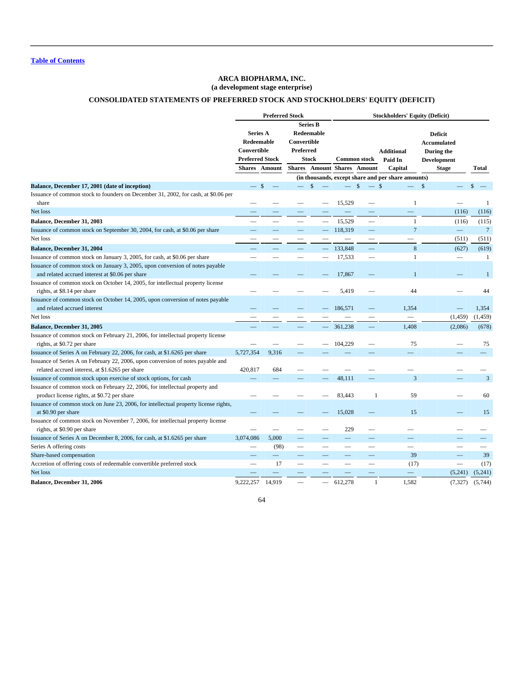# **ARCA BIOPHARMA, INC. (a development stage enterprise)**

# **CONSOLIDATED STATEMENTS OF PREFERRED STOCK AND STOCKHOLDERS' EQUITY (DEFICIT)**

<span id="page-64-0"></span>

|                                                                                      |                          | <b>Preferred Stock</b>    |                          |                                    | <b>Stockholders' Equity (Deficit)</b> |                          |                                                    |                          |                 |
|--------------------------------------------------------------------------------------|--------------------------|---------------------------|--------------------------|------------------------------------|---------------------------------------|--------------------------|----------------------------------------------------|--------------------------|-----------------|
|                                                                                      |                          |                           |                          | <b>Series B</b>                    |                                       |                          |                                                    |                          |                 |
|                                                                                      | <b>Series A</b>          |                           |                          | <b>Redeemable</b>                  |                                       |                          |                                                    | Deficit                  |                 |
|                                                                                      |                          | Redeemable<br>Convertible |                          | Convertible                        |                                       |                          |                                                    | <b>Accumulated</b>       |                 |
|                                                                                      |                          |                           |                          | Preferred                          |                                       |                          | <b>Additional</b>                                  | During the               |                 |
|                                                                                      | <b>Preferred Stock</b>   |                           | <b>Stock</b>             |                                    | <b>Common stock</b>                   |                          | Paid In                                            | <b>Development</b>       |                 |
|                                                                                      | <b>Shares</b> Amount     |                           |                          | <b>Shares</b> Amount Shares Amount |                                       |                          | Capital                                            | <b>Stage</b>             | <b>Total</b>    |
|                                                                                      |                          |                           |                          |                                    |                                       |                          | (in thousands, except share and per share amounts) |                          |                 |
| Balance, December 17, 2001 (date of inception)                                       | $-$ \$                   |                           |                          | \$                                 |                                       | $\mathbb{S}$<br>$-$ \$   |                                                    | $\sqrt$                  | \$              |
| Issuance of common stock to founders on December 31, 2002, for cash, at \$0.06 per   |                          |                           |                          |                                    |                                       |                          |                                                    |                          |                 |
| share                                                                                |                          |                           |                          |                                    | 15,529                                |                          | 1                                                  |                          | -1              |
| Net loss                                                                             |                          |                           |                          |                                    |                                       |                          |                                                    | (116)                    | (116)           |
| Balance, December 31, 2003                                                           |                          |                           |                          |                                    | 15,529                                | $\overline{\phantom{0}}$ | $\mathbf{1}$                                       | (116)                    | (115)           |
| Issuance of common stock on September 30, 2004, for cash, at \$0.06 per share        |                          |                           |                          |                                    | 118,319                               |                          | $\overline{7}$                                     | $\equiv$                 | $7\phantom{.0}$ |
| Net loss                                                                             |                          |                           |                          |                                    |                                       |                          |                                                    | (511)                    | (511)           |
| Balance, December 31, 2004                                                           |                          |                           |                          |                                    | 133,848                               | $\qquad \qquad -$        | 8                                                  | (627)                    | (619)           |
| Issuance of common stock on January 3, 2005, for cash, at \$0.06 per share           |                          |                           |                          |                                    | 17,533                                |                          | 1                                                  | $\overline{\phantom{0}}$ | -1              |
| Issuance of common stock on January 3, 2005, upon conversion of notes payable        |                          |                           |                          |                                    |                                       |                          |                                                    |                          |                 |
| and related accrued interest at \$0.06 per share                                     |                          |                           |                          |                                    | 17,867                                |                          | $\mathbf{1}$                                       |                          | 1               |
| Issuance of common stock on October 14, 2005, for intellectual property license      |                          |                           |                          |                                    |                                       |                          |                                                    |                          |                 |
| rights, at \$8.14 per share                                                          |                          |                           |                          |                                    | 5,419                                 |                          | 44                                                 |                          | 44              |
| Issuance of common stock on October 14, 2005, upon conversion of notes payable       |                          |                           |                          |                                    |                                       |                          |                                                    |                          |                 |
| and related accrued interest                                                         |                          |                           |                          |                                    | 186,571                               |                          | 1,354                                              |                          | 1,354           |
| Net loss                                                                             |                          |                           |                          |                                    |                                       |                          | $\overline{\phantom{0}}$                           | (1, 459)                 | (1,459)         |
| Balance, December 31, 2005                                                           |                          |                           |                          |                                    | 361,238                               |                          | 1,408                                              | (2,086)                  | (678)           |
| Issuance of common stock on February 21, 2006, for intellectual property license     |                          |                           |                          |                                    |                                       |                          |                                                    |                          |                 |
| rights, at \$0.72 per share                                                          |                          |                           |                          |                                    | 104,229                               |                          | 75                                                 |                          | 75              |
| Issuance of Series A on February 22, 2006, for cash, at \$1.6265 per share           | 5,727,354                | 9,316                     |                          |                                    |                                       |                          |                                                    |                          |                 |
| Issuance of Series A on February 22, 2006, upon conversion of notes payable and      |                          |                           |                          |                                    |                                       |                          |                                                    |                          |                 |
| related accrued interest, at \$1.6265 per share                                      | 420,817                  | 684                       |                          |                                    |                                       |                          |                                                    |                          |                 |
| Issuance of common stock upon exercise of stock options, for cash                    |                          |                           |                          |                                    | 48,111                                |                          | $\overline{3}$                                     |                          | 3               |
| Issuance of common stock on February 22, 2006, for intellectual property and         |                          |                           |                          |                                    |                                       |                          |                                                    |                          |                 |
| product license rights, at \$0.72 per share                                          |                          |                           |                          |                                    | 83,443                                | $\mathbf{1}$             | 59                                                 |                          | 60              |
| Issuance of common stock on June 23, 2006, for intellectual property license rights, |                          |                           |                          |                                    |                                       |                          |                                                    |                          |                 |
| at \$0.90 per share                                                                  |                          |                           |                          |                                    | 15,028                                |                          | 15                                                 |                          | 15              |
| Issuance of common stock on November 7, 2006, for intellectual property license      |                          |                           |                          |                                    |                                       |                          |                                                    |                          |                 |
| rights, at \$0.90 per share                                                          |                          |                           |                          |                                    | 229                                   |                          |                                                    |                          |                 |
| Issuance of Series A on December 8, 2006, for cash, at \$1.6265 per share            | 3,074,086                | 5,000                     |                          |                                    |                                       |                          |                                                    |                          |                 |
| Series A offering costs                                                              |                          | (98)                      | $\overline{\phantom{0}}$ |                                    |                                       |                          | and the                                            |                          |                 |
| Share-based compensation                                                             |                          | $\overline{\phantom{0}}$  |                          |                                    |                                       |                          | 39                                                 |                          | 39              |
| Accretion of offering costs of redeemable convertible preferred stock                | $\overline{\phantom{0}}$ | 17                        |                          |                                    |                                       |                          | (17)                                               |                          | (17)            |
| Net loss                                                                             |                          |                           |                          |                                    |                                       |                          |                                                    | (5,241)                  | (5,241)         |
| <b>Balance, December 31, 2006</b>                                                    | 9,222,257                | 14,919                    | $\overline{\phantom{0}}$ | $\overline{\phantom{0}}$           | 612,278                               | $\mathbf{1}$             | 1,582                                              | (7, 327)                 | (5,744)         |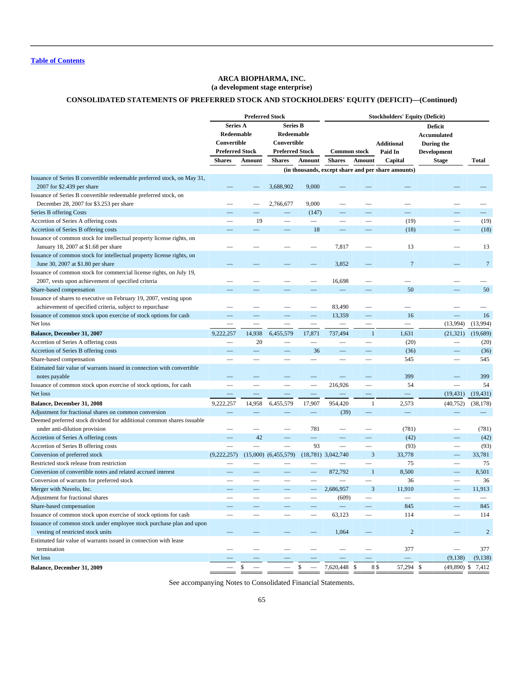# **ARCA BIOPHARMA, INC. (a development stage enterprise)**

# **CONSOLIDATED STATEMENTS OF PREFERRED STOCK AND STOCKHOLDERS' EQUITY (DEFICIT)—(Continued)**

|                                                                         |                          | <b>Preferred Stock</b>         |                          |                                | <b>Stockholders' Equity (Deficit)</b> |                                 |                                                    |                    |                          |
|-------------------------------------------------------------------------|--------------------------|--------------------------------|--------------------------|--------------------------------|---------------------------------------|---------------------------------|----------------------------------------------------|--------------------|--------------------------|
|                                                                         | Series A                 |                                | <b>Series B</b>          |                                |                                       |                                 |                                                    | <b>Deficit</b>     |                          |
|                                                                         | Redeemable               |                                | Redeemable               |                                |                                       |                                 |                                                    | <b>Accumulated</b> |                          |
|                                                                         | Convertible              |                                | Convertible              |                                |                                       |                                 | <b>Additional</b>                                  | During the         |                          |
|                                                                         | <b>Preferred Stock</b>   |                                | <b>Preferred Stock</b>   |                                | <b>Common stock</b>                   |                                 | Paid In                                            | <b>Development</b> |                          |
|                                                                         | <b>Shares</b>            | Amount                         | <b>Shares</b>            | Amount                         | <b>Shares</b>                         | Amount                          | Capital                                            | <b>Stage</b>       | Total                    |
|                                                                         |                          |                                |                          |                                |                                       |                                 | (in thousands, except share and per share amounts) |                    |                          |
| Issuance of Series B convertible redeemable preferred stock, on May 31, |                          |                                |                          |                                |                                       |                                 |                                                    |                    |                          |
| 2007 for \$2.439 per share                                              |                          |                                | 3,688,902                | 9,000                          |                                       |                                 |                                                    |                    |                          |
| Issuance of Series B convertible redeemable preferred stock, on         |                          |                                |                          |                                |                                       |                                 |                                                    |                    |                          |
| December 28, 2007 for \$3.253 per share                                 |                          |                                | 2,766,677                | 9,000                          |                                       |                                 |                                                    |                    |                          |
| Series B offering Costs                                                 |                          |                                |                          | (147)                          |                                       |                                 |                                                    |                    |                          |
| Accretion of Series A offering costs                                    |                          | 19                             |                          |                                | -                                     |                                 | (19)                                               |                    | (19)                     |
| Accretion of Series B offering costs                                    |                          |                                |                          | 18                             |                                       |                                 | (18)                                               |                    | (18)                     |
| Issuance of common stock for intellectual property license rights, on   |                          |                                |                          |                                |                                       |                                 |                                                    |                    |                          |
| January 18, 2007 at \$1.68 per share                                    |                          |                                |                          |                                | 7,817                                 |                                 | 13                                                 |                    | 13                       |
| Issuance of common stock for intellectual property license rights, on   |                          |                                |                          |                                |                                       |                                 |                                                    |                    |                          |
| June 30, 2007 at \$1.80 per share                                       |                          |                                |                          |                                | 3,852                                 |                                 | $\overline{7}$                                     |                    | $\overline{7}$           |
| Issuance of common stock for commercial license rights, on July 19,     |                          |                                |                          |                                |                                       |                                 |                                                    |                    |                          |
| 2007, vests upon achievement of specified criteria                      |                          |                                |                          |                                | 16,698                                |                                 |                                                    |                    |                          |
| Share-based compensation                                                |                          |                                |                          |                                |                                       |                                 | 50                                                 |                    | 50                       |
| Issuance of shares to executive on February 19, 2007, vesting upon      |                          |                                |                          |                                |                                       |                                 |                                                    |                    |                          |
| achievement of specified criteria, subject to repurchase                |                          |                                |                          |                                | 83,490                                |                                 |                                                    |                    |                          |
| Issuance of common stock upon exercise of stock options for cash        |                          |                                |                          |                                | 13,359                                | -                               | 16                                                 |                    | 16                       |
| Net loss                                                                | $\overline{\phantom{0}}$ |                                |                          |                                | $\overline{\phantom{0}}$              | $\hspace{0.1mm}-\hspace{0.1mm}$ |                                                    | (13,994)           | (13,994)                 |
| Balance, December 31, 2007                                              | 9.222.257                | 14,938                         | 6,455,579                | 17,871                         | 737,494                               | $\mathbf{1}$                    | 1,631                                              | (21, 321)          | (19,689)                 |
| Accretion of Series A offering costs                                    |                          | 20                             |                          |                                |                                       |                                 | (20)                                               | -                  | (20)                     |
| Accretion of Series B offering costs                                    |                          |                                |                          | 36                             |                                       |                                 | (36)                                               |                    | (36)                     |
| Share-based compensation                                                |                          |                                |                          |                                |                                       |                                 | 545                                                |                    | 545                      |
| Estimated fair value of warrants issued in connection with convertible  |                          |                                |                          |                                |                                       |                                 |                                                    |                    |                          |
| notes payable                                                           |                          |                                |                          |                                |                                       |                                 | 399                                                |                    | 399                      |
| Issuance of common stock upon exercise of stock options, for cash       |                          |                                |                          |                                | 216,926                               |                                 | 54                                                 |                    | 54                       |
| Net loss                                                                |                          |                                |                          |                                |                                       |                                 |                                                    | (19, 431)          | (19, 431)                |
| Balance, December 31, 2008                                              | 9,222,257                | 14,958                         | 6,455,579                | 17,907                         | 954,420                               | 1                               | 2,573                                              | (40,752)           | (38, 178)                |
| Adjustment for fractional shares on common conversion                   |                          |                                |                          |                                | (39)                                  |                                 |                                                    |                    |                          |
| Deemed preferred stock dividend for additional common shares issuable   |                          |                                |                          |                                |                                       |                                 |                                                    |                    |                          |
| under anti-dilution provision                                           |                          |                                |                          | 781                            |                                       |                                 | (781)                                              |                    | (781)                    |
| Accretion of Series A offering costs                                    |                          | 42                             |                          |                                |                                       |                                 | (42)                                               |                    | (42)                     |
| Accretion of Series B offering costs                                    |                          |                                |                          | 93                             |                                       |                                 | (93)                                               |                    | (93)                     |
| Conversion of preferred stock                                           | (9,222,257)              |                                | $(15,000)$ $(6,455,579)$ |                                | $(18,781)$ 3,042,740                  | $\overline{3}$                  | 33,778                                             |                    | 33,781                   |
| Restricted stock release from restriction                               |                          |                                |                          |                                |                                       |                                 | 75                                                 |                    | 75                       |
| Conversion of convertible notes and related accrued interest            |                          |                                |                          |                                | 872,792                               | $\mathbf{1}$                    | 8,500                                              |                    | 8,501                    |
| Conversion of warrants for preferred stock                              |                          |                                | -                        |                                |                                       |                                 | 36                                                 |                    | 36                       |
| Merger with Nuvelo, Inc.                                                |                          |                                |                          |                                | 2,686,957                             | 3                               | 11,910                                             |                    | 11,913                   |
| Adjustment for fractional shares                                        |                          |                                |                          | $\qquad \qquad$                | (609)                                 | $\qquad \qquad$                 | $\overline{\phantom{0}}$                           | -                  | $\overline{\phantom{0}}$ |
| Share-based compensation                                                | $\overline{\phantom{0}}$ |                                | $\qquad \qquad$          | $\qquad \qquad -$              | $\qquad \qquad -$                     |                                 | 845                                                | $\qquad \qquad -$  | 845                      |
| Issuance of common stock upon exercise of stock options for cash        | $\overline{\phantom{0}}$ |                                |                          |                                | 63,123                                |                                 | 114                                                |                    | 114                      |
| Issuance of common stock under employee stock purchase plan and upon    |                          |                                |                          |                                |                                       |                                 |                                                    |                    |                          |
| vesting of restricted stock units                                       |                          |                                |                          |                                | 1,064                                 |                                 | $\overline{c}$                                     |                    | $\overline{c}$           |
| Estimated fair value of warrants issued in connection with lease        |                          |                                |                          |                                |                                       |                                 |                                                    |                    |                          |
| termination                                                             |                          |                                |                          |                                | -                                     |                                 | 377                                                |                    | 377                      |
| Net loss                                                                | -                        | $\overline{\phantom{m}}$       |                          | $\qquad \qquad$                | $\qquad \qquad -$                     | $\qquad \qquad -$               | $\overline{\phantom{0}}$                           | (9, 138)           | (9, 138)                 |
| Balance, December 31, 2009                                              | $\qquad \qquad -$        | \$<br>$\overline{\phantom{m}}$ | $\overline{\phantom{0}}$ | \$<br>$\overline{\phantom{m}}$ | 7,620,448 \$                          | 8\$                             | 57,294 \$                                          |                    | $(49,890)$ \$ 7,412      |

See accompanying Notes to Consolidated Financial Statements.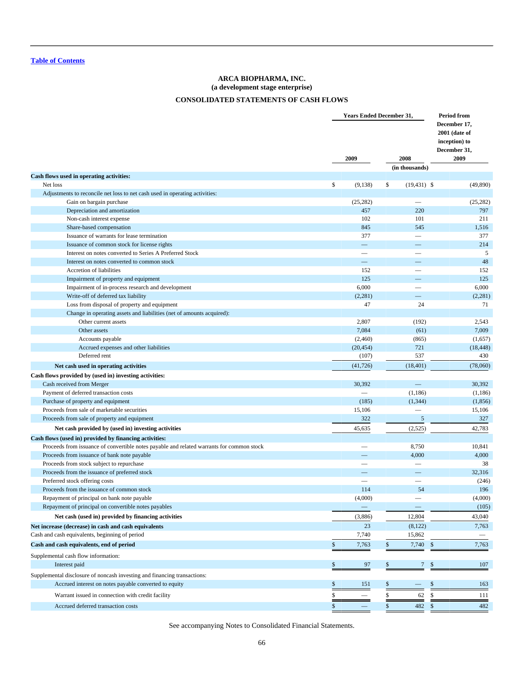# **ARCA BIOPHARMA, INC. (a development stage enterprise) CONSOLIDATED STATEMENTS OF CASH FLOWS**

<span id="page-66-0"></span>

|                                                                                           |                          | <b>Years Ended December 31,</b> |                                                                        |                      |
|-------------------------------------------------------------------------------------------|--------------------------|---------------------------------|------------------------------------------------------------------------|----------------------|
|                                                                                           | 2009                     |                                 | December 17,<br>2001 (date of<br>inception) to<br>December 31,<br>2009 |                      |
|                                                                                           |                          |                                 | (in thousands)                                                         |                      |
| Cash flows used in operating activities:                                                  |                          |                                 |                                                                        |                      |
| Net loss                                                                                  | \$<br>(9,138)            | \$                              | $(19, 431)$ \$                                                         | (49, 890)            |
| Adjustments to reconcile net loss to net cash used in operating activities:               |                          |                                 |                                                                        |                      |
| Gain on bargain purchase                                                                  | (25, 282)                |                                 |                                                                        | (25, 282)            |
| Depreciation and amortization                                                             |                          | 457                             | 220                                                                    | 797                  |
| Non-cash interest expense<br>Share-based compensation                                     |                          | 102<br>845                      | 101<br>545                                                             | 211<br>1,516         |
| Issuance of warrants for lease termination                                                |                          | 377                             |                                                                        | 377                  |
| Issuance of common stock for license rights                                               | $\overline{\phantom{0}}$ |                                 |                                                                        | 214                  |
| Interest on notes converted to Series A Preferred Stock                                   |                          |                                 |                                                                        | 5                    |
| Interest on notes converted to common stock                                               | $\overline{\phantom{0}}$ |                                 |                                                                        | 48                   |
| Accretion of liabilities                                                                  |                          | 152                             |                                                                        | 152                  |
| Impairment of property and equipment                                                      |                          | 125                             |                                                                        | 125                  |
| Impairment of in-process research and development                                         | 6,000                    |                                 |                                                                        | 6,000                |
| Write-off of deferred tax liability                                                       | (2,281)                  |                                 | $\qquad \qquad$                                                        | (2,281)              |
| Loss from disposal of property and equipment                                              |                          | 47                              | 24                                                                     | 71                   |
| Change in operating assets and liabilities (net of amounts acquired):                     |                          |                                 |                                                                        |                      |
| Other current assets                                                                      | 2,807                    |                                 | (192)                                                                  | 2,543                |
| Other assets                                                                              | 7,084                    |                                 | (61)                                                                   | 7,009                |
| Accounts payable                                                                          | (2,460)                  |                                 | (865)                                                                  | (1,657)              |
| Accrued expenses and other liabilities                                                    | (20, 454)                |                                 | 721                                                                    | (18, 448)            |
| Deferred rent                                                                             |                          | (107)                           | 537                                                                    | 430                  |
| Net cash used in operating activities                                                     | (41, 726)                |                                 | (18, 401)                                                              | (78,060)             |
| Cash flows provided by (used in) investing activities:                                    |                          |                                 |                                                                        |                      |
| Cash received from Merger                                                                 | 30,392                   |                                 | $\qquad \qquad -$                                                      | 30,392               |
| Payment of deferred transaction costs                                                     |                          |                                 | (1, 186)                                                               | (1,186)              |
| Purchase of property and equipment                                                        |                          | (185)                           | (1, 344)                                                               | (1,856)              |
| Proceeds from sale of marketable securities                                               | 15,106                   |                                 |                                                                        | 15,106               |
| Proceeds from sale of property and equipment                                              |                          | 322                             | $\overline{5}$                                                         | 327                  |
| Net cash provided by (used in) investing activities                                       | 45,635                   |                                 | (2,525)                                                                | 42,783               |
| Cash flows (used in) provided by financing activities:                                    |                          |                                 |                                                                        |                      |
| Proceeds from issuance of convertible notes payable and related warrants for common stock |                          |                                 | 8,750                                                                  | 10,841               |
| Proceeds from issuance of bank note payable                                               |                          |                                 | 4,000                                                                  | 4,000                |
| Proceeds from stock subject to repurchase                                                 |                          |                                 |                                                                        | 38                   |
| Proceeds from the issuance of preferred stock                                             |                          |                                 | $\overline{\phantom{0}}$                                               | 32,316               |
| Preferred stock offering costs                                                            |                          |                                 |                                                                        | (246)                |
| Proceeds from the issuance of common stock                                                |                          | 114                             | 54                                                                     | 196                  |
| Repayment of principal on bank note payable                                               | (4,000)                  |                                 |                                                                        | (4,000)              |
| Repayment of principal on convertible notes payables                                      | -                        |                                 | $\qquad \qquad -$                                                      | (105)                |
| Net cash (used in) provided by financing activities                                       | (3,886)                  |                                 | 12,804                                                                 | 43,040               |
| Net increase (decrease) in cash and cash equivalents                                      |                          | 23                              | (8, 122)                                                               | 7,763                |
| Cash and cash equivalents, beginning of period                                            | 7,740                    |                                 | 15,862                                                                 |                      |
|                                                                                           |                          |                                 |                                                                        |                      |
| Cash and cash equivalents, end of period                                                  | \$<br>7,763              | \$                              | 7,740                                                                  | \$<br>7,763          |
| Supplemental cash flow information:                                                       |                          |                                 |                                                                        |                      |
| Interest paid                                                                             | \$                       | 97<br>\$                        | 7                                                                      | 107<br>\$            |
| Supplemental disclosure of noncash investing and financing transactions:                  |                          |                                 |                                                                        |                      |
| Accrued interest on notes payable converted to equity                                     | \$                       | \$<br>151                       |                                                                        | \$<br>163            |
| Warrant issued in connection with credit facility                                         | \$                       | \$                              | 62                                                                     | \$<br>111            |
| Accrued deferred transaction costs                                                        | \$                       | \$                              | 482                                                                    | $\frac{1}{2}$<br>482 |
|                                                                                           |                          |                                 |                                                                        |                      |

See accompanying Notes to Consolidated Financial Statements.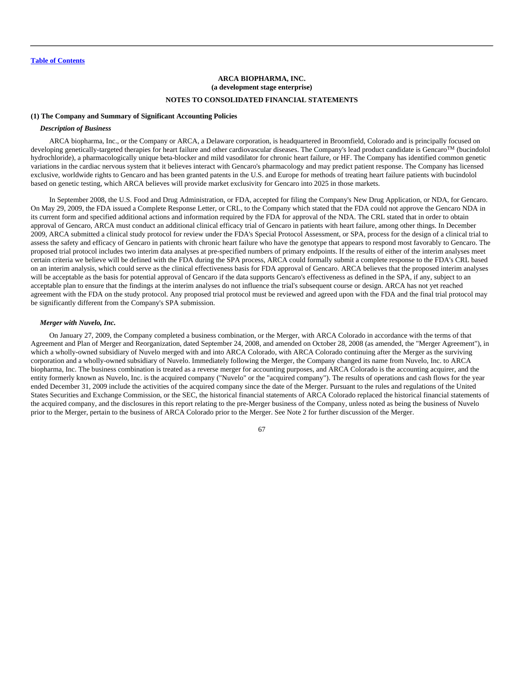#### <span id="page-67-0"></span>**(1) The Company and Summary of Significant Accounting Policies**

### *Description of Business*

ARCA biopharma, Inc., or the Company or ARCA, a Delaware corporation, is headquartered in Broomfield, Colorado and is principally focused on developing genetically-targeted therapies for heart failure and other cardiovascular diseases. The Company's lead product candidate is Gencaro™ (bucindolol hydrochloride), a pharmacologically unique beta-blocker and mild vasodilator for chronic heart failure, or HF. The Company has identified common genetic variations in the cardiac nervous system that it believes interact with Gencaro's pharmacology and may predict patient response. The Company has licensed exclusive, worldwide rights to Gencaro and has been granted patents in the U.S. and Europe for methods of treating heart failure patients with bucindolol based on genetic testing, which ARCA believes will provide market exclusivity for Gencaro into 2025 in those markets.

In September 2008, the U.S. Food and Drug Administration, or FDA, accepted for filing the Company's New Drug Application, or NDA, for Gencaro. On May 29, 2009, the FDA issued a Complete Response Letter, or CRL, to the Company which stated that the FDA could not approve the Gencaro NDA in its current form and specified additional actions and information required by the FDA for approval of the NDA. The CRL stated that in order to obtain approval of Gencaro, ARCA must conduct an additional clinical efficacy trial of Gencaro in patients with heart failure, among other things. In December 2009, ARCA submitted a clinical study protocol for review under the FDA's Special Protocol Assessment, or SPA, process for the design of a clinical trial to assess the safety and efficacy of Gencaro in patients with chronic heart failure who have the genotype that appears to respond most favorably to Gencaro. The proposed trial protocol includes two interim data analyses at pre-specified numbers of primary endpoints. If the results of either of the interim analyses meet certain criteria we believe will be defined with the FDA during the SPA process, ARCA could formally submit a complete response to the FDA's CRL based on an interim analysis, which could serve as the clinical effectiveness basis for FDA approval of Gencaro. ARCA believes that the proposed interim analyses will be acceptable as the basis for potential approval of Gencaro if the data supports Gencaro's effectiveness as defined in the SPA, if any, subject to an acceptable plan to ensure that the findings at the interim analyses do not influence the trial's subsequent course or design. ARCA has not yet reached agreement with the FDA on the study protocol. Any proposed trial protocol must be reviewed and agreed upon with the FDA and the final trial protocol may be significantly different from the Company's SPA submission.

## *Merger with Nuvelo, Inc.*

On January 27, 2009, the Company completed a business combination, or the Merger, with ARCA Colorado in accordance with the terms of that Agreement and Plan of Merger and Reorganization, dated September 24, 2008, and amended on October 28, 2008 (as amended, the "Merger Agreement"), in which a wholly-owned subsidiary of Nuvelo merged with and into ARCA Colorado, with ARCA Colorado continuing after the Merger as the surviving corporation and a wholly-owned subsidiary of Nuvelo. Immediately following the Merger, the Company changed its name from Nuvelo, Inc. to ARCA biopharma, Inc. The business combination is treated as a reverse merger for accounting purposes, and ARCA Colorado is the accounting acquirer, and the entity formerly known as Nuvelo, Inc. is the acquired company ("Nuvelo" or the "acquired company"). The results of operations and cash flows for the year ended December 31, 2009 include the activities of the acquired company since the date of the Merger. Pursuant to the rules and regulations of the United States Securities and Exchange Commission, or the SEC, the historical financial statements of ARCA Colorado replaced the historical financial statements of the acquired company, and the disclosures in this report relating to the pre-Merger business of the Company, unless noted as being the business of Nuvelo prior to the Merger, pertain to the business of ARCA Colorado prior to the Merger. See Note 2 for further discussion of the Merger.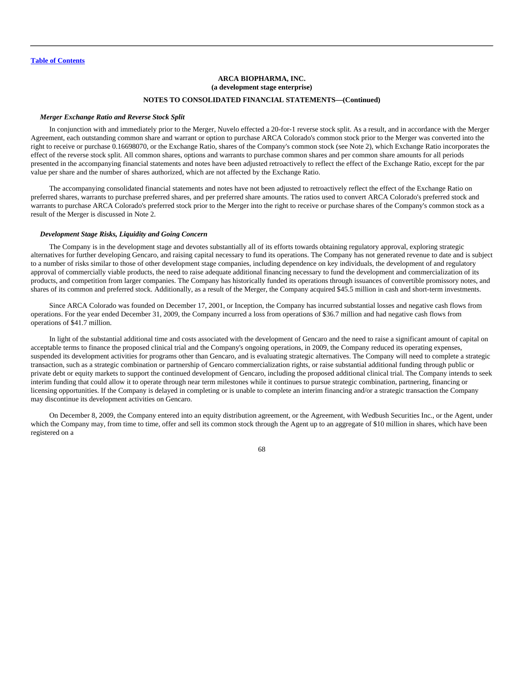#### *Merger Exchange Ratio and Reverse Stock Split*

In conjunction with and immediately prior to the Merger, Nuvelo effected a 20-for-1 reverse stock split. As a result, and in accordance with the Merger Agreement, each outstanding common share and warrant or option to purchase ARCA Colorado's common stock prior to the Merger was converted into the right to receive or purchase 0.16698070, or the Exchange Ratio, shares of the Company's common stock (see Note 2), which Exchange Ratio incorporates the effect of the reverse stock split. All common shares, options and warrants to purchase common shares and per common share amounts for all periods presented in the accompanying financial statements and notes have been adjusted retroactively to reflect the effect of the Exchange Ratio, except for the par value per share and the number of shares authorized, which are not affected by the Exchange Ratio.

The accompanying consolidated financial statements and notes have not been adjusted to retroactively reflect the effect of the Exchange Ratio on preferred shares, warrants to purchase preferred shares, and per preferred share amounts. The ratios used to convert ARCA Colorado's preferred stock and warrants to purchase ARCA Colorado's preferred stock prior to the Merger into the right to receive or purchase shares of the Company's common stock as a result of the Merger is discussed in Note 2.

#### *Development Stage Risks, Liquidity and Going Concern*

The Company is in the development stage and devotes substantially all of its efforts towards obtaining regulatory approval, exploring strategic alternatives for further developing Gencaro, and raising capital necessary to fund its operations. The Company has not generated revenue to date and is subject to a number of risks similar to those of other development stage companies, including dependence on key individuals, the development of and regulatory approval of commercially viable products, the need to raise adequate additional financing necessary to fund the development and commercialization of its products, and competition from larger companies. The Company has historically funded its operations through issuances of convertible promissory notes, and shares of its common and preferred stock. Additionally, as a result of the Merger, the Company acquired \$45.5 million in cash and short-term investments.

Since ARCA Colorado was founded on December 17, 2001, or Inception, the Company has incurred substantial losses and negative cash flows from operations. For the year ended December 31, 2009, the Company incurred a loss from operations of \$36.7 million and had negative cash flows from operations of \$41.7 million.

In light of the substantial additional time and costs associated with the development of Gencaro and the need to raise a significant amount of capital on acceptable terms to finance the proposed clinical trial and the Company's ongoing operations, in 2009, the Company reduced its operating expenses, suspended its development activities for programs other than Gencaro, and is evaluating strategic alternatives. The Company will need to complete a strategic transaction, such as a strategic combination or partnership of Gencaro commercialization rights, or raise substantial additional funding through public or private debt or equity markets to support the continued development of Gencaro, including the proposed additional clinical trial. The Company intends to seek interim funding that could allow it to operate through near term milestones while it continues to pursue strategic combination, partnering, financing or licensing opportunities. If the Company is delayed in completing or is unable to complete an interim financing and/or a strategic transaction the Company may discontinue its development activities on Gencaro.

On December 8, 2009, the Company entered into an equity distribution agreement, or the Agreement, with Wedbush Securities Inc., or the Agent, under which the Company may, from time to time, offer and sell its common stock through the Agent up to an aggregate of \$10 million in shares, which have been registered on a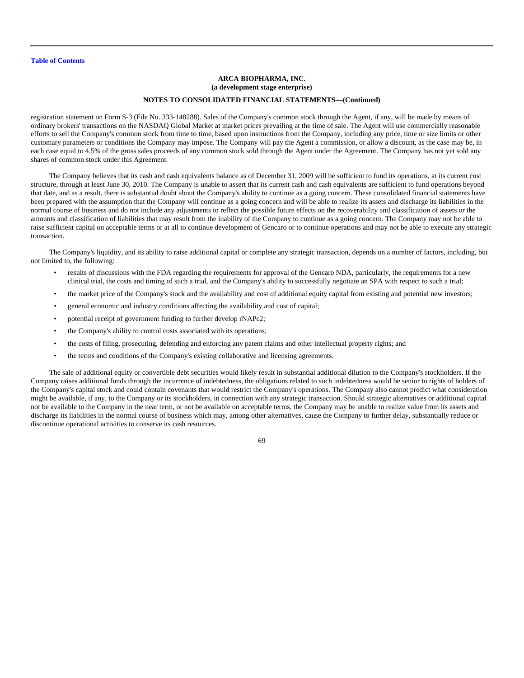registration statement on Form S-3 (File No. 333-148288). Sales of the Company's common stock through the Agent, if any, will be made by means of ordinary brokers' transactions on the NASDAQ Global Market at market prices prevailing at the time of sale. The Agent will use commercially reasonable efforts to sell the Company's common stock from time to time, based upon instructions from the Company, including any price, time or size limits or other customary parameters or conditions the Company may impose. The Company will pay the Agent a commission, or allow a discount, as the case may be, in each case equal to 4.5% of the gross sales proceeds of any common stock sold through the Agent under the Agreement. The Company has not yet sold any shares of common stock under this Agreement.

The Company believes that its cash and cash equivalents balance as of December 31, 2009 will be sufficient to fund its operations, at its current cost structure, through at least June 30, 2010. The Company is unable to assert that its current cash and cash equivalents are sufficient to fund operations beyond that date, and as a result, there is substantial doubt about the Company's ability to continue as a going concern. These consolidated financial statements have been prepared with the assumption that the Company will continue as a going concern and will be able to realize its assets and discharge its liabilities in the normal course of business and do not include any adjustments to reflect the possible future effects on the recoverability and classification of assets or the amounts and classification of liabilities that may result from the inability of the Company to continue as a going concern. The Company may not be able to raise sufficient capital on acceptable terms or at all to continue development of Gencaro or to continue operations and may not be able to execute any strategic transaction.

The Company's liquidity, and its ability to raise additional capital or complete any strategic transaction, depends on a number of factors, including, but not limited to, the following:

- results of discussions with the FDA regarding the requirements for approval of the Gencaro NDA, particularly, the requirements for a new clinical trial, the costs and timing of such a trial, and the Company's ability to successfully negotiate an SPA with respect to such a trial;
- the market price of the Company's stock and the availability and cost of additional equity capital from existing and potential new investors;
- general economic and industry conditions affecting the availability and cost of capital;
- potential receipt of government funding to further develop rNAPc2;
- the Company's ability to control costs associated with its operations;
- the costs of filing, prosecuting, defending and enforcing any patent claims and other intellectual property rights; and
- the terms and conditions of the Company's existing collaborative and licensing agreements.

The sale of additional equity or convertible debt securities would likely result in substantial additional dilution to the Company's stockholders. If the Company raises additional funds through the incurrence of indebtedness, the obligations related to such indebtedness would be senior to rights of holders of the Company's capital stock and could contain covenants that would restrict the Company's operations. The Company also cannot predict what consideration might be available, if any, to the Company or its stockholders, in connection with any strategic transaction. Should strategic alternatives or additional capital not be available to the Company in the near term, or not be available on acceptable terms, the Company may be unable to realize value from its assets and discharge its liabilities in the normal course of business which may, among other alternatives, cause the Company to further delay, substantially reduce or discontinue operational activities to conserve its cash resources.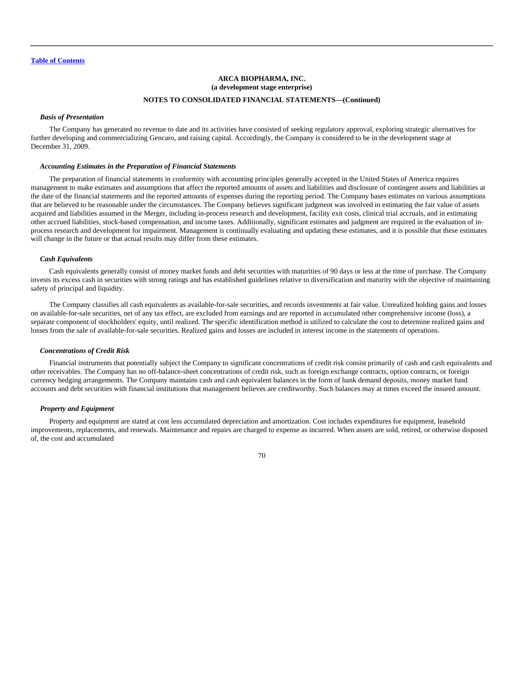#### *Basis of Presentation*

The Company has generated no revenue to date and its activities have consisted of seeking regulatory approval, exploring strategic alternatives for further developing and commercializing Gencaro, and raising capital. Accordingly, the Company is considered to be in the development stage at December 31, 2009.

#### *Accounting Estimates in the Preparation of Financial Statements*

The preparation of financial statements in conformity with accounting principles generally accepted in the United States of America requires management to make estimates and assumptions that affect the reported amounts of assets and liabilities and disclosure of contingent assets and liabilities at the date of the financial statements and the reported amounts of expenses during the reporting period. The Company bases estimates on various assumptions that are believed to be reasonable under the circumstances. The Company believes significant judgment was involved in estimating the fair value of assets acquired and liabilities assumed in the Merger, including in-process research and development, facility exit costs, clinical trial accruals, and in estimating other accrued liabilities, stock-based compensation, and income taxes. Additionally, significant estimates and judgment are required in the evaluation of inprocess research and development for impairment. Management is continually evaluating and updating these estimates, and it is possible that these estimates will change in the future or that actual results may differ from these estimates.

#### *Cash Equivalents*

Cash equivalents generally consist of money market funds and debt securities with maturities of 90 days or less at the time of purchase. The Company invests its excess cash in securities with strong ratings and has established guidelines relative to diversification and maturity with the objective of maintaining safety of principal and liquidity.

The Company classifies all cash equivalents as available-for-sale securities, and records investments at fair value. Unrealized holding gains and losses on available-for-sale securities, net of any tax effect, are excluded from earnings and are reported in accumulated other comprehensive income (loss), a separate component of stockholders' equity, until realized. The specific identification method is utilized to calculate the cost to determine realized gains and losses from the sale of available-for-sale securities. Realized gains and losses are included in interest income in the statements of operations.

#### *Concentrations of Credit Risk*

Financial instruments that potentially subject the Company to significant concentrations of credit risk consist primarily of cash and cash equivalents and other receivables. The Company has no off-balance-sheet concentrations of credit risk, such as foreign exchange contracts, option contracts, or foreign currency hedging arrangements. The Company maintains cash and cash equivalent balances in the form of bank demand deposits, money market fund accounts and debt securities with financial institutions that management believes are creditworthy. Such balances may at times exceed the insured amount.

## *Property and Equipment*

Property and equipment are stated at cost less accumulated depreciation and amortization. Cost includes expenditures for equipment, leasehold improvements, replacements, and renewals. Maintenance and repairs are charged to expense as incurred. When assets are sold, retired, or otherwise disposed of, the cost and accumulated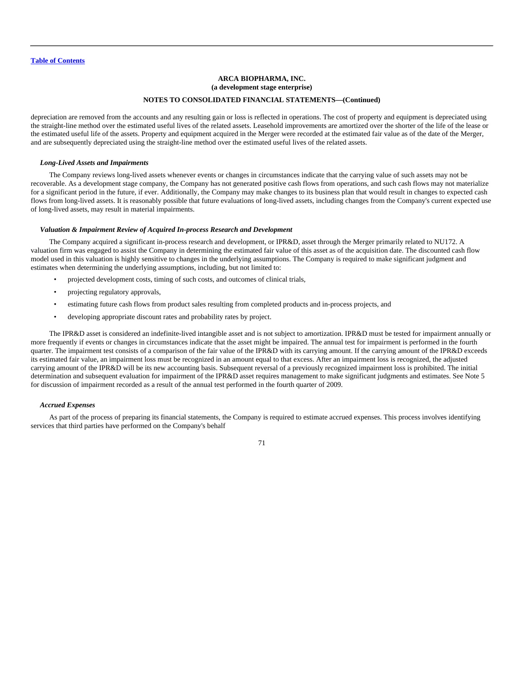depreciation are removed from the accounts and any resulting gain or loss is reflected in operations. The cost of property and equipment is depreciated using the straight-line method over the estimated useful lives of the related assets. Leasehold improvements are amortized over the shorter of the life of the lease or the estimated useful life of the assets. Property and equipment acquired in the Merger were recorded at the estimated fair value as of the date of the Merger, and are subsequently depreciated using the straight-line method over the estimated useful lives of the related assets.

## *Long-Lived Assets and Impairments*

The Company reviews long-lived assets whenever events or changes in circumstances indicate that the carrying value of such assets may not be recoverable. As a development stage company, the Company has not generated positive cash flows from operations, and such cash flows may not materialize for a significant period in the future, if ever. Additionally, the Company may make changes to its business plan that would result in changes to expected cash flows from long-lived assets. It is reasonably possible that future evaluations of long-lived assets, including changes from the Company's current expected use of long-lived assets, may result in material impairments.

#### *Valuation & Impairment Review of Acquired In-process Research and Development*

The Company acquired a significant in-process research and development, or IPR&D, asset through the Merger primarily related to NU172. A valuation firm was engaged to assist the Company in determining the estimated fair value of this asset as of the acquisition date. The discounted cash flow model used in this valuation is highly sensitive to changes in the underlying assumptions. The Company is required to make significant judgment and estimates when determining the underlying assumptions, including, but not limited to:

- projected development costs, timing of such costs, and outcomes of clinical trials,
- projecting regulatory approvals,
- estimating future cash flows from product sales resulting from completed products and in-process projects, and
- developing appropriate discount rates and probability rates by project.

The IPR&D asset is considered an indefinite-lived intangible asset and is not subject to amortization. IPR&D must be tested for impairment annually or more frequently if events or changes in circumstances indicate that the asset might be impaired. The annual test for impairment is performed in the fourth quarter. The impairment test consists of a comparison of the fair value of the IPR&D with its carrying amount. If the carrying amount of the IPR&D exceeds its estimated fair value, an impairment loss must be recognized in an amount equal to that excess. After an impairment loss is recognized, the adjusted carrying amount of the IPR&D will be its new accounting basis. Subsequent reversal of a previously recognized impairment loss is prohibited. The initial determination and subsequent evaluation for impairment of the IPR&D asset requires management to make significant judgments and estimates. See Note 5 for discussion of impairment recorded as a result of the annual test performed in the fourth quarter of 2009.

# *Accrued Expenses*

As part of the process of preparing its financial statements, the Company is required to estimate accrued expenses. This process involves identifying services that third parties have performed on the Company's behalf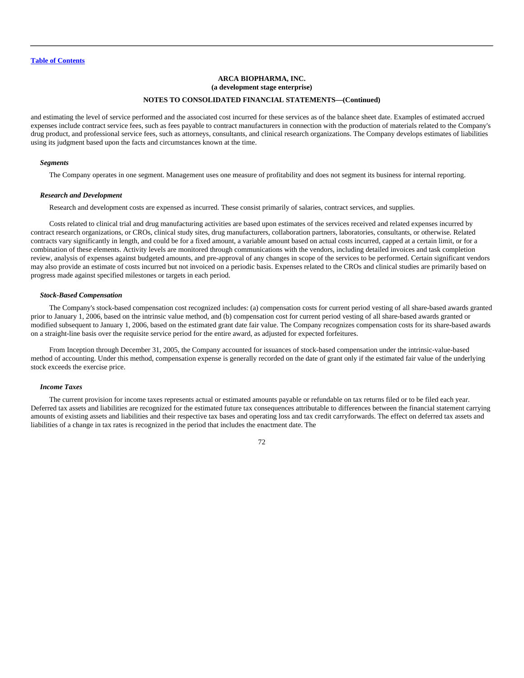and estimating the level of service performed and the associated cost incurred for these services as of the balance sheet date. Examples of estimated accrued expenses include contract service fees, such as fees payable to contract manufacturers in connection with the production of materials related to the Company's drug product, and professional service fees, such as attorneys, consultants, and clinical research organizations. The Company develops estimates of liabilities using its judgment based upon the facts and circumstances known at the time.

#### *Segments*

The Company operates in one segment. Management uses one measure of profitability and does not segment its business for internal reporting.

#### *Research and Development*

Research and development costs are expensed as incurred. These consist primarily of salaries, contract services, and supplies.

Costs related to clinical trial and drug manufacturing activities are based upon estimates of the services received and related expenses incurred by contract research organizations, or CROs, clinical study sites, drug manufacturers, collaboration partners, laboratories, consultants, or otherwise. Related contracts vary significantly in length, and could be for a fixed amount, a variable amount based on actual costs incurred, capped at a certain limit, or for a combination of these elements. Activity levels are monitored through communications with the vendors, including detailed invoices and task completion review, analysis of expenses against budgeted amounts, and pre-approval of any changes in scope of the services to be performed. Certain significant vendors may also provide an estimate of costs incurred but not invoiced on a periodic basis. Expenses related to the CROs and clinical studies are primarily based on progress made against specified milestones or targets in each period.

#### *Stock-Based Compensation*

The Company's stock-based compensation cost recognized includes: (a) compensation costs for current period vesting of all share-based awards granted prior to January 1, 2006, based on the intrinsic value method, and (b) compensation cost for current period vesting of all share-based awards granted or modified subsequent to January 1, 2006, based on the estimated grant date fair value. The Company recognizes compensation costs for its share-based awards on a straight-line basis over the requisite service period for the entire award, as adjusted for expected forfeitures.

From Inception through December 31, 2005, the Company accounted for issuances of stock-based compensation under the intrinsic-value-based method of accounting. Under this method, compensation expense is generally recorded on the date of grant only if the estimated fair value of the underlying stock exceeds the exercise price.

### *Income Taxes*

The current provision for income taxes represents actual or estimated amounts payable or refundable on tax returns filed or to be filed each year. Deferred tax assets and liabilities are recognized for the estimated future tax consequences attributable to differences between the financial statement carrying amounts of existing assets and liabilities and their respective tax bases and operating loss and tax credit carryforwards. The effect on deferred tax assets and liabilities of a change in tax rates is recognized in the period that includes the enactment date. The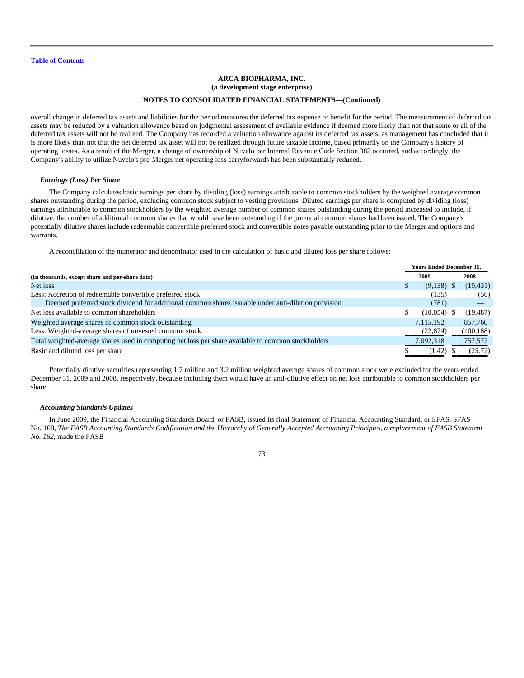overall change in deferred tax assets and liabilities for the period measures the deferred tax expense or benefit for the period. The measurement of deferred tax assets may be reduced by a valuation allowance based on judgmental assessment of available evidence if deemed more likely than not that some or all of the deferred tax assets will not be realized. The Company has recorded a valuation allowance against its deferred tax assets, as management has concluded that it is more likely than not that the net deferred tax asset will not be realized through future taxable income, based primarily on the Company's history of operating losses. As a result of the Merger, a change of ownership of Nuvelo per Internal Revenue Code Section 382 occurred, and accordingly, the Company's ability to utilize Nuvelo's pre-Merger net operating loss carryforwards has been substantially reduced.

#### *Earnings (Loss) Per Share*

The Company calculates basic earnings per share by dividing (loss) earnings attributable to common stockholders by the weighted average common shares outstanding during the period, excluding common stock subject to vesting provisions. Diluted earnings per share is computed by dividing (loss) earnings attributable to common stockholders by the weighted average number of common shares outstanding during the period increased to include, if dilutive, the number of additional common shares that would have been outstanding if the potential common shares had been issued. The Company's potentially dilutive shares include redeemable convertible preferred stock and convertible notes payable outstanding prior to the Merger and options and warrants.

A reconciliation of the numerator and denominator used in the calculation of basic and diluted loss per share follows:

|                                                                                                     |  |           | <b>Years Ended December 31,</b> |            |
|-----------------------------------------------------------------------------------------------------|--|-----------|---------------------------------|------------|
| (In thousands, except share and per-share data)                                                     |  | 2009      |                                 | 2008       |
| Net loss                                                                                            |  | (9,138)   |                                 | (19, 431)  |
| Less: Accretion of redeemable convertible preferred stock                                           |  | (135)     |                                 | (56)       |
| Deemed preferred stock dividend for additional common shares issuable under anti-dilution provision |  | (781)     |                                 |            |
| Net loss available to common shareholders                                                           |  | (10, 054) |                                 | (19, 487)  |
| Weighted average shares of common stock outstanding                                                 |  | 7.115.192 |                                 | 857,760    |
| Less: Weighted-average shares of unvested common stock                                              |  | (22, 874) |                                 | (100, 188) |
| Total weighted-average shares used in computing net loss per share available to common stockholders |  | 7,092,318 |                                 | 757,572    |
| Basic and diluted loss per share                                                                    |  | (1.42)    |                                 | (25.72)    |

Potentially dilutive securities representing 1.7 million and 3.2 million weighted average shares of common stock were excluded for the years ended December 31, 2009 and 2008, respectively, because including them would have an anti-dilutive effect on net loss attributable to common stockholders per share.

### *Accounting Standards Updates*

In June 2009, the Financial Accounting Standards Board, or FASB, issued its final Statement of Financial Accounting Standard, or SFAS. SFAS No. 168, *The FASB Accounting Standards Codification and the Hierarchy of Generally Accepted Accounting Principles, a replacement of FASB Statement No. 162*, made the FASB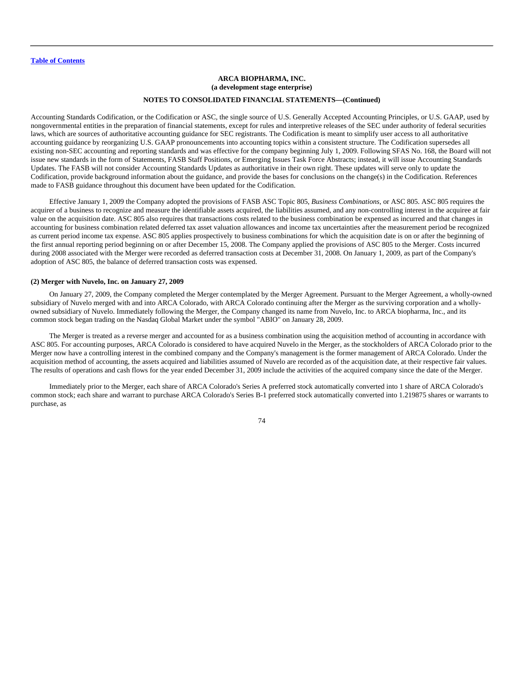Accounting Standards Codification, or the Codification or ASC, the single source of U.S. Generally Accepted Accounting Principles, or U.S. GAAP, used by nongovernmental entities in the preparation of financial statements, except for rules and interpretive releases of the SEC under authority of federal securities laws, which are sources of authoritative accounting guidance for SEC registrants. The Codification is meant to simplify user access to all authoritative accounting guidance by reorganizing U.S. GAAP pronouncements into accounting topics within a consistent structure. The Codification supersedes all existing non-SEC accounting and reporting standards and was effective for the company beginning July 1, 2009. Following SFAS No. 168, the Board will not issue new standards in the form of Statements, FASB Staff Positions, or Emerging Issues Task Force Abstracts; instead, it will issue Accounting Standards Updates. The FASB will not consider Accounting Standards Updates as authoritative in their own right. These updates will serve only to update the Codification, provide background information about the guidance, and provide the bases for conclusions on the change(s) in the Codification. References made to FASB guidance throughout this document have been updated for the Codification.

Effective January 1, 2009 the Company adopted the provisions of FASB ASC Topic 805, *Business Combinations*, or ASC 805. ASC 805 requires the acquirer of a business to recognize and measure the identifiable assets acquired, the liabilities assumed, and any non-controlling interest in the acquiree at fair value on the acquisition date. ASC 805 also requires that transactions costs related to the business combination be expensed as incurred and that changes in accounting for business combination related deferred tax asset valuation allowances and income tax uncertainties after the measurement period be recognized as current period income tax expense. ASC 805 applies prospectively to business combinations for which the acquisition date is on or after the beginning of the first annual reporting period beginning on or after December 15, 2008. The Company applied the provisions of ASC 805 to the Merger. Costs incurred during 2008 associated with the Merger were recorded as deferred transaction costs at December 31, 2008. On January 1, 2009, as part of the Company's adoption of ASC 805, the balance of deferred transaction costs was expensed.

#### **(2) Merger with Nuvelo, Inc. on January 27, 2009**

On January 27, 2009, the Company completed the Merger contemplated by the Merger Agreement. Pursuant to the Merger Agreement, a wholly-owned subsidiary of Nuvelo merged with and into ARCA Colorado, with ARCA Colorado continuing after the Merger as the surviving corporation and a whollyowned subsidiary of Nuvelo. Immediately following the Merger, the Company changed its name from Nuvelo, Inc. to ARCA biopharma, Inc., and its common stock began trading on the Nasdaq Global Market under the symbol "ABIO" on January 28, 2009.

The Merger is treated as a reverse merger and accounted for as a business combination using the acquisition method of accounting in accordance with ASC 805. For accounting purposes, ARCA Colorado is considered to have acquired Nuvelo in the Merger, as the stockholders of ARCA Colorado prior to the Merger now have a controlling interest in the combined company and the Company's management is the former management of ARCA Colorado. Under the acquisition method of accounting, the assets acquired and liabilities assumed of Nuvelo are recorded as of the acquisition date, at their respective fair values. The results of operations and cash flows for the year ended December 31, 2009 include the activities of the acquired company since the date of the Merger.

Immediately prior to the Merger, each share of ARCA Colorado's Series A preferred stock automatically converted into 1 share of ARCA Colorado's common stock; each share and warrant to purchase ARCA Colorado's Series B-1 preferred stock automatically converted into 1.219875 shares or warrants to purchase, as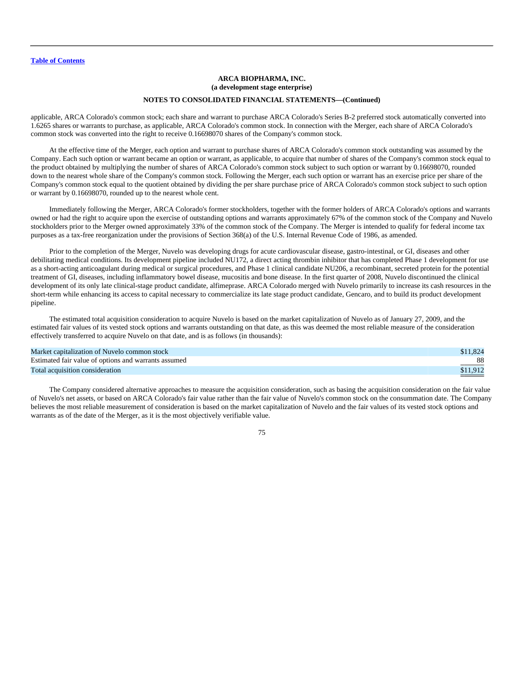# **ARCA BIOPHARMA, INC. (a development stage enterprise) NOTES TO CONSOLIDATED FINANCIAL STATEMENTS—(Continued)**

applicable, ARCA Colorado's common stock; each share and warrant to purchase ARCA Colorado's Series B-2 preferred stock automatically converted into 1.6265 shares or warrants to purchase, as applicable, ARCA Colorado's common stock. In connection with the Merger, each share of ARCA Colorado's common stock was converted into the right to receive 0.16698070 shares of the Company's common stock.

At the effective time of the Merger, each option and warrant to purchase shares of ARCA Colorado's common stock outstanding was assumed by the Company. Each such option or warrant became an option or warrant, as applicable, to acquire that number of shares of the Company's common stock equal to the product obtained by multiplying the number of shares of ARCA Colorado's common stock subject to such option or warrant by 0.16698070, rounded down to the nearest whole share of the Company's common stock. Following the Merger, each such option or warrant has an exercise price per share of the Company's common stock equal to the quotient obtained by dividing the per share purchase price of ARCA Colorado's common stock subject to such option or warrant by 0.16698070, rounded up to the nearest whole cent.

Immediately following the Merger, ARCA Colorado's former stockholders, together with the former holders of ARCA Colorado's options and warrants owned or had the right to acquire upon the exercise of outstanding options and warrants approximately 67% of the common stock of the Company and Nuvelo stockholders prior to the Merger owned approximately 33% of the common stock of the Company. The Merger is intended to qualify for federal income tax purposes as a tax-free reorganization under the provisions of Section 368(a) of the U.S. Internal Revenue Code of 1986, as amended.

Prior to the completion of the Merger, Nuvelo was developing drugs for acute cardiovascular disease, gastro-intestinal, or GI, diseases and other debilitating medical conditions. Its development pipeline included NU172, a direct acting thrombin inhibitor that has completed Phase 1 development for use as a short-acting anticoagulant during medical or surgical procedures, and Phase 1 clinical candidate NU206, a recombinant, secreted protein for the potential treatment of GI, diseases, including inflammatory bowel disease, mucositis and bone disease. In the first quarter of 2008, Nuvelo discontinued the clinical development of its only late clinical-stage product candidate, alfimeprase. ARCA Colorado merged with Nuvelo primarily to increase its cash resources in the short-term while enhancing its access to capital necessary to commercialize its late stage product candidate, Gencaro, and to build its product development pipeline.

The estimated total acquisition consideration to acquire Nuvelo is based on the market capitalization of Nuvelo as of January 27, 2009, and the estimated fair values of its vested stock options and warrants outstanding on that date, as this was deemed the most reliable measure of the consideration effectively transferred to acquire Nuvelo on that date, and is as follows (in thousands):

| Market capitalization of Nuvelo common stock         | \$11.824 |
|------------------------------------------------------|----------|
| Estimated fair value of options and warrants assumed | 88       |
| Total acquisition consideration                      | \$11.912 |

The Company considered alternative approaches to measure the acquisition consideration, such as basing the acquisition consideration on the fair value of Nuvelo's net assets, or based on ARCA Colorado's fair value rather than the fair value of Nuvelo's common stock on the consummation date. The Company believes the most reliable measurement of consideration is based on the market capitalization of Nuvelo and the fair values of its vested stock options and warrants as of the date of the Merger, as it is the most objectively verifiable value.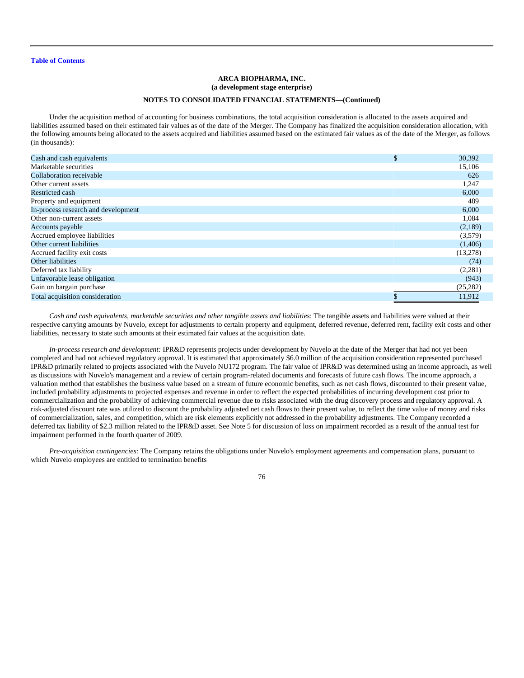## **ARCA BIOPHARMA, INC. (a development stage enterprise) NOTES TO CONSOLIDATED FINANCIAL STATEMENTS—(Continued)**

Under the acquisition method of accounting for business combinations, the total acquisition consideration is allocated to the assets acquired and liabilities assumed based on their estimated fair values as of the date of the Merger. The Company has finalized the acquisition consideration allocation, with the following amounts being allocated to the assets acquired and liabilities assumed based on the estimated fair values as of the date of the Merger, as follows (in thousands):

| Cash and cash equivalents           | \$<br>30,392 |
|-------------------------------------|--------------|
| Marketable securities               | 15,106       |
| Collaboration receivable            | 626          |
| Other current assets                | 1,247        |
| Restricted cash                     | 6,000        |
| Property and equipment              | 489          |
| In-process research and development | 6,000        |
| Other non-current assets            | 1,084        |
| Accounts payable                    | (2,189)      |
| Accrued employee liabilities        | (3,579)      |
| Other current liabilities           | (1,406)      |
| Accrued facility exit costs         | (13,278)     |
| Other liabilities                   | (74)         |
| Deferred tax liability              | (2,281)      |
| Unfavorable lease obligation        | (943)        |
| Gain on bargain purchase            | (25, 282)    |
| Total acquisition consideration     | 11,912       |

*Cash and cash equivalents, marketable securities and other tangible assets and liabilities*: The tangible assets and liabilities were valued at their respective carrying amounts by Nuvelo, except for adjustments to certain property and equipment, deferred revenue, deferred rent, facility exit costs and other liabilities, necessary to state such amounts at their estimated fair values at the acquisition date.

*In-process research and development:* IPR&D represents projects under development by Nuvelo at the date of the Merger that had not yet been completed and had not achieved regulatory approval. It is estimated that approximately \$6.0 million of the acquisition consideration represented purchased IPR&D primarily related to projects associated with the Nuvelo NU172 program. The fair value of IPR&D was determined using an income approach, as well as discussions with Nuvelo's management and a review of certain program-related documents and forecasts of future cash flows. The income approach, a valuation method that establishes the business value based on a stream of future economic benefits, such as net cash flows, discounted to their present value, included probability adjustments to projected expenses and revenue in order to reflect the expected probabilities of incurring development cost prior to commercialization and the probability of achieving commercial revenue due to risks associated with the drug discovery process and regulatory approval. A risk-adjusted discount rate was utilized to discount the probability adjusted net cash flows to their present value, to reflect the time value of money and risks of commercialization, sales, and competition, which are risk elements explicitly not addressed in the probability adjustments. The Company recorded a deferred tax liability of \$2.3 million related to the IPR&D asset. See Note 5 for discussion of loss on impairment recorded as a result of the annual test for impairment performed in the fourth quarter of 2009.

*Pre-acquisition contingencies:* The Company retains the obligations under Nuvelo's employment agreements and compensation plans, pursuant to which Nuvelo employees are entitled to termination benefits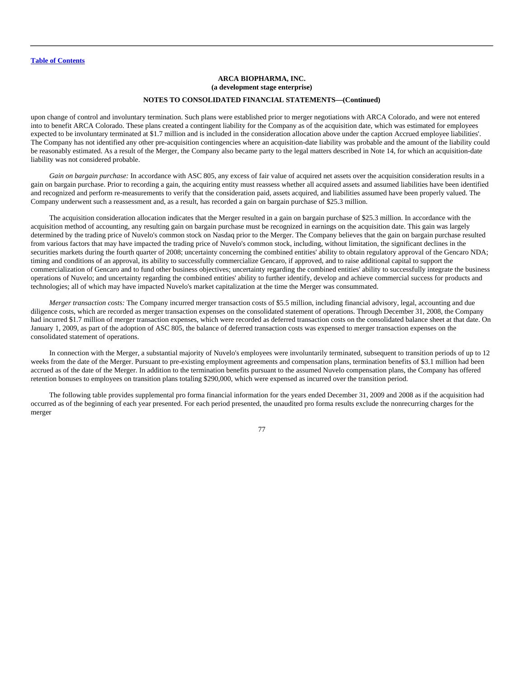upon change of control and involuntary termination. Such plans were established prior to merger negotiations with ARCA Colorado, and were not entered into to benefit ARCA Colorado. These plans created a contingent liability for the Company as of the acquisition date, which was estimated for employees expected to be involuntary terminated at \$1.7 million and is included in the consideration allocation above under the caption Accrued employee liabilities'. The Company has not identified any other pre-acquisition contingencies where an acquisition-date liability was probable and the amount of the liability could be reasonably estimated. As a result of the Merger, the Company also became party to the legal matters described in Note 14, for which an acquisition-date liability was not considered probable.

*Gain on bargain purchase:* In accordance with ASC 805, any excess of fair value of acquired net assets over the acquisition consideration results in a gain on bargain purchase. Prior to recording a gain, the acquiring entity must reassess whether all acquired assets and assumed liabilities have been identified and recognized and perform re-measurements to verify that the consideration paid, assets acquired, and liabilities assumed have been properly valued. The Company underwent such a reassessment and, as a result, has recorded a gain on bargain purchase of \$25.3 million.

The acquisition consideration allocation indicates that the Merger resulted in a gain on bargain purchase of \$25.3 million. In accordance with the acquisition method of accounting, any resulting gain on bargain purchase must be recognized in earnings on the acquisition date. This gain was largely determined by the trading price of Nuvelo's common stock on Nasdaq prior to the Merger. The Company believes that the gain on bargain purchase resulted from various factors that may have impacted the trading price of Nuvelo's common stock, including, without limitation, the significant declines in the securities markets during the fourth quarter of 2008; uncertainty concerning the combined entities' ability to obtain regulatory approval of the Gencaro NDA; timing and conditions of an approval, its ability to successfully commercialize Gencaro, if approved, and to raise additional capital to support the commercialization of Gencaro and to fund other business objectives; uncertainty regarding the combined entities' ability to successfully integrate the business operations of Nuvelo; and uncertainty regarding the combined entities' ability to further identify, develop and achieve commercial success for products and technologies; all of which may have impacted Nuvelo's market capitalization at the time the Merger was consummated.

*Merger transaction costs:* The Company incurred merger transaction costs of \$5.5 million, including financial advisory, legal, accounting and due diligence costs, which are recorded as merger transaction expenses on the consolidated statement of operations. Through December 31, 2008, the Company had incurred \$1.7 million of merger transaction expenses, which were recorded as deferred transaction costs on the consolidated balance sheet at that date. On January 1, 2009, as part of the adoption of ASC 805, the balance of deferred transaction costs was expensed to merger transaction expenses on the consolidated statement of operations.

In connection with the Merger, a substantial majority of Nuvelo's employees were involuntarily terminated, subsequent to transition periods of up to 12 weeks from the date of the Merger. Pursuant to pre-existing employment agreements and compensation plans, termination benefits of \$3.1 million had been accrued as of the date of the Merger. In addition to the termination benefits pursuant to the assumed Nuvelo compensation plans, the Company has offered retention bonuses to employees on transition plans totaling \$290,000, which were expensed as incurred over the transition period.

The following table provides supplemental pro forma financial information for the years ended December 31, 2009 and 2008 as if the acquisition had occurred as of the beginning of each year presented. For each period presented, the unaudited pro forma results exclude the nonrecurring charges for the merger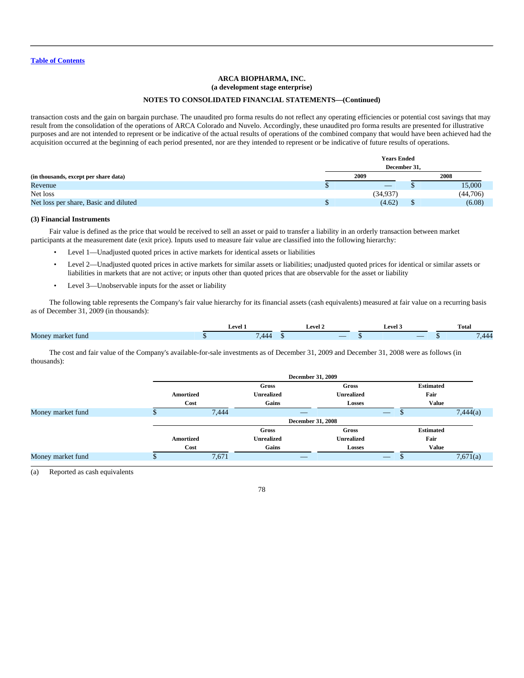transaction costs and the gain on bargain purchase. The unaudited pro forma results do not reflect any operating efficiencies or potential cost savings that may result from the consolidation of the operations of ARCA Colorado and Nuvelo. Accordingly, these unaudited pro forma results are presented for illustrative purposes and are not intended to represent or be indicative of the actual results of operations of the combined company that would have been achieved had the acquisition occurred at the beginning of each period presented, nor are they intended to represent or be indicative of future results of operations.

|                                       | <b>Years Ended</b> |  |          |  |  |  |  |
|---------------------------------------|--------------------|--|----------|--|--|--|--|
|                                       | December 31.       |  |          |  |  |  |  |
| (in thousands, except per share data) | 2009<br>2008       |  |          |  |  |  |  |
| Revenue                               |                    |  | 15,000   |  |  |  |  |
| Net loss                              | (34, 937)          |  | (44,706) |  |  |  |  |
| Net loss per share, Basic and diluted | (4.62)             |  | (6.08)   |  |  |  |  |

#### **(3) Financial Instruments**

Fair value is defined as the price that would be received to sell an asset or paid to transfer a liability in an orderly transaction between market participants at the measurement date (exit price). Inputs used to measure fair value are classified into the following hierarchy:

- Level 1—Unadjusted quoted prices in active markets for identical assets or liabilities
- Level 2—Unadjusted quoted prices in active markets for similar assets or liabilities; unadjusted quoted prices for identical or similar assets or liabilities in markets that are not active; or inputs other than quoted prices that are observable for the asset or liability
- Level 3—Unobservable inputs for the asset or liability

The following table represents the Company's fair value hierarchy for its financial assets (cash equivalents) measured at fair value on a recurring basis as of December 31, 2009 (in thousands):

|                                                                                                                                                                                                     | . .evel      | Level | $\textcolor{blue}{\text{Level 3}}$ | Total        |
|-----------------------------------------------------------------------------------------------------------------------------------------------------------------------------------------------------|--------------|-------|------------------------------------|--------------|
| Money<br>market fund<br>$\mathcal{L}^{\text{max}}_{\text{max}}$ and $\mathcal{L}^{\text{max}}_{\text{max}}$ and $\mathcal{L}^{\text{max}}_{\text{max}}$ and $\mathcal{L}^{\text{max}}_{\text{max}}$ | $\mathbf{z}$ |       | $\overline{\phantom{a}}$           | $\sqrt{1/1}$ |

The cost and fair value of the Company's available-for-sale investments as of December 31, 2009 and December 31, 2008 were as follows (in thousands):

|                   | <b>December 31, 2009</b> |                          |                   |                                 |                  |          |
|-------------------|--------------------------|--------------------------|-------------------|---------------------------------|------------------|----------|
|                   |                          | Gross                    | <b>Gross</b>      |                                 | <b>Estimated</b> |          |
|                   | Amortized                | <b>Unrealized</b>        | <b>Unrealized</b> |                                 | Fair             |          |
|                   | Cost                     | Gains                    | <b>Losses</b>     |                                 | <b>Value</b>     |          |
| Money market fund | 7,444                    |                          |                   | $\hspace{0.1mm}-\hspace{0.1mm}$ |                  | 7,444(a) |
|                   | <b>December 31, 2008</b> |                          |                   |                                 |                  |          |
|                   |                          | Gross                    | <b>Gross</b>      |                                 | <b>Estimated</b> |          |
|                   | Amortized                | <b>Unrealized</b>        | <b>Unrealized</b> |                                 | Fair             |          |
|                   | Cost                     | Gains                    | <b>Losses</b>     |                                 | <b>Value</b>     |          |
| Money market fund | 7,671                    | $\overline{\phantom{a}}$ |                   | $\overbrace{\hspace{25mm}}^{}$  |                  | 7,671(a) |
|                   |                          |                          |                   |                                 |                  |          |

78

(a) Reported as cash equivalents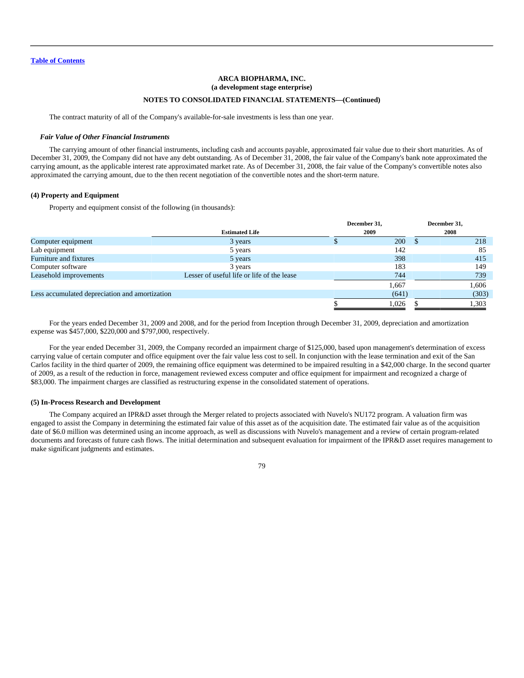The contract maturity of all of the Company's available-for-sale investments is less than one year.

#### *Fair Value of Other Financial Instruments*

The carrying amount of other financial instruments, including cash and accounts payable, approximated fair value due to their short maturities. As of December 31, 2009, the Company did not have any debt outstanding. As of December 31, 2008, the fair value of the Company's bank note approximated the carrying amount, as the applicable interest rate approximated market rate. As of December 31, 2008, the fair value of the Company's convertible notes also approximated the carrying amount, due to the then recent negotiation of the convertible notes and the short-term nature.

## **(4) Property and Equipment**

Property and equipment consist of the following (in thousands):

|                                                |                                            | December 31, | December 31, |
|------------------------------------------------|--------------------------------------------|--------------|--------------|
|                                                | <b>Estimated Life</b>                      | 2009         | 2008         |
| Computer equipment                             | 3 years                                    | <b>200</b>   | 218          |
| Lab equipment                                  | 5 years                                    | 142          | 85           |
| Furniture and fixtures                         | 5 years                                    | 398          | 415          |
| Computer software                              | 3 years                                    | 183          | 149          |
| Leasehold improvements                         | Lesser of useful life or life of the lease | 744          | 739          |
|                                                |                                            | 1,667        | 1.606        |
| Less accumulated depreciation and amortization |                                            | (641)        | (303)        |
|                                                |                                            | 1.026        | 1,303        |

For the years ended December 31, 2009 and 2008, and for the period from Inception through December 31, 2009, depreciation and amortization expense was \$457,000, \$220,000 and \$797,000, respectively.

For the year ended December 31, 2009, the Company recorded an impairment charge of \$125,000, based upon management's determination of excess carrying value of certain computer and office equipment over the fair value less cost to sell. In conjunction with the lease termination and exit of the San Carlos facility in the third quarter of 2009, the remaining office equipment was determined to be impaired resulting in a \$42,000 charge. In the second quarter of 2009, as a result of the reduction in force, management reviewed excess computer and office equipment for impairment and recognized a charge of \$83,000. The impairment charges are classified as restructuring expense in the consolidated statement of operations.

#### **(5) In-Process Research and Development**

The Company acquired an IPR&D asset through the Merger related to projects associated with Nuvelo's NU172 program. A valuation firm was engaged to assist the Company in determining the estimated fair value of this asset as of the acquisition date. The estimated fair value as of the acquisition date of \$6.0 million was determined using an income approach, as well as discussions with Nuvelo's management and a review of certain program-related documents and forecasts of future cash flows. The initial determination and subsequent evaluation for impairment of the IPR&D asset requires management to make significant judgments and estimates.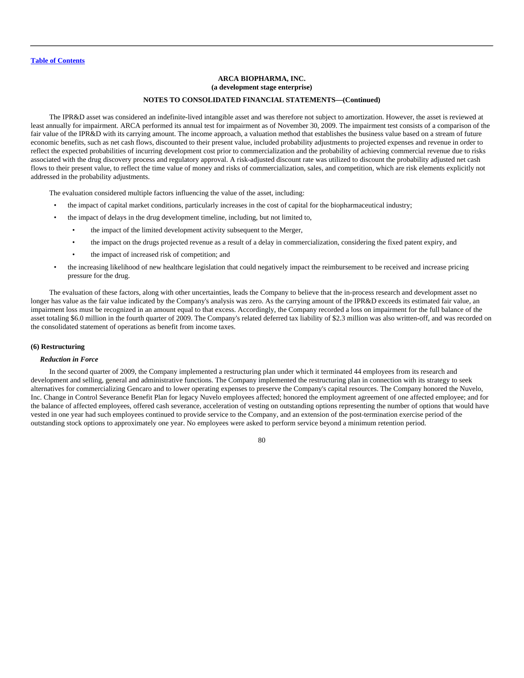The IPR&D asset was considered an indefinite-lived intangible asset and was therefore not subject to amortization. However, the asset is reviewed at least annually for impairment. ARCA performed its annual test for impairment as of November 30, 2009. The impairment test consists of a comparison of the fair value of the IPR&D with its carrying amount. The income approach, a valuation method that establishes the business value based on a stream of future economic benefits, such as net cash flows, discounted to their present value, included probability adjustments to projected expenses and revenue in order to reflect the expected probabilities of incurring development cost prior to commercialization and the probability of achieving commercial revenue due to risks associated with the drug discovery process and regulatory approval. A risk-adjusted discount rate was utilized to discount the probability adjusted net cash flows to their present value, to reflect the time value of money and risks of commercialization, sales, and competition, which are risk elements explicitly not addressed in the probability adjustments.

The evaluation considered multiple factors influencing the value of the asset, including:

- the impact of capital market conditions, particularly increases in the cost of capital for the biopharmaceutical industry;
- the impact of delays in the drug development timeline, including, but not limited to,
	- the impact of the limited development activity subsequent to the Merger,
	- the impact on the drugs projected revenue as a result of a delay in commercialization, considering the fixed patent expiry, and
	- the impact of increased risk of competition; and
- the increasing likelihood of new healthcare legislation that could negatively impact the reimbursement to be received and increase pricing pressure for the drug.

The evaluation of these factors, along with other uncertainties, leads the Company to believe that the in-process research and development asset no longer has value as the fair value indicated by the Company's analysis was zero. As the carrying amount of the IPR&D exceeds its estimated fair value, an impairment loss must be recognized in an amount equal to that excess. Accordingly, the Company recorded a loss on impairment for the full balance of the asset totaling \$6.0 million in the fourth quarter of 2009. The Company's related deferred tax liability of \$2.3 million was also written-off, and was recorded on the consolidated statement of operations as benefit from income taxes.

### **(6) Restructuring**

### *Reduction in Force*

In the second quarter of 2009, the Company implemented a restructuring plan under which it terminated 44 employees from its research and development and selling, general and administrative functions. The Company implemented the restructuring plan in connection with its strategy to seek alternatives for commercializing Gencaro and to lower operating expenses to preserve the Company's capital resources. The Company honored the Nuvelo, Inc. Change in Control Severance Benefit Plan for legacy Nuvelo employees affected; honored the employment agreement of one affected employee; and for the balance of affected employees, offered cash severance, acceleration of vesting on outstanding options representing the number of options that would have vested in one year had such employees continued to provide service to the Company, and an extension of the post-termination exercise period of the outstanding stock options to approximately one year. No employees were asked to perform service beyond a minimum retention period.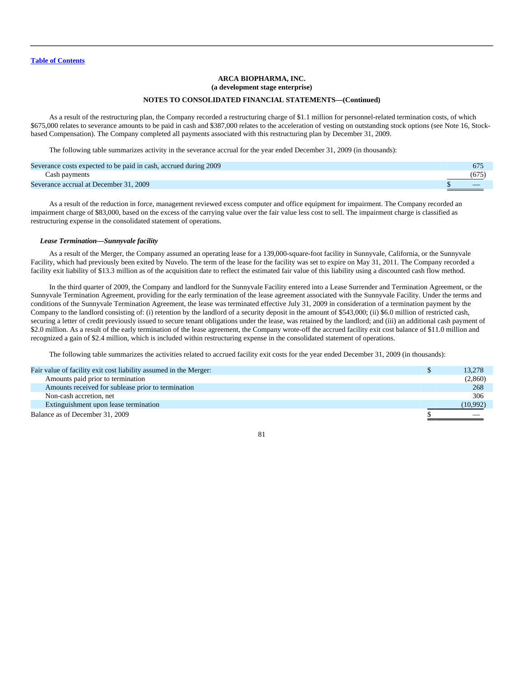As a result of the restructuring plan, the Company recorded a restructuring charge of \$1.1 million for personnel-related termination costs, of which \$675,000 relates to severance amounts to be paid in cash and \$387,000 relates to the acceleration of vesting on outstanding stock options (see Note 16, Stockbased Compensation). The Company completed all payments associated with this restructuring plan by December 31, 2009.

The following table summarizes activity in the severance accrual for the year ended December 31, 2009 (in thousands):

| Severance costs expected to be paid in cash, accrued during 2009 | 67' |
|------------------------------------------------------------------|-----|
| Cash payments                                                    |     |
| Severance accrual at December 31, 2009                           |     |

As a result of the reduction in force, management reviewed excess computer and office equipment for impairment. The Company recorded an impairment charge of \$83,000, based on the excess of the carrying value over the fair value less cost to sell. The impairment charge is classified as restructuring expense in the consolidated statement of operations.

### *Lease Termination—Sunnyvale facility*

As a result of the Merger, the Company assumed an operating lease for a 139,000-square-foot facility in Sunnyvale, California, or the Sunnyvale Facility, which had previously been exited by Nuvelo. The term of the lease for the facility was set to expire on May 31, 2011. The Company recorded a facility exit liability of \$13.3 million as of the acquisition date to reflect the estimated fair value of this liability using a discounted cash flow method.

In the third quarter of 2009, the Company and landlord for the Sunnyvale Facility entered into a Lease Surrender and Termination Agreement, or the Sunnyvale Termination Agreement, providing for the early termination of the lease agreement associated with the Sunnyvale Facility. Under the terms and conditions of the Sunnyvale Termination Agreement, the lease was terminated effective July 31, 2009 in consideration of a termination payment by the Company to the landlord consisting of: (i) retention by the landlord of a security deposit in the amount of \$543,000; (ii) \$6.0 million of restricted cash, securing a letter of credit previously issued to secure tenant obligations under the lease, was retained by the landlord; and (iii) an additional cash payment of \$2.0 million. As a result of the early termination of the lease agreement, the Company wrote-off the accrued facility exit cost balance of \$11.0 million and recognized a gain of \$2.4 million, which is included within restructuring expense in the consolidated statement of operations.

The following table summarizes the activities related to accrued facility exit costs for the year ended December 31, 2009 (in thousands):

| Fair value of facility exit cost liability assumed in the Merger: | 13,278   |
|-------------------------------------------------------------------|----------|
| Amounts paid prior to termination                                 | (2,860)  |
| Amounts received for sublease prior to termination                | 268      |
| Non-cash accretion, net                                           | 306      |
| Extinguishment upon lease termination                             | (10,992) |
| Balance as of December 31, 2009                                   |          |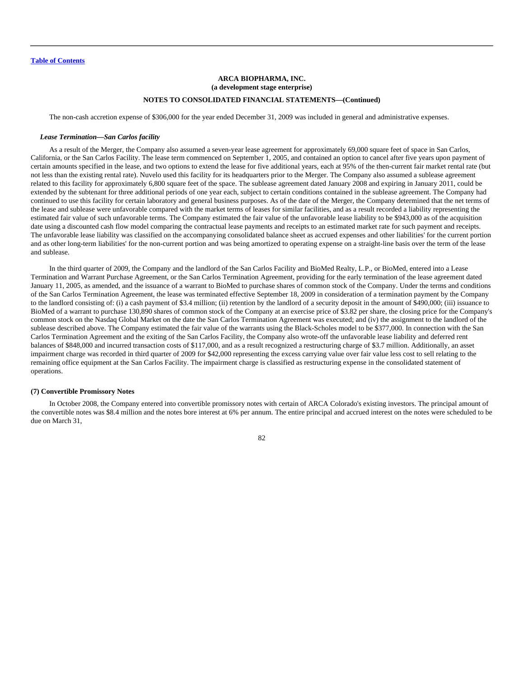The non-cash accretion expense of \$306,000 for the year ended December 31, 2009 was included in general and administrative expenses.

#### *Lease Termination—San Carlos facility*

As a result of the Merger, the Company also assumed a seven-year lease agreement for approximately 69,000 square feet of space in San Carlos, California, or the San Carlos Facility. The lease term commenced on September 1, 2005, and contained an option to cancel after five years upon payment of certain amounts specified in the lease, and two options to extend the lease for five additional years, each at 95% of the then-current fair market rental rate (but not less than the existing rental rate). Nuvelo used this facility for its headquarters prior to the Merger. The Company also assumed a sublease agreement related to this facility for approximately 6,800 square feet of the space. The sublease agreement dated January 2008 and expiring in January 2011, could be extended by the subtenant for three additional periods of one year each, subject to certain conditions contained in the sublease agreement. The Company had continued to use this facility for certain laboratory and general business purposes. As of the date of the Merger, the Company determined that the net terms of the lease and sublease were unfavorable compared with the market terms of leases for similar facilities, and as a result recorded a liability representing the estimated fair value of such unfavorable terms. The Company estimated the fair value of the unfavorable lease liability to be \$943,000 as of the acquisition date using a discounted cash flow model comparing the contractual lease payments and receipts to an estimated market rate for such payment and receipts. The unfavorable lease liability was classified on the accompanying consolidated balance sheet as accrued expenses and other liabilities' for the current portion and as other long-term liabilities' for the non-current portion and was being amortized to operating expense on a straight-line basis over the term of the lease and sublease.

In the third quarter of 2009, the Company and the landlord of the San Carlos Facility and BioMed Realty, L.P., or BioMed, entered into a Lease Termination and Warrant Purchase Agreement, or the San Carlos Termination Agreement, providing for the early termination of the lease agreement dated January 11, 2005, as amended, and the issuance of a warrant to BioMed to purchase shares of common stock of the Company. Under the terms and conditions of the San Carlos Termination Agreement, the lease was terminated effective September 18, 2009 in consideration of a termination payment by the Company to the landlord consisting of: (i) a cash payment of \$3.4 million; (ii) retention by the landlord of a security deposit in the amount of \$490,000; (iii) issuance to BioMed of a warrant to purchase 130,890 shares of common stock of the Company at an exercise price of \$3.82 per share, the closing price for the Company's common stock on the Nasdaq Global Market on the date the San Carlos Termination Agreement was executed; and (iv) the assignment to the landlord of the sublease described above. The Company estimated the fair value of the warrants using the Black-Scholes model to be \$377,000. In connection with the San Carlos Termination Agreement and the exiting of the San Carlos Facility, the Company also wrote-off the unfavorable lease liability and deferred rent balances of \$848,000 and incurred transaction costs of \$117,000, and as a result recognized a restructuring charge of \$3.7 million. Additionally, an asset impairment charge was recorded in third quarter of 2009 for \$42,000 representing the excess carrying value over fair value less cost to sell relating to the remaining office equipment at the San Carlos Facility. The impairment charge is classified as restructuring expense in the consolidated statement of operations.

#### **(7) Convertible Promissory Notes**

In October 2008, the Company entered into convertible promissory notes with certain of ARCA Colorado's existing investors. The principal amount of the convertible notes was \$8.4 million and the notes bore interest at 6% per annum. The entire principal and accrued interest on the notes were scheduled to be due on March 31,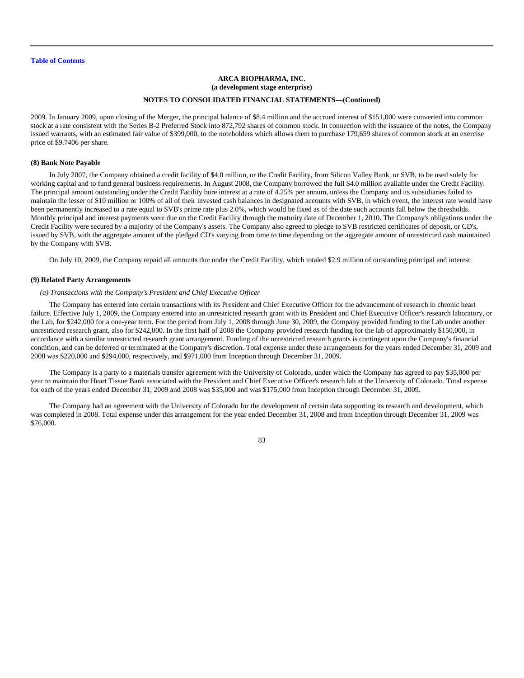2009. In January 2009, upon closing of the Merger, the principal balance of \$8.4 million and the accrued interest of \$151,000 were converted into common stock at a rate consistent with the Series B-2 Preferred Stock into 872,792 shares of common stock. In connection with the issuance of the notes, the Company issued warrants, with an estimated fair value of \$399,000, to the noteholders which allows them to purchase 179,659 shares of common stock at an exercise price of \$9.7406 per share.

#### **(8) Bank Note Payable**

In July 2007, the Company obtained a credit facility of \$4.0 million, or the Credit Facility, from Silicon Valley Bank, or SVB, to be used solely for working capital and to fund general business requirements. In August 2008, the Company borrowed the full \$4.0 million available under the Credit Facility. The principal amount outstanding under the Credit Facility bore interest at a rate of 4.25% per annum, unless the Company and its subsidiaries failed to maintain the lesser of \$10 million or 100% of all of their invested cash balances in designated accounts with SVB, in which event, the interest rate would have been permanently increased to a rate equal to SVB's prime rate plus 2.0%, which would be fixed as of the date such accounts fall below the thresholds. Monthly principal and interest payments were due on the Credit Facility through the maturity date of December 1, 2010. The Company's obligations under the Credit Facility were secured by a majority of the Company's assets. The Company also agreed to pledge to SVB restricted certificates of deposit, or CD's, issued by SVB, with the aggregate amount of the pledged CD's varying from time to time depending on the aggregate amount of unrestricted cash maintained by the Company with SVB.

On July 10, 2009, the Company repaid all amounts due under the Credit Facility, which totaled \$2.9 million of outstanding principal and interest.

#### **(9) Related Party Arrangements**

### *(a) Transactions with the Company's President and Chief Executive Officer*

The Company has entered into certain transactions with its President and Chief Executive Officer for the advancement of research in chronic heart failure. Effective July 1, 2009, the Company entered into an unrestricted research grant with its President and Chief Executive Officer's research laboratory, or the Lab, for \$242,000 for a one-year term. For the period from July 1, 2008 through June 30, 2009, the Company provided funding to the Lab under another unrestricted research grant, also for \$242,000. In the first half of 2008 the Company provided research funding for the lab of approximately \$150,000, in accordance with a similar unrestricted research grant arrangement. Funding of the unrestricted research grants is contingent upon the Company's financial condition, and can be deferred or terminated at the Company's discretion. Total expense under these arrangements for the years ended December 31, 2009 and 2008 was \$220,000 and \$294,000, respectively, and \$971,000 from Inception through December 31, 2009.

The Company is a party to a materials transfer agreement with the University of Colorado, under which the Company has agreed to pay \$35,000 per year to maintain the Heart Tissue Bank associated with the President and Chief Executive Officer's research lab at the University of Colorado. Total expense for each of the years ended December 31, 2009 and 2008 was \$35,000 and was \$175,000 from Inception through December 31, 2009.

The Company had an agreement with the University of Colorado for the development of certain data supporting its research and development, which was completed in 2008. Total expense under this arrangement for the year ended December 31, 2008 and from Inception through December 31, 2009 was \$76,000.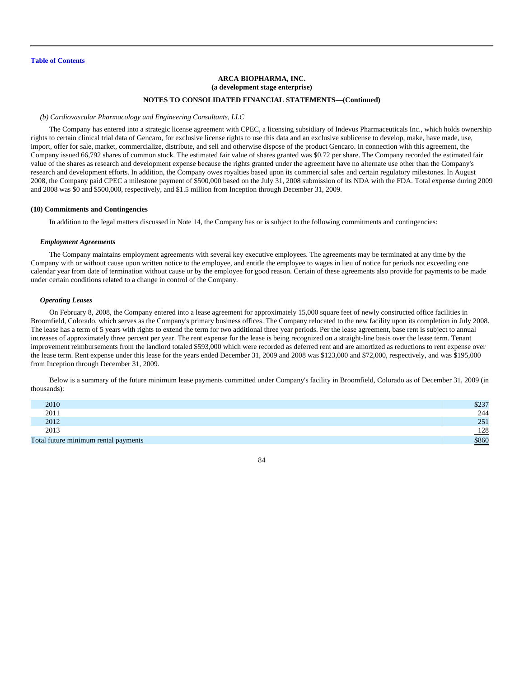#### *(b) Cardiovascular Pharmacology and Engineering Consultants, LLC*

The Company has entered into a strategic license agreement with CPEC, a licensing subsidiary of Indevus Pharmaceuticals Inc., which holds ownership rights to certain clinical trial data of Gencaro, for exclusive license rights to use this data and an exclusive sublicense to develop, make, have made, use, import, offer for sale, market, commercialize, distribute, and sell and otherwise dispose of the product Gencaro. In connection with this agreement, the Company issued 66,792 shares of common stock. The estimated fair value of shares granted was \$0.72 per share. The Company recorded the estimated fair value of the shares as research and development expense because the rights granted under the agreement have no alternate use other than the Company's research and development efforts. In addition, the Company owes royalties based upon its commercial sales and certain regulatory milestones. In August 2008, the Company paid CPEC a milestone payment of \$500,000 based on the July 31, 2008 submission of its NDA with the FDA. Total expense during 2009 and 2008 was \$0 and \$500,000, respectively, and \$1.5 million from Inception through December 31, 2009.

#### **(10) Commitments and Contingencies**

In addition to the legal matters discussed in Note 14, the Company has or is subject to the following commitments and contingencies:

#### *Employment Agreements*

The Company maintains employment agreements with several key executive employees. The agreements may be terminated at any time by the Company with or without cause upon written notice to the employee, and entitle the employee to wages in lieu of notice for periods not exceeding one calendar year from date of termination without cause or by the employee for good reason. Certain of these agreements also provide for payments to be made under certain conditions related to a change in control of the Company.

### *Operating Leases*

On February 8, 2008, the Company entered into a lease agreement for approximately 15,000 square feet of newly constructed office facilities in Broomfield, Colorado, which serves as the Company's primary business offices. The Company relocated to the new facility upon its completion in July 2008. The lease has a term of 5 years with rights to extend the term for two additional three year periods. Per the lease agreement, base rent is subject to annual increases of approximately three percent per year. The rent expense for the lease is being recognized on a straight-line basis over the lease term. Tenant improvement reimbursements from the landlord totaled \$593,000 which were recorded as deferred rent and are amortized as reductions to rent expense over the lease term. Rent expense under this lease for the years ended December 31, 2009 and 2008 was \$123,000 and \$72,000, respectively, and was \$195,000 from Inception through December 31, 2009.

Below is a summary of the future minimum lease payments committed under Company's facility in Broomfield, Colorado as of December 31, 2009 (in thousands):

| 2010                                 | ሐሴ ሰረተ |
|--------------------------------------|--------|
| 2011                                 | 244    |
| 2012                                 | 251    |
| 2013                                 | 128    |
| Total future minimum rental payments | \$860  |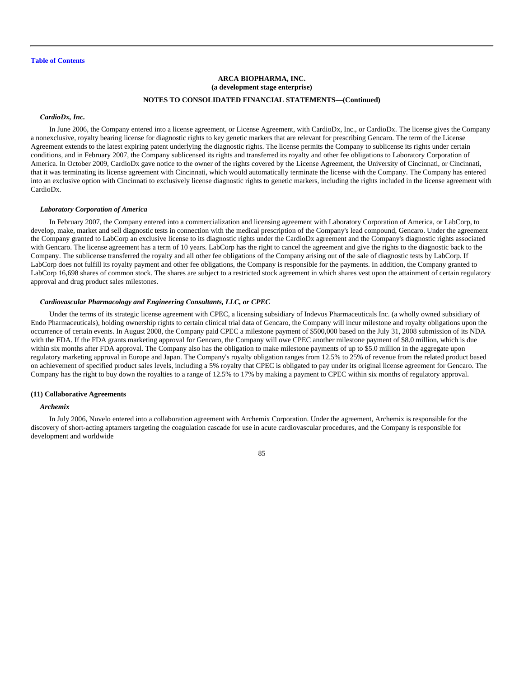### *CardioDx, Inc.*

In June 2006, the Company entered into a license agreement, or License Agreement, with CardioDx, Inc., or CardioDx. The license gives the Company a nonexclusive, royalty bearing license for diagnostic rights to key genetic markers that are relevant for prescribing Gencaro. The term of the License Agreement extends to the latest expiring patent underlying the diagnostic rights. The license permits the Company to sublicense its rights under certain conditions, and in February 2007, the Company sublicensed its rights and transferred its royalty and other fee obligations to Laboratory Corporation of America. In October 2009, CardioDx gave notice to the owner of the rights covered by the License Agreement, the University of Cincinnati, or Cincinnati, that it was terminating its license agreement with Cincinnati, which would automatically terminate the license with the Company. The Company has entered into an exclusive option with Cincinnati to exclusively license diagnostic rights to genetic markers, including the rights included in the license agreement with CardioDx.

#### *Laboratory Corporation of America*

In February 2007, the Company entered into a commercialization and licensing agreement with Laboratory Corporation of America, or LabCorp, to develop, make, market and sell diagnostic tests in connection with the medical prescription of the Company's lead compound, Gencaro. Under the agreement the Company granted to LabCorp an exclusive license to its diagnostic rights under the CardioDx agreement and the Company's diagnostic rights associated with Gencaro. The license agreement has a term of 10 years. LabCorp has the right to cancel the agreement and give the rights to the diagnostic back to the Company. The sublicense transferred the royalty and all other fee obligations of the Company arising out of the sale of diagnostic tests by LabCorp. If LabCorp does not fulfill its royalty payment and other fee obligations, the Company is responsible for the payments. In addition, the Company granted to LabCorp 16,698 shares of common stock. The shares are subject to a restricted stock agreement in which shares vest upon the attainment of certain regulatory approval and drug product sales milestones.

### *Cardiovascular Pharmacology and Engineering Consultants, LLC, or CPEC*

Under the terms of its strategic license agreement with CPEC, a licensing subsidiary of Indevus Pharmaceuticals Inc. (a wholly owned subsidiary of Endo Pharmaceuticals), holding ownership rights to certain clinical trial data of Gencaro, the Company will incur milestone and royalty obligations upon the occurrence of certain events. In August 2008, the Company paid CPEC a milestone payment of \$500,000 based on the July 31, 2008 submission of its NDA with the FDA. If the FDA grants marketing approval for Gencaro, the Company will owe CPEC another milestone payment of \$8.0 million, which is due within six months after FDA approval. The Company also has the obligation to make milestone payments of up to \$5.0 million in the aggregate upon regulatory marketing approval in Europe and Japan. The Company's royalty obligation ranges from 12.5% to 25% of revenue from the related product based on achievement of specified product sales levels, including a 5% royalty that CPEC is obligated to pay under its original license agreement for Gencaro. The Company has the right to buy down the royalties to a range of 12.5% to 17% by making a payment to CPEC within six months of regulatory approval.

#### **(11) Collaborative Agreements**

### *Archemix*

In July 2006, Nuvelo entered into a collaboration agreement with Archemix Corporation. Under the agreement, Archemix is responsible for the discovery of short-acting aptamers targeting the coagulation cascade for use in acute cardiovascular procedures, and the Company is responsible for development and worldwide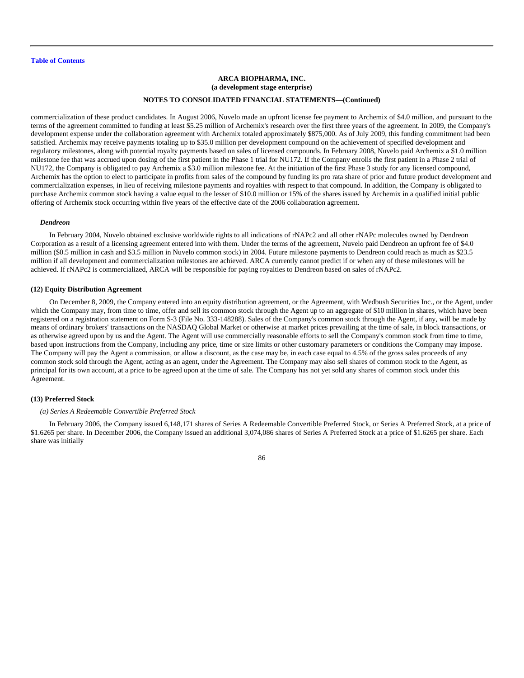commercialization of these product candidates. In August 2006, Nuvelo made an upfront license fee payment to Archemix of \$4.0 million, and pursuant to the terms of the agreement committed to funding at least \$5.25 million of Archemix's research over the first three years of the agreement. In 2009, the Company's development expense under the collaboration agreement with Archemix totaled approximately \$875,000. As of July 2009, this funding commitment had been satisfied. Archemix may receive payments totaling up to \$35.0 million per development compound on the achievement of specified development and regulatory milestones, along with potential royalty payments based on sales of licensed compounds. In February 2008, Nuvelo paid Archemix a \$1.0 million milestone fee that was accrued upon dosing of the first patient in the Phase 1 trial for NU172. If the Company enrolls the first patient in a Phase 2 trial of NU172, the Company is obligated to pay Archemix a \$3.0 million milestone fee. At the initiation of the first Phase 3 study for any licensed compound, Archemix has the option to elect to participate in profits from sales of the compound by funding its pro rata share of prior and future product development and commercialization expenses, in lieu of receiving milestone payments and royalties with respect to that compound. In addition, the Company is obligated to purchase Archemix common stock having a value equal to the lesser of \$10.0 million or 15% of the shares issued by Archemix in a qualified initial public offering of Archemix stock occurring within five years of the effective date of the 2006 collaboration agreement.

#### *Dendreon*

In February 2004, Nuvelo obtained exclusive worldwide rights to all indications of rNAPc2 and all other rNAPc molecules owned by Dendreon Corporation as a result of a licensing agreement entered into with them. Under the terms of the agreement, Nuvelo paid Dendreon an upfront fee of \$4.0 million (\$0.5 million in cash and \$3.5 million in Nuvelo common stock) in 2004. Future milestone payments to Dendreon could reach as much as \$23.5 million if all development and commercialization milestones are achieved. ARCA currently cannot predict if or when any of these milestones will be achieved. If rNAPc2 is commercialized, ARCA will be responsible for paying royalties to Dendreon based on sales of rNAPc2.

#### **(12) Equity Distribution Agreement**

On December 8, 2009, the Company entered into an equity distribution agreement, or the Agreement, with Wedbush Securities Inc., or the Agent, under which the Company may, from time to time, offer and sell its common stock through the Agent up to an aggregate of \$10 million in shares, which have been registered on a registration statement on Form S-3 (File No. 333-148288). Sales of the Company's common stock through the Agent, if any, will be made by means of ordinary brokers' transactions on the NASDAQ Global Market or otherwise at market prices prevailing at the time of sale, in block transactions, or as otherwise agreed upon by us and the Agent. The Agent will use commercially reasonable efforts to sell the Company's common stock from time to time, based upon instructions from the Company, including any price, time or size limits or other customary parameters or conditions the Company may impose. The Company will pay the Agent a commission, or allow a discount, as the case may be, in each case equal to 4.5% of the gross sales proceeds of any common stock sold through the Agent, acting as an agent, under the Agreement. The Company may also sell shares of common stock to the Agent, as principal for its own account, at a price to be agreed upon at the time of sale. The Company has not yet sold any shares of common stock under this Agreement.

### **(13) Preferred Stock**

#### *(a) Series A Redeemable Convertible Preferred Stock*

In February 2006, the Company issued 6,148,171 shares of Series A Redeemable Convertible Preferred Stock, or Series A Preferred Stock, at a price of \$1.6265 per share. In December 2006, the Company issued an additional 3,074,086 shares of Series A Preferred Stock at a price of \$1.6265 per share. Each share was initially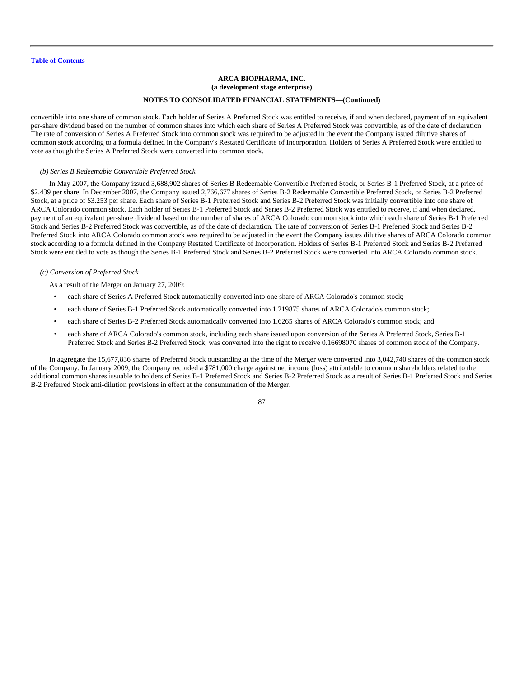convertible into one share of common stock. Each holder of Series A Preferred Stock was entitled to receive, if and when declared, payment of an equivalent per-share dividend based on the number of common shares into which each share of Series A Preferred Stock was convertible, as of the date of declaration. The rate of conversion of Series A Preferred Stock into common stock was required to be adjusted in the event the Company issued dilutive shares of common stock according to a formula defined in the Company's Restated Certificate of Incorporation. Holders of Series A Preferred Stock were entitled to vote as though the Series A Preferred Stock were converted into common stock.

#### *(b) Series B Redeemable Convertible Preferred Stock*

In May 2007, the Company issued 3,688,902 shares of Series B Redeemable Convertible Preferred Stock, or Series B-1 Preferred Stock, at a price of \$2.439 per share. In December 2007, the Company issued 2,766,677 shares of Series B-2 Redeemable Convertible Preferred Stock, or Series B-2 Preferred Stock, at a price of \$3.253 per share. Each share of Series B-1 Preferred Stock and Series B-2 Preferred Stock was initially convertible into one share of ARCA Colorado common stock. Each holder of Series B-1 Preferred Stock and Series B-2 Preferred Stock was entitled to receive, if and when declared, payment of an equivalent per-share dividend based on the number of shares of ARCA Colorado common stock into which each share of Series B-1 Preferred Stock and Series B-2 Preferred Stock was convertible, as of the date of declaration. The rate of conversion of Series B-1 Preferred Stock and Series B-2 Preferred Stock into ARCA Colorado common stock was required to be adjusted in the event the Company issues dilutive shares of ARCA Colorado common stock according to a formula defined in the Company Restated Certificate of Incorporation. Holders of Series B-1 Preferred Stock and Series B-2 Preferred Stock were entitled to vote as though the Series B-1 Preferred Stock and Series B-2 Preferred Stock were converted into ARCA Colorado common stock.

#### *(c) Conversion of Preferred Stock*

As a result of the Merger on January 27, 2009:

- each share of Series A Preferred Stock automatically converted into one share of ARCA Colorado's common stock;
- each share of Series B-1 Preferred Stock automatically converted into 1.219875 shares of ARCA Colorado's common stock;
- each share of Series B-2 Preferred Stock automatically converted into 1.6265 shares of ARCA Colorado's common stock; and
- each share of ARCA Colorado's common stock, including each share issued upon conversion of the Series A Preferred Stock, Series B-1 Preferred Stock and Series B-2 Preferred Stock, was converted into the right to receive 0.16698070 shares of common stock of the Company.

In aggregate the 15,677,836 shares of Preferred Stock outstanding at the time of the Merger were converted into 3,042,740 shares of the common stock of the Company. In January 2009, the Company recorded a \$781,000 charge against net income (loss) attributable to common shareholders related to the additional common shares issuable to holders of Series B-1 Preferred Stock and Series B-2 Preferred Stock as a result of Series B-1 Preferred Stock and Series B-2 Preferred Stock anti-dilution provisions in effect at the consummation of the Merger.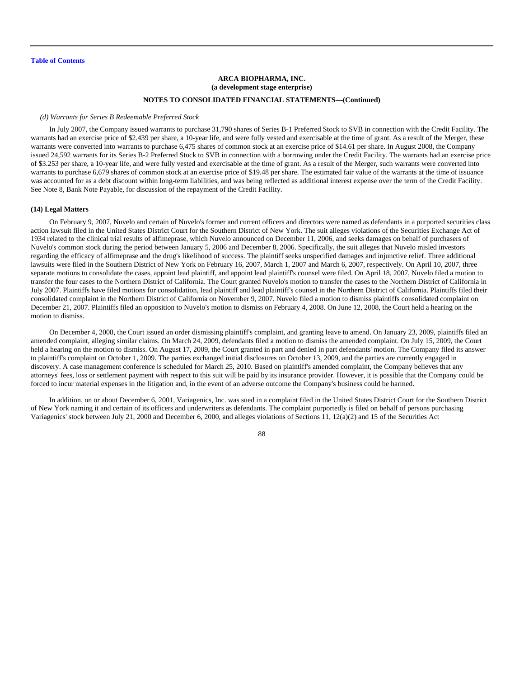#### *(d) Warrants for Series B Redeemable Preferred Stock*

In July 2007, the Company issued warrants to purchase 31,790 shares of Series B-1 Preferred Stock to SVB in connection with the Credit Facility. The warrants had an exercise price of \$2.439 per share, a 10-year life, and were fully vested and exercisable at the time of grant. As a result of the Merger, these warrants were converted into warrants to purchase 6,475 shares of common stock at an exercise price of \$14.61 per share. In August 2008, the Company issued 24,592 warrants for its Series B-2 Preferred Stock to SVB in connection with a borrowing under the Credit Facility. The warrants had an exercise price of \$3.253 per share, a 10-year life, and were fully vested and exercisable at the time of grant. As a result of the Merger, such warrants were converted into warrants to purchase 6,679 shares of common stock at an exercise price of \$19.48 per share. The estimated fair value of the warrants at the time of issuance was accounted for as a debt discount within long-term liabilities, and was being reflected as additional interest expense over the term of the Credit Facility. See Note 8, Bank Note Payable, for discussion of the repayment of the Credit Facility.

#### **(14) Legal Matters**

On February 9, 2007, Nuvelo and certain of Nuvelo's former and current officers and directors were named as defendants in a purported securities class action lawsuit filed in the United States District Court for the Southern District of New York. The suit alleges violations of the Securities Exchange Act of 1934 related to the clinical trial results of alfimeprase, which Nuvelo announced on December 11, 2006, and seeks damages on behalf of purchasers of Nuvelo's common stock during the period between January 5, 2006 and December 8, 2006. Specifically, the suit alleges that Nuvelo misled investors regarding the efficacy of alfimeprase and the drug's likelihood of success. The plaintiff seeks unspecified damages and injunctive relief. Three additional lawsuits were filed in the Southern District of New York on February 16, 2007, March 1, 2007 and March 6, 2007, respectively. On April 10, 2007, three separate motions to consolidate the cases, appoint lead plaintiff, and appoint lead plaintiff's counsel were filed. On April 18, 2007, Nuvelo filed a motion to transfer the four cases to the Northern District of California. The Court granted Nuvelo's motion to transfer the cases to the Northern District of California in July 2007. Plaintiffs have filed motions for consolidation, lead plaintiff and lead plaintiff's counsel in the Northern District of California. Plaintiffs filed their consolidated complaint in the Northern District of California on November 9, 2007. Nuvelo filed a motion to dismiss plaintiffs consolidated complaint on December 21, 2007. Plaintiffs filed an opposition to Nuvelo's motion to dismiss on February 4, 2008. On June 12, 2008, the Court held a hearing on the motion to dismiss.

On December 4, 2008, the Court issued an order dismissing plaintiff's complaint, and granting leave to amend. On January 23, 2009, plaintiffs filed an amended complaint, alleging similar claims. On March 24, 2009, defendants filed a motion to dismiss the amended complaint. On July 15, 2009, the Court held a hearing on the motion to dismiss. On August 17, 2009, the Court granted in part and denied in part defendants' motion. The Company filed its answer to plaintiff's complaint on October 1, 2009. The parties exchanged initial disclosures on October 13, 2009, and the parties are currently engaged in discovery. A case management conference is scheduled for March 25, 2010. Based on plaintiff's amended complaint, the Company believes that any attorneys' fees, loss or settlement payment with respect to this suit will be paid by its insurance provider. However, it is possible that the Company could be forced to incur material expenses in the litigation and, in the event of an adverse outcome the Company's business could be harmed.

In addition, on or about December 6, 2001, Variagenics, Inc. was sued in a complaint filed in the United States District Court for the Southern District of New York naming it and certain of its officers and underwriters as defendants. The complaint purportedly is filed on behalf of persons purchasing Variagenics' stock between July 21, 2000 and December 6, 2000, and alleges violations of Sections 11, 12(a)(2) and 15 of the Securities Act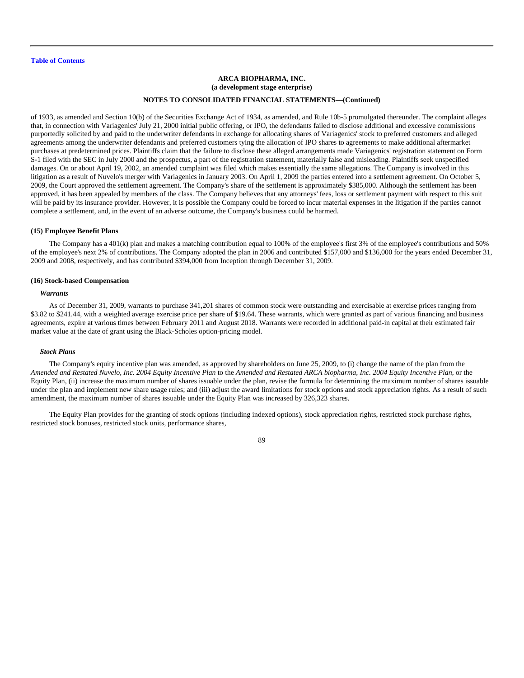of 1933, as amended and Section 10(b) of the Securities Exchange Act of 1934, as amended, and Rule 10b-5 promulgated thereunder. The complaint alleges that, in connection with Variagenics' July 21, 2000 initial public offering, or IPO, the defendants failed to disclose additional and excessive commissions purportedly solicited by and paid to the underwriter defendants in exchange for allocating shares of Variagenics' stock to preferred customers and alleged agreements among the underwriter defendants and preferred customers tying the allocation of IPO shares to agreements to make additional aftermarket purchases at predetermined prices. Plaintiffs claim that the failure to disclose these alleged arrangements made Variagenics' registration statement on Form S-1 filed with the SEC in July 2000 and the prospectus, a part of the registration statement, materially false and misleading. Plaintiffs seek unspecified damages. On or about April 19, 2002, an amended complaint was filed which makes essentially the same allegations. The Company is involved in this litigation as a result of Nuvelo's merger with Variagenics in January 2003. On April 1, 2009 the parties entered into a settlement agreement. On October 5, 2009, the Court approved the settlement agreement. The Company's share of the settlement is approximately \$385,000. Although the settlement has been approved, it has been appealed by members of the class. The Company believes that any attorneys' fees, loss or settlement payment with respect to this suit will be paid by its insurance provider. However, it is possible the Company could be forced to incur material expenses in the litigation if the parties cannot complete a settlement, and, in the event of an adverse outcome, the Company's business could be harmed.

#### **(15) Employee Benefit Plans**

The Company has a 401(k) plan and makes a matching contribution equal to 100% of the employee's first 3% of the employee's contributions and 50% of the employee's next 2% of contributions. The Company adopted the plan in 2006 and contributed \$157,000 and \$136,000 for the years ended December 31, 2009 and 2008, respectively, and has contributed \$394,000 from Inception through December 31, 2009.

### **(16) Stock-based Compensation**

#### *Warrants*

As of December 31, 2009, warrants to purchase 341,201 shares of common stock were outstanding and exercisable at exercise prices ranging from \$3.82 to \$241.44, with a weighted average exercise price per share of \$19.64. These warrants, which were granted as part of various financing and business agreements, expire at various times between February 2011 and August 2018. Warrants were recorded in additional paid-in capital at their estimated fair market value at the date of grant using the Black-Scholes option-pricing model.

### *Stock Plans*

The Company's equity incentive plan was amended, as approved by shareholders on June 25, 2009, to (i) change the name of the plan from the *Amended and Restated Nuvelo, Inc. 2004 Equity Incentive Plan* to the *Amended and Restated ARCA biopharma, Inc. 2004 Equity Incentive Plan*, or the Equity Plan, (ii) increase the maximum number of shares issuable under the plan, revise the formula for determining the maximum number of shares issuable under the plan and implement new share usage rules; and (iii) adjust the award limitations for stock options and stock appreciation rights. As a result of such amendment, the maximum number of shares issuable under the Equity Plan was increased by 326,323 shares.

The Equity Plan provides for the granting of stock options (including indexed options), stock appreciation rights, restricted stock purchase rights, restricted stock bonuses, restricted stock units, performance shares,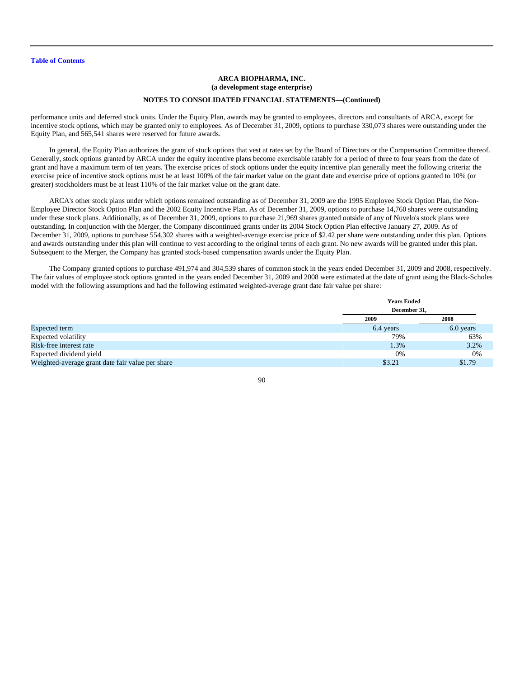performance units and deferred stock units. Under the Equity Plan, awards may be granted to employees, directors and consultants of ARCA, except for incentive stock options, which may be granted only to employees. As of December 31, 2009, options to purchase 330,073 shares were outstanding under the Equity Plan, and 565,541 shares were reserved for future awards.

In general, the Equity Plan authorizes the grant of stock options that vest at rates set by the Board of Directors or the Compensation Committee thereof. Generally, stock options granted by ARCA under the equity incentive plans become exercisable ratably for a period of three to four years from the date of grant and have a maximum term of ten years. The exercise prices of stock options under the equity incentive plan generally meet the following criteria: the exercise price of incentive stock options must be at least 100% of the fair market value on the grant date and exercise price of options granted to 10% (or greater) stockholders must be at least 110% of the fair market value on the grant date.

ARCA's other stock plans under which options remained outstanding as of December 31, 2009 are the 1995 Employee Stock Option Plan, the Non-Employee Director Stock Option Plan and the 2002 Equity Incentive Plan. As of December 31, 2009, options to purchase 14,760 shares were outstanding under these stock plans. Additionally, as of December 31, 2009, options to purchase 21,969 shares granted outside of any of Nuvelo's stock plans were outstanding. In conjunction with the Merger, the Company discontinued grants under its 2004 Stock Option Plan effective January 27, 2009. As of December 31, 2009, options to purchase 554,302 shares with a weighted-average exercise price of \$2.42 per share were outstanding under this plan. Options and awards outstanding under this plan will continue to vest according to the original terms of each grant. No new awards will be granted under this plan. Subsequent to the Merger, the Company has granted stock-based compensation awards under the Equity Plan.

The Company granted options to purchase 491,974 and 304,539 shares of common stock in the years ended December 31, 2009 and 2008, respectively. The fair values of employee stock options granted in the years ended December 31, 2009 and 2008 were estimated at the date of grant using the Black-Scholes model with the following assumptions and had the following estimated weighted-average grant date fair value per share:

| <b>Years Ended</b><br>December 31, |           |  |  |
|------------------------------------|-----------|--|--|
|                                    |           |  |  |
| 6.4 years                          | 6.0 years |  |  |
| 79%                                | 63%       |  |  |
| 1.3%                               | 3.2%      |  |  |
| 0%                                 | 0%        |  |  |
| \$3.21                             | \$1.79    |  |  |
|                                    |           |  |  |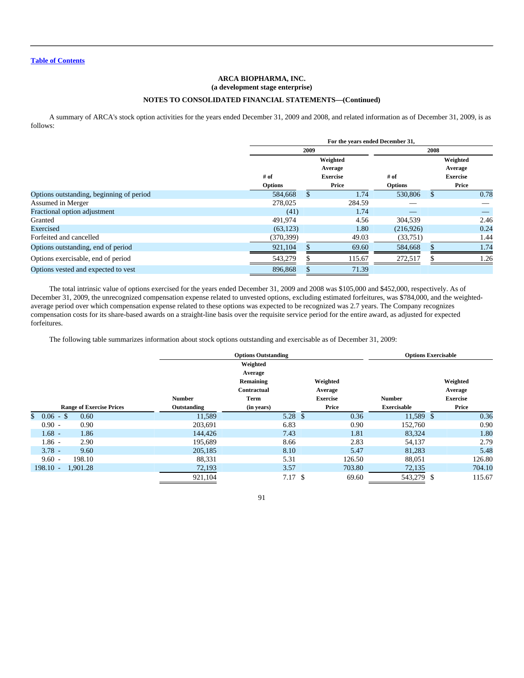A summary of ARCA's stock option activities for the years ended December 31, 2009 and 2008, and related information as of December 31, 2009, is as follows:

|                                          |                | For the years ended December 31, |                   |    |                 |      |  |
|------------------------------------------|----------------|----------------------------------|-------------------|----|-----------------|------|--|
|                                          |                | 2009                             |                   |    | 2008            |      |  |
|                                          |                | Weighted                         |                   |    | Weighted        |      |  |
|                                          |                | Average                          |                   |    | Average         |      |  |
|                                          | # of           | <b>Exercise</b>                  | # of              |    | <b>Exercise</b> |      |  |
|                                          | <b>Options</b> | Price                            | <b>Options</b>    |    | Price           |      |  |
| Options outstanding, beginning of period | 584,668        | \$                               | 1.74<br>530,806   | \$ |                 | 0.78 |  |
| Assumed in Merger                        | 278,025        | 284.59                           |                   |    |                 |      |  |
| Fractional option adjustment             | (41)           |                                  | 1.74              |    |                 |      |  |
| Granted                                  | 491,974        |                                  | 304,539<br>4.56   |    |                 | 2.46 |  |
| Exercised                                | (63, 123)      |                                  | 1.80<br>(216,926) |    |                 | 0.24 |  |
| Forfeited and cancelled                  | (370, 399)     | 49.03                            | (33,751)          |    |                 | 1.44 |  |
| Options outstanding, end of period       | 921,104        | 69.60                            | 584,668           |    |                 | 1.74 |  |
| Options exercisable, end of period       | 543,279        | 115.67                           | 272,517           |    |                 | 1.26 |  |
| Options vested and expected to vest      | 896,868        | 71.39                            |                   |    |                 |      |  |

The total intrinsic value of options exercised for the years ended December 31, 2009 and 2008 was \$105,000 and \$452,000, respectively. As of December 31, 2009, the unrecognized compensation expense related to unvested options, excluding estimated forfeitures, was \$784,000, and the weightedaverage period over which compensation expense related to these options was expected to be recognized was 2.7 years. The Company recognizes compensation costs for its share-based awards on a straight-line basis over the requisite service period for the entire award, as adjusted for expected forfeitures.

The following table summarizes information about stock options outstanding and exercisable as of December 31, 2009:

|             |          |                                 | <b>Options Outstanding</b> |             |                       |                    | <b>Options Exercisable</b> |  |  |
|-------------|----------|---------------------------------|----------------------------|-------------|-----------------------|--------------------|----------------------------|--|--|
|             |          |                                 |                            | Weighted    |                       |                    |                            |  |  |
|             |          |                                 |                            | Average     |                       |                    |                            |  |  |
|             |          |                                 |                            | Remaining   | Weighted              |                    | Weighted                   |  |  |
|             |          |                                 |                            | Contractual | Average               |                    | Average                    |  |  |
|             |          |                                 | <b>Number</b>              | <b>Term</b> | <b>Exercise</b>       | <b>Number</b>      | <b>Exercise</b>            |  |  |
|             |          | <b>Range of Exercise Prices</b> | Outstanding                | (in years)  | Price                 | <b>Exercisable</b> | Price                      |  |  |
| $$0.06 - $$ | 0.60     |                                 | 11,589                     | 5.28        | $\mathcal{S}$<br>0.36 | 11,589 \$          | 0.36                       |  |  |
| $0.90 -$    | 0.90     |                                 | 203,691                    | 6.83        | 0.90                  | 152,760            | 0.90                       |  |  |
| $1.68 -$    | 1.86     |                                 | 144,426                    | 7.43        | 1.81                  | 83,324             | 1.80                       |  |  |
| $1.86 -$    | 2.90     |                                 | 195,689                    | 8.66        | 2.83                  | 54,137             | 2.79                       |  |  |
| $3.78 -$    | 9.60     |                                 | 205,185                    | 8.10        | 5.47                  | 81,283             | 5.48                       |  |  |
| $9.60 -$    | 198.10   |                                 | 88,331                     | 5.31        | 126.50                | 88,051             | 126.80                     |  |  |
| $198.10 -$  | 1,901.28 |                                 | 72,193                     | 3.57        | 703.80                | 72,135             | 704.10                     |  |  |
|             |          |                                 | 921,104                    | 7.17S       | 69.60                 | 543,279 \$         | 115.67                     |  |  |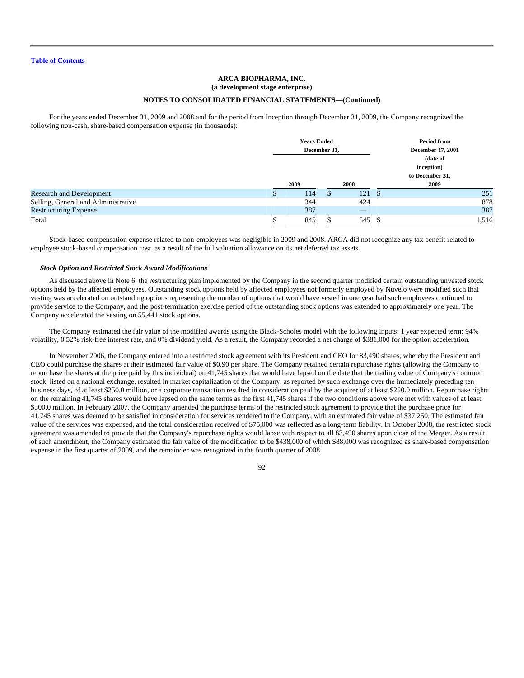For the years ended December 31, 2009 and 2008 and for the period from Inception through December 31, 2009, the Company recognized the following non-cash, share-based compensation expense (in thousands):

|                                     | <b>Years Ended</b><br>December 31, |    |      | <b>Period from</b><br><b>December 17, 2001</b><br>(date of<br>inception) |                 |
|-------------------------------------|------------------------------------|----|------|--------------------------------------------------------------------------|-----------------|
|                                     |                                    |    |      |                                                                          | to December 31, |
|                                     | 2009                               |    | 2008 |                                                                          | 2009            |
| <b>Research and Development</b>     | 114                                | -S | 121  |                                                                          | 251             |
| Selling, General and Administrative | 344                                |    | 424  |                                                                          | 878             |
| <b>Restructuring Expense</b>        | 387                                |    |      |                                                                          | 387             |
| Total                               | 845                                |    | 545  |                                                                          | 1.516           |

Stock-based compensation expense related to non-employees was negligible in 2009 and 2008. ARCA did not recognize any tax benefit related to employee stock-based compensation cost, as a result of the full valuation allowance on its net deferred tax assets.

### *Stock Option and Restricted Stock Award Modifications*

As discussed above in Note 6, the restructuring plan implemented by the Company in the second quarter modified certain outstanding unvested stock options held by the affected employees. Outstanding stock options held by affected employees not formerly employed by Nuvelo were modified such that vesting was accelerated on outstanding options representing the number of options that would have vested in one year had such employees continued to provide service to the Company, and the post-termination exercise period of the outstanding stock options was extended to approximately one year. The Company accelerated the vesting on 55,441 stock options.

The Company estimated the fair value of the modified awards using the Black-Scholes model with the following inputs: 1 year expected term; 94% volatility, 0.52% risk-free interest rate, and 0% dividend yield. As a result, the Company recorded a net charge of \$381,000 for the option acceleration.

In November 2006, the Company entered into a restricted stock agreement with its President and CEO for 83,490 shares, whereby the President and CEO could purchase the shares at their estimated fair value of \$0.90 per share. The Company retained certain repurchase rights (allowing the Company to repurchase the shares at the price paid by this individual) on 41,745 shares that would have lapsed on the date that the trading value of Company's common stock, listed on a national exchange, resulted in market capitalization of the Company, as reported by such exchange over the immediately preceding ten business days, of at least \$250.0 million, or a corporate transaction resulted in consideration paid by the acquirer of at least \$250.0 million. Repurchase rights on the remaining 41,745 shares would have lapsed on the same terms as the first 41,745 shares if the two conditions above were met with values of at least \$500.0 million. In February 2007, the Company amended the purchase terms of the restricted stock agreement to provide that the purchase price for 41,745 shares was deemed to be satisfied in consideration for services rendered to the Company, with an estimated fair value of \$37,250. The estimated fair value of the services was expensed, and the total consideration received of \$75,000 was reflected as a long-term liability. In October 2008, the restricted stock agreement was amended to provide that the Company's repurchase rights would lapse with respect to all 83,490 shares upon close of the Merger. As a result of such amendment, the Company estimated the fair value of the modification to be \$438,000 of which \$88,000 was recognized as share-based compensation expense in the first quarter of 2009, and the remainder was recognized in the fourth quarter of 2008.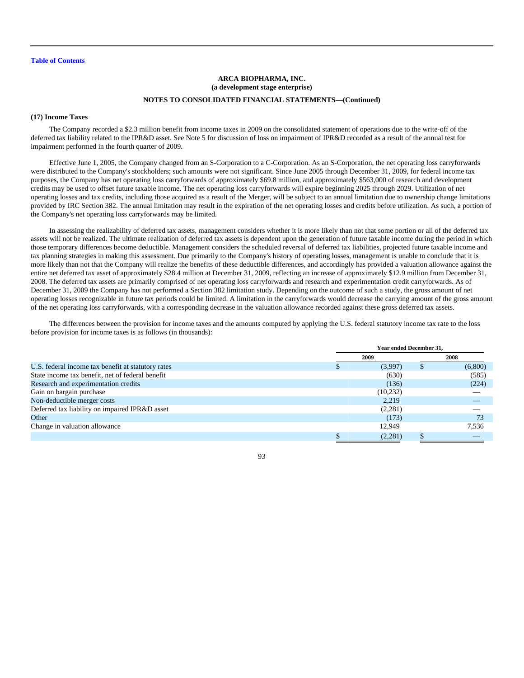### **(17) Income Taxes**

The Company recorded a \$2.3 million benefit from income taxes in 2009 on the consolidated statement of operations due to the write-off of the deferred tax liability related to the IPR&D asset. See Note 5 for discussion of loss on impairment of IPR&D recorded as a result of the annual test for impairment performed in the fourth quarter of 2009.

Effective June 1, 2005, the Company changed from an S-Corporation to a C-Corporation. As an S-Corporation, the net operating loss carryforwards were distributed to the Company's stockholders; such amounts were not significant. Since June 2005 through December 31, 2009, for federal income tax purposes, the Company has net operating loss carryforwards of approximately \$69.8 million, and approximately \$563,000 of research and development credits may be used to offset future taxable income. The net operating loss carryforwards will expire beginning 2025 through 2029. Utilization of net operating losses and tax credits, including those acquired as a result of the Merger, will be subject to an annual limitation due to ownership change limitations provided by IRC Section 382. The annual limitation may result in the expiration of the net operating losses and credits before utilization. As such, a portion of the Company's net operating loss carryforwards may be limited.

In assessing the realizability of deferred tax assets, management considers whether it is more likely than not that some portion or all of the deferred tax assets will not be realized. The ultimate realization of deferred tax assets is dependent upon the generation of future taxable income during the period in which those temporary differences become deductible. Management considers the scheduled reversal of deferred tax liabilities, projected future taxable income and tax planning strategies in making this assessment. Due primarily to the Company's history of operating losses, management is unable to conclude that it is more likely than not that the Company will realize the benefits of these deductible differences, and accordingly has provided a valuation allowance against the entire net deferred tax asset of approximately \$28.4 million at December 31, 2009, reflecting an increase of approximately \$12.9 million from December 31, 2008. The deferred tax assets are primarily comprised of net operating loss carryforwards and research and experimentation credit carryforwards. As of December 31, 2009 the Company has not performed a Section 382 limitation study. Depending on the outcome of such a study, the gross amount of net operating losses recognizable in future tax periods could be limited. A limitation in the carryforwards would decrease the carrying amount of the gross amount of the net operating loss carryforwards, with a corresponding decrease in the valuation allowance recorded against these gross deferred tax assets.

The differences between the provision for income taxes and the amounts computed by applying the U.S. federal statutory income tax rate to the loss before provision for income taxes is as follows (in thousands):

|                                                    | Year ended December 31, |  |         |
|----------------------------------------------------|-------------------------|--|---------|
|                                                    | 2009                    |  | 2008    |
| U.S. federal income tax benefit at statutory rates | (3,997)                 |  | (6,800) |
| State income tax benefit, net of federal benefit   | (630)                   |  | (585)   |
| Research and experimentation credits               | (136)                   |  | (224)   |
| Gain on bargain purchase                           | (10,232)                |  |         |
| Non-deductible merger costs                        | 2.219                   |  |         |
| Deferred tax liability on impaired IPR&D asset     | (2,281)                 |  |         |
| Other                                              | (173)                   |  |         |
| Change in valuation allowance                      | 12,949                  |  | 7,536   |
|                                                    | (2,281)                 |  |         |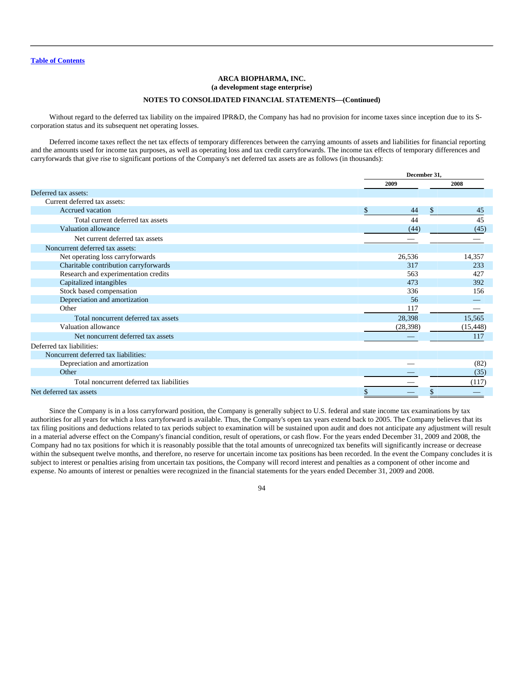Without regard to the deferred tax liability on the impaired IPR&D, the Company has had no provision for income taxes since inception due to its Scorporation status and its subsequent net operating losses.

Deferred income taxes reflect the net tax effects of temporary differences between the carrying amounts of assets and liabilities for financial reporting and the amounts used for income tax purposes, as well as operating loss and tax credit carryforwards. The income tax effects of temporary differences and carryforwards that give rise to significant portions of the Company's net deferred tax assets are as follows (in thousands):

|                                           | December 31, |               |           |
|-------------------------------------------|--------------|---------------|-----------|
|                                           | 2009         |               | 2008      |
| Deferred tax assets:                      |              |               |           |
| Current deferred tax assets:              |              |               |           |
| Accrued vacation                          | \$<br>44     | $\mathbf{\$}$ | 45        |
| Total current deferred tax assets         | 44           |               | 45        |
| Valuation allowance                       | (44)         |               | (45)      |
| Net current deferred tax assets           |              |               |           |
| Noncurrent deferred tax assets:           |              |               |           |
| Net operating loss carryforwards          | 26,536       |               | 14,357    |
| Charitable contribution carryforwards     | 317          |               | 233       |
| Research and experimentation credits      | 563          |               | 427       |
| Capitalized intangibles                   | 473          |               | 392       |
| Stock based compensation                  | 336          |               | 156       |
| Depreciation and amortization             | 56           |               |           |
| Other                                     | 117          |               |           |
| Total noncurrent deferred tax assets      | 28,398       |               | 15,565    |
| Valuation allowance                       | (28, 398)    |               | (15, 448) |
| Net noncurrent deferred tax assets        |              |               | 117       |
| Deferred tax liabilities:                 |              |               |           |
| Noncurrent deferred tax liabilities:      |              |               |           |
| Depreciation and amortization             |              |               | (82)      |
| Other                                     |              |               | (35)      |
| Total noncurrent deferred tax liabilities |              |               | (117)     |
| Net deferred tax assets                   |              |               |           |
|                                           |              |               |           |

Since the Company is in a loss carryforward position, the Company is generally subject to U.S. federal and state income tax examinations by tax authorities for all years for which a loss carryforward is available. Thus, the Company's open tax years extend back to 2005. The Company believes that its tax filing positions and deductions related to tax periods subject to examination will be sustained upon audit and does not anticipate any adjustment will result in a material adverse effect on the Company's financial condition, result of operations, or cash flow. For the years ended December 31, 2009 and 2008, the Company had no tax positions for which it is reasonably possible that the total amounts of unrecognized tax benefits will significantly increase or decrease within the subsequent twelve months, and therefore, no reserve for uncertain income tax positions has been recorded. In the event the Company concludes it is subject to interest or penalties arising from uncertain tax positions, the Company will record interest and penalties as a component of other income and expense. No amounts of interest or penalties were recognized in the financial statements for the years ended December 31, 2009 and 2008.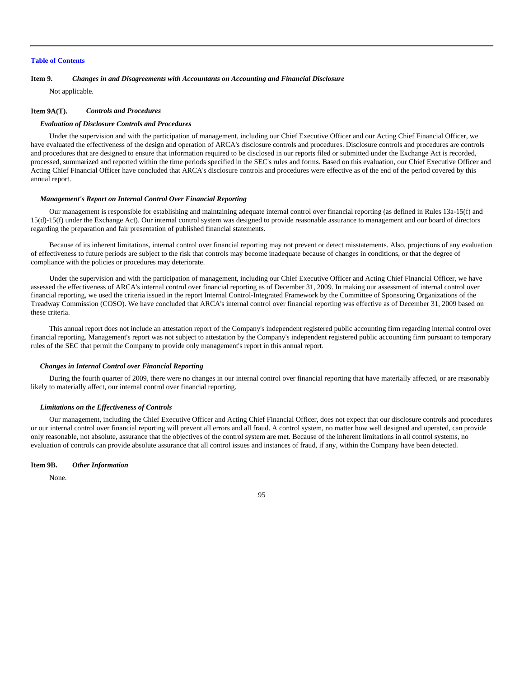#### **Item 9.** *Changes in and Disagreements with Accountants on Accounting and Financial Disclosure*

Not applicable.

#### **Item 9A(T).** *Controls and Procedures*

#### *Evaluation of Disclosure Controls and Procedures*

Under the supervision and with the participation of management, including our Chief Executive Officer and our Acting Chief Financial Officer, we have evaluated the effectiveness of the design and operation of ARCA's disclosure controls and procedures. Disclosure controls and procedures are controls and procedures that are designed to ensure that information required to be disclosed in our reports filed or submitted under the Exchange Act is recorded, processed, summarized and reported within the time periods specified in the SEC's rules and forms. Based on this evaluation, our Chief Executive Officer and Acting Chief Financial Officer have concluded that ARCA's disclosure controls and procedures were effective as of the end of the period covered by this annual report.

#### *Management's Report on Internal Control Over Financial Reporting*

Our management is responsible for establishing and maintaining adequate internal control over financial reporting (as defined in Rules 13a-15(f) and 15(d)-15(f) under the Exchange Act). Our internal control system was designed to provide reasonable assurance to management and our board of directors regarding the preparation and fair presentation of published financial statements.

Because of its inherent limitations, internal control over financial reporting may not prevent or detect misstatements. Also, projections of any evaluation of effectiveness to future periods are subject to the risk that controls may become inadequate because of changes in conditions, or that the degree of compliance with the policies or procedures may deteriorate.

Under the supervision and with the participation of management, including our Chief Executive Officer and Acting Chief Financial Officer, we have assessed the effectiveness of ARCA's internal control over financial reporting as of December 31, 2009. In making our assessment of internal control over financial reporting, we used the criteria issued in the report Internal Control-Integrated Framework by the Committee of Sponsoring Organizations of the Treadway Commission (COSO). We have concluded that ARCA's internal control over financial reporting was effective as of December 31, 2009 based on these criteria.

This annual report does not include an attestation report of the Company's independent registered public accounting firm regarding internal control over financial reporting. Management's report was not subject to attestation by the Company's independent registered public accounting firm pursuant to temporary rules of the SEC that permit the Company to provide only management's report in this annual report.

#### *Changes in Internal Control over Financial Reporting*

During the fourth quarter of 2009, there were no changes in our internal control over financial reporting that have materially affected, or are reasonably likely to materially affect, our internal control over financial reporting.

#### *Limitations on the Effectiveness of Controls*

Our management, including the Chief Executive Officer and Acting Chief Financial Officer, does not expect that our disclosure controls and procedures or our internal control over financial reporting will prevent all errors and all fraud. A control system, no matter how well designed and operated, can provide only reasonable, not absolute, assurance that the objectives of the control system are met. Because of the inherent limitations in all control systems, no evaluation of controls can provide absolute assurance that all control issues and instances of fraud, if any, within the Company have been detected.

### **Item 9B.** *Other Information*

None.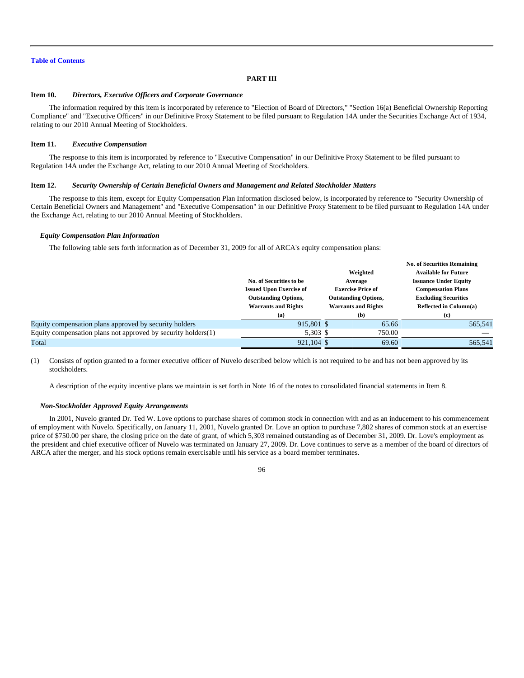### **PART III**

#### **Item 10.** *Directors, Executive Officers and Corporate Governance*

The information required by this item is incorporated by reference to "Election of Board of Directors," "Section 16(a) Beneficial Ownership Reporting Compliance" and "Executive Officers" in our Definitive Proxy Statement to be filed pursuant to Regulation 14A under the Securities Exchange Act of 1934, relating to our 2010 Annual Meeting of Stockholders.

#### **Item 11.** *Executive Compensation*

The response to this item is incorporated by reference to "Executive Compensation" in our Definitive Proxy Statement to be filed pursuant to Regulation 14A under the Exchange Act, relating to our 2010 Annual Meeting of Stockholders.

### **Item 12.** *Security Ownership of Certain Beneficial Owners and Management and Related Stockholder Matters*

The response to this item, except for Equity Compensation Plan Information disclosed below, is incorporated by reference to "Security Ownership of Certain Beneficial Owners and Management" and "Executive Compensation" in our Definitive Proxy Statement to be filed pursuant to Regulation 14A under the Exchange Act, relating to our 2010 Annual Meeting of Stockholders.

#### *Equity Compensation Plan Information*

The following table sets forth information as of December 31, 2009 for all of ARCA's equity compensation plans:

|                                                                  |                                |                             | <b>No. of Securities Remaining</b> |
|------------------------------------------------------------------|--------------------------------|-----------------------------|------------------------------------|
|                                                                  |                                | Weighted                    | <b>Available for Future</b>        |
|                                                                  | No. of Securities to be        | Average                     | <b>Issuance Under Equity</b>       |
|                                                                  | <b>Issued Upon Exercise of</b> | <b>Exercise Price of</b>    | <b>Compensation Plans</b>          |
|                                                                  | <b>Outstanding Options,</b>    | <b>Outstanding Options,</b> | <b>Excluding Securities</b>        |
|                                                                  | <b>Warrants and Rights</b>     | <b>Warrants and Rights</b>  | Reflected in Column(a)             |
|                                                                  | (a)                            | (b)                         | (c)                                |
| Equity compensation plans approved by security holders           | 915,801 \$                     | 65.66                       | 565,541                            |
| Equity compensation plans not approved by security holders $(1)$ | 5,303 \$                       | 750.00                      |                                    |
| Total                                                            | 921.104 \$                     | 69.60                       | 565,541                            |
|                                                                  |                                |                             |                                    |

(1) Consists of option granted to a former executive officer of Nuvelo described below which is not required to be and has not been approved by its stockholders.

A description of the equity incentive plans we maintain is set forth in Note 16 of the notes to consolidated financial statements in Item 8.

### *Non-Stockholder Approved Equity Arrangements*

In 2001, Nuvelo granted Dr. Ted W. Love options to purchase shares of common stock in connection with and as an inducement to his commencement of employment with Nuvelo. Specifically, on January 11, 2001, Nuvelo granted Dr. Love an option to purchase 7,802 shares of common stock at an exercise price of \$750.00 per share, the closing price on the date of grant, of which 5,303 remained outstanding as of December 31, 2009. Dr. Love's employment as the president and chief executive officer of Nuvelo was terminated on January 27, 2009. Dr. Love continues to serve as a member of the board of directors of ARCA after the merger, and his stock options remain exercisable until his service as a board member terminates.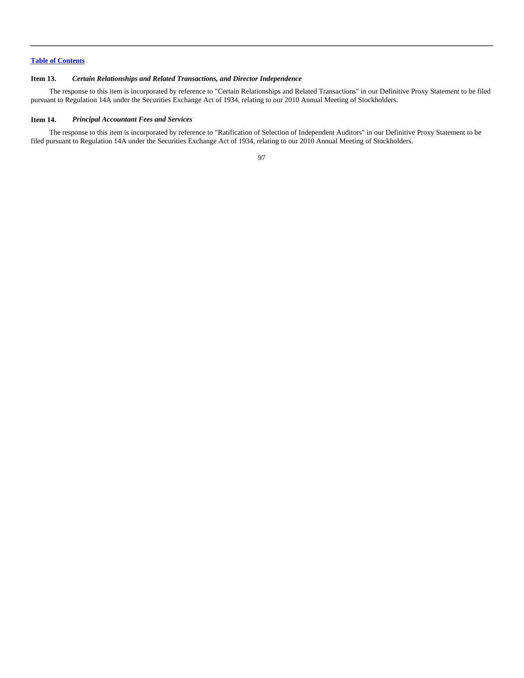#### **Item 13.** *Certain Relationships and Related Transactions, and Director Independence*

The response to this item is incorporated by reference to "Certain Relationships and Related Transactions" in our Definitive Proxy Statement to be filed pursuant to Regulation 14A under the Securities Exchange Act of 1934, relating to our 2010 Annual Meeting of Stockholders.

### **Item 14.** *Principal Accountant Fees and Services*

The response to this item is incorporated by reference to "Ratification of Selection of Independent Auditors" in our Definitive Proxy Statement to be filed pursuant to Regulation 14A under the Securities Exchange Act of 1934, relating to our 2010 Annual Meeting of Stockholders.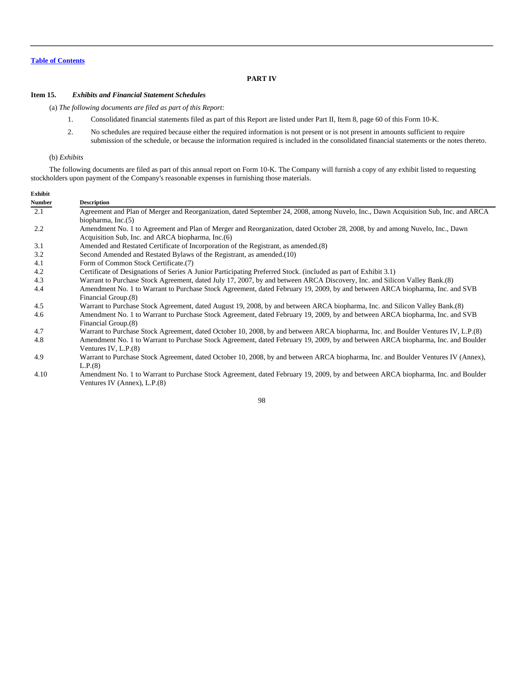### **PART IV**

### **Item 15.** *Exhibits and Financial Statement Schedules*

(a) *The following documents are filed as part of this Report:*

- 1. Consolidated financial statements filed as part of this Report are listed under Part II, Item 8, page 60 of this Form 10-K.
- 2. No schedules are required because either the required information is not present or is not present in amounts sufficient to require submission of the schedule, or because the information required is included in the consolidated financial statements or the notes thereto.

### (b) *Exhibits*

The following documents are filed as part of this annual report on Form 10-K. The Company will furnish a copy of any exhibit listed to requesting stockholders upon payment of the Company's reasonable expenses in furnishing those materials.

| <b>Number</b><br><b>Description</b>                                                                                                       |  |
|-------------------------------------------------------------------------------------------------------------------------------------------|--|
| 2.1<br>Agreement and Plan of Merger and Reorganization, dated September 24, 2008, among Nuvelo, Inc., Dawn Acquisition Sub, Inc. and ARCA |  |
| biopharma, $Inc.(5)$                                                                                                                      |  |
| Amendment No. 1 to Agreement and Plan of Merger and Reorganization, dated October 28, 2008, by and among Nuvelo, Inc., Dawn<br>2.2        |  |
| Acquisition Sub, Inc. and ARCA biopharma, Inc. (6)                                                                                        |  |
| Amended and Restated Certificate of Incorporation of the Registrant, as amended. (8)<br>3.1                                               |  |
| 3.2<br>Second Amended and Restated Bylaws of the Registrant, as amended. (10)                                                             |  |
| 4.1<br>Form of Common Stock Certificate.(7)                                                                                               |  |
| 4.2<br>Certificate of Designations of Series A Junior Participating Preferred Stock. (included as part of Exhibit 3.1)                    |  |
| 4.3<br>Warrant to Purchase Stock Agreement, dated July 17, 2007, by and between ARCA Discovery, Inc. and Silicon Valley Bank. (8)         |  |
| 4.4<br>Amendment No. 1 to Warrant to Purchase Stock Agreement, dated February 19, 2009, by and between ARCA biopharma, Inc. and SVB       |  |
| Financial Group.(8)                                                                                                                       |  |
| 4.5<br>Warrant to Purchase Stock Agreement, dated August 19, 2008, by and between ARCA biopharma, Inc. and Silicon Valley Bank.(8)        |  |
| 4.6<br>Amendment No. 1 to Warrant to Purchase Stock Agreement, dated February 19, 2009, by and between ARCA biopharma, Inc. and SVB       |  |
| Financial Group.(8)                                                                                                                       |  |
| 4.7<br>Warrant to Purchase Stock Agreement, dated October 10, 2008, by and between ARCA biopharma, Inc. and Boulder Ventures IV, L.P.(8)  |  |
| Amendment No. 1 to Warrant to Purchase Stock Agreement, dated February 19, 2009, by and between ARCA biopharma, Inc. and Boulder<br>4.8   |  |
| Ventures IV, $L.P.(8)$                                                                                                                    |  |
| 4.9<br>Warrant to Purchase Stock Agreement, dated October 10, 2008, by and between ARCA biopharma, Inc. and Boulder Ventures IV (Annex),  |  |
| L.P.(8)                                                                                                                                   |  |

 4.10 Amendment No. 1 to Warrant to Purchase Stock Agreement, dated February 19, 2009, by and between ARCA biopharma, Inc. and Boulder Ventures IV (Annex), L.P.(8)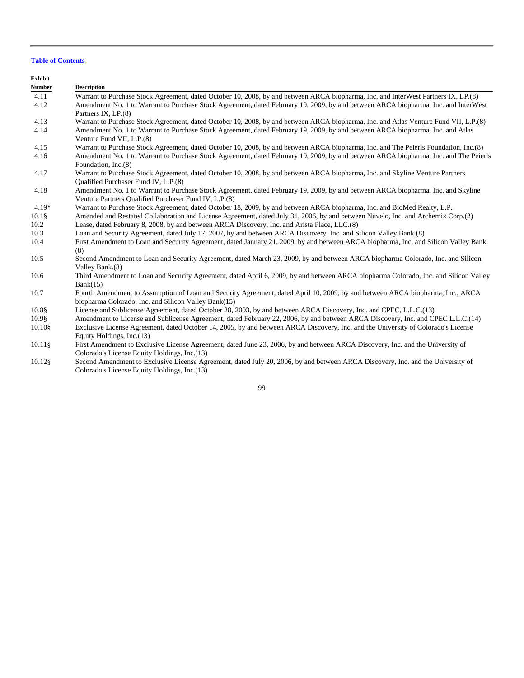**Exhibit Number Description** 4.11 Warrant to Purchase Stock Agreement, dated October 10, 2008, by and between ARCA biopharma, Inc. and InterWest Partners IX, LP.(8) 4.12 Amendment No. 1 to Warrant to Purchase Stock Agreement, dated February 19, 2009, by and between ARCA biopharma, Inc. and InterWest Partners IX, LP.(8) 4.13 Warrant to Purchase Stock Agreement, dated October 10, 2008, by and between ARCA biopharma, Inc. and Atlas Venture Fund VII, L.P.(8) 4.14 Amendment No. 1 to Warrant to Purchase Stock Agreement, dated February 19, 2009, by and between ARCA biopharma, Inc. and Atlas Venture Fund VII, L.P.(8) 4.15 Warrant to Purchase Stock Agreement, dated October 10, 2008, by and between ARCA biopharma, Inc. and The Peierls Foundation, Inc.(8) 4.16 Amendment No. 1 to Warrant to Purchase Stock Agreement, dated February 19, 2009, by and between ARCA biopharma, Inc. and The Peierls Foundation, Inc.(8) 4.17 Warrant to Purchase Stock Agreement, dated October 10, 2008, by and between ARCA biopharma, Inc. and Skyline Venture Partners Qualified Purchaser Fund IV, L.P.(8) 4.18 Amendment No. 1 to Warrant to Purchase Stock Agreement, dated February 19, 2009, by and between ARCA biopharma, Inc. and Skyline Venture Partners Qualified Purchaser Fund IV, L.P.(8) 4.19\* Warrant to Purchase Stock Agreement, dated October 18, 2009, by and between ARCA biopharma, Inc. and BioMed Realty, L.P. 10.1§ Amended and Restated Collaboration and License Agreement, dated July 31, 2006, by and between Nuvelo, Inc. and Archemix Corp.(2) 10.2 Lease, dated February 8, 2008, by and between ARCA Discovery, Inc. and Arista Place, LLC.(8) 10.3 Loan and Security Agreement, dated July 17, 2007, by and between ARCA Discovery, Inc. and Silicon Valley Bank.(8) 10.4 First Amendment to Loan and Security Agreement, dated January 21, 2009, by and between ARCA biopharma, Inc. and Silicon Valley Bank. (8) 10.5 Second Amendment to Loan and Security Agreement, dated March 23, 2009, by and between ARCA biopharma Colorado, Inc. and Silicon Valley Bank.(8) 10.6 Third Amendment to Loan and Security Agreement, dated April 6, 2009, by and between ARCA biopharma Colorado, Inc. and Silicon Valley  $Bank(15)$ 

10.7 Fourth Amendment to Assumption of Loan and Security Agreement, dated April 10, 2009, by and between ARCA biopharma, Inc., ARCA biopharma Colorado, Inc. and Silicon Valley Bank(15)

10.8§ License and Sublicense Agreement, dated October 28, 2003, by and between ARCA Discovery, Inc. and CPEC, L.L.C.(13)

10.9§ Amendment to License and Sublicense Agreement, dated February 22, 2006, by and between ARCA Discovery, Inc. and CPEC L.L.C.(14) 10.10§ Exclusive License Agreement, dated October 14, 2005, by and between ARCA Discovery, Inc. and the University of Colorado's License Equity Holdings, Inc.(13)

10.11§ First Amendment to Exclusive License Agreement, dated June 23, 2006, by and between ARCA Discovery, Inc. and the University of Colorado's License Equity Holdings, Inc.(13)

10.12§ Second Amendment to Exclusive License Agreement, dated July 20, 2006, by and between ARCA Discovery, Inc. and the University of Colorado's License Equity Holdings, Inc.(13)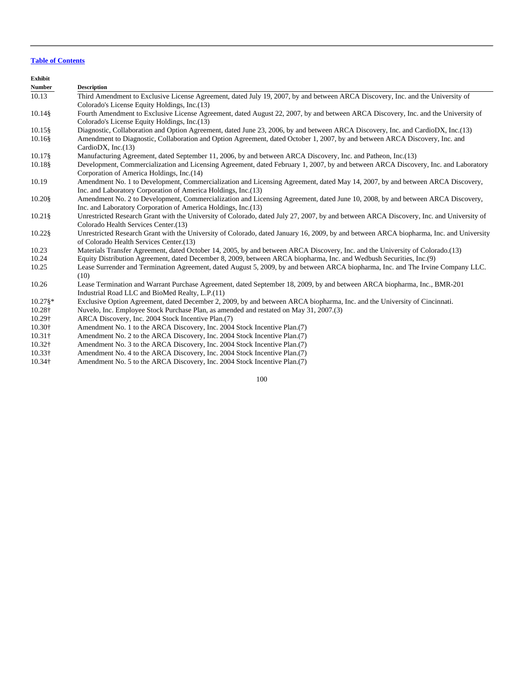| <b>Exhibit</b> |                                                                                                                                         |
|----------------|-----------------------------------------------------------------------------------------------------------------------------------------|
| <b>Number</b>  | <b>Description</b>                                                                                                                      |
| 10.13          | Third Amendment to Exclusive License Agreement, dated July 19, 2007, by and between ARCA Discovery, Inc. and the University of          |
|                | Colorado's License Equity Holdings, Inc. (13)                                                                                           |
| $10.14\$       | Fourth Amendment to Exclusive License Agreement, dated August 22, 2007, by and between ARCA Discovery, Inc. and the University of       |
|                | Colorado's License Equity Holdings, Inc. (13)                                                                                           |
| $10.15$ §      | Diagnostic, Collaboration and Option Agreement, dated June 23, 2006, by and between ARCA Discovery, Inc. and CardioDX, Inc. (13)        |
| $10.16$ §      | Amendment to Diagnostic, Collaboration and Option Agreement, dated October 1, 2007, by and between ARCA Discovery, Inc. and             |
|                | CardioDX, $Inc.(13)$                                                                                                                    |
| $10.17$ §      | Manufacturing Agreement, dated September 11, 2006, by and between ARCA Discovery, Inc. and Patheon, Inc. (13)                           |
| 10.18\$        | Development, Commercialization and Licensing Agreement, dated February 1, 2007, by and between ARCA Discovery, Inc. and Laboratory      |
|                | Corporation of America Holdings, Inc. (14)                                                                                              |
| 10.19          | Amendment No. 1 to Development, Commercialization and Licensing Agreement, dated May 14, 2007, by and between ARCA Discovery,           |
|                | Inc. and Laboratory Corporation of America Holdings, Inc. (13)                                                                          |
| 10.20\$        | Amendment No. 2 to Development, Commercialization and Licensing Agreement, dated June 10, 2008, by and between ARCA Discovery,          |
|                | Inc. and Laboratory Corporation of America Holdings, Inc.(13)                                                                           |
| $10.21\$       | Unrestricted Research Grant with the University of Colorado, dated July 27, 2007, by and between ARCA Discovery, Inc. and University of |
|                | Colorado Health Services Center. (13)                                                                                                   |
| $10.22$ §      | Unrestricted Research Grant with the University of Colorado, dated January 16, 2009, by and between ARCA biopharma, Inc. and University |
|                | of Colorado Health Services Center.(13)                                                                                                 |
| 10.23          | Materials Transfer Agreement, dated October 14, 2005, by and between ARCA Discovery, Inc. and the University of Colorado.(13)           |
| 10.24          | Equity Distribution Agreement, dated December 8, 2009, between ARCA biopharma, Inc. and Wedbush Securities, Inc.(9)                     |
| 10.25          | Lease Surrender and Termination Agreement, dated August 5, 2009, by and between ARCA biopharma, Inc. and The Irvine Company LLC.        |
|                | (10)                                                                                                                                    |
| 10.26          | Lease Termination and Warrant Purchase Agreement, dated September 18, 2009, by and between ARCA biopharma, Inc., BMR-201                |
|                | Industrial Road LLC and BioMed Realty, L.P.(11)                                                                                         |
| $10.27\$ *     | Exclusive Option Agreement, dated December 2, 2009, by and between ARCA biopharma, Inc. and the University of Cincinnati.               |
| 10.28†         | Nuvelo, Inc. Employee Stock Purchase Plan, as amended and restated on May 31, 2007.(3)                                                  |
| 10.29†         | ARCA Discovery, Inc. 2004 Stock Incentive Plan.(7)                                                                                      |
| 10.30+         | Amendment No. 1 to the ARCA Discovery, Inc. 2004 Stock Incentive Plan. (7)                                                              |
| $10.31\dagger$ | Amendment No. 2 to the ARCA Discovery, Inc. 2004 Stock Incentive Plan. (7)                                                              |
| $10.22 +$      | Amondmont No. 2 to the ADCA Discovery Lee 2004 Steels Incontine Dlan (7)                                                                |

- 10.32† Amendment No. 3 to the ARCA Discovery, Inc. 2004 Stock Incentive Plan.(7)<br>10.33† Amendment No. 4 to the ARCA Discovery, Inc. 2004 Stock Incentive Plan.(7)
- 10.33† Amendment No. 4 to the ARCA Discovery, Inc. 2004 Stock Incentive Plan.(7)
- 10.34† Amendment No. 5 to the ARCA Discovery, Inc. 2004 Stock Incentive Plan.(7)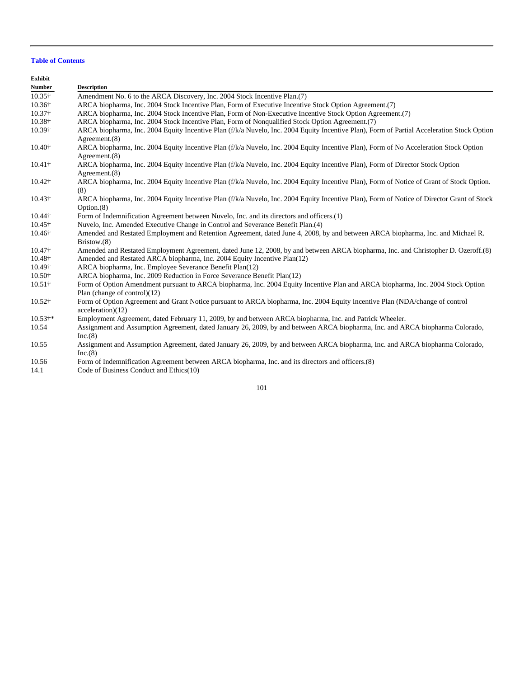| Exhibit        |                                                                                                                                                                    |
|----------------|--------------------------------------------------------------------------------------------------------------------------------------------------------------------|
| <b>Number</b>  | <b>Description</b>                                                                                                                                                 |
| $10.35\dagger$ | Amendment No. 6 to the ARCA Discovery, Inc. 2004 Stock Incentive Plan. (7)                                                                                         |
| 10.36†         | ARCA biopharma, Inc. 2004 Stock Incentive Plan, Form of Executive Incentive Stock Option Agreement.(7)                                                             |
| 10.37†         | ARCA biopharma, Inc. 2004 Stock Incentive Plan, Form of Non-Executive Incentive Stock Option Agreement.(7)                                                         |
| 10.38†         | ARCA biopharma, Inc. 2004 Stock Incentive Plan, Form of Nonqualified Stock Option Agreement.(7)                                                                    |
| 10.39+         | ARCA biopharma, Inc. 2004 Equity Incentive Plan (f/k/a Nuvelo, Inc. 2004 Equity Incentive Plan), Form of Partial Acceleration Stock Option<br>Agreement. $(8)$     |
| 10.40+         | ARCA biopharma, Inc. 2004 Equity Incentive Plan (f/k/a Nuvelo, Inc. 2004 Equity Incentive Plan), Form of No Acceleration Stock Option<br>Agreement. $(8)$          |
| 10.41†         | ARCA biopharma, Inc. 2004 Equity Incentive Plan (f/k/a Nuvelo, Inc. 2004 Equity Incentive Plan), Form of Director Stock Option<br>Agreement. $(8)$                 |
| 10.42†         | ARCA biopharma, Inc. 2004 Equity Incentive Plan (f/k/a Nuvelo, Inc. 2004 Equity Incentive Plan), Form of Notice of Grant of Stock Option.<br>(8)                   |
| 10.43†         | ARCA biopharma, Inc. 2004 Equity Incentive Plan (f/k/a Nuvelo, Inc. 2004 Equity Incentive Plan), Form of Notice of Director Grant of Stock<br>Option.(8)           |
| 10.44†         | Form of Indemnification Agreement between Nuvelo, Inc. and its directors and officers.(1)                                                                          |
| $10.45\dagger$ | Nuvelo, Inc. Amended Executive Change in Control and Severance Benefit Plan. (4)                                                                                   |
| 10.46†         | Amended and Restated Employment and Retention Agreement, dated June 4, 2008, by and between ARCA biopharma, Inc. and Michael R.<br>Bristow.(8)                     |
| 10.47†         | Amended and Restated Employment Agreement, dated June 12, 2008, by and between ARCA biopharma, Inc. and Christopher D. Ozeroff.(8)                                 |
| 10.48†         | Amended and Restated ARCA biopharma, Inc. 2004 Equity Incentive Plan(12)                                                                                           |
| 10.49†         | ARCA biopharma, Inc. Employee Severance Benefit Plan(12)                                                                                                           |
| 10.50+         | ARCA biopharma, Inc. 2009 Reduction in Force Severance Benefit Plan(12)                                                                                            |
| $10.51\dagger$ | Form of Option Amendment pursuant to ARCA biopharma, Inc. 2004 Equity Incentive Plan and ARCA biopharma, Inc. 2004 Stock Option<br>Plan (change of control) $(12)$ |
| $10.52\dagger$ | Form of Option Agreement and Grant Notice pursuant to ARCA biopharma, Inc. 2004 Equity Incentive Plan (NDA/change of control<br>acceleration)(12)                  |
| $10.53 +$ *    | Employment Agreement, dated February 11, 2009, by and between ARCA biopharma, Inc. and Patrick Wheeler.                                                            |
| 10.54          | Assignment and Assumption Agreement, dated January 26, 2009, by and between ARCA biopharma, Inc. and ARCA biopharma Colorado,<br>Inc.(8)                           |
| 10.55          | Assignment and Assumption Agreement, dated January 26, 2009, by and between ARCA biopharma, Inc. and ARCA biopharma Colorado,<br>Inc.(8)                           |
| 10.56          | Form of Indemnification Agreement between ARCA biopharma, Inc. and its directors and officers.(8)                                                                  |

14.1 Code of Business Conduct and Ethics(10)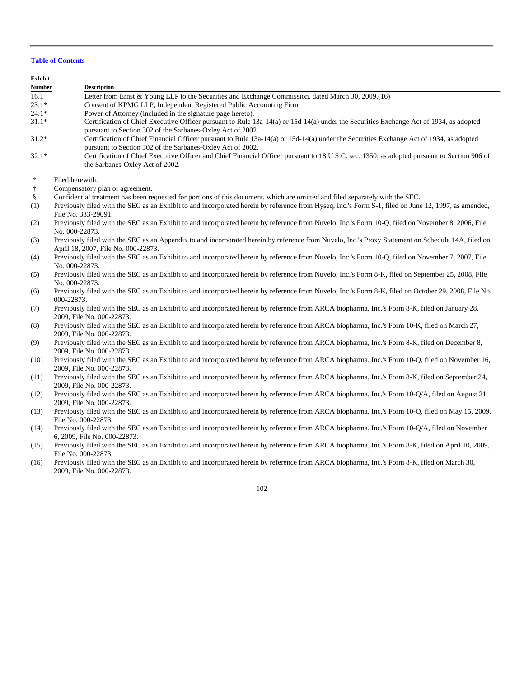| Exhibit            |                                                                                                                                                                                                                                                                                                              |
|--------------------|--------------------------------------------------------------------------------------------------------------------------------------------------------------------------------------------------------------------------------------------------------------------------------------------------------------|
| <b>Number</b>      | <b>Description</b>                                                                                                                                                                                                                                                                                           |
| 16.1               | Letter from Ernst & Young LLP to the Securities and Exchange Commission, dated March 30, 2009.(16)                                                                                                                                                                                                           |
| $23.1*$<br>$24.1*$ | Consent of KPMG LLP, Independent Registered Public Accounting Firm.<br>Power of Attorney (included in the signature page hereto).                                                                                                                                                                            |
| $31.1*$            | Certification of Chief Executive Officer pursuant to Rule 13a-14(a) or 15d-14(a) under the Securities Exchange Act of 1934, as adopted                                                                                                                                                                       |
|                    | pursuant to Section 302 of the Sarbanes-Oxley Act of 2002.                                                                                                                                                                                                                                                   |
| $31.2*$            | Certification of Chief Financial Officer pursuant to Rule 13a-14(a) or 15d-14(a) under the Securities Exchange Act of 1934, as adopted<br>pursuant to Section 302 of the Sarbanes-Oxley Act of 2002.                                                                                                         |
| $32.1*$            | Certification of Chief Executive Officer and Chief Financial Officer pursuant to 18 U.S.C. sec. 1350, as adopted pursuant to Section 906 of                                                                                                                                                                  |
|                    | the Sarbanes-Oxley Act of 2002.                                                                                                                                                                                                                                                                              |
|                    |                                                                                                                                                                                                                                                                                                              |
| $\ast$             | Filed herewith.                                                                                                                                                                                                                                                                                              |
| $^\dagger$         | Compensatory plan or agreement.                                                                                                                                                                                                                                                                              |
| ş<br>(1)           | Confidential treatment has been requested for portions of this document, which are omitted and filed separately with the SEC.<br>Previously filed with the SEC as an Exhibit to and incorporated herein by reference from Hyseq, Inc.'s Form S-1, filed on June 12, 1997, as amended,<br>File No. 333-29091. |
| (2)                | Previously filed with the SEC as an Exhibit to and incorporated herein by reference from Nuvelo, Inc.'s Form 10-Q, filed on November 8, 2006, File<br>No. 000-22873.                                                                                                                                         |
| (3)                | Previously filed with the SEC as an Appendix to and incorporated herein by reference from Nuvelo, Inc.'s Proxy Statement on Schedule 14A, filed on<br>April 18, 2007, File No. 000-22873.                                                                                                                    |
| (4)                | Previously filed with the SEC as an Exhibit to and incorporated herein by reference from Nuvelo, Inc.'s Form 10-Q, filed on November 7, 2007, File<br>No. 000-22873.                                                                                                                                         |
| (5)                | Previously filed with the SEC as an Exhibit to and incorporated herein by reference from Nuvelo, Inc.'s Form 8-K, filed on September 25, 2008, File<br>No. 000-22873.                                                                                                                                        |
| (6)                | Previously filed with the SEC as an Exhibit to and incorporated herein by reference from Nuvelo, Inc.'s Form 8-K, filed on October 29, 2008, File No.<br>000-22873.                                                                                                                                          |
| (7)                | Previously filed with the SEC as an Exhibit to and incorporated herein by reference from ARCA biopharma, Inc.'s Form 8-K, filed on January 28,<br>2009, File No. 000-22873.                                                                                                                                  |
| (8)                | Previously filed with the SEC as an Exhibit to and incorporated herein by reference from ARCA biopharma, Inc.'s Form 10-K, filed on March 27,<br>2009, File No. 000-22873.                                                                                                                                   |
| (9)                | Previously filed with the SEC as an Exhibit to and incorporated herein by reference from ARCA biopharma, Inc.'s Form 8-K, filed on December 8,<br>2009, File No. 000-22873.                                                                                                                                  |
| (10)               | Previously filed with the SEC as an Exhibit to and incorporated herein by reference from ARCA biopharma, Inc.'s Form 10-Q, filed on November 16,<br>2009, File No. 000-22873.                                                                                                                                |
| (11)               | Previously filed with the SEC as an Exhibit to and incorporated herein by reference from ARCA biopharma, Inc.'s Form 8-K, filed on September 24,<br>2009, File No. 000-22873.                                                                                                                                |
| (12)               | Previously filed with the SEC as an Exhibit to and incorporated herein by reference from ARCA biopharma, Inc.'s Form 10-Q/A, filed on August 21,<br>2009, File No. 000-22873.                                                                                                                                |
| (13)               | Previously filed with the SEC as an Exhibit to and incorporated herein by reference from ARCA biopharma, Inc.'s Form 10-Q, filed on May 15, 2009,<br>File No. 000-22873.                                                                                                                                     |
| (14)               | Previously filed with the SEC as an Exhibit to and incorporated herein by reference from ARCA biopharma, Inc.'s Form 10-Q/A, filed on November<br>6, 2009, File No. 000-22873.                                                                                                                               |
| (15)               | Previously filed with the SEC as an Exhibit to and incorporated herein by reference from ARCA biopharma, Inc.'s Form 8-K, filed on April 10, 2009,<br>File No. 000-22873.                                                                                                                                    |
| (16)               | Previously filed with the SEC as an Exhibit to and incorporated herein by reference from ARCA biopharma, Inc.'s Form 8-K, filed on March 30,<br>2009, File No. 000-22873.                                                                                                                                    |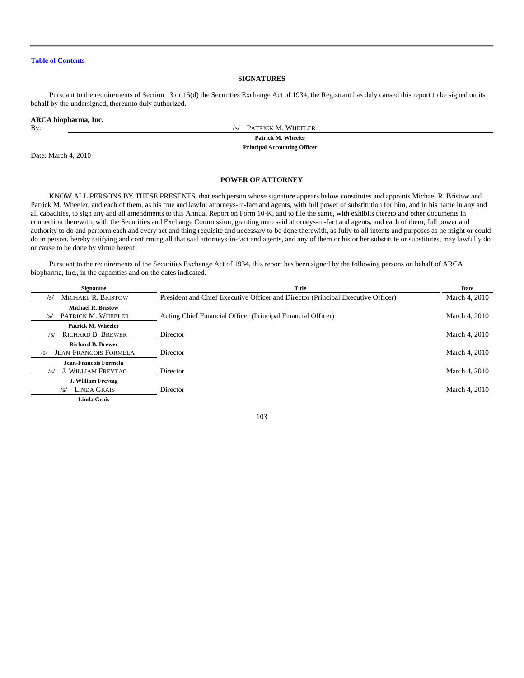### **SIGNATURES**

Pursuant to the requirements of Section 13 or 15(d) the Securities Exchange Act of 1934, the Registrant has duly caused this report to be signed on its behalf by the undersigned, thereunto duly authorized.

|  |  |  |  |  |  |  |  |  |  | ARCA biopharma, Inc. |  |
|--|--|--|--|--|--|--|--|--|--|----------------------|--|
|--|--|--|--|--|--|--|--|--|--|----------------------|--|

By:  $\sqrt{s}$  PATRICK M. WHEELER

**Patrick M. Wheeler**

**Principal Accounting Officer**

Date: March 4, 2010

## **POWER OF ATTORNEY**

KNOW ALL PERSONS BY THESE PRESENTS, that each person whose signature appears below constitutes and appoints Michael R. Bristow and Patrick M. Wheeler, and each of them, as his true and lawful attorneys-in-fact and agents, with full power of substitution for him, and in his name in any and all capacities, to sign any and all amendments to this Annual Report on Form 10-K, and to file the same, with exhibits thereto and other documents in connection therewith, with the Securities and Exchange Commission, granting unto said attorneys-in-fact and agents, and each of them, full power and authority to do and perform each and every act and thing requisite and necessary to be done therewith, as fully to all intents and purposes as he might or could do in person, hereby ratifying and confirming all that said attorneys-in-fact and agents, and any of them or his or her substitute or substitutes, may lawfully do or cause to be done by virtue hereof.

Pursuant to the requirements of the Securities Exchange Act of 1934, this report has been signed by the following persons on behalf of ARCA biopharma, Inc., in the capacities and on the dates indicated.

| <b>Signature</b>                           | Title                                                                            | Date          |
|--------------------------------------------|----------------------------------------------------------------------------------|---------------|
| <b>MICHAEL R. BRISTOW</b><br>/s/           | President and Chief Executive Officer and Director (Principal Executive Officer) | March 4, 2010 |
| <b>Michael R. Bristow</b>                  |                                                                                  |               |
| PATRICK M. WHEELER<br>/s/                  | Acting Chief Financial Officer (Principal Financial Officer)                     | March 4, 2010 |
| Patrick M. Wheeler                         |                                                                                  |               |
| <b>RICHARD B. BREWER</b><br>/s/            | Director                                                                         | March 4, 2010 |
| <b>Richard B. Brewer</b>                   |                                                                                  |               |
| <b>JEAN-FRANCOIS FORMELA</b><br>$\sqrt{s}$ | Director                                                                         | March 4, 2010 |
| Jean-Francois Formela                      |                                                                                  |               |
| <b>J. WILLIAM FREYTAG</b><br>/s/           | Director                                                                         | March 4, 2010 |
| J. William Freytag                         |                                                                                  |               |
| <b>LINDA GRAIS</b><br>/s/                  | Director                                                                         | March 4, 2010 |
| <b>Linda Grais</b>                         |                                                                                  |               |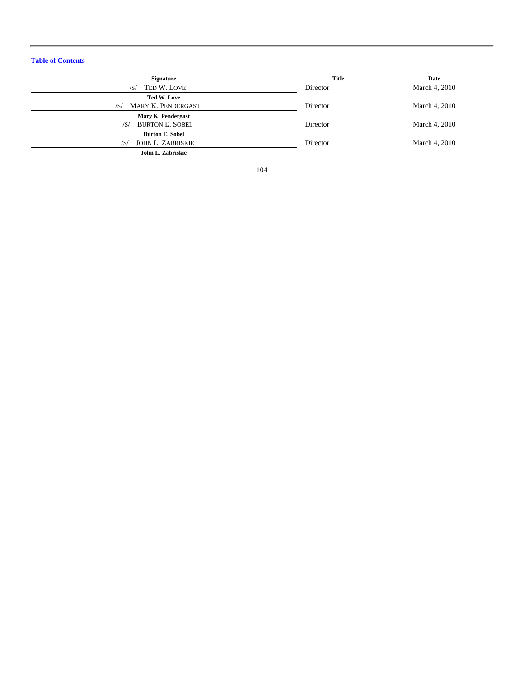| <b>Signature</b>                                          | <b>Title</b> | Date          |
|-----------------------------------------------------------|--------------|---------------|
| TED W. LOVE<br>/S/                                        | Director     | March 4, 2010 |
| <b>Ted W. Love</b><br>MARY K. PENDERGAST<br>/S/           | Director     | March 4, 2010 |
| Mary K. Pendergast<br><b>BURTON E. SOBEL</b><br>/S/       | Director     | March 4, 2010 |
| <b>Burton E. Sobel</b><br><b>JOHN L. ZABRISKIE</b><br>/S/ | Director     | March 4, 2010 |
| John L. Zabriskie                                         |              |               |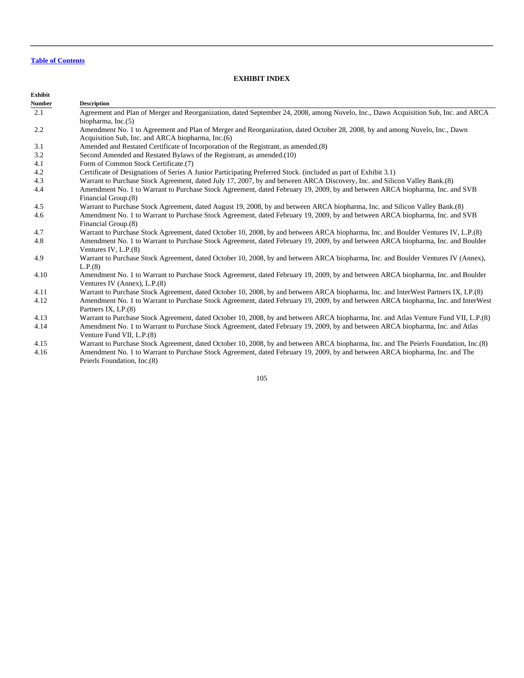# **EXHIBIT INDEX**

| Exhibit       |                                                                                                                                                     |
|---------------|-----------------------------------------------------------------------------------------------------------------------------------------------------|
| <b>Number</b> | <b>Description</b>                                                                                                                                  |
| 2.1           | Agreement and Plan of Merger and Reorganization, dated September 24, 2008, among Nuvelo, Inc., Dawn Acquisition Sub, Inc. and ARCA                  |
|               | biopharma, $Inc.(5)$                                                                                                                                |
| 2.2           | Amendment No. 1 to Agreement and Plan of Merger and Reorganization, dated October 28, 2008, by and among Nuvelo, Inc., Dawn                         |
|               | Acquisition Sub, Inc. and ARCA biopharma, Inc.(6)                                                                                                   |
| 3.1           | Amended and Restated Certificate of Incorporation of the Registrant, as amended. (8)                                                                |
| 3.2           | Second Amended and Restated Bylaws of the Registrant, as amended. (10)                                                                              |
| 4.1           | Form of Common Stock Certificate.(7)                                                                                                                |
| 4.2           | Certificate of Designations of Series A Junior Participating Preferred Stock. (included as part of Exhibit 3.1)                                     |
| 4.3           | Warrant to Purchase Stock Agreement, dated July 17, 2007, by and between ARCA Discovery, Inc. and Silicon Valley Bank.(8)                           |
| 4.4           | Amendment No. 1 to Warrant to Purchase Stock Agreement, dated February 19, 2009, by and between ARCA biopharma, Inc. and SVB<br>Financial Group.(8) |
| 4.5           | Warrant to Purchase Stock Agreement, dated August 19, 2008, by and between ARCA biopharma, Inc. and Silicon Valley Bank.(8)                         |
| 4.6           | Amendment No. 1 to Warrant to Purchase Stock Agreement, dated February 19, 2009, by and between ARCA biopharma, Inc. and SVB                        |
|               | Financial Group.(8)                                                                                                                                 |
| 4.7           | Warrant to Purchase Stock Agreement, dated October 10, 2008, by and between ARCA biopharma, Inc. and Boulder Ventures IV, L.P.(8)                   |
| 4.8           | Amendment No. 1 to Warrant to Purchase Stock Agreement, dated February 19, 2009, by and between ARCA biopharma, Inc. and Boulder                    |
|               | Ventures IV, L.P.(8)                                                                                                                                |
| 4.9           | Warrant to Purchase Stock Agreement, dated October 10, 2008, by and between ARCA biopharma, Inc. and Boulder Ventures IV (Annex),                   |
|               | L.P.(8)                                                                                                                                             |
| 4.10          | Amendment No. 1 to Warrant to Purchase Stock Agreement, dated February 19, 2009, by and between ARCA biopharma, Inc. and Boulder                    |
|               | Ventures IV (Annex), L.P.(8)                                                                                                                        |
| 4.11          | Warrant to Purchase Stock Agreement, dated October 10, 2008, by and between ARCA biopharma, Inc. and InterWest Partners IX, LP.(8)                  |
| 4.12          | Amendment No. 1 to Warrant to Purchase Stock Agreement, dated February 19, 2009, by and between ARCA biopharma, Inc. and InterWest                  |
|               | Partners IX, LP.(8)                                                                                                                                 |
| 4.13          | Warrant to Purchase Stock Agreement, dated October 10, 2008, by and between ARCA biopharma, Inc. and Atlas Venture Fund VII, L.P.(8)                |
| 4.14          | Amendment No. 1 to Warrant to Purchase Stock Agreement, dated February 19, 2009, by and between ARCA biopharma, Inc. and Atlas                      |
|               | Venture Fund VII, L.P.(8)                                                                                                                           |
| 4.15          | Warrant to Purchase Stock Agreement, dated October 10, 2008, by and between ARCA biopharma, Inc. and The Peierls Foundation, Inc. (8)               |
| 4.16          | Amendment No. 1 to Warrant to Purchase Stock Agreement, dated February 19, 2009, by and between ARCA biopharma, Inc. and The                        |
|               | Peierls Foundation, Inc.(8)                                                                                                                         |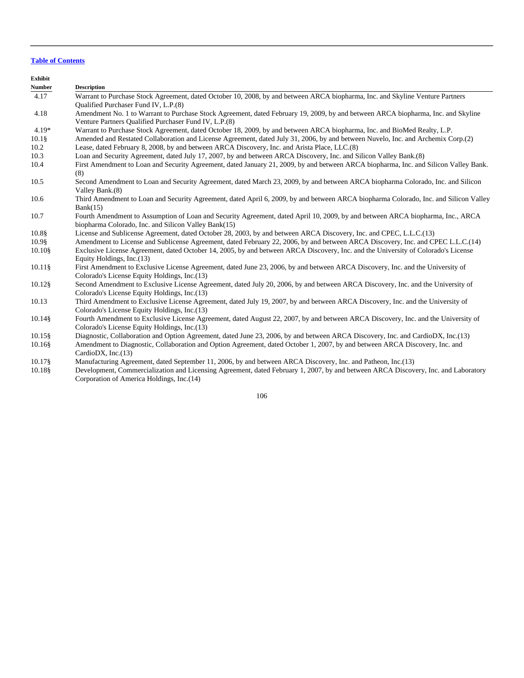**Exhibit**

| Exhibit       |                                                                                                                                                                                           |  |
|---------------|-------------------------------------------------------------------------------------------------------------------------------------------------------------------------------------------|--|
| <b>Number</b> | <b>Description</b>                                                                                                                                                                        |  |
| 4.17          | Warrant to Purchase Stock Agreement, dated October 10, 2008, by and between ARCA biopharma, Inc. and Skyline Venture Partners<br>Oualified Purchaser Fund IV, L.P.(8)                     |  |
| 4.18          | Amendment No. 1 to Warrant to Purchase Stock Agreement, dated February 19, 2009, by and between ARCA biopharma, Inc. and Skyline<br>Venture Partners Qualified Purchaser Fund IV, L.P.(8) |  |
| $4.19*$       | Warrant to Purchase Stock Agreement, dated October 18, 2009, by and between ARCA biopharma, Inc. and BioMed Realty, L.P.                                                                  |  |
| $10.1\$       | Amended and Restated Collaboration and License Agreement, dated July 31, 2006, by and between Nuvelo, Inc. and Archemix Corp.(2)                                                          |  |
| 10.2          | Lease, dated February 8, 2008, by and between ARCA Discovery, Inc. and Arista Place, LLC.(8)                                                                                              |  |
| 10.3          | Loan and Security Agreement, dated July 17, 2007, by and between ARCA Discovery, Inc. and Silicon Valley Bank. (8)                                                                        |  |
| 10.4          | First Amendment to Loan and Security Agreement, dated January 21, 2009, by and between ARCA biopharma, Inc. and Silicon Valley Bank.                                                      |  |
|               | (8)                                                                                                                                                                                       |  |
| 10.5          | Second Amendment to Loan and Security Agreement, dated March 23, 2009, by and between ARCA biopharma Colorado, Inc. and Silicon<br>Valley Bank.(8)                                        |  |
| 10.6          | Third Amendment to Loan and Security Agreement, dated April 6, 2009, by and between ARCA biopharma Colorado, Inc. and Silicon Valley<br>Bank(15)                                          |  |
| 10.7          | Fourth Amendment to Assumption of Loan and Security Agreement, dated April 10, 2009, by and between ARCA biopharma, Inc., ARCA<br>biopharma Colorado, Inc. and Silicon Valley Bank(15)    |  |
| 10.8\$        | License and Sublicense Agreement, dated October 28, 2003, by and between ARCA Discovery, Inc. and CPEC, L.L.C.(13)                                                                        |  |
| 10.98         | Amendment to License and Sublicense Agreement, dated February 22, 2006, by and between ARCA Discovery, Inc. and CPEC L.L.C.(14)                                                           |  |
| $10.10$ §     | Exclusive License Agreement, dated October 14, 2005, by and between ARCA Discovery, Inc. and the University of Colorado's License                                                         |  |
|               | Equity Holdings, Inc.(13)                                                                                                                                                                 |  |
| $10.11\$      | First Amendment to Exclusive License Agreement, dated June 23, 2006, by and between ARCA Discovery, Inc. and the University of                                                            |  |
|               | Colorado's License Equity Holdings, Inc. (13)                                                                                                                                             |  |
| 10.12§        | Second Amendment to Exclusive License Agreement, dated July 20, 2006, by and between ARCA Discovery, Inc. and the University of<br>Colorado's License Equity Holdings, Inc.(13)           |  |
| 10.13         | Third Amendment to Exclusive License Agreement, dated July 19, 2007, by and between ARCA Discovery, Inc. and the University of                                                            |  |
|               | Colorado's License Equity Holdings, Inc. (13)                                                                                                                                             |  |
| $10.14\$      | Fourth Amendment to Exclusive License Agreement, dated August 22, 2007, by and between ARCA Discovery, Inc. and the University of                                                         |  |
|               | Colorado's License Equity Holdings, Inc. (13)                                                                                                                                             |  |
| 10.15\$       | Diagnostic, Collaboration and Option Agreement, dated June 23, 2006, by and between ARCA Discovery, Inc. and CardioDX, Inc.(13)                                                           |  |
| 10.16§        | Amendment to Diagnostic, Collaboration and Option Agreement, dated October 1, 2007, by and between ARCA Discovery, Inc. and<br>CardioDX, Inc. $(13)$                                      |  |
| 10.17§        | Manufacturing Agreement, dated September 11, 2006, by and between ARCA Discovery, Inc. and Patheon, Inc.(13)                                                                              |  |
|               |                                                                                                                                                                                           |  |

10.18§ Development, Commercialization and Licensing Agreement, dated February 1, 2007, by and between ARCA Discovery, Inc. and Laboratory Corporation of America Holdings, Inc.(14)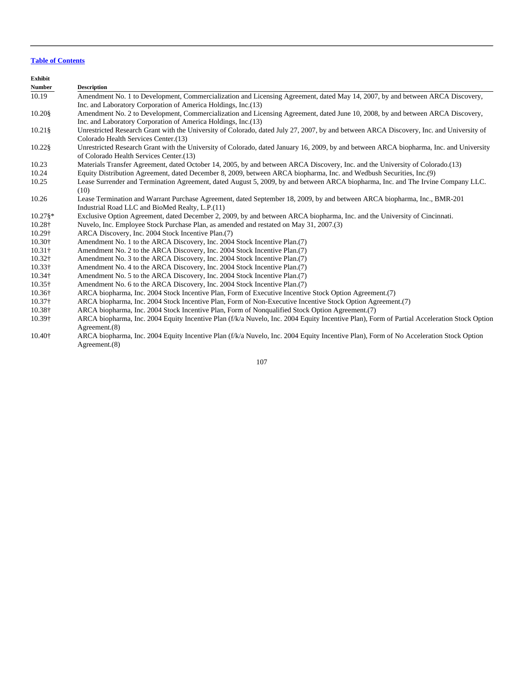**Exhibit**

| <b>Number</b>  | <b>Description</b>                                                                                                                      |
|----------------|-----------------------------------------------------------------------------------------------------------------------------------------|
| 10.19          | Amendment No. 1 to Development, Commercialization and Licensing Agreement, dated May 14, 2007, by and between ARCA Discovery,           |
|                | Inc. and Laboratory Corporation of America Holdings, Inc.(13)                                                                           |
| 10.20\$        | Amendment No. 2 to Development, Commercialization and Licensing Agreement, dated June 10, 2008, by and between ARCA Discovery,          |
|                | Inc. and Laboratory Corporation of America Holdings, Inc. (13)                                                                          |
| $10.21\$       | Unrestricted Research Grant with the University of Colorado, dated July 27, 2007, by and between ARCA Discovery, Inc. and University of |
|                | Colorado Health Services Center. (13)                                                                                                   |
| $10.22$ §      | Unrestricted Research Grant with the University of Colorado, dated January 16, 2009, by and between ARCA biopharma, Inc. and University |
|                | of Colorado Health Services Center. (13)                                                                                                |
| 10.23          | Materials Transfer Agreement, dated October 14, 2005, by and between ARCA Discovery, Inc. and the University of Colorado.(13)           |
| 10.24          | Equity Distribution Agreement, dated December 8, 2009, between ARCA biopharma, Inc. and Wedbush Securities, Inc. (9)                    |
| 10.25          | Lease Surrender and Termination Agreement, dated August 5, 2009, by and between ARCA biopharma, Inc. and The Irvine Company LLC.        |
|                | (10)                                                                                                                                    |
| 10.26          | Lease Termination and Warrant Purchase Agreement, dated September 18, 2009, by and between ARCA biopharma, Inc., BMR-201                |
|                | Industrial Road LLC and BioMed Realty, L.P.(11)                                                                                         |
| $10.27$ §*     | Exclusive Option Agreement, dated December 2, 2009, by and between ARCA biopharma, Inc. and the University of Cincinnati.               |
| 10.28+         | Nuvelo, Inc. Employee Stock Purchase Plan, as amended and restated on May 31, 2007.(3)                                                  |
| 10.29†         | ARCA Discovery, Inc. 2004 Stock Incentive Plan. (7)                                                                                     |
| 10.30+         | Amendment No. 1 to the ARCA Discovery, Inc. 2004 Stock Incentive Plan. (7)                                                              |
| $10.31\dagger$ | Amendment No. 2 to the ARCA Discovery, Inc. 2004 Stock Incentive Plan. (7)                                                              |
| $10.32\dagger$ | Amendment No. 3 to the ARCA Discovery, Inc. 2004 Stock Incentive Plan. (7)                                                              |
| $10.33\dagger$ | Amendment No. 4 to the ARCA Discovery, Inc. 2004 Stock Incentive Plan. (7)                                                              |
| $10.34\dagger$ | Amendment No. 5 to the ARCA Discovery, Inc. 2004 Stock Incentive Plan. (7)                                                              |

- 10.35† Amendment No. 6 to the ARCA Discovery, Inc. 2004 Stock Incentive Plan.(7)
- 10.36† ARCA biopharma, Inc. 2004 Stock Incentive Plan, Form of Executive Incentive Stock Option Agreement.(7)<br>10.37† ARCA biopharma, Inc. 2004 Stock Incentive Plan, Form of Non-Executive Incentive Stock Option Agreement
- 10.37† ARCA biopharma, Inc. 2004 Stock Incentive Plan, Form of Non-Executive Incentive Stock Option Agreement.(7)<br>10.38† ARCA biopharma, Inc. 2004 Stock Incentive Plan, Form of Nonqualified Stock Option Agreement.(7)
- ARCA biopharma, Inc. 2004 Stock Incentive Plan, Form of Nonqualified Stock Option Agreement.(7)
- 10.39† ARCA biopharma, Inc. 2004 Equity Incentive Plan (f/k/a Nuvelo, Inc. 2004 Equity Incentive Plan), Form of Partial Acceleration Stock Option Agreement.(8)
- 10.40† ARCA biopharma, Inc. 2004 Equity Incentive Plan (f/k/a Nuvelo, Inc. 2004 Equity Incentive Plan), Form of No Acceleration Stock Option Agreement.(8)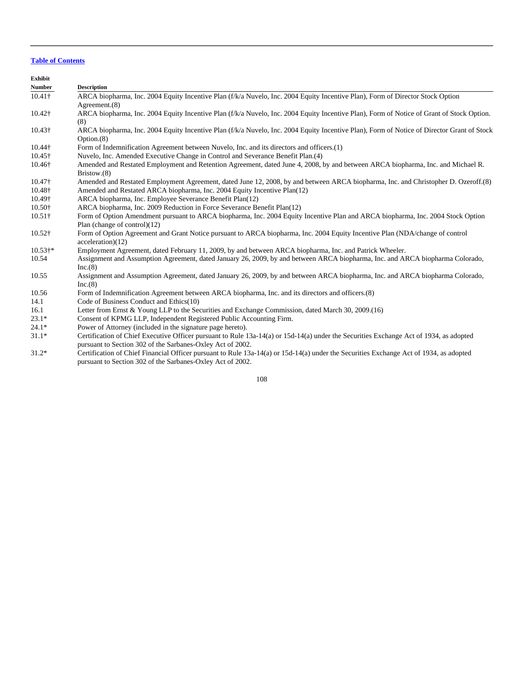## **[Table of Contents](#page-2-0)**

| Exhibit        |                                                                                                                                                                                                      |  |  |  |
|----------------|------------------------------------------------------------------------------------------------------------------------------------------------------------------------------------------------------|--|--|--|
| <b>Number</b>  | <b>Description</b>                                                                                                                                                                                   |  |  |  |
| $10.41\dagger$ | ARCA biopharma, Inc. 2004 Equity Incentive Plan (f/k/a Nuvelo, Inc. 2004 Equity Incentive Plan), Form of Director Stock Option<br>Agreement. $(8)$                                                   |  |  |  |
| 10.42†         | ARCA biopharma, Inc. 2004 Equity Incentive Plan (f/k/a Nuvelo, Inc. 2004 Equity Incentive Plan), Form of Notice of Grant of Stock Option.<br>(8)                                                     |  |  |  |
| 10.43†         | ARCA biopharma, Inc. 2004 Equity Incentive Plan (f/k/a Nuvelo, Inc. 2004 Equity Incentive Plan), Form of Notice of Director Grant of Stock<br>Option.(8)                                             |  |  |  |
| 10.44†         | Form of Indemnification Agreement between Nuvelo, Inc. and its directors and officers.(1)                                                                                                            |  |  |  |
| 10.45†         | Nuvelo, Inc. Amended Executive Change in Control and Severance Benefit Plan.(4)                                                                                                                      |  |  |  |
| 10.46†         | Amended and Restated Employment and Retention Agreement, dated June 4, 2008, by and between ARCA biopharma, Inc. and Michael R.<br>Bristow.(8)                                                       |  |  |  |
| 10.47†         | Amended and Restated Employment Agreement, dated June 12, 2008, by and between ARCA biopharma, Inc. and Christopher D. Ozeroff.(8)                                                                   |  |  |  |
| 10.48†         | Amended and Restated ARCA biopharma, Inc. 2004 Equity Incentive Plan(12)                                                                                                                             |  |  |  |
| 10.49†         | ARCA biopharma, Inc. Employee Severance Benefit Plan(12)                                                                                                                                             |  |  |  |
| 10.50+         | ARCA biopharma, Inc. 2009 Reduction in Force Severance Benefit Plan(12)                                                                                                                              |  |  |  |
| $10.51\dagger$ | Form of Option Amendment pursuant to ARCA biopharma, Inc. 2004 Equity Incentive Plan and ARCA biopharma, Inc. 2004 Stock Option<br>Plan (change of control) $(12)$                                   |  |  |  |
| $10.52\dagger$ | Form of Option Agreement and Grant Notice pursuant to ARCA biopharma, Inc. 2004 Equity Incentive Plan (NDA/change of control<br>acceleration(12)                                                     |  |  |  |
| $10.53+$ *     | Employment Agreement, dated February 11, 2009, by and between ARCA biopharma, Inc. and Patrick Wheeler.                                                                                              |  |  |  |
| 10.54          | Assignment and Assumption Agreement, dated January 26, 2009, by and between ARCA biopharma, Inc. and ARCA biopharma Colorado,<br>Inc.(8)                                                             |  |  |  |
| 10.55          | Assignment and Assumption Agreement, dated January 26, 2009, by and between ARCA biopharma, Inc. and ARCA biopharma Colorado,<br>Inc.(8)                                                             |  |  |  |
| 10.56          | Form of Indemnification Agreement between ARCA biopharma, Inc. and its directors and officers. (8)                                                                                                   |  |  |  |
| 14.1           | Code of Business Conduct and Ethics(10)                                                                                                                                                              |  |  |  |
| 16.1           | Letter from Ernst & Young LLP to the Securities and Exchange Commission, dated March 30, 2009.(16)                                                                                                   |  |  |  |
| $23.1*$        | Consent of KPMG LLP, Independent Registered Public Accounting Firm.                                                                                                                                  |  |  |  |
| $24.1*$        | Power of Attorney (included in the signature page hereto).                                                                                                                                           |  |  |  |
| $31.1*$        | Certification of Chief Executive Officer pursuant to Rule 13a-14(a) or 15d-14(a) under the Securities Exchange Act of 1934, as adopted<br>pursuant to Section 302 of the Sarbanes-Oxley Act of 2002. |  |  |  |
| $31.2*$        | Certification of Chief Financial Officer pursuant to Rule 13a-14(a) or 15d-14(a) under the Securities Exchange Act of 1934 as adopted                                                                |  |  |  |

31.2\* 14(a) or 15d-14(a) under the Securities Exchange Act of 1934, as adopted Certification of Chief Financial Officer pursuant to Rule 13a-<br>pursuant to Section 302 of the Sarbanes-Oxley Act of 2002.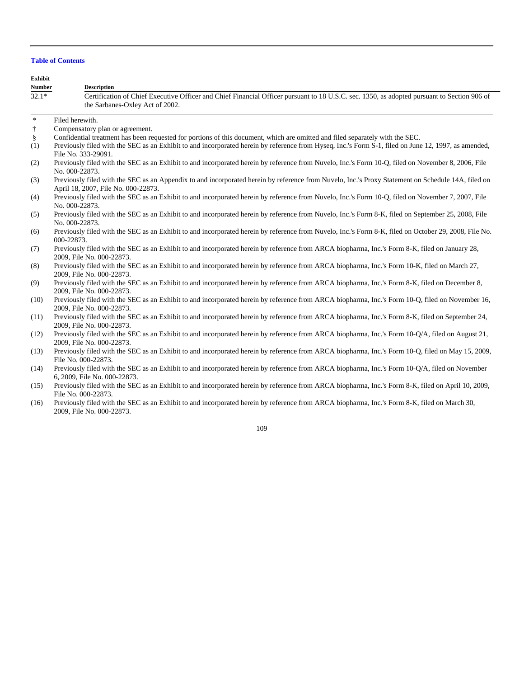## **[Table of Contents](#page-2-0)**

| Exhibit<br><b>Number</b> | <b>Description</b>                                                                                                                                                                                                                                                                                           |  |  |  |  |  |
|--------------------------|--------------------------------------------------------------------------------------------------------------------------------------------------------------------------------------------------------------------------------------------------------------------------------------------------------------|--|--|--|--|--|
| $32.1*$                  | Certification of Chief Executive Officer and Chief Financial Officer pursuant to 18 U.S.C. sec. 1350, as adopted pursuant to Section 906 of<br>the Sarbanes-Oxley Act of 2002.                                                                                                                               |  |  |  |  |  |
| $\ast$                   | Filed herewith.                                                                                                                                                                                                                                                                                              |  |  |  |  |  |
| Ť                        | Compensatory plan or agreement.                                                                                                                                                                                                                                                                              |  |  |  |  |  |
| §<br>(1)                 | Confidential treatment has been requested for portions of this document, which are omitted and filed separately with the SEC.<br>Previously filed with the SEC as an Exhibit to and incorporated herein by reference from Hyseq, Inc.'s Form S-1, filed on June 12, 1997, as amended,<br>File No. 333-29091. |  |  |  |  |  |
| (2)                      | Previously filed with the SEC as an Exhibit to and incorporated herein by reference from Nuvelo, Inc.'s Form 10-Q, filed on November 8, 2006, File<br>No. 000-22873.                                                                                                                                         |  |  |  |  |  |
| (3)                      | Previously filed with the SEC as an Appendix to and incorporated herein by reference from Nuvelo, Inc.'s Proxy Statement on Schedule 14A, filed on<br>April 18, 2007, File No. 000-22873.                                                                                                                    |  |  |  |  |  |
| (4)                      | Previously filed with the SEC as an Exhibit to and incorporated herein by reference from Nuvelo, Inc.'s Form 10-Q, filed on November 7, 2007, File<br>No. 000-22873.                                                                                                                                         |  |  |  |  |  |
| (5)                      | Previously filed with the SEC as an Exhibit to and incorporated herein by reference from Nuvelo, Inc.'s Form 8-K, filed on September 25, 2008, File<br>No. 000-22873.                                                                                                                                        |  |  |  |  |  |
| (6)                      | Previously filed with the SEC as an Exhibit to and incorporated herein by reference from Nuvelo, Inc.'s Form 8-K, filed on October 29, 2008, File No.<br>000-22873.                                                                                                                                          |  |  |  |  |  |
| (7)                      | Previously filed with the SEC as an Exhibit to and incorporated herein by reference from ARCA biopharma, Inc.'s Form 8-K, filed on January 28,<br>2009, File No. 000-22873.                                                                                                                                  |  |  |  |  |  |
| (8)                      | Previously filed with the SEC as an Exhibit to and incorporated herein by reference from ARCA biopharma, Inc.'s Form 10-K, filed on March 27,<br>2009, File No. 000-22873.                                                                                                                                   |  |  |  |  |  |
| (9)                      | Previously filed with the SEC as an Exhibit to and incorporated herein by reference from ARCA biopharma, Inc.'s Form 8-K, filed on December 8,<br>2009, File No. 000-22873.                                                                                                                                  |  |  |  |  |  |
| (10)                     | Previously filed with the SEC as an Exhibit to and incorporated herein by reference from ARCA biopharma, Inc.'s Form 10-Q, filed on November 16,<br>2009, File No. 000-22873.                                                                                                                                |  |  |  |  |  |
| (11)                     | Previously filed with the SEC as an Exhibit to and incorporated herein by reference from ARCA biopharma, Inc.'s Form 8-K, filed on September 24,<br>2009, File No. 000-22873.                                                                                                                                |  |  |  |  |  |
| (12)                     | Previously filed with the SEC as an Exhibit to and incorporated herein by reference from ARCA biopharma, Inc.'s Form 10-Q/A, filed on August 21,<br>2009, File No. 000-22873.                                                                                                                                |  |  |  |  |  |
| (13)                     | Previously filed with the SEC as an Exhibit to and incorporated herein by reference from ARCA biopharma, Inc.'s Form 10-Q, filed on May 15, 2009,<br>File No. 000-22873.                                                                                                                                     |  |  |  |  |  |
| (14)                     | Previously filed with the SEC as an Exhibit to and incorporated herein by reference from ARCA biopharma, Inc.'s Form 10-Q/A, filed on November<br>6, 2009, File No. 000-22873.                                                                                                                               |  |  |  |  |  |
| (15)                     | Previously filed with the SEC as an Exhibit to and incorporated herein by reference from ARCA biopharma, Inc.'s Form 8-K, filed on April 10, 2009,<br>File No. 000-22873.                                                                                                                                    |  |  |  |  |  |
| (16)                     | Previously filed with the SEC as an Exhibit to and incorporated herein by reference from ARCA biopharma, Inc.'s Form 8-K, filed on March 30,<br>2009, File No. 000-22873.                                                                                                                                    |  |  |  |  |  |
|                          |                                                                                                                                                                                                                                                                                                              |  |  |  |  |  |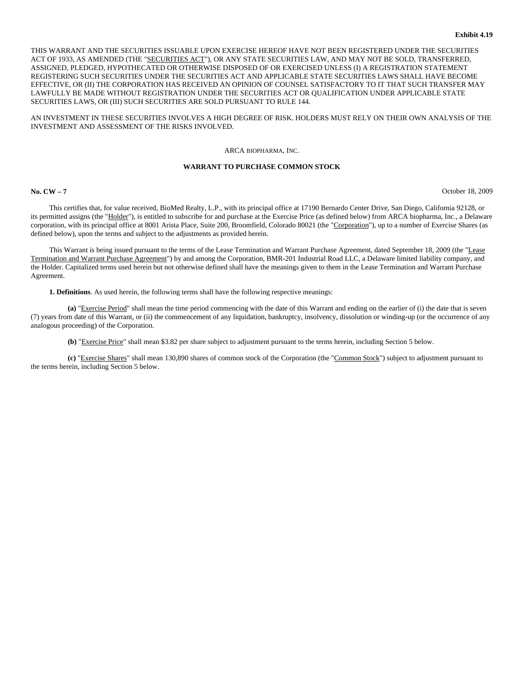THIS WARRANT AND THE SECURITIES ISSUABLE UPON EXERCISE HEREOF HAVE NOT BEEN REGISTERED UNDER THE SECURITIES ACT OF 1933, AS AMENDED (THE "SECURITIES ACT"), OR ANY STATE SECURITIES LAW, AND MAY NOT BE SOLD, TRANSFERRED, ASSIGNED, PLEDGED, HYPOTHECATED OR OTHERWISE DISPOSED OF OR EXERCISED UNLESS (I) A REGISTRATION STATEMENT REGISTERING SUCH SECURITIES UNDER THE SECURITIES ACT AND APPLICABLE STATE SECURITIES LAWS SHALL HAVE BECOME EFFECTIVE, OR (II) THE CORPORATION HAS RECEIVED AN OPINION OF COUNSEL SATISFACTORY TO IT THAT SUCH TRANSFER MAY LAWFULLY BE MADE WITHOUT REGISTRATION UNDER THE SECURITIES ACT OR QUALIFICATION UNDER APPLICABLE STATE SECURITIES LAWS, OR (III) SUCH SECURITIES ARE SOLD PURSUANT TO RULE 144.

AN INVESTMENT IN THESE SECURITIES INVOLVES A HIGH DEGREE OF RISK. HOLDERS MUST RELY ON THEIR OWN ANALYSIS OF THE INVESTMENT AND ASSESSMENT OF THE RISKS INVOLVED.

#### ARCA BIOPHARMA, INC.

#### **WARRANT TO PURCHASE COMMON STOCK**

**No. CW – 7** October 18, 2009

This certifies that, for value received, BioMed Realty, L.P., with its principal office at 17190 Bernardo Center Drive, San Diego, California 92128, or its permitted assigns (the "Holder"), is entitled to subscribe for and purchase at the Exercise Price (as defined below) from ARCA biopharma, Inc., a Delaware corporation, with its principal office at 8001 Arista Place, Suite 200, Broomfield, Colorado 80021 (the "Corporation"), up to a number of Exercise Shares (as defined below), upon the terms and subject to the adjustments as provided herein.

This Warrant is being issued pursuant to the terms of the Lease Termination and Warrant Purchase Agreement, dated September 18, 2009 (the "Lease Termination and Warrant Purchase Agreement") by and among the Corporation, BMR-201 Industrial Road LLC, a Delaware limited liability company, and the Holder. Capitalized terms used herein but not otherwise defined shall have the meanings given to them in the Lease Termination and Warrant Purchase Agreement.

**1. Definitions**. As used herein, the following terms shall have the following respective meanings:

**(a)** "Exercise Period" shall mean the time period commencing with the date of this Warrant and ending on the earlier of (i) the date that is seven (7) years from date of this Warrant, or (ii) the commencement of any liquidation, bankruptcy, insolvency, dissolution or winding-up (or the occurrence of any analogous proceeding) of the Corporation.

**(b)** "Exercise Price" shall mean \$3.82 per share subject to adjustment pursuant to the terms herein, including Section 5 below.

**(c)** "Exercise Shares" shall mean 130,890 shares of common stock of the Corporation (the "Common Stock") subject to adjustment pursuant to the terms herein, including Section 5 below.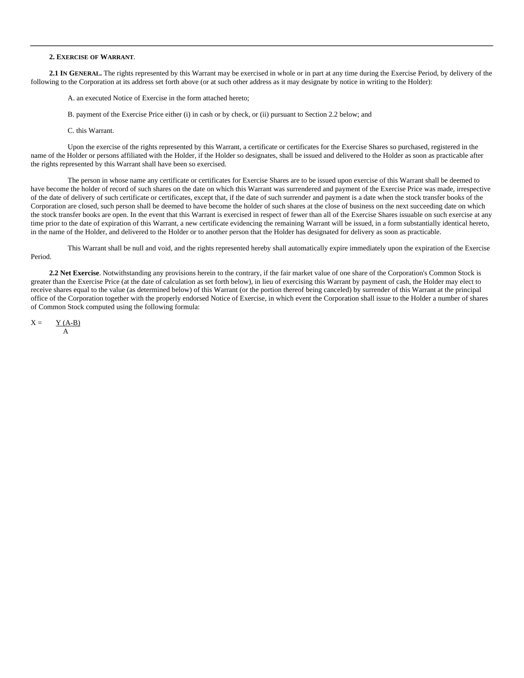#### **2. EXERCISE OF WARRANT**.

2.1 IN GENERAL. The rights represented by this Warrant may be exercised in whole or in part at any time during the Exercise Period, by delivery of the following to the Corporation at its address set forth above (or at such other address as it may designate by notice in writing to the Holder):

A. an executed Notice of Exercise in the form attached hereto;

B. payment of the Exercise Price either (i) in cash or by check, or (ii) pursuant to Section 2.2 below; and

C. this Warrant.

Upon the exercise of the rights represented by this Warrant, a certificate or certificates for the Exercise Shares so purchased, registered in the name of the Holder or persons affiliated with the Holder, if the Holder so designates, shall be issued and delivered to the Holder as soon as practicable after the rights represented by this Warrant shall have been so exercised.

The person in whose name any certificate or certificates for Exercise Shares are to be issued upon exercise of this Warrant shall be deemed to have become the holder of record of such shares on the date on which this Warrant was surrendered and payment of the Exercise Price was made, irrespective of the date of delivery of such certificate or certificates, except that, if the date of such surrender and payment is a date when the stock transfer books of the Corporation are closed, such person shall be deemed to have become the holder of such shares at the close of business on the next succeeding date on which the stock transfer books are open. In the event that this Warrant is exercised in respect of fewer than all of the Exercise Shares issuable on such exercise at any time prior to the date of expiration of this Warrant, a new certificate evidencing the remaining Warrant will be issued, in a form substantially identical hereto, in the name of the Holder, and delivered to the Holder or to another person that the Holder has designated for delivery as soon as practicable.

This Warrant shall be null and void, and the rights represented hereby shall automatically expire immediately upon the expiration of the Exercise Period.

**2.2 Net Exercise**. Notwithstanding any provisions herein to the contrary, if the fair market value of one share of the Corporation's Common Stock is greater than the Exercise Price (at the date of calculation as set forth below), in lieu of exercising this Warrant by payment of cash, the Holder may elect to receive shares equal to the value (as determined below) of this Warrant (or the portion thereof being canceled) by surrender of this Warrant at the principal office of the Corporation together with the properly endorsed Notice of Exercise, in which event the Corporation shall issue to the Holder a number of shares of Common Stock computed using the following formula:

 $X = \underline{Y (A-B)}$ A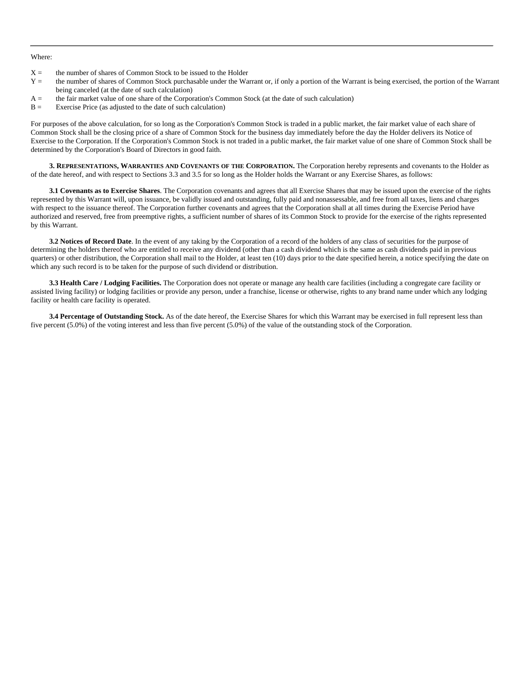### Where:

- $X =$  the number of shares of Common Stock to be issued to the Holder
- $Y =$ the number of shares of Common Stock purchasable under the Warrant or, if only a portion of the Warrant is being exercised, the portion of the Warrant being canceled (at the date of such calculation)
- A = the fair market value of one share of the Corporation's Common Stock (at the date of such calculation)
- $B =$  Exercise Price (as adjusted to the date of such calculation)

For purposes of the above calculation, for so long as the Corporation's Common Stock is traded in a public market, the fair market value of each share of Common Stock shall be the closing price of a share of Common Stock for the business day immediately before the day the Holder delivers its Notice of Exercise to the Corporation. If the Corporation's Common Stock is not traded in a public market, the fair market value of one share of Common Stock shall be determined by the Corporation's Board of Directors in good faith.

**3. REPRESENTATIONS, WARRANTIES AND COVENANTS OF THE CORPORATION.** The Corporation hereby represents and covenants to the Holder as of the date hereof, and with respect to Sections 3.3 and 3.5 for so long as the Holder holds the Warrant or any Exercise Shares, as follows:

**3.1 Covenants as to Exercise Shares**. The Corporation covenants and agrees that all Exercise Shares that may be issued upon the exercise of the rights represented by this Warrant will, upon issuance, be validly issued and outstanding, fully paid and nonassessable, and free from all taxes, liens and charges with respect to the issuance thereof. The Corporation further covenants and agrees that the Corporation shall at all times during the Exercise Period have authorized and reserved, free from preemptive rights, a sufficient number of shares of its Common Stock to provide for the exercise of the rights represented by this Warrant.

**3.2 Notices of Record Date**. In the event of any taking by the Corporation of a record of the holders of any class of securities for the purpose of determining the holders thereof who are entitled to receive any dividend (other than a cash dividend which is the same as cash dividends paid in previous quarters) or other distribution, the Corporation shall mail to the Holder, at least ten (10) days prior to the date specified herein, a notice specifying the date on which any such record is to be taken for the purpose of such dividend or distribution.

**3.3 Health Care / Lodging Facilities.** The Corporation does not operate or manage any health care facilities (including a congregate care facility or assisted living facility) or lodging facilities or provide any person, under a franchise, license or otherwise, rights to any brand name under which any lodging facility or health care facility is operated.

**3.4 Percentage of Outstanding Stock.** As of the date hereof, the Exercise Shares for which this Warrant may be exercised in full represent less than five percent (5.0%) of the voting interest and less than five percent (5.0%) of the value of the outstanding stock of the Corporation.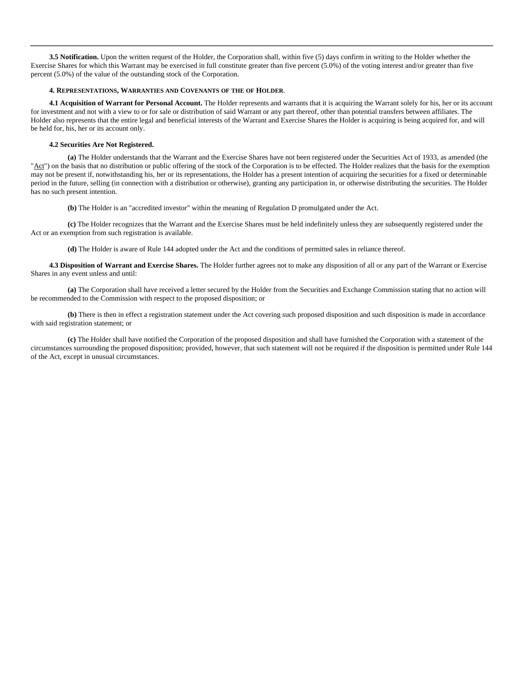**3.5 Notification.** Upon the written request of the Holder, the Corporation shall, within five (5) days confirm in writing to the Holder whether the Exercise Shares for which this Warrant may be exercised in full constitute greater than five percent (5.0%) of the voting interest and/or greater than five percent (5.0%) of the value of the outstanding stock of the Corporation.

## **4. REPRESENTATIONS, WARRANTIES AND COVENANTS OF THE OF HOLDER**.

**4.1 Acquisition of Warrant for Personal Account.** The Holder represents and warrants that it is acquiring the Warrant solely for his, her or its account for investment and not with a view to or for sale or distribution of said Warrant or any part thereof, other than potential transfers between affiliates. The Holder also represents that the entire legal and beneficial interests of the Warrant and Exercise Shares the Holder is acquiring is being acquired for, and will be held for, his, her or its account only.

#### **4.2 Securities Are Not Registered.**

**(a)** The Holder understands that the Warrant and the Exercise Shares have not been registered under the Securities Act of 1933, as amended (the "Act") on the basis that no distribution or public offering of the stock of the Corporation is to be effected. The Holder realizes that the basis for the exemption may not be present if, notwithstanding his, her or its representations, the Holder has a present intention of acquiring the securities for a fixed or determinable period in the future, selling (in connection with a distribution or otherwise), granting any participation in, or otherwise distributing the securities. The Holder has no such present intention.

**(b)** The Holder is an "accredited investor" within the meaning of Regulation D promulgated under the Act.

**(c)** The Holder recognizes that the Warrant and the Exercise Shares must be held indefinitely unless they are subsequently registered under the Act or an exemption from such registration is available.

**(d)** The Holder is aware of Rule 144 adopted under the Act and the conditions of permitted sales in reliance thereof.

**4.3 Disposition of Warrant and Exercise Shares.** The Holder further agrees not to make any disposition of all or any part of the Warrant or Exercise Shares in any event unless and until:

**(a)** The Corporation shall have received a letter secured by the Holder from the Securities and Exchange Commission stating that no action will be recommended to the Commission with respect to the proposed disposition; or

**(b)** There is then in effect a registration statement under the Act covering such proposed disposition and such disposition is made in accordance with said registration statement; or

**(c)** The Holder shall have notified the Corporation of the proposed disposition and shall have furnished the Corporation with a statement of the circumstances surrounding the proposed disposition; provided, however, that such statement will not be required if the disposition is permitted under Rule 144 of the Act, except in unusual circumstances.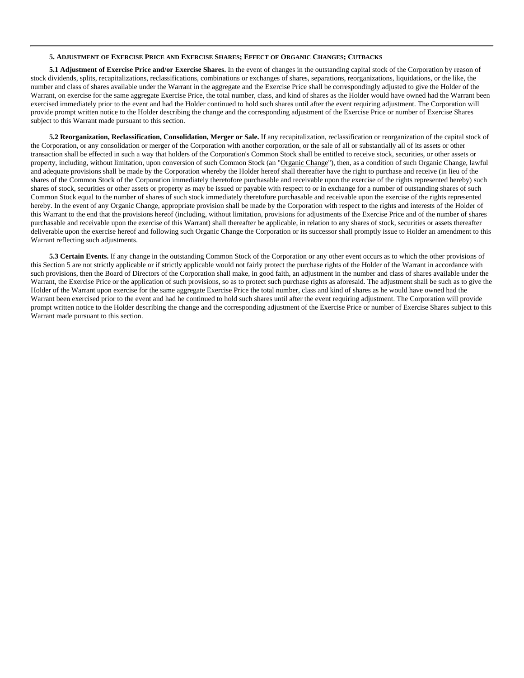#### 5. ADJUSTMENT OF EXERCISE PRICE AND EXERCISE SHARES; EFFECT OF ORGANIC CHANGES; CUTBACKS

**5.1 Adjustment of Exercise Price and/or Exercise Shares.** In the event of changes in the outstanding capital stock of the Corporation by reason of stock dividends, splits, recapitalizations, reclassifications, combinations or exchanges of shares, separations, reorganizations, liquidations, or the like, the number and class of shares available under the Warrant in the aggregate and the Exercise Price shall be correspondingly adjusted to give the Holder of the Warrant, on exercise for the same aggregate Exercise Price, the total number, class, and kind of shares as the Holder would have owned had the Warrant been exercised immediately prior to the event and had the Holder continued to hold such shares until after the event requiring adjustment. The Corporation will provide prompt written notice to the Holder describing the change and the corresponding adjustment of the Exercise Price or number of Exercise Shares subject to this Warrant made pursuant to this section.

**5.2 Reorganization, Reclassification, Consolidation, Merger or Sale.** If any recapitalization, reclassification or reorganization of the capital stock of the Corporation, or any consolidation or merger of the Corporation with another corporation, or the sale of all or substantially all of its assets or other transaction shall be effected in such a way that holders of the Corporation's Common Stock shall be entitled to receive stock, securities, or other assets or property, including, without limitation, upon conversion of such Common Stock (an "Organic Change"), then, as a condition of such Organic Change, lawful and adequate provisions shall be made by the Corporation whereby the Holder hereof shall thereafter have the right to purchase and receive (in lieu of the shares of the Common Stock of the Corporation immediately theretofore purchasable and receivable upon the exercise of the rights represented hereby) such shares of stock, securities or other assets or property as may be issued or payable with respect to or in exchange for a number of outstanding shares of such Common Stock equal to the number of shares of such stock immediately theretofore purchasable and receivable upon the exercise of the rights represented hereby. In the event of any Organic Change, appropriate provision shall be made by the Corporation with respect to the rights and interests of the Holder of this Warrant to the end that the provisions hereof (including, without limitation, provisions for adjustments of the Exercise Price and of the number of shares purchasable and receivable upon the exercise of this Warrant) shall thereafter be applicable, in relation to any shares of stock, securities or assets thereafter deliverable upon the exercise hereof and following such Organic Change the Corporation or its successor shall promptly issue to Holder an amendment to this Warrant reflecting such adjustments.

**5.3 Certain Events.** If any change in the outstanding Common Stock of the Corporation or any other event occurs as to which the other provisions of this Section 5 are not strictly applicable or if strictly applicable would not fairly protect the purchase rights of the Holder of the Warrant in accordance with such provisions, then the Board of Directors of the Corporation shall make, in good faith, an adjustment in the number and class of shares available under the Warrant, the Exercise Price or the application of such provisions, so as to protect such purchase rights as aforesaid. The adjustment shall be such as to give the Holder of the Warrant upon exercise for the same aggregate Exercise Price the total number, class and kind of shares as he would have owned had the Warrant been exercised prior to the event and had he continued to hold such shares until after the event requiring adjustment. The Corporation will provide prompt written notice to the Holder describing the change and the corresponding adjustment of the Exercise Price or number of Exercise Shares subject to this Warrant made pursuant to this section.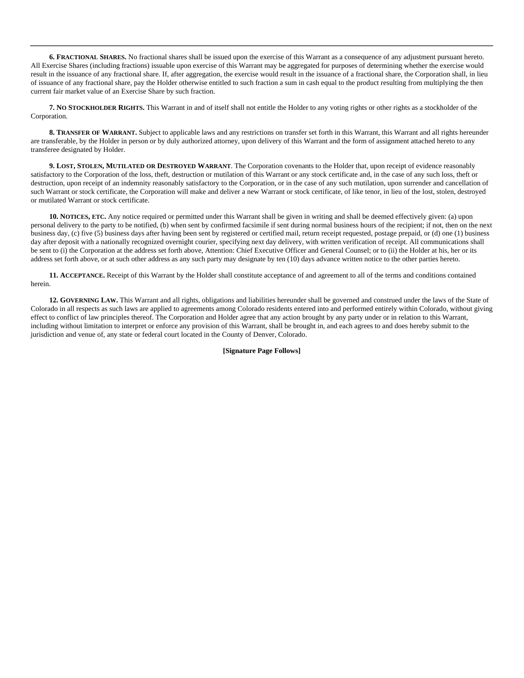**6. FRACTIONAL SHARES.** No fractional shares shall be issued upon the exercise of this Warrant as a consequence of any adjustment pursuant hereto. All Exercise Shares (including fractions) issuable upon exercise of this Warrant may be aggregated for purposes of determining whether the exercise would result in the issuance of any fractional share. If, after aggregation, the exercise would result in the issuance of a fractional share, the Corporation shall, in lieu of issuance of any fractional share, pay the Holder otherwise entitled to such fraction a sum in cash equal to the product resulting from multiplying the then current fair market value of an Exercise Share by such fraction.

**7. NO STOCKHOLDER RIGHTS.** This Warrant in and of itself shall not entitle the Holder to any voting rights or other rights as a stockholder of the Corporation.

**8. TRANSFER OF WARRANT.** Subject to applicable laws and any restrictions on transfer set forth in this Warrant, this Warrant and all rights hereunder are transferable, by the Holder in person or by duly authorized attorney, upon delivery of this Warrant and the form of assignment attached hereto to any transferee designated by Holder.

**9. LOST, STOLEN, MUTILATED OR DESTROYED WARRANT**. The Corporation covenants to the Holder that, upon receipt of evidence reasonably satisfactory to the Corporation of the loss, theft, destruction or mutilation of this Warrant or any stock certificate and, in the case of any such loss, theft or destruction, upon receipt of an indemnity reasonably satisfactory to the Corporation, or in the case of any such mutilation, upon surrender and cancellation of such Warrant or stock certificate, the Corporation will make and deliver a new Warrant or stock certificate, of like tenor, in lieu of the lost, stolen, destroyed or mutilated Warrant or stock certificate.

**10. NOTICES, ETC.** Any notice required or permitted under this Warrant shall be given in writing and shall be deemed effectively given: (a) upon personal delivery to the party to be notified, (b) when sent by confirmed facsimile if sent during normal business hours of the recipient; if not, then on the next business day, (c) five (5) business days after having been sent by registered or certified mail, return receipt requested, postage prepaid, or (d) one (1) business day after deposit with a nationally recognized overnight courier, specifying next day delivery, with written verification of receipt. All communications shall be sent to (i) the Corporation at the address set forth above, Attention: Chief Executive Officer and General Counsel; or to (ii) the Holder at his, her or its address set forth above, or at such other address as any such party may designate by ten (10) days advance written notice to the other parties hereto.

**11. ACCEPTANCE.** Receipt of this Warrant by the Holder shall constitute acceptance of and agreement to all of the terms and conditions contained herein.

**12. GOVERNING LAW.** This Warrant and all rights, obligations and liabilities hereunder shall be governed and construed under the laws of the State of Colorado in all respects as such laws are applied to agreements among Colorado residents entered into and performed entirely within Colorado, without giving effect to conflict of law principles thereof. The Corporation and Holder agree that any action brought by any party under or in relation to this Warrant, including without limitation to interpret or enforce any provision of this Warrant, shall be brought in, and each agrees to and does hereby submit to the jurisdiction and venue of, any state or federal court located in the County of Denver, Colorado.

### **[Signature Page Follows]**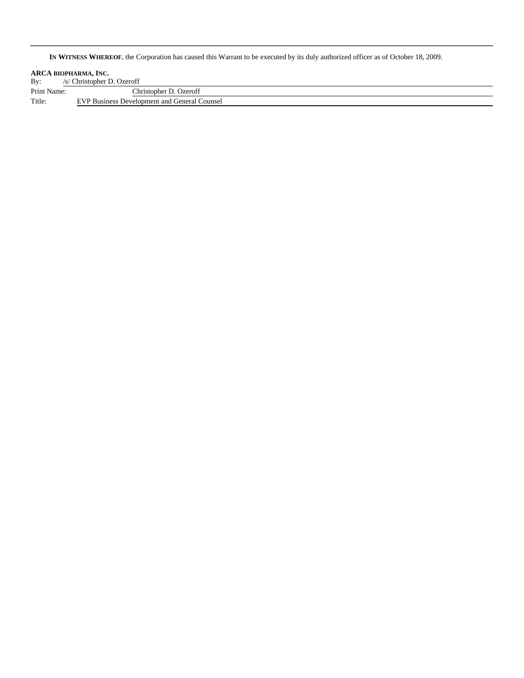**IN WITNESS WHEREOF**, the Corporation has caused this Warrant to be executed by its duly authorized officer as of October 18, 2009.

| ARCA BIOPHARMA, INC. |                                                     |  |  |
|----------------------|-----------------------------------------------------|--|--|
| By:                  | /s/ Christopher D. Ozeroff                          |  |  |
| Print Name:          | Christopher D. Ozeroff                              |  |  |
| Title:               | <b>EVP Business Development and General Counsel</b> |  |  |
|                      |                                                     |  |  |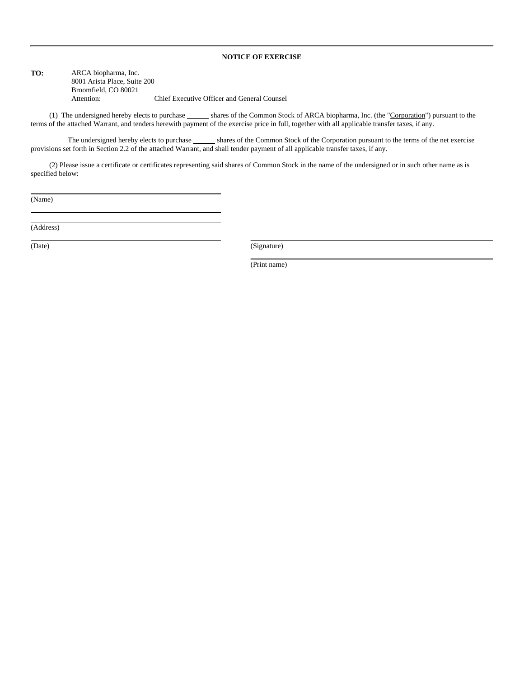## **NOTICE OF EXERCISE**

**TO:** ARCA biopharma, Inc. 8001 Arista Place, Suite 200 Broomfield, CO 80021 Chief Executive Officer and General Counsel

(1) The undersigned hereby elects to purchase shares of the Common Stock of ARCA biopharma, Inc. (the "Corporation") pursuant to the terms of the attached Warrant, and tenders herewith payment of the exercise price in full, together with all applicable transfer taxes, if any.

The undersigned hereby elects to purchase \_\_\_\_\_\_ shares of the Common Stock of the Corporation pursuant to the terms of the net exercise provisions set forth in Section 2.2 of the attached Warrant, and shall tender payment of all applicable transfer taxes, if any.

(2) Please issue a certificate or certificates representing said shares of Common Stock in the name of the undersigned or in such other name as is specified below:

(Name)

(Address)

(Date) (Signature)

(Print name)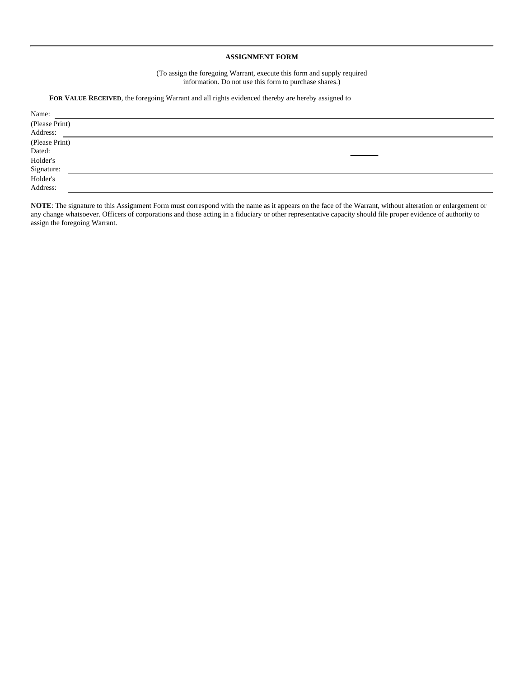## **ASSIGNMENT FORM**

(To assign the foregoing Warrant, execute this form and supply required information. Do not use this form to purchase shares.)

## **FOR VALUE RECEIVED**, the foregoing Warrant and all rights evidenced thereby are hereby assigned to

| Name:                      |  |
|----------------------------|--|
| (Please Print)<br>Address: |  |
|                            |  |
| (Please Print)<br>Dated:   |  |
|                            |  |
| Holder's<br>Signature:     |  |
|                            |  |
| Holder's<br>Address:       |  |
|                            |  |

**NOTE**: The signature to this Assignment Form must correspond with the name as it appears on the face of the Warrant, without alteration or enlargement or any change whatsoever. Officers of corporations and those acting in a fiduciary or other representative capacity should file proper evidence of authority to assign the foregoing Warrant.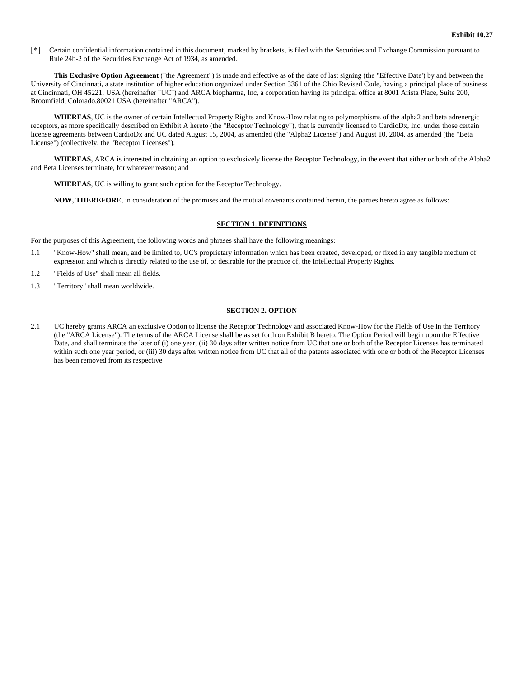[\*] Certain confidential information contained in this document, marked by brackets, is filed with the Securities and Exchange Commission pursuant to Rule 24b-2 of the Securities Exchange Act of 1934, as amended.

**This Exclusive Option Agreement** ("the Agreement") is made and effective as of the date of last signing (the "Effective Date') by and between the University of Cincinnati, a state institution of higher education organized under Section 3361 of the Ohio Revised Code, having a principal place of business at Cincinnati, OH 45221, USA (hereinafter "UC") and ARCA biopharma, Inc, a corporation having its principal office at 8001 Arista Place, Suite 200, Broomfield, Colorado,80021 USA (hereinafter "ARCA").

**WHEREAS**, UC is the owner of certain Intellectual Property Rights and Know-How relating to polymorphisms of the alpha2 and beta adrenergic receptors, as more specifically described on Exhibit A hereto (the "Receptor Technology"), that is currently licensed to CardioDx, Inc. under those certain license agreements between CardioDx and UC dated August 15, 2004, as amended (the "Alpha2 License") and August 10, 2004, as amended (the "Beta License") (collectively, the "Receptor Licenses").

**WHEREAS**, ARCA is interested in obtaining an option to exclusively license the Receptor Technology, in the event that either or both of the Alpha2 and Beta Licenses terminate, for whatever reason; and

**WHEREAS**, UC is willing to grant such option for the Receptor Technology.

**NOW, THEREFORE**, in consideration of the promises and the mutual covenants contained herein, the parties hereto agree as follows:

### **SECTION 1. DEFINITIONS**

For the purposes of this Agreement, the following words and phrases shall have the following meanings:

- 1.1 "Know-How" shall mean, and be limited to, UC's proprietary information which has been created, developed, or fixed in any tangible medium of expression and which is directly related to the use of, or desirable for the practice of, the Intellectual Property Rights.
- 1.2 "Fields of Use" shall mean all fields.
- 1.3 "Territory" shall mean worldwide.

## **SECTION 2. OPTION**

2.1 UC hereby grants ARCA an exclusive Option to license the Receptor Technology and associated Know-How for the Fields of Use in the Territory (the "ARCA License"). The terms of the ARCA License shall be as set forth on Exhibit B hereto. The Option Period will begin upon the Effective Date, and shall terminate the later of (i) one year, (ii) 30 days after written notice from UC that one or both of the Receptor Licenses has terminated within such one year period, or (iii) 30 days after written notice from UC that all of the patents associated with one or both of the Receptor Licenses has been removed from its respective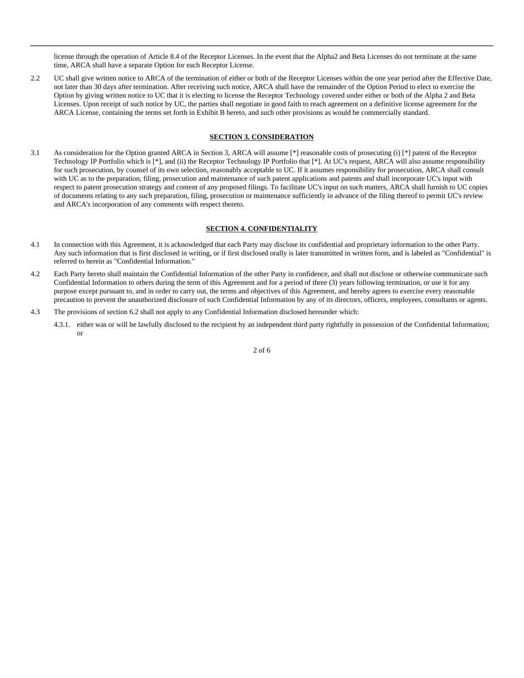license through the operation of Article 8.4 of the Receptor Licenses. In the event that the Alpha2 and Beta Licenses do not terminate at the same time, ARCA shall have a separate Option for each Receptor License.

2.2 UC shall give written notice to ARCA of the termination of either or both of the Receptor Licenses within the one year period after the Effective Date, not later than 30 days after termination. After receiving such notice, ARCA shall have the remainder of the Option Period to elect to exercise the Option by giving written notice to UC that it is electing to license the Receptor Technology covered under either or both of the Alpha 2 and Beta Licenses. Upon receipt of such notice by UC, the parties shall negotiate in good faith to reach agreement on a definitive license agreement for the ARCA License, containing the terms set forth in Exhibit B hereto, and such other provisions as would be commercially standard.

## **SECTION 3. CONSIDERATION**

3.1 As consideration for the Option granted ARCA in Section 3, ARCA will assume [\*] reasonable costs of prosecuting (i) [\*] patent of the Receptor Technology IP Portfolio which is [\*], and (ii) the Receptor Technology IP Portfolio that [\*]. At UC's request, ARCA will also assume responsibility for such prosecution, by counsel of its own selection, reasonably acceptable to UC. If it assumes responsibility for prosecution, ARCA shall consult with UC as to the preparation, filing, prosecution and maintenance of such patent applications and patents and shall incorporate UC's input with respect to patent prosecution strategy and content of any proposed filings. To facilitate UC's input on such matters, ARCA shall furnish to UC copies of documents relating to any such preparation, filing, prosecution or maintenance sufficiently in advance of the filing thereof to permit UC's review and ARCA's incorporation of any comments with respect thereto.

## **SECTION 4. CONFIDENTIALITY**

- 4.1 In connection with this Agreement, it is acknowledged that each Party may disclose its confidential and proprietary information to the other Party. Any such information that is first disclosed in writing, or if first disclosed orally is later transmitted in written form, and is labeled as "Confidential" is referred to herein as "Confidential Information."
- 4.2 Each Party hereto shall maintain the Confidential Information of the other Party in confidence, and shall not disclose or otherwise communicate such Confidential Information to others during the term of this Agreement and for a period of three (3) years following termination, or use it for any purpose except pursuant to, and in order to carry out, the terms and objectives of this Agreement, and hereby agrees to exercise every reasonable precaution to prevent the unauthorized disclosure of such Confidential Information by any of its directors, officers, employees, consultants or agents.
- 4.3 The provisions of section 6.2 shall not apply to any Confidential Information disclosed hereunder which:
	- 4.3.1. either was or will be lawfully disclosed to the recipient by an independent third party rightfully in possession of the Confidential Information; or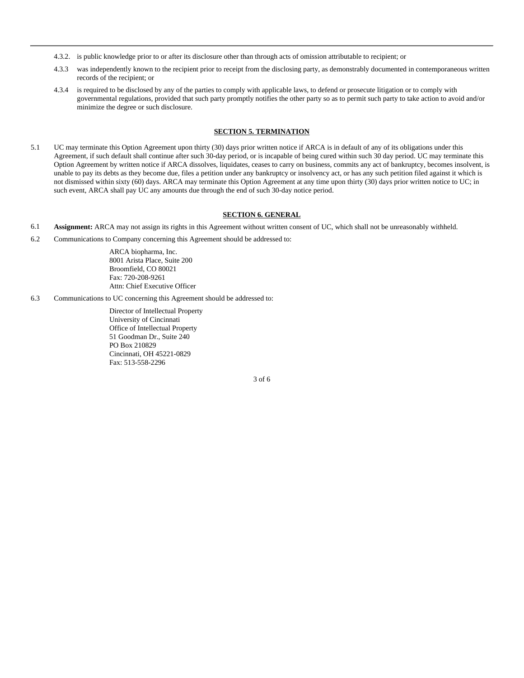- 4.3.2. is public knowledge prior to or after its disclosure other than through acts of omission attributable to recipient; or
- 4.3.3 was independently known to the recipient prior to receipt from the disclosing party, as demonstrably documented in contemporaneous written records of the recipient; or
- 4.3.4 is required to be disclosed by any of the parties to comply with applicable laws, to defend or prosecute litigation or to comply with governmental regulations, provided that such party promptly notifies the other party so as to permit such party to take action to avoid and/or minimize the degree or such disclosure.

## **SECTION 5. TERMINATION**

5.1 UC may terminate this Option Agreement upon thirty (30) days prior written notice if ARCA is in default of any of its obligations under this Agreement, if such default shall continue after such 30-day period, or is incapable of being cured within such 30 day period. UC may terminate this Option Agreement by written notice if ARCA dissolves, liquidates, ceases to carry on business, commits any act of bankruptcy, becomes insolvent, is unable to pay its debts as they become due, files a petition under any bankruptcy or insolvency act, or has any such petition filed against it which is not dismissed within sixty (60) days. ARCA may terminate this Option Agreement at any time upon thirty (30) days prior written notice to UC; in such event, ARCA shall pay UC any amounts due through the end of such 30-day notice period.

#### **SECTION 6. GENERAL**

- 6.1 **Assignment:** ARCA may not assign its rights in this Agreement without written consent of UC, which shall not be unreasonably withheld.
- 6.2 Communications to Company concerning this Agreement should be addressed to:

ARCA biopharma, Inc. 8001 Arista Place, Suite 200 Broomfield, CO 80021 Fax: 720-208-9261 Attn: Chief Executive Officer

6.3 Communications to UC concerning this Agreement should be addressed to:

Director of Intellectual Property University of Cincinnati Office of Intellectual Property 51 Goodman Dr., Suite 240 PO Box 210829 Cincinnati, OH 45221-0829 Fax: 513-558-2296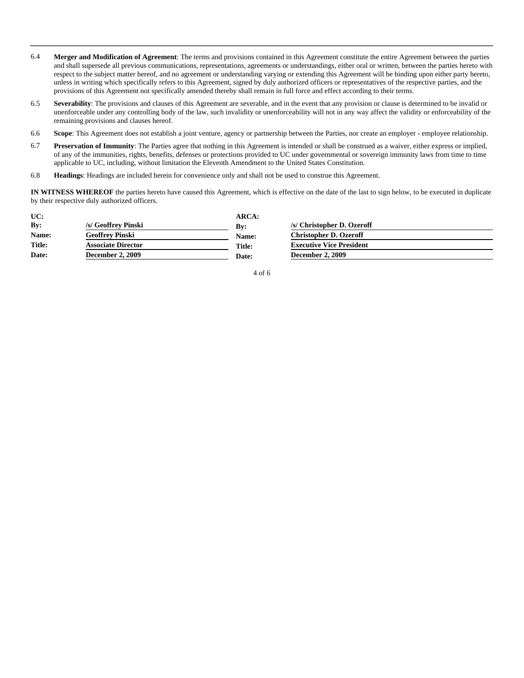- 6.4 **Merger and Modification of Agreement**: The terms and provisions contained in this Agreement constitute the entire Agreement between the parties and shall supersede all previous communications, representations, agreements or understandings, either oral or written, between the parties hereto with respect to the subject matter hereof, and no agreement or understanding varying or extending this Agreement will be binding upon either party hereto, unless in writing which specifically refers to this Agreement, signed by duly authorized officers or representatives of the respective parties, and the provisions of this Agreement not specifically amended thereby shall remain in full force and effect according to their terms.
- 6.5 **Severability**: The provisions and clauses of this Agreement are severable, and in the event that any provision or clause is determined to be invalid or unenforceable under any controlling body of the law, such invalidity or unenforceability will not in any way affect the validity or enforceability of the remaining provisions and clauses hereof.
- 6.6 **Scope**: This Agreement does not establish a joint venture, agency or partnership between the Parties, nor create an employer employee relationship.
- 6.7 **Preservation of Immunity**: The Parties agree that nothing in this Agreement is intended or shall be construed as a waiver, either express or implied, of any of the immunities, rights, benefits, defenses or protections provided to UC under governmental or sovereign immunity laws from time to time applicable to UC, including, without limitation the Eleventh Amendment to the United States Constitution.
- 6.8 **Headings**: Headings are included herein for convenience only and shall not be used to construe this Agreement.

**IN WITNESS WHEREOF** the parties hereto have caused this Agreement, which is effective on the date of the last to sign below, to be executed in duplicate by their respective duly authorized officers.

| UC:    |                           | ARCA:         |                                 |
|--------|---------------------------|---------------|---------------------------------|
| By:    | /s/ Geoffrey Pinski       | Bv:           | /s/ Christopher D. Ozeroff      |
| Name:  | <b>Geoffrey Pinski</b>    | <b>Name:</b>  | <b>Christopher D. Ozeroff</b>   |
| Title: | <b>Associate Director</b> | <b>Title:</b> | <b>Executive Vice President</b> |
| Date:  | <b>December 2, 2009</b>   | Date:         | <b>December 2, 2009</b>         |
|        |                           |               |                                 |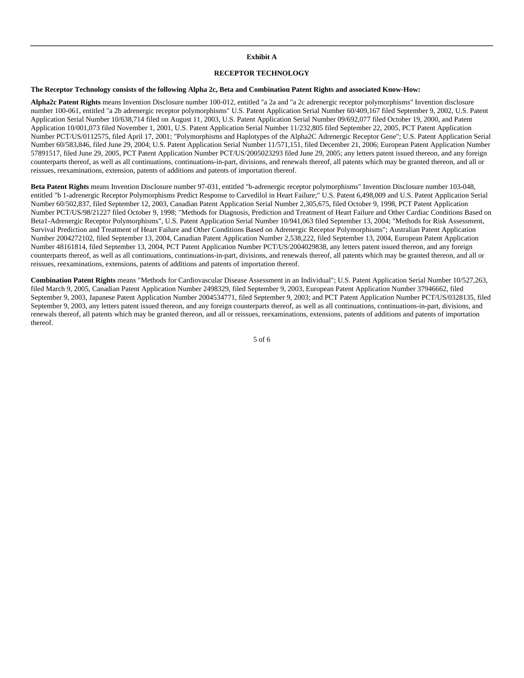### **Exhibit A**

## **RECEPTOR TECHNOLOGY**

#### **The Receptor Technology consists of the following Alpha 2c, Beta and Combination Patent Rights and associated Know-How:**

**Alpha2c Patent Rights** means Invention Disclosure number 100-012, entitled "a 2a and "a 2c adrenergic receptor polymorphisms" Invention disclosure number 100-061, entitled "a 2b adrenergic receptor polymorphisms" U.S. Patent Application Serial Number 60/409,167 filed September 9, 2002, U.S. Patent Application Serial Number 10/638,714 filed on August 11, 2003, U.S. Patent Application Serial Number 09/692,077 filed October 19, 2000, and Patent Application 10/001,073 filed November 1, 2001, U.S. Patent Application Serial Number 11/232,805 filed September 22, 2005, PCT Patent Application Number PCT/US/0112575, filed April 17, 2001; "Polymorphisms and Haplotypes of the Alpha2C Adrenergic Receptor Gene"; U.S. Patent Application Serial Number 60/583,846, filed June 29, 2004; U.S. Patent Application Serial Number 11/571,151, filed December 21, 2006; European Patent Application Number 57891517, filed June 29, 2005, PCT Patent Application Number PCT/US/2005023293 filed June 29, 2005; any letters patent issued thereon, and any foreign counterparts thereof, as well as all continuations, continuations-in-part, divisions, and renewals thereof, all patents which may be granted thereon, and all or reissues, reexaminations, extension, patents of additions and patents of importation thereof.

**Beta Patent Rights** means Invention Disclosure number 97-031, entitled "b-adrenergic receptor polymorphisms" Invention Disclosure number 103-048, entitled "b 1-adrenergic Receptor Polymorphisms Predict Response to Carvedilol in Heart Failure;" U.S. Patent 6,498,009 and U.S. Patent Application Serial Number 60/502,837, filed September 12, 2003, Canadian Patent Application Serial Number 2,305,675, filed October 9, 1998, PCT Patent Application Number PCT/US/98/21227 filed October 9, 1998; "Methods for Diagnosis, Prediction and Treatment of Heart Failure and Other Cardiac Conditions Based on Beta1-Adrenergic Receptor Polymorphisms", U.S. Patent Application Serial Number 10/941,063 filed September 13, 2004; "Methods for Risk Assessment, Survival Prediction and Treatment of Heart Failure and Other Conditions Based on Adrenergic Receptor Polymorphisms"; Australian Patent Application Number 2004272102, filed September 13, 2004, Canadian Patent Application Number 2,538,222, filed September 13, 2004, European Patent Application Number 48161814, filed September 13, 2004, PCT Patent Application Number PCT/US/2004029838, any letters patent issued thereon, and any foreign counterparts thereof, as well as all continuations, continuations-in-part, divisions, and renewals thereof, all patents which may be granted thereon, and all or reissues, reexaminations, extensions, patents of additions and patents of importation thereof.

**Combination Patent Rights** means "Methods for Cardiovascular Disease Assessment in an Individual"; U.S. Patent Application Serial Number 10/527,263, filed March 9, 2005, Canadian Patent Application Number 2498329, filed September 9, 2003, European Patent Application Number 37946662, filed September 9, 2003, Japanese Patent Application Number 2004534771, filed September 9, 2003; and PCT Patent Application Number PCT/US/0328135, filed September 9, 2003, any letters patent issued thereon, and any foreign counterparts thereof, as well as all continuations, continuations-in-part, divisions, and renewals thereof, all patents which may be granted thereon, and all or reissues, reexaminations, extensions, patents of additions and patents of importation thereof.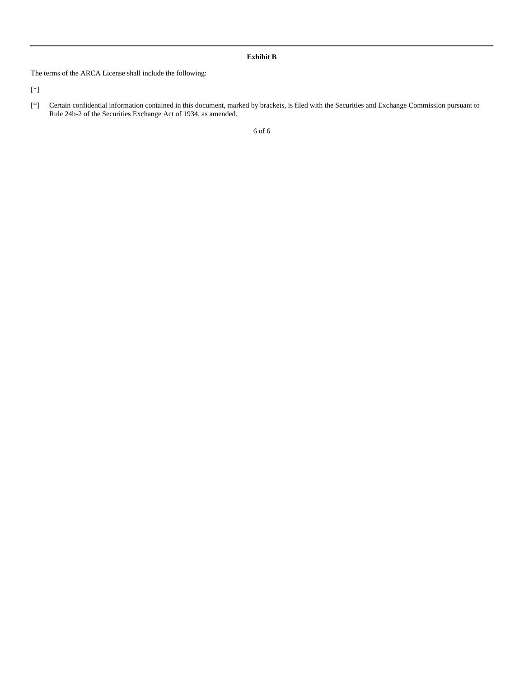## **Exhibit B**

The terms of the ARCA License shall include the following:

[\*]

[\*] Certain confidential information contained in this document, marked by brackets, is filed with the Securities and Exchange Commission pursuant to Rule 24b-2 of the Securities Exchange Act of 1934, as amended.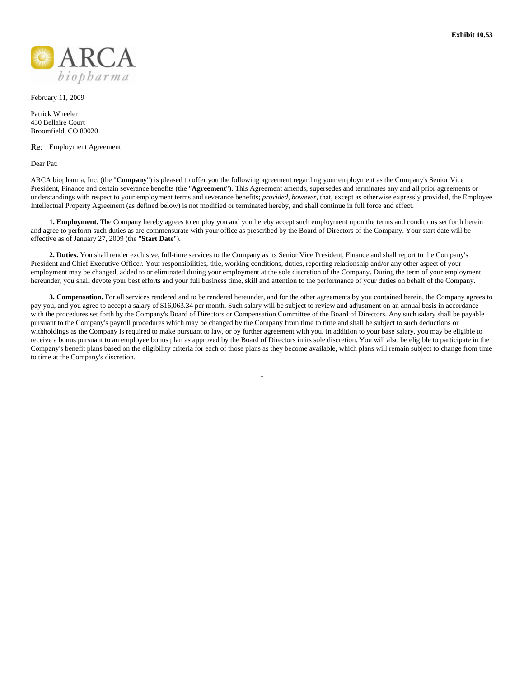

February 11, 2009

Patrick Wheeler 430 Bellaire Court Broomfield, CO 80020

Re: Employment Agreement

Dear Pat:

ARCA biopharma, Inc. (the "**Company**") is pleased to offer you the following agreement regarding your employment as the Company's Senior Vice President, Finance and certain severance benefits (the "**Agreement**"). This Agreement amends, supersedes and terminates any and all prior agreements or understandings with respect to your employment terms and severance benefits; *provided*, *however*, that, except as otherwise expressly provided, the Employee Intellectual Property Agreement (as defined below) is not modified or terminated hereby, and shall continue in full force and effect.

**1. Employment.** The Company hereby agrees to employ you and you hereby accept such employment upon the terms and conditions set forth herein and agree to perform such duties as are commensurate with your office as prescribed by the Board of Directors of the Company. Your start date will be effective as of January 27, 2009 (the "**Start Date**").

**2. Duties.** You shall render exclusive, full-time services to the Company as its Senior Vice President, Finance and shall report to the Company's President and Chief Executive Officer. Your responsibilities, title, working conditions, duties, reporting relationship and/or any other aspect of your employment may be changed, added to or eliminated during your employment at the sole discretion of the Company. During the term of your employment hereunder, you shall devote your best efforts and your full business time, skill and attention to the performance of your duties on behalf of the Company.

**3. Compensation.** For all services rendered and to be rendered hereunder, and for the other agreements by you contained herein, the Company agrees to pay you, and you agree to accept a salary of \$16,063.34 per month. Such salary will be subject to review and adjustment on an annual basis in accordance with the procedures set forth by the Company's Board of Directors or Compensation Committee of the Board of Directors. Any such salary shall be payable pursuant to the Company's payroll procedures which may be changed by the Company from time to time and shall be subject to such deductions or withholdings as the Company is required to make pursuant to law, or by further agreement with you. In addition to your base salary, you may be eligible to receive a bonus pursuant to an employee bonus plan as approved by the Board of Directors in its sole discretion. You will also be eligible to participate in the Company's benefit plans based on the eligibility criteria for each of those plans as they become available, which plans will remain subject to change from time to time at the Company's discretion.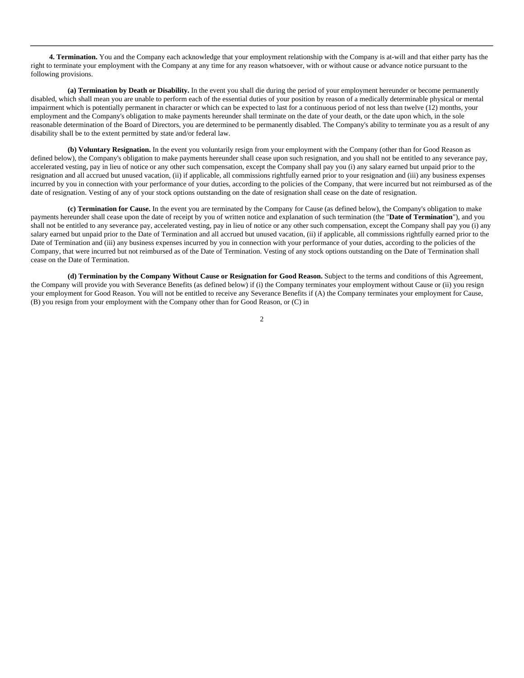**4. Termination.** You and the Company each acknowledge that your employment relationship with the Company is at-will and that either party has the right to terminate your employment with the Company at any time for any reason whatsoever, with or without cause or advance notice pursuant to the following provisions.

**(a) Termination by Death or Disability.** In the event you shall die during the period of your employment hereunder or become permanently disabled, which shall mean you are unable to perform each of the essential duties of your position by reason of a medically determinable physical or mental impairment which is potentially permanent in character or which can be expected to last for a continuous period of not less than twelve (12) months, your employment and the Company's obligation to make payments hereunder shall terminate on the date of your death, or the date upon which, in the sole reasonable determination of the Board of Directors, you are determined to be permanently disabled. The Company's ability to terminate you as a result of any disability shall be to the extent permitted by state and/or federal law.

**(b) Voluntary Resignation.** In the event you voluntarily resign from your employment with the Company (other than for Good Reason as defined below), the Company's obligation to make payments hereunder shall cease upon such resignation, and you shall not be entitled to any severance pay, accelerated vesting, pay in lieu of notice or any other such compensation, except the Company shall pay you (i) any salary earned but unpaid prior to the resignation and all accrued but unused vacation, (ii) if applicable, all commissions rightfully earned prior to your resignation and (iii) any business expenses incurred by you in connection with your performance of your duties, according to the policies of the Company, that were incurred but not reimbursed as of the date of resignation. Vesting of any of your stock options outstanding on the date of resignation shall cease on the date of resignation.

**(c) Termination for Cause.** In the event you are terminated by the Company for Cause (as defined below), the Company's obligation to make payments hereunder shall cease upon the date of receipt by you of written notice and explanation of such termination (the "**Date of Termination**"), and you shall not be entitled to any severance pay, accelerated vesting, pay in lieu of notice or any other such compensation, except the Company shall pay you (i) any salary earned but unpaid prior to the Date of Termination and all accrued but unused vacation, (ii) if applicable, all commissions rightfully earned prior to the Date of Termination and (iii) any business expenses incurred by you in connection with your performance of your duties, according to the policies of the Company, that were incurred but not reimbursed as of the Date of Termination. Vesting of any stock options outstanding on the Date of Termination shall cease on the Date of Termination.

**(d) Termination by the Company Without Cause or Resignation for Good Reason.** Subject to the terms and conditions of this Agreement, the Company will provide you with Severance Benefits (as defined below) if (i) the Company terminates your employment without Cause or (ii) you resign your employment for Good Reason. You will not be entitled to receive any Severance Benefits if (A) the Company terminates your employment for Cause, (B) you resign from your employment with the Company other than for Good Reason, or (C) in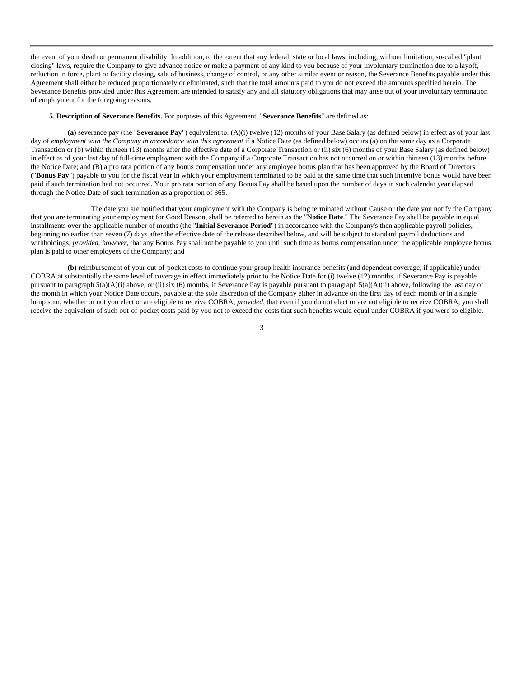the event of your death or permanent disability. In addition, to the extent that any federal, state or local laws, including, without limitation, so-called "plant closing" laws, require the Company to give advance notice or make a payment of any kind to you because of your involuntary termination due to a layoff, reduction in force, plant or facility closing, sale of business, change of control, or any other similar event or reason, the Severance Benefits payable under this Agreement shall either be reduced proportionately or eliminated, such that the total amounts paid to you do not exceed the amounts specified herein. The Severance Benefits provided under this Agreement are intended to satisfy any and all statutory obligations that may arise out of your involuntary termination of employment for the foregoing reasons.

#### **5. Description of Severance Benefits.** For purposes of this Agreement, "**Severance Benefits**" are defined as:

**(a)** severance pay (the "**Severance Pay**") equivalent to: (A)(i) twelve (12) months of your Base Salary (as defined below) in effect as of your last day of *employment with the Company in accordance with this agreement* if a Notice Date (as defined below) occurs (a) on the same day as a Corporate Transaction or (b) within thirteen (13) months after the effective date of a Corporate Transaction or (ii) six (6) months of your Base Salary (as defined below) in effect as of your last day of full-time employment with the Company if a Corporate Transaction has not occurred on or within thirteen (13) months before the Notice Date; and (B) a pro rata portion of any bonus compensation under any employee bonus plan that has been approved by the Board of Directors ("**Bonus Pay**") payable to you for the fiscal year in which your employment terminated to be paid at the same time that such incentive bonus would have been paid if such termination had not occurred. Your pro rata portion of any Bonus Pay shall be based upon the number of days in such calendar year elapsed through the Notice Date of such termination as a proportion of 365.

The date you are notified that your employment with the Company is being terminated without Cause or the date you notify the Company that you are terminating your employment for Good Reason, shall be referred to herein as the "**Notice Date**." The Severance Pay shall be payable in equal installments over the applicable number of months (the "**Initial Severance Period**") in accordance with the Company's then applicable payroll policies, beginning no earlier than seven (7) days after the effective date of the release described below, and will be subject to standard payroll deductions and withholdings; *provided*, *however*, that any Bonus Pay shall not be payable to you until such time as bonus compensation under the applicable employee bonus plan is paid to other employees of the Company; and

**(b)** reimbursement of your out-of-pocket costs to continue your group health insurance benefits (and dependent coverage, if applicable) under COBRA at substantially the same level of coverage in effect immediately prior to the Notice Date for (i) twelve (12) months, if Severance Pay is payable pursuant to paragraph  $5(a)(A)(i)$  above, or (ii) six (6) months, if Severance Pay is payable pursuant to paragraph  $5(a)(A)(ii)$  above, following the last day of the month in which your Notice Date occurs, payable at the sole discretion of the Company either in advance on the first day of each month or in a single lump sum, whether or not you elect or are eligible to receive COBRA; *provided*, that even if you do not elect or are not eligible to receive COBRA, you shall receive the equivalent of such out-of-pocket costs paid by you not to exceed the costs that such benefits would equal under COBRA if you were so eligible.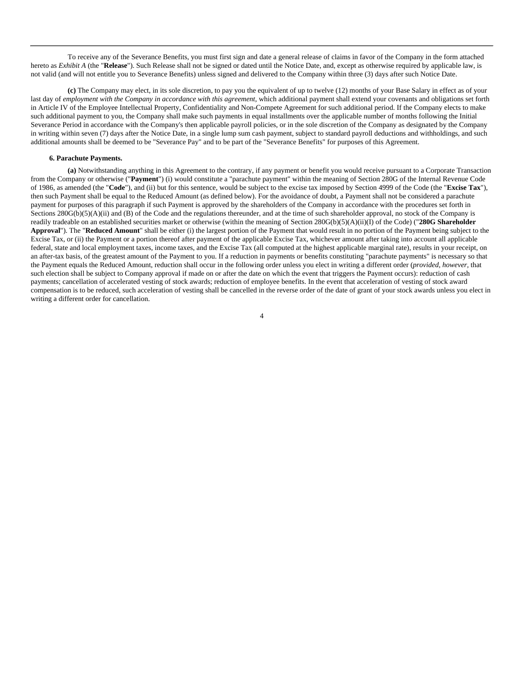To receive any of the Severance Benefits, you must first sign and date a general release of claims in favor of the Company in the form attached hereto as *Exhibit A* (the "**Release**"). Such Release shall not be signed or dated until the Notice Date, and, except as otherwise required by applicable law, is not valid (and will not entitle you to Severance Benefits) unless signed and delivered to the Company within three (3) days after such Notice Date.

**(c)** The Company may elect, in its sole discretion, to pay you the equivalent of up to twelve (12) months of your Base Salary in effect as of your last day of *employment with the Company in accordance with this agreement*, which additional payment shall extend your covenants and obligations set forth in Article IV of the Employee Intellectual Property, Confidentiality and Non-Compete Agreement for such additional period. If the Company elects to make such additional payment to you, the Company shall make such payments in equal installments over the applicable number of months following the Initial Severance Period in accordance with the Company's then applicable payroll policies, or in the sole discretion of the Company as designated by the Company in writing within seven (7) days after the Notice Date, in a single lump sum cash payment, subject to standard payroll deductions and withholdings, and such additional amounts shall be deemed to be "Severance Pay" and to be part of the "Severance Benefits" for purposes of this Agreement.

#### **6. Parachute Payments.**

**(a)** Notwithstanding anything in this Agreement to the contrary, if any payment or benefit you would receive pursuant to a Corporate Transaction from the Company or otherwise ("**Payment**") (i) would constitute a "parachute payment" within the meaning of Section 280G of the Internal Revenue Code of 1986, as amended (the "**Code**"), and (ii) but for this sentence, would be subject to the excise tax imposed by Section 4999 of the Code (the "**Excise Tax**"), then such Payment shall be equal to the Reduced Amount (as defined below). For the avoidance of doubt, a Payment shall not be considered a parachute payment for purposes of this paragraph if such Payment is approved by the shareholders of the Company in accordance with the procedures set forth in Sections  $280G(b)(5)(A)(ii)$  and (B) of the Code and the regulations thereunder, and at the time of such shareholder approval, no stock of the Company is readily tradeable on an established securities market or otherwise (within the meaning of Section 280G(b)(5)(A)(ii)(I) of the Code) ("**280G Shareholder Approval**"). The "**Reduced Amount**" shall be either (i) the largest portion of the Payment that would result in no portion of the Payment being subject to the Excise Tax, or (ii) the Payment or a portion thereof after payment of the applicable Excise Tax, whichever amount after taking into account all applicable federal, state and local employment taxes, income taxes, and the Excise Tax (all computed at the highest applicable marginal rate), results in your receipt, on an after-tax basis, of the greatest amount of the Payment to you. If a reduction in payments or benefits constituting "parachute payments" is necessary so that the Payment equals the Reduced Amount, reduction shall occur in the following order unless you elect in writing a different order (*provided, however,* that such election shall be subject to Company approval if made on or after the date on which the event that triggers the Payment occurs): reduction of cash payments; cancellation of accelerated vesting of stock awards; reduction of employee benefits. In the event that acceleration of vesting of stock award compensation is to be reduced, such acceleration of vesting shall be cancelled in the reverse order of the date of grant of your stock awards unless you elect in writing a different order for cancellation.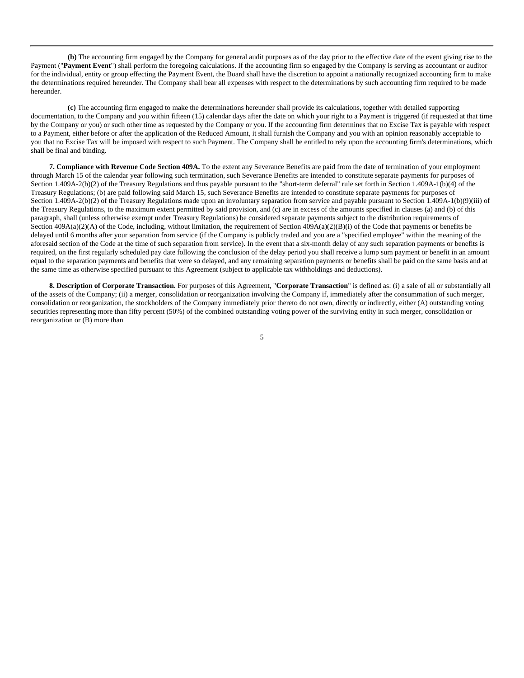**(b)** The accounting firm engaged by the Company for general audit purposes as of the day prior to the effective date of the event giving rise to the Payment ("**Payment Event**") shall perform the foregoing calculations. If the accounting firm so engaged by the Company is serving as accountant or auditor for the individual, entity or group effecting the Payment Event, the Board shall have the discretion to appoint a nationally recognized accounting firm to make the determinations required hereunder. The Company shall bear all expenses with respect to the determinations by such accounting firm required to be made hereunder.

**(c)** The accounting firm engaged to make the determinations hereunder shall provide its calculations, together with detailed supporting documentation, to the Company and you within fifteen (15) calendar days after the date on which your right to a Payment is triggered (if requested at that time by the Company or you) or such other time as requested by the Company or you. If the accounting firm determines that no Excise Tax is payable with respect to a Payment, either before or after the application of the Reduced Amount, it shall furnish the Company and you with an opinion reasonably acceptable to you that no Excise Tax will be imposed with respect to such Payment. The Company shall be entitled to rely upon the accounting firm's determinations, which shall be final and binding.

**7. Compliance with Revenue Code Section 409A.** To the extent any Severance Benefits are paid from the date of termination of your employment through March 15 of the calendar year following such termination, such Severance Benefits are intended to constitute separate payments for purposes of Section 1.409A-2(b)(2) of the Treasury Regulations and thus payable pursuant to the "short-term deferral" rule set forth in Section 1.409A-1(b)(4) of the Treasury Regulations; (b) are paid following said March 15, such Severance Benefits are intended to constitute separate payments for purposes of Section 1.409A-2(b)(2) of the Treasury Regulations made upon an involuntary separation from service and payable pursuant to Section 1.409A-1(b)(9)(iii) of the Treasury Regulations, to the maximum extent permitted by said provision, and (c) are in excess of the amounts specified in clauses (a) and (b) of this paragraph, shall (unless otherwise exempt under Treasury Regulations) be considered separate payments subject to the distribution requirements of Section 409A(a)(2)(A) of the Code, including, without limitation, the requirement of Section 409A(a)(2)(B)(i) of the Code that payments or benefits be delayed until 6 months after your separation from service (if the Company is publicly traded and you are a "specified employee" within the meaning of the aforesaid section of the Code at the time of such separation from service). In the event that a six-month delay of any such separation payments or benefits is required, on the first regularly scheduled pay date following the conclusion of the delay period you shall receive a lump sum payment or benefit in an amount equal to the separation payments and benefits that were so delayed, and any remaining separation payments or benefits shall be paid on the same basis and at the same time as otherwise specified pursuant to this Agreement (subject to applicable tax withholdings and deductions).

**8. Description of Corporate Transaction.** For purposes of this Agreement, "**Corporate Transaction**" is defined as: (i) a sale of all or substantially all of the assets of the Company; (ii) a merger, consolidation or reorganization involving the Company if, immediately after the consummation of such merger, consolidation or reorganization, the stockholders of the Company immediately prior thereto do not own, directly or indirectly, either (A) outstanding voting securities representing more than fifty percent (50%) of the combined outstanding voting power of the surviving entity in such merger, consolidation or reorganization or (B) more than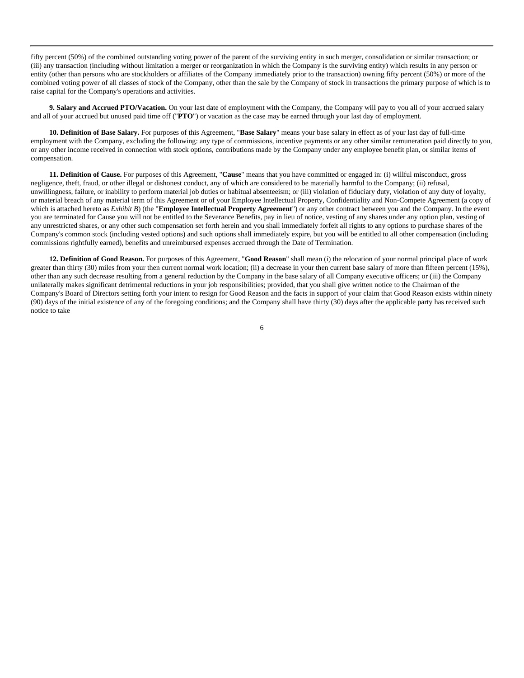fifty percent (50%) of the combined outstanding voting power of the parent of the surviving entity in such merger, consolidation or similar transaction; or (iii) any transaction (including without limitation a merger or reorganization in which the Company is the surviving entity) which results in any person or entity (other than persons who are stockholders or affiliates of the Company immediately prior to the transaction) owning fifty percent (50%) or more of the combined voting power of all classes of stock of the Company, other than the sale by the Company of stock in transactions the primary purpose of which is to raise capital for the Company's operations and activities.

**9. Salary and Accrued PTO/Vacation.** On your last date of employment with the Company, the Company will pay to you all of your accrued salary and all of your accrued but unused paid time off ("**PTO**") or vacation as the case may be earned through your last day of employment.

**10. Definition of Base Salary.** For purposes of this Agreement, "**Base Salary**" means your base salary in effect as of your last day of full-time employment with the Company, excluding the following: any type of commissions, incentive payments or any other similar remuneration paid directly to you, or any other income received in connection with stock options, contributions made by the Company under any employee benefit plan, or similar items of compensation.

**11. Definition of Cause.** For purposes of this Agreement, "**Cause**" means that you have committed or engaged in: (i) willful misconduct, gross negligence, theft, fraud, or other illegal or dishonest conduct, any of which are considered to be materially harmful to the Company; (ii) refusal, unwillingness, failure, or inability to perform material job duties or habitual absenteeism; or (iii) violation of fiduciary duty, violation of any duty of loyalty, or material breach of any material term of this Agreement or of your Employee Intellectual Property, Confidentiality and Non-Compete Agreement (a copy of which is attached hereto as *Exhibit B*) (the "**Employee Intellectual Property Agreement**") or any other contract between you and the Company. In the event you are terminated for Cause you will not be entitled to the Severance Benefits, pay in lieu of notice, vesting of any shares under any option plan, vesting of any unrestricted shares, or any other such compensation set forth herein and you shall immediately forfeit all rights to any options to purchase shares of the Company's common stock (including vested options) and such options shall immediately expire, but you will be entitled to all other compensation (including commissions rightfully earned), benefits and unreimbursed expenses accrued through the Date of Termination.

**12. Definition of Good Reason.** For purposes of this Agreement, "**Good Reason**" shall mean (i) the relocation of your normal principal place of work greater than thirty (30) miles from your then current normal work location; (ii) a decrease in your then current base salary of more than fifteen percent (15%), other than any such decrease resulting from a general reduction by the Company in the base salary of all Company executive officers; or (iii) the Company unilaterally makes significant detrimental reductions in your job responsibilities; provided, that you shall give written notice to the Chairman of the Company's Board of Directors setting forth your intent to resign for Good Reason and the facts in support of your claim that Good Reason exists within ninety (90) days of the initial existence of any of the foregoing conditions; and the Company shall have thirty (30) days after the applicable party has received such notice to take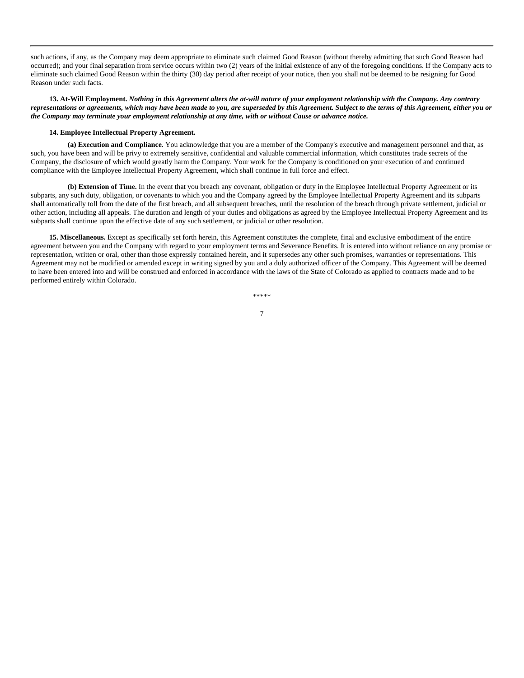such actions, if any, as the Company may deem appropriate to eliminate such claimed Good Reason (without thereby admitting that such Good Reason had occurred); and your final separation from service occurs within two (2) years of the initial existence of any of the foregoing conditions. If the Company acts to eliminate such claimed Good Reason within the thirty (30) day period after receipt of your notice, then you shall not be deemed to be resigning for Good Reason under such facts.

**13. At-Will Employment.** *Nothing in this Agreement alters the at-will nature of your employment relationship with the Company. Any contrary representations or agreements, which may have been made to you, are superseded by this Agreement. Subject to the terms of this Agreement, either you or the Company may terminate your employment relationship at any time, with or without Cause or advance notice.*

## **14. Employee Intellectual Property Agreement.**

**(a) Execution and Compliance**. You acknowledge that you are a member of the Company's executive and management personnel and that, as such, you have been and will be privy to extremely sensitive, confidential and valuable commercial information, which constitutes trade secrets of the Company, the disclosure of which would greatly harm the Company. Your work for the Company is conditioned on your execution of and continued compliance with the Employee Intellectual Property Agreement, which shall continue in full force and effect.

**(b) Extension of Time.** In the event that you breach any covenant, obligation or duty in the Employee Intellectual Property Agreement or its subparts, any such duty, obligation, or covenants to which you and the Company agreed by the Employee Intellectual Property Agreement and its subparts shall automatically toll from the date of the first breach, and all subsequent breaches, until the resolution of the breach through private settlement, judicial or other action, including all appeals. The duration and length of your duties and obligations as agreed by the Employee Intellectual Property Agreement and its subparts shall continue upon the effective date of any such settlement, or judicial or other resolution.

**15. Miscellaneous.** Except as specifically set forth herein, this Agreement constitutes the complete, final and exclusive embodiment of the entire agreement between you and the Company with regard to your employment terms and Severance Benefits. It is entered into without reliance on any promise or representation, written or oral, other than those expressly contained herein, and it supersedes any other such promises, warranties or representations. This Agreement may not be modified or amended except in writing signed by you and a duly authorized officer of the Company. This Agreement will be deemed to have been entered into and will be construed and enforced in accordance with the laws of the State of Colorado as applied to contracts made and to be performed entirely within Colorado.

\*\*\*\*\*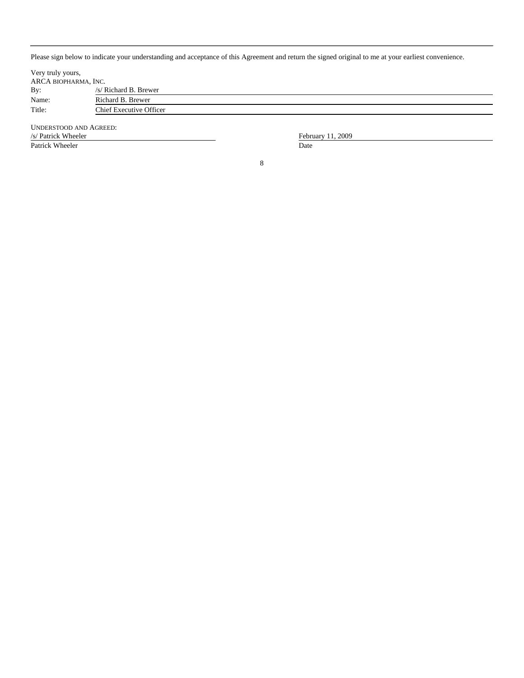Please sign below to indicate your understanding and acceptance of this Agreement and return the signed original to me at your earliest convenience.

| Very truly yours,    |                               |                   |  |
|----------------------|-------------------------------|-------------------|--|
| ARCA BIOPHARMA, INC. |                               |                   |  |
| By:                  | /s/ Richard B. Brewer         |                   |  |
| Name:                | Richard B. Brewer             |                   |  |
| Title:               | Chief Executive Officer       |                   |  |
|                      | <b>UNDERSTOOD AND AGREED:</b> |                   |  |
|                      |                               |                   |  |
| /s/ Patrick Wheeler  |                               | February 11, 2009 |  |

Patrick Wheeler Date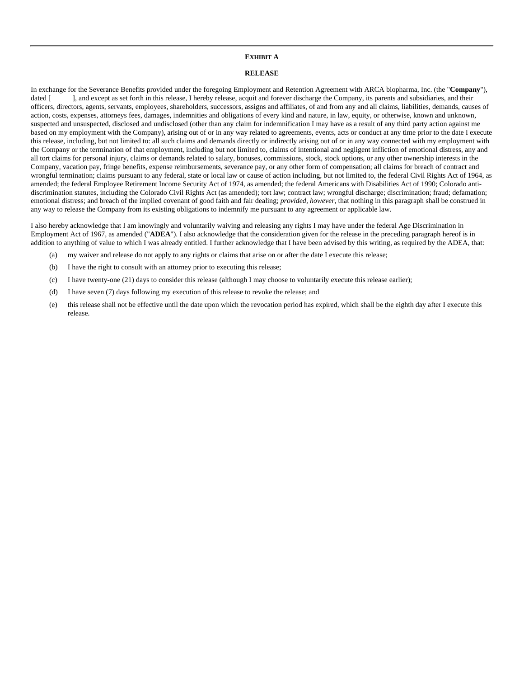## **EXHIBIT A**

### **RELEASE**

In exchange for the Severance Benefits provided under the foregoing Employment and Retention Agreement with ARCA biopharma, Inc. (the "**Company**"), dated [], and except as set forth in this release, I hereby release, acquit and forever discharge the Company, its parents and subsidiaries, and their officers, directors, agents, servants, employees, shareholders, successors, assigns and affiliates, of and from any and all claims, liabilities, demands, causes of action, costs, expenses, attorneys fees, damages, indemnities and obligations of every kind and nature, in law, equity, or otherwise, known and unknown, suspected and unsuspected, disclosed and undisclosed (other than any claim for indemnification I may have as a result of any third party action against me based on my employment with the Company), arising out of or in any way related to agreements, events, acts or conduct at any time prior to the date I execute this release, including, but not limited to: all such claims and demands directly or indirectly arising out of or in any way connected with my employment with the Company or the termination of that employment, including but not limited to, claims of intentional and negligent infliction of emotional distress, any and all tort claims for personal injury, claims or demands related to salary, bonuses, commissions, stock, stock options, or any other ownership interests in the Company, vacation pay, fringe benefits, expense reimbursements, severance pay, or any other form of compensation; all claims for breach of contract and wrongful termination; claims pursuant to any federal, state or local law or cause of action including, but not limited to, the federal Civil Rights Act of 1964, as amended; the federal Employee Retirement Income Security Act of 1974, as amended; the federal Americans with Disabilities Act of 1990; Colorado antidiscrimination statutes, including the Colorado Civil Rights Act (as amended); tort law; contract law; wrongful discharge; discrimination; fraud; defamation; emotional distress; and breach of the implied covenant of good faith and fair dealing; *provided, however,* that nothing in this paragraph shall be construed in any way to release the Company from its existing obligations to indemnify me pursuant to any agreement or applicable law.

I also hereby acknowledge that I am knowingly and voluntarily waiving and releasing any rights I may have under the federal Age Discrimination in Employment Act of 1967, as amended ("**ADEA**"). I also acknowledge that the consideration given for the release in the preceding paragraph hereof is in addition to anything of value to which I was already entitled. I further acknowledge that I have been advised by this writing, as required by the ADEA, that:

- (a) my waiver and release do not apply to any rights or claims that arise on or after the date I execute this release;
- (b) I have the right to consult with an attorney prior to executing this release;
- (c) I have twenty-one (21) days to consider this release (although I may choose to voluntarily execute this release earlier);
- (d) I have seven (7) days following my execution of this release to revoke the release; and
- (e) this release shall not be effective until the date upon which the revocation period has expired, which shall be the eighth day after I execute this release.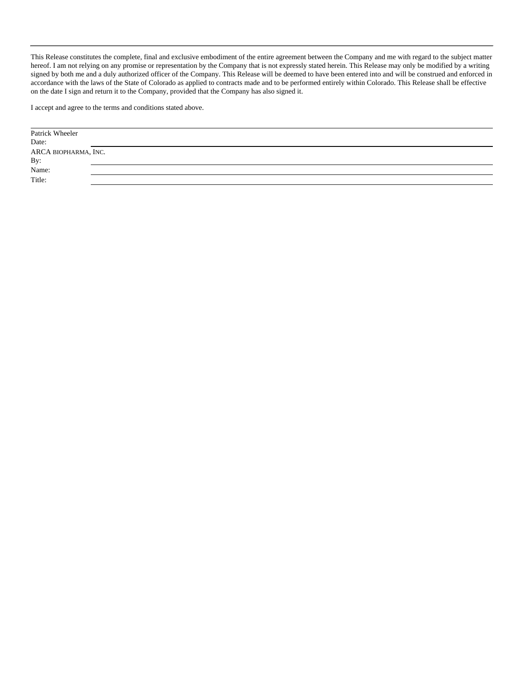This Release constitutes the complete, final and exclusive embodiment of the entire agreement between the Company and me with regard to the subject matter hereof. I am not relying on any promise or representation by the Company that is not expressly stated herein. This Release may only be modified by a writing signed by both me and a duly authorized officer of the Company. This Release will be deemed to have been entered into and will be construed and enforced in accordance with the laws of the State of Colorado as applied to contracts made and to be performed entirely within Colorado. This Release shall be effective on the date I sign and return it to the Company, provided that the Company has also signed it.

I accept and agree to the terms and conditions stated above.

| Patrick Wheeler      |  |  |
|----------------------|--|--|
| Date:                |  |  |
| ARCA BIOPHARMA, INC. |  |  |
| By:                  |  |  |
| Name:                |  |  |
| Title:               |  |  |
|                      |  |  |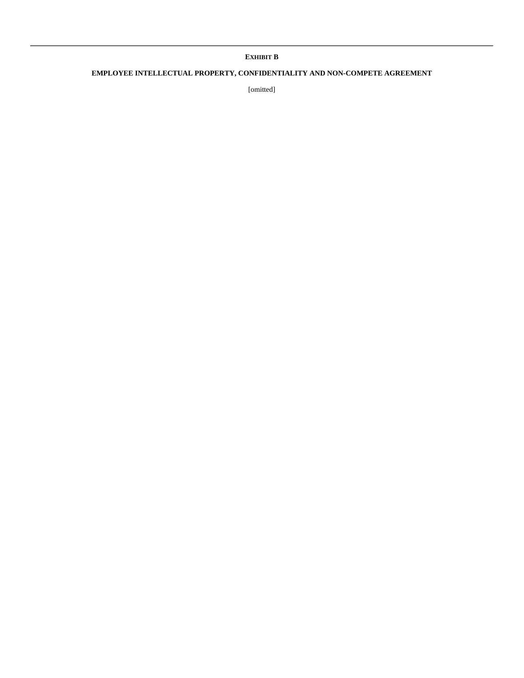## **EXHIBIT B**

# **EMPLOYEE INTELLECTUAL PROPERTY, CONFIDENTIALITY AND NON-COMPETE AGREEMENT**

[omitted]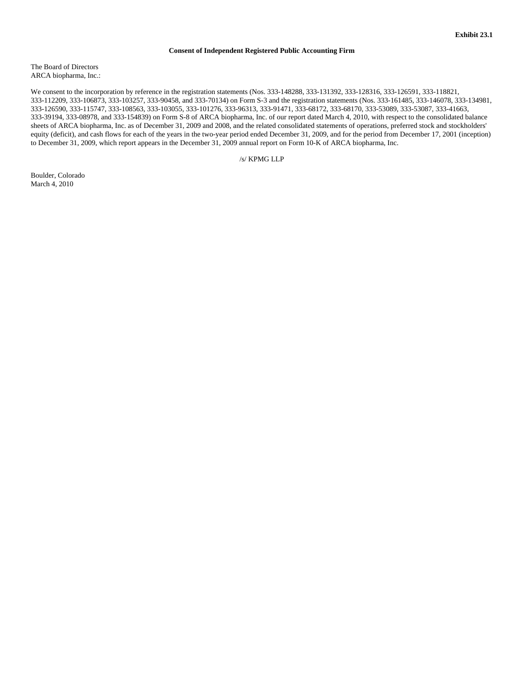## **Consent of Independent Registered Public Accounting Firm**

The Board of Directors ARCA biopharma, Inc.:

We consent to the incorporation by reference in the registration statements (Nos. 333-148288, 333-131392, 333-128316, 333-126591, 333-118821, 333-112209, 333-106873, 333-103257, 333-90458, and 333-70134) on Form S-3 and the registration statements (Nos. 333-161485, 333-146078, 333-134981, 333-126590, 333-115747, 333-108563, 333-103055, 333-101276, 333-96313, 333-91471, 333-68172, 333-68170, 333-53089, 333-53087, 333-41663, 333-39194, 333-08978, and 333-154839) on Form S-8 of ARCA biopharma, Inc. of our report dated March 4, 2010, with respect to the consolidated balance sheets of ARCA biopharma, Inc. as of December 31, 2009 and 2008, and the related consolidated statements of operations, preferred stock and stockholders' equity (deficit), and cash flows for each of the years in the two-year period ended December 31, 2009, and for the period from December 17, 2001 (inception) to December 31, 2009, which report appears in the December 31, 2009 annual report on Form 10-K of ARCA biopharma, Inc.

/s/ KPMG LLP

Boulder, Colorado March 4, 2010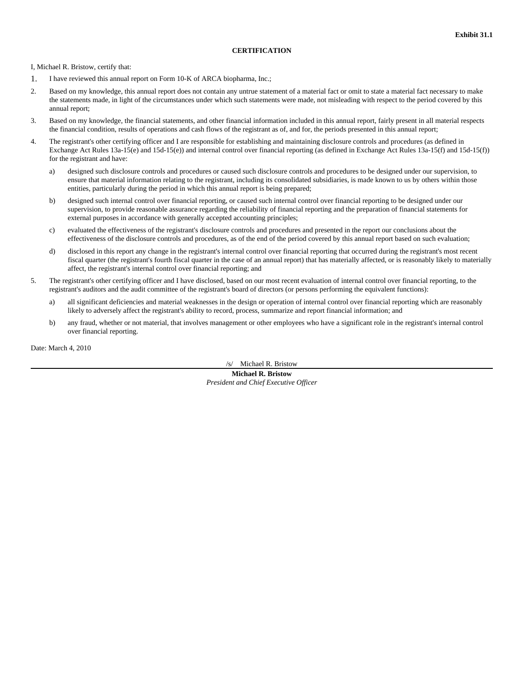### **CERTIFICATION**

I, Michael R. Bristow, certify that:

- 1. I have reviewed this annual report on Form 10-K of ARCA biopharma, Inc.;
- 2. Based on my knowledge, this annual report does not contain any untrue statement of a material fact or omit to state a material fact necessary to make the statements made, in light of the circumstances under which such statements were made, not misleading with respect to the period covered by this annual report;
- 3. Based on my knowledge, the financial statements, and other financial information included in this annual report, fairly present in all material respects the financial condition, results of operations and cash flows of the registrant as of, and for, the periods presented in this annual report;
- 4. The registrant's other certifying officer and I are responsible for establishing and maintaining disclosure controls and procedures (as defined in Exchange Act Rules 13a-15(e) and 15d-15(e)) and internal control over financial reporting (as defined in Exchange Act Rules 13a-15(f) and 15d-15(f)) for the registrant and have:
	- a) designed such disclosure controls and procedures or caused such disclosure controls and procedures to be designed under our supervision, to ensure that material information relating to the registrant, including its consolidated subsidiaries, is made known to us by others within those entities, particularly during the period in which this annual report is being prepared;
	- b) designed such internal control over financial reporting, or caused such internal control over financial reporting to be designed under our supervision, to provide reasonable assurance regarding the reliability of financial reporting and the preparation of financial statements for external purposes in accordance with generally accepted accounting principles;
	- c) evaluated the effectiveness of the registrant's disclosure controls and procedures and presented in the report our conclusions about the effectiveness of the disclosure controls and procedures, as of the end of the period covered by this annual report based on such evaluation;
	- d) disclosed in this report any change in the registrant's internal control over financial reporting that occurred during the registrant's most recent fiscal quarter (the registrant's fourth fiscal quarter in the case of an annual report) that has materially affected, or is reasonably likely to materially affect, the registrant's internal control over financial reporting; and
- 5. The registrant's other certifying officer and I have disclosed, based on our most recent evaluation of internal control over financial reporting, to the registrant's auditors and the audit committee of the registrant's board of directors (or persons performing the equivalent functions):
	- a) all significant deficiencies and material weaknesses in the design or operation of internal control over financial reporting which are reasonably likely to adversely affect the registrant's ability to record, process, summarize and report financial information; and
	- b) any fraud, whether or not material, that involves management or other employees who have a significant role in the registrant's internal control over financial reporting.

Date: March 4, 2010

/s/ Michael R. Bristow

#### **Michael R. Bristow** *President and Chief Executive Officer*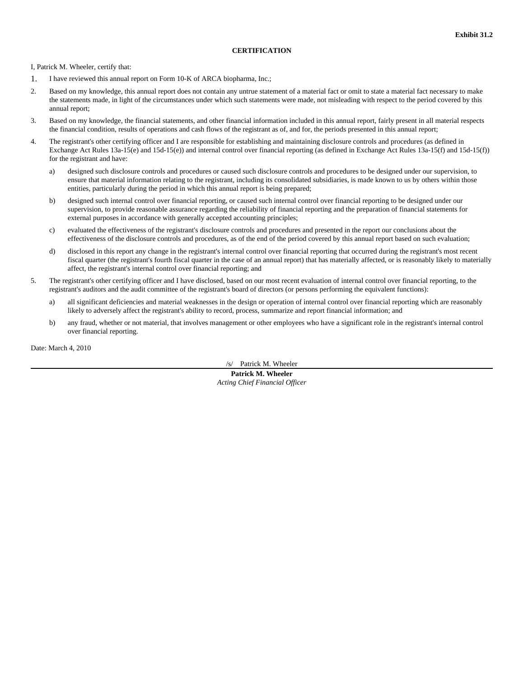### **CERTIFICATION**

I, Patrick M. Wheeler, certify that:

- 1. I have reviewed this annual report on Form 10-K of ARCA biopharma, Inc.;
- 2. Based on my knowledge, this annual report does not contain any untrue statement of a material fact or omit to state a material fact necessary to make the statements made, in light of the circumstances under which such statements were made, not misleading with respect to the period covered by this annual report;
- 3. Based on my knowledge, the financial statements, and other financial information included in this annual report, fairly present in all material respects the financial condition, results of operations and cash flows of the registrant as of, and for, the periods presented in this annual report;
- 4. The registrant's other certifying officer and I are responsible for establishing and maintaining disclosure controls and procedures (as defined in Exchange Act Rules 13a-15(e) and 15d-15(e)) and internal control over financial reporting (as defined in Exchange Act Rules 13a-15(f) and 15d-15(f)) for the registrant and have:
	- a) designed such disclosure controls and procedures or caused such disclosure controls and procedures to be designed under our supervision, to ensure that material information relating to the registrant, including its consolidated subsidiaries, is made known to us by others within those entities, particularly during the period in which this annual report is being prepared;
	- b) designed such internal control over financial reporting, or caused such internal control over financial reporting to be designed under our supervision, to provide reasonable assurance regarding the reliability of financial reporting and the preparation of financial statements for external purposes in accordance with generally accepted accounting principles;
	- c) evaluated the effectiveness of the registrant's disclosure controls and procedures and presented in the report our conclusions about the effectiveness of the disclosure controls and procedures, as of the end of the period covered by this annual report based on such evaluation;
	- d) disclosed in this report any change in the registrant's internal control over financial reporting that occurred during the registrant's most recent fiscal quarter (the registrant's fourth fiscal quarter in the case of an annual report) that has materially affected, or is reasonably likely to materially affect, the registrant's internal control over financial reporting; and
- 5. The registrant's other certifying officer and I have disclosed, based on our most recent evaluation of internal control over financial reporting, to the registrant's auditors and the audit committee of the registrant's board of directors (or persons performing the equivalent functions):
	- a) all significant deficiencies and material weaknesses in the design or operation of internal control over financial reporting which are reasonably likely to adversely affect the registrant's ability to record, process, summarize and report financial information; and
	- b) any fraud, whether or not material, that involves management or other employees who have a significant role in the registrant's internal control over financial reporting.

Date: March 4, 2010

/s/ Patrick M. Wheeler

**Patrick M. Wheeler** *Acting Chief Financial Officer*